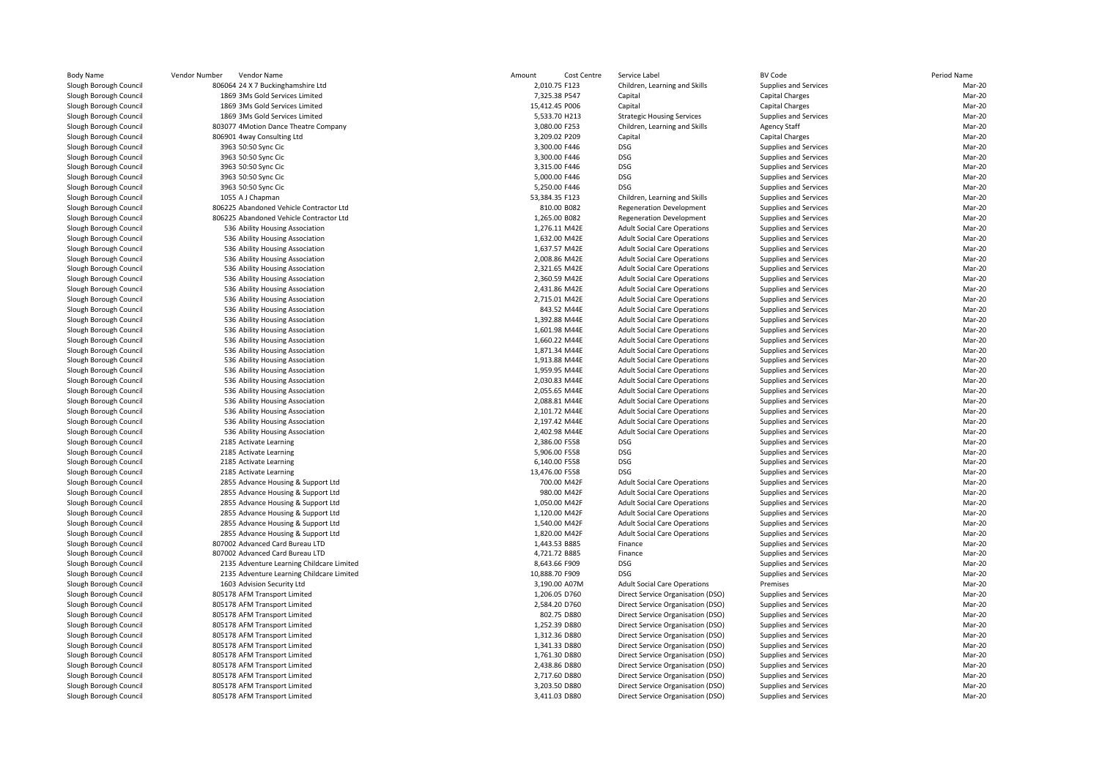|                                                        | Vendor Number<br>Vendor Name                                             | Amount<br>Cost Centre           | Service Label                                                              | <b>BV Code</b>                                 | Period Name      |
|--------------------------------------------------------|--------------------------------------------------------------------------|---------------------------------|----------------------------------------------------------------------------|------------------------------------------------|------------------|
| ough Council                                           | 806064 24 X 7 Buckinghamshire Ltd                                        | 2,010.75 F123                   | Children, Learning and Skills                                              | Supplies and Services                          | Mar-20           |
| ough Council <sup>.</sup>                              | 1869 3Ms Gold Services Limited                                           | 7,325.38 P547                   | Capital                                                                    | <b>Capital Charges</b>                         | Mar-20           |
| ough Council <sup>.</sup>                              | 1869 3Ms Gold Services Limited                                           | 15,412.45 P006                  | Capital                                                                    | <b>Capital Charges</b>                         | Mar-20           |
| ough Council <sup>.</sup>                              | 1869 3Ms Gold Services Limited                                           | 5,533.70 H213                   | <b>Strategic Housing Services</b>                                          | Supplies and Services                          | Mar-20           |
| ough Council                                           | 803077 4Motion Dance Theatre Company                                     | 3,080.00 F253                   | Children, Learning and Skills                                              | <b>Agency Staff</b>                            | Mar-20           |
| ough Council <sup>.</sup>                              | 806901 4way Consulting Ltd                                               | 3,209.02 P209                   | Capital                                                                    | <b>Capital Charges</b>                         | Mar-20           |
| ough Council                                           | 3963 50:50 Sync Cic                                                      | 3,300.00 F446                   | <b>DSG</b>                                                                 | Supplies and Services                          | Mar-20           |
| ough Council <sup>.</sup>                              | 3963 50:50 Sync Cic                                                      | 3,300.00 F446                   | DSG                                                                        | Supplies and Services                          | Mar-20           |
| ough Council <sup>.</sup>                              | 3963 50:50 Sync Cic                                                      | 3,315.00 F446<br>5,000.00 F446  | DSG<br><b>DSG</b>                                                          | Supplies and Services                          | Mar-20<br>Mar-20 |
| ough Council <sup>.</sup>                              | 3963 50:50 Sync Cic                                                      |                                 | <b>DSG</b>                                                                 | Supplies and Services                          | Mar-20           |
| ough Council                                           | 3963 50:50 Sync Cic<br>1055 A J Chapman                                  | 5,250.00 F446<br>53,384.35 F123 | Children, Learning and Skills                                              | Supplies and Services<br>Supplies and Services | Mar-20           |
| ough Council <sup>.</sup><br>ough Council <sup>-</sup> | 806225 Abandoned Vehicle Contractor Ltd                                  | 810.00 B082                     | <b>Regeneration Development</b>                                            | Supplies and Services                          | Mar-20           |
| ough Council                                           | 806225 Abandoned Vehicle Contractor Ltd                                  | 1,265.00 B082                   | <b>Regeneration Development</b>                                            | Supplies and Services                          | Mar-20           |
| ough Council <sup>.</sup>                              | 536 Ability Housing Association                                          | 1,276.11 M42E                   | <b>Adult Social Care Operations</b>                                        | Supplies and Services                          | Mar-20           |
| ough Council                                           | 536 Ability Housing Association                                          | 1,632.00 M42E                   | <b>Adult Social Care Operations</b>                                        | Supplies and Services                          | Mar-20           |
| ough Council <sup>.</sup>                              | 536 Ability Housing Association                                          | 1,637.57 M42E                   | <b>Adult Social Care Operations</b>                                        | Supplies and Services                          | Mar-20           |
| ough Council                                           | 536 Ability Housing Association                                          | 2,008.86 M42E                   | <b>Adult Social Care Operations</b>                                        | Supplies and Services                          | Mar-20           |
| ough Council <sup>.</sup>                              | 536 Ability Housing Association                                          | 2,321.65 M42E                   | <b>Adult Social Care Operations</b>                                        | Supplies and Services                          | Mar-20           |
| ough Council <sup>-</sup>                              | 536 Ability Housing Association                                          | 2,360.59 M42E                   | <b>Adult Social Care Operations</b>                                        | Supplies and Services                          | Mar-20           |
| ough Council <sup>.</sup>                              | 536 Ability Housing Association                                          | 2,431.86 M42E                   | <b>Adult Social Care Operations</b>                                        | Supplies and Services                          | Mar-20           |
| ough Council                                           | 536 Ability Housing Association                                          | 2,715.01 M42E                   | <b>Adult Social Care Operations</b>                                        | Supplies and Services                          | Mar-20           |
| ough Council <sup>.</sup>                              | 536 Ability Housing Association                                          | 843.52 M44E                     | <b>Adult Social Care Operations</b>                                        | Supplies and Services                          | Mar-20           |
| ough Council                                           | 536 Ability Housing Association                                          | 1,392.88 M44E                   | <b>Adult Social Care Operations</b>                                        | Supplies and Services                          | Mar-20           |
| ough Council <sup>.</sup>                              | 536 Ability Housing Association                                          | 1,601.98 M44E                   | <b>Adult Social Care Operations</b>                                        | Supplies and Services                          | Mar-20           |
| ough Council                                           | 536 Ability Housing Association                                          | 1,660.22 M44E                   | <b>Adult Social Care Operations</b>                                        | Supplies and Services                          | Mar-20           |
| ough Council <sup>.</sup>                              | 536 Ability Housing Association                                          | 1,871.34 M44E                   | <b>Adult Social Care Operations</b>                                        | Supplies and Services                          | Mar-20           |
| ough Council                                           | 536 Ability Housing Association                                          | 1,913.88 M44E                   | <b>Adult Social Care Operations</b>                                        | Supplies and Services                          | Mar-20           |
| ough Council <sup>.</sup>                              | 536 Ability Housing Association                                          | 1,959.95 M44E                   | <b>Adult Social Care Operations</b>                                        | Supplies and Services                          | Mar-20           |
| ough Council                                           | 536 Ability Housing Association                                          | 2,030.83 M44E                   | <b>Adult Social Care Operations</b>                                        | Supplies and Services                          | Mar-20           |
| ough Council <sup>.</sup>                              | 536 Ability Housing Association                                          | 2,055.65 M44E                   | <b>Adult Social Care Operations</b>                                        | Supplies and Services                          | Mar-20           |
| ough Council <sup>-</sup>                              | 536 Ability Housing Association                                          | 2,088.81 M44E                   | <b>Adult Social Care Operations</b>                                        | Supplies and Services                          | Mar-20           |
| ough Council <sup>.</sup>                              | 536 Ability Housing Association                                          | 2,101.72 M44E                   | <b>Adult Social Care Operations</b>                                        | Supplies and Services                          | Mar-20           |
| ough Council <sup>.</sup>                              | 536 Ability Housing Association                                          | 2,197.42 M44E                   | <b>Adult Social Care Operations</b>                                        | Supplies and Services                          | Mar-20           |
| ough Council <sup>.</sup>                              | 536 Ability Housing Association                                          | 2,402.98 M44E                   | <b>Adult Social Care Operations</b>                                        | Supplies and Services                          | Mar-20           |
| ough Council <sup>.</sup>                              | 2185 Activate Learning                                                   | 2,386.00 F558                   | DSG                                                                        | Supplies and Services                          | Mar-20           |
| ough Council <sup>.</sup>                              | 2185 Activate Learning                                                   | 5,906.00 F558                   | DSG                                                                        | Supplies and Services                          | Mar-20           |
| ough Council <sup>.</sup>                              | 2185 Activate Learning                                                   | 6,140.00 F558                   | <b>DSG</b>                                                                 | Supplies and Services                          | Mar-20           |
| ough Council                                           | 2185 Activate Learning                                                   | 13,476.00 F558                  | <b>DSG</b>                                                                 | Supplies and Services                          | Mar-20           |
| ough Council <sup>.</sup>                              | 2855 Advance Housing & Support Ltd                                       | 700.00 M42F<br>980.00 M42F      | <b>Adult Social Care Operations</b>                                        | Supplies and Services                          | Mar-20           |
| ough Council                                           | 2855 Advance Housing & Support Ltd                                       |                                 | <b>Adult Social Care Operations</b>                                        | Supplies and Services                          | Mar-20           |
| ough Council <sup>-</sup>                              | 2855 Advance Housing & Support Ltd<br>2855 Advance Housing & Support Ltd | 1,050.00 M42F<br>1,120.00 M42F  | <b>Adult Social Care Operations</b><br><b>Adult Social Care Operations</b> | Supplies and Services<br>Supplies and Services | Mar-20<br>Mar-20 |
| ough Council<br>ough Council <sup>.</sup>              | 2855 Advance Housing & Support Ltd                                       | 1,540.00 M42F                   | <b>Adult Social Care Operations</b>                                        | Supplies and Services                          | Mar-20           |
| ough Council                                           | 2855 Advance Housing & Support Ltd                                       | 1,820.00 M42F                   | <b>Adult Social Care Operations</b>                                        | Supplies and Services                          | Mar-20           |
| ough Council <sup>.</sup>                              | 807002 Advanced Card Bureau LTD                                          | 1,443.53 B885                   | Finance                                                                    | Supplies and Services                          | Mar-20           |
| ough Council                                           | 807002 Advanced Card Bureau LTD                                          | 4,721.72 B885                   | Finance                                                                    | Supplies and Services                          | Mar-20           |
| ough Council <sup>-</sup>                              | 2135 Adventure Learning Childcare Limited                                | 8,643.66 F909                   | <b>DSG</b>                                                                 | Supplies and Services                          | Mar-20           |
| ough Council <sup>-</sup>                              | 2135 Adventure Learning Childcare Limited                                | 10,888.70 F909                  | <b>DSG</b>                                                                 | Supplies and Services                          | Mar-20           |
| ough Council <sup>.</sup>                              | 1603 Advision Security Ltd                                               | 3,190.00 A07M                   | <b>Adult Social Care Operations</b>                                        | Premises                                       | Mar-20           |
| ough Council <sup>.</sup>                              | 805178 AFM Transport Limited                                             | 1,206.05 D760                   | Direct Service Organisation (DSO)                                          | Supplies and Services                          | Mar-20           |
| ough Council <sup>.</sup>                              | 805178 AFM Transport Limited                                             | 2,584.20 D760                   | Direct Service Organisation (DSO)                                          | Supplies and Services                          | Mar-20           |
| ough Council                                           | 805178 AFM Transport Limited                                             | 802.75 D880                     | Direct Service Organisation (DSO)                                          | Supplies and Services                          | Mar-20           |
| ough Council <sup>.</sup>                              | 805178 AFM Transport Limited                                             | 1,252.39 D880                   | Direct Service Organisation (DSO)                                          | Supplies and Services                          | Mar-20           |
| ough Council <sup>-</sup>                              | 805178 AFM Transport Limited                                             | 1,312.36 D880                   | Direct Service Organisation (DSO)                                          | Supplies and Services                          | Mar-20           |
| ough Council <sup>.</sup>                              | 805178 AFM Transport Limited                                             | 1,341.33 D880                   | Direct Service Organisation (DSO)                                          | Supplies and Services                          | Mar-20           |
| ough Council <sup>.</sup>                              | 805178 AFM Transport Limited                                             | 1,761.30 D880                   | Direct Service Organisation (DSO)                                          | Supplies and Services                          | Mar-20           |
| ough Council <sup>.</sup>                              | 805178 AFM Transport Limited                                             | 2,438.86 D880                   | Direct Service Organisation (DSO)                                          | Supplies and Services                          | Mar-20           |
| ough Council <sup>-</sup>                              | 805178 AFM Transport Limited                                             | 2,717.60 D880                   | Direct Service Organisation (DSO)                                          | Supplies and Services                          | Mar-20           |
| ough Council <sup>.</sup>                              | 805178 AFM Transport Limited                                             | 3,203.50 D880                   | Direct Service Organisation (DSO)                                          | Supplies and Services                          | Mar-20           |
| ough Council <sup>-</sup>                              | 805178 AFM Transport Limited                                             | 3,411.03 D880                   | Direct Service Organisation (DSO)                                          | Supplies and Services                          | Mar-20           |
|                                                        |                                                                          |                                 |                                                                            |                                                |                  |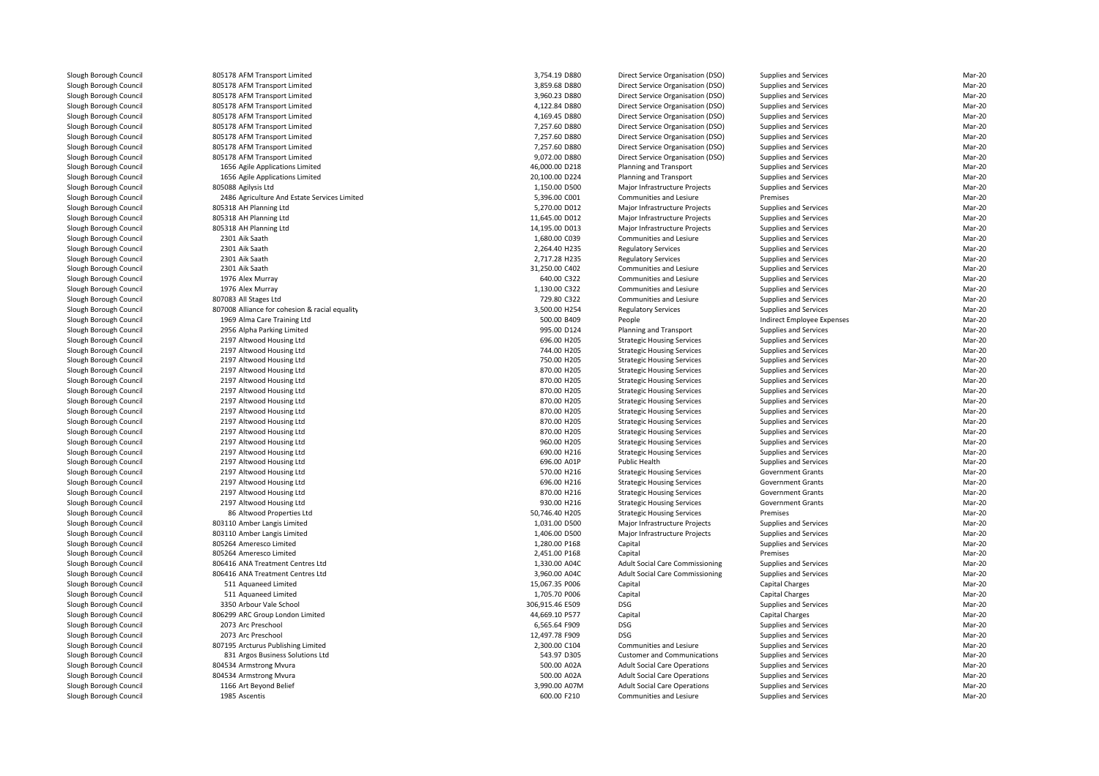| 805178 AFM Transport Limited                          | 3,754.19 D880   | Direct Service Organisation (DSO)      | Supplies and Services      | Mar-20           |
|-------------------------------------------------------|-----------------|----------------------------------------|----------------------------|------------------|
| 805178 AFM Transport Limited                          | 3,859.68 D880   | Direct Service Organisation (DSO)      | Supplies and Services      | Mar-20           |
| 805178 AFM Transport Limited                          | 3,960.23 D880   | Direct Service Organisation (DSO)      | Supplies and Services      | Mar-20           |
| 805178 AFM Transport Limited                          | 4,122.84 D880   | Direct Service Organisation (DSO)      | Supplies and Services      | Mar-20           |
| 805178 AFM Transport Limited                          | 4,169.45 D880   | Direct Service Organisation (DSO)      | Supplies and Services      | Mar-20           |
| 805178 AFM Transport Limited                          | 7,257.60 D880   | Direct Service Organisation (DSO)      | Supplies and Services      | Mar-20           |
| 805178 AFM Transport Limited                          | 7,257.60 D880   | Direct Service Organisation (DSO)      | Supplies and Services      | Mar-20           |
| 805178 AFM Transport Limited                          | 7,257.60 D880   | Direct Service Organisation (DSO)      | Supplies and Services      | Mar-20           |
| 805178 AFM Transport Limited                          | 9,072.00 D880   | Direct Service Organisation (DSO)      | Supplies and Services      | Mar-20           |
| 1656 Agile Applications Limited                       | 46,000.00 D218  | Planning and Transport                 | Supplies and Services      | Mar-20           |
| 1656 Agile Applications Limited                       | 20,100.00 D224  | Planning and Transport                 | Supplies and Services      | Mar-20           |
| 805088 Agilysis Ltd                                   | 1,150.00 D500   | Major Infrastructure Projects          | Supplies and Services      | Mar-20           |
| 2486 Agriculture And Estate Services Limited          | 5,396.00 C001   | Communities and Lesiure                | Premises                   | Mar-20           |
| 805318 AH Planning Ltd                                | 5,270.00 D012   | Major Infrastructure Projects          | Supplies and Services      | Mar-20           |
| 805318 AH Planning Ltd                                | 11,645.00 D012  | Major Infrastructure Projects          | Supplies and Services      | Mar-20           |
| 805318 AH Planning Ltd                                | 14,195.00 D013  | Major Infrastructure Projects          | Supplies and Services      | Mar-20           |
| 2301 Aik Saath                                        | 1,680.00 C039   | Communities and Lesiure                | Supplies and Services      | Mar-20           |
| 2301 Aik Saath                                        | 2,264.40 H235   | <b>Regulatory Services</b>             | Supplies and Services      | Mar-20           |
| 2301 Aik Saath                                        | 2,717.28 H235   | <b>Regulatory Services</b>             | Supplies and Services      | Mar-20           |
| 2301 Aik Saath                                        | 31,250.00 C402  | Communities and Lesiure                | Supplies and Services      | Mar-20           |
|                                                       | 640.00 C322     |                                        |                            | Mar-20           |
| 1976 Alex Murray                                      |                 | Communities and Lesiure                | Supplies and Services      |                  |
| 1976 Alex Murray                                      | 1,130.00 C322   | Communities and Lesiure                | Supplies and Services      | Mar-20           |
| 807083 All Stages Ltd                                 | 729.80 C322     | Communities and Lesiure                | Supplies and Services      | Mar-20           |
| 807008 Alliance for cohesion & racial equality        | 3,500.00 H254   | <b>Regulatory Services</b>             | Supplies and Services      | Mar-20           |
| 1969 Alma Care Training Ltd                           | 500.00 B409     | People                                 | Indirect Employee Expenses | Mar-20           |
| 2956 Alpha Parking Limited                            | 995.00 D124     | Planning and Transport                 | Supplies and Services      | Mar-20           |
| 2197 Altwood Housing Ltd                              | 696.00 H205     | <b>Strategic Housing Services</b>      | Supplies and Services      | Mar-20           |
| 2197 Altwood Housing Ltd                              | 744.00 H205     | <b>Strategic Housing Services</b>      | Supplies and Services      | Mar-20           |
| 2197 Altwood Housing Ltd                              | 750.00 H205     | <b>Strategic Housing Services</b>      | Supplies and Services      | Mar-20           |
| 2197 Altwood Housing Ltd                              | 870.00 H205     | <b>Strategic Housing Services</b>      | Supplies and Services      | Mar-20           |
| 2197 Altwood Housing Ltd                              | 870.00 H205     | <b>Strategic Housing Services</b>      | Supplies and Services      | Mar-20           |
| 2197 Altwood Housing Ltd                              | 870.00 H205     | <b>Strategic Housing Services</b>      | Supplies and Services      | Mar-20           |
| 2197 Altwood Housing Ltd                              | 870.00 H205     | <b>Strategic Housing Services</b>      | Supplies and Services      | Mar-20           |
| 2197 Altwood Housing Ltd                              | 870.00 H205     | <b>Strategic Housing Services</b>      | Supplies and Services      | Mar-20           |
| 2197 Altwood Housing Ltd                              | 870.00 H205     | <b>Strategic Housing Services</b>      | Supplies and Services      | Mar-20           |
| 2197 Altwood Housing Ltd                              | 870.00 H205     | <b>Strategic Housing Services</b>      | Supplies and Services      | Mar-20           |
| 2197 Altwood Housing Ltd                              | 960.00 H205     | <b>Strategic Housing Services</b>      | Supplies and Services      | Mar-20           |
| 2197 Altwood Housing Ltd                              | 690.00 H216     | <b>Strategic Housing Services</b>      | Supplies and Services      | Mar-20           |
| 2197 Altwood Housing Ltd                              | 696.00 A01P     | Public Health                          | Supplies and Services      | Mar-20           |
| 2197 Altwood Housing Ltd                              | 570.00 H216     | <b>Strategic Housing Services</b>      | <b>Government Grants</b>   | Mar-20           |
| 2197 Altwood Housing Ltd                              | 696.00 H216     | <b>Strategic Housing Services</b>      | <b>Government Grants</b>   | Mar-20           |
| 2197 Altwood Housing Ltd                              | 870.00 H216     | <b>Strategic Housing Services</b>      | <b>Government Grants</b>   | Mar-20           |
| 2197 Altwood Housing Ltd                              | 930.00 H216     | <b>Strategic Housing Services</b>      | <b>Government Grants</b>   | Mar-20           |
| 86 Altwood Properties Ltd                             | 50,746.40 H205  | <b>Strategic Housing Services</b>      | Premises                   | Mar-20           |
| 803110 Amber Langis Limited                           | 1,031.00 D500   | Major Infrastructure Projects          | Supplies and Services      | Mar-20           |
| 803110 Amber Langis Limited                           | 1,406.00 D500   | Major Infrastructure Projects          | Supplies and Services      | Mar-20           |
| 805264 Ameresco Limited                               | 1,280.00 P168   | Capital                                | Supplies and Services      | Mar-20           |
| 805264 Ameresco Limited                               | 2,451.00 P168   | Capital                                | Premises                   | Mar-20           |
| 806416 ANA Treatment Centres Ltd                      | 1,330.00 A04C   | Adult Social Care Commissioning        | Supplies and Services      | Mar-20           |
| 806416 ANA Treatment Centres Ltd                      | 3,960.00 A04C   | <b>Adult Social Care Commissioning</b> | Supplies and Services      | Mar-20           |
| 511 Aquaneed Limited                                  | 15,067.35 P006  | Capital                                | Capital Charges            | Mar-20           |
| 511 Aquaneed Limited                                  | 1,705.70 P006   | Capital                                | <b>Capital Charges</b>     | Mar-20           |
|                                                       |                 | DSG                                    |                            | Mar-20           |
| 3350 Arbour Vale School                               | 306,915.46 E509 |                                        | Supplies and Services      |                  |
| 806299 ARC Group London Limited<br>2073 Arc Preschool | 44,669.10 P577  | Capital<br><b>DSG</b>                  | Capital Charges            | Mar-20<br>Mar-20 |
|                                                       | 6,565.64 F909   |                                        | Supplies and Services      |                  |
| 2073 Arc Preschool                                    | 12,497.78 F909  | <b>DSG</b>                             | Supplies and Services      | Mar-20           |
| 807195 Arcturus Publishing Limited                    | 2,300.00 C104   | Communities and Lesiure                | Supplies and Services      | Mar-20           |
| 831 Argos Business Solutions Ltd                      | 543.97 D305     | <b>Customer and Communications</b>     | Supplies and Services      | Mar-20           |
| 804534 Armstrong Mvura                                | 500.00 A02A     | <b>Adult Social Care Operations</b>    | Supplies and Services      | Mar-20           |
| 804534 Armstrong Mvura                                | 500.00 A02A     | <b>Adult Social Care Operations</b>    | Supplies and Services      | Mar-20           |
| 1166 Art Beyond Belief                                | 3.990.00 A07M   | <b>Adult Social Care Operations</b>    | Supplies and Services      | Mar-20           |
| 1985 Ascentis                                         | 600.00 F210     | Communities and Lesiure                | Supplies and Services      | Mar-20           |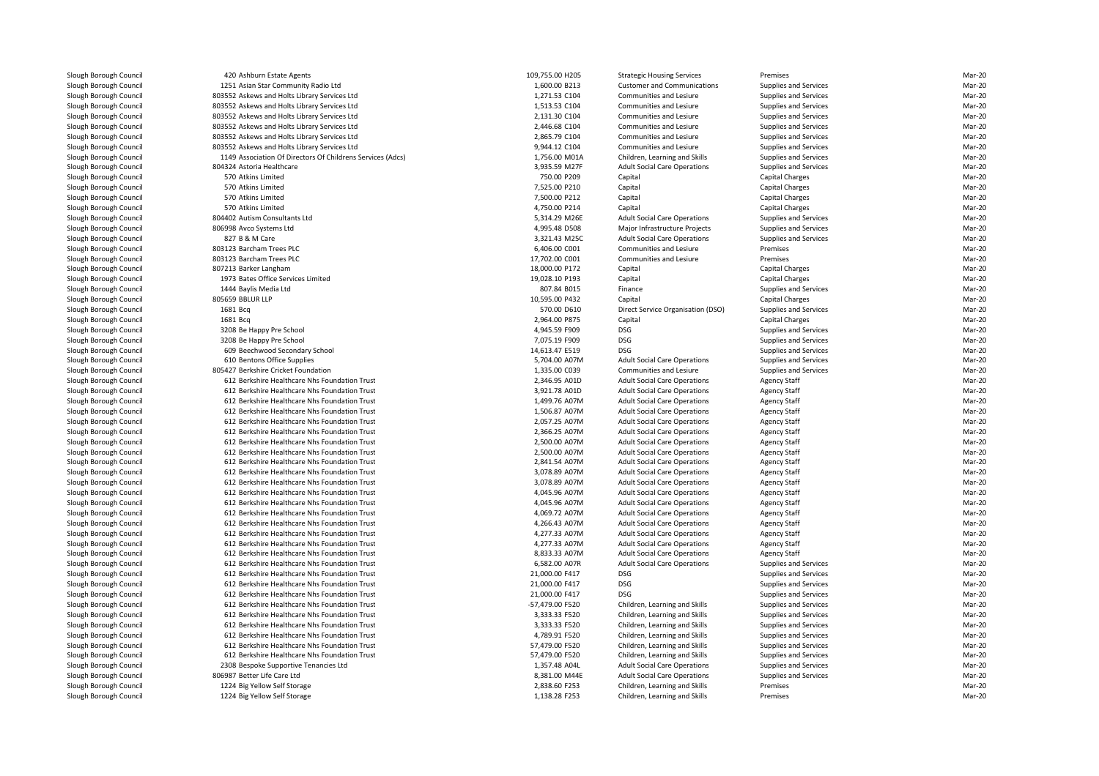| 420 Ashburn Estate Agents                                  | 109,755.00 H205 | <b>Strategic Housing Services</b>   | Premises               | Mar-20 |
|------------------------------------------------------------|-----------------|-------------------------------------|------------------------|--------|
| 1251 Asian Star Community Radio Ltd                        | 1,600.00 B213   | <b>Customer and Communications</b>  | Supplies and Services  | Mar-20 |
| 803552 Askews and Holts Library Services Ltd               | 1,271.53 C104   | Communities and Lesiure             | Supplies and Services  | Mar-20 |
| 803552 Askews and Holts Library Services Ltd               | 1,513.53 C104   | Communities and Lesiure             | Supplies and Services  | Mar-20 |
| 803552 Askews and Holts Library Services Ltd               | 2,131.30 C104   | Communities and Lesiure             | Supplies and Services  | Mar-20 |
| 803552 Askews and Holts Library Services Ltd               | 2,446.68 C104   | Communities and Lesiure             | Supplies and Services  | Mar-20 |
| 803552 Askews and Holts Library Services Ltd               | 2,865.79 C104   | <b>Communities and Lesiure</b>      | Supplies and Services  | Mar-20 |
| 803552 Askews and Holts Library Services Ltd               | 9,944.12 C104   | Communities and Lesiure             | Supplies and Services  | Mar-20 |
| 1149 Association Of Directors Of Childrens Services (Adcs) | 1,756.00 M01A   | Children, Learning and Skills       | Supplies and Services  | Mar-20 |
| 804324 Astoria Healthcare                                  | 3,935.59 M27F   | <b>Adult Social Care Operations</b> | Supplies and Services  | Mar-20 |
| 570 Atkins Limited                                         | 750.00 P209     | Capital                             | Capital Charges        | Mar-20 |
| 570 Atkins Limited                                         | 7,525.00 P210   | Capital                             | Capital Charges        | Mar-20 |
| 570 Atkins Limited                                         | 7,500.00 P212   | Capital                             | <b>Capital Charges</b> | Mar-20 |
| 570 Atkins Limited                                         | 4,750.00 P214   | Capital                             | Capital Charges        | Mar-20 |
| 804402 Autism Consultants Ltd                              | 5,314.29 M26E   | <b>Adult Social Care Operations</b> | Supplies and Services  | Mar-20 |
| 806998 Avco Systems Ltd                                    | 4,995.48 D508   | Major Infrastructure Projects       | Supplies and Services  | Mar-20 |
| 827 B & M Care                                             | 3,321.43 M25C   | <b>Adult Social Care Operations</b> | Supplies and Services  | Mar-20 |
| 803123 Barcham Trees PLC                                   | 6,406.00 C001   | Communities and Lesiure             | Premises               | Mar-20 |
| 803123 Barcham Trees PLC                                   | 17,702.00 C001  | Communities and Lesiure             | Premises               | Mar-20 |
| 807213 Barker Langham                                      | 18,000.00 P172  | Capital                             | Capital Charges        | Mar-20 |
| 1973 Bates Office Services Limited                         | 19,028.10 P193  | Capital                             | <b>Capital Charges</b> | Mar-20 |
| 1444 Baylis Media Ltd                                      | 807.84 B015     | Finance                             | Supplies and Services  | Mar-20 |
| 805659 BBLUR LLP                                           | 10,595.00 P432  | Capital                             | Capital Charges        | Mar-20 |
| 1681 Bcg                                                   | 570.00 D610     | Direct Service Organisation (DSO)   | Supplies and Services  | Mar-20 |
| 1681 Bcq                                                   | 2,964.00 P875   | Capital                             | Capital Charges        | Mar-20 |
| 3208 Be Happy Pre School                                   | 4,945.59 F909   | <b>DSG</b>                          | Supplies and Services  | Mar-20 |
| 3208 Be Happy Pre School                                   | 7,075.19 F909   | <b>DSG</b>                          | Supplies and Services  | Mar-20 |
| 609 Beechwood Secondary School                             | 14,613.47 E519  | <b>DSG</b>                          | Supplies and Services  | Mar-20 |
| 610 Bentons Office Supplies                                | 5,704.00 A07M   | <b>Adult Social Care Operations</b> | Supplies and Services  | Mar-20 |
| 805427 Berkshire Cricket Foundation                        | 1,335.00 C039   | Communities and Lesiure             | Supplies and Services  | Mar-20 |
| 612 Berkshire Healthcare Nhs Foundation Trust              | 2,346.95 A01D   | <b>Adult Social Care Operations</b> | <b>Agency Staff</b>    | Mar-20 |
| 612 Berkshire Healthcare Nhs Foundation Trust              | 3,921.78 A01D   | <b>Adult Social Care Operations</b> | <b>Agency Staff</b>    | Mar-20 |
| 612 Berkshire Healthcare Nhs Foundation Trust              | 1,499.76 A07M   | <b>Adult Social Care Operations</b> | <b>Agency Staff</b>    | Mar-20 |
| 612 Berkshire Healthcare Nhs Foundation Trust              | 1,506.87 A07M   | <b>Adult Social Care Operations</b> | <b>Agency Staff</b>    | Mar-20 |
| 612 Berkshire Healthcare Nhs Foundation Trust              | 2,057.25 A07M   | <b>Adult Social Care Operations</b> | <b>Agency Staff</b>    | Mar-20 |
| 612 Berkshire Healthcare Nhs Foundation Trust              | 2,366.25 A07M   | <b>Adult Social Care Operations</b> | <b>Agency Staff</b>    | Mar-20 |
| 612 Berkshire Healthcare Nhs Foundation Trust              | 2,500.00 A07M   | <b>Adult Social Care Operations</b> | <b>Agency Staff</b>    | Mar-20 |
| 612 Berkshire Healthcare Nhs Foundation Trust              | 2,500.00 A07M   | <b>Adult Social Care Operations</b> | <b>Agency Staff</b>    | Mar-20 |
| 612 Berkshire Healthcare Nhs Foundation Trust              | 2,841.54 A07M   | <b>Adult Social Care Operations</b> | <b>Agency Staff</b>    | Mar-20 |
| 612 Berkshire Healthcare Nhs Foundation Trust              | 3,078.89 A07M   | <b>Adult Social Care Operations</b> | <b>Agency Staff</b>    | Mar-20 |
| 612 Berkshire Healthcare Nhs Foundation Trust              | 3,078.89 A07M   | <b>Adult Social Care Operations</b> | <b>Agency Staff</b>    | Mar-20 |
| 612 Berkshire Healthcare Nhs Foundation Trust              | 4,045.96 A07M   | <b>Adult Social Care Operations</b> | <b>Agency Staff</b>    | Mar-20 |
| 612 Berkshire Healthcare Nhs Foundation Trust              | 4,045.96 A07M   | <b>Adult Social Care Operations</b> | <b>Agency Staff</b>    | Mar-20 |
| 612 Berkshire Healthcare Nhs Foundation Trust              | 4,069.72 A07M   | <b>Adult Social Care Operations</b> | <b>Agency Staff</b>    | Mar-20 |
| 612 Berkshire Healthcare Nhs Foundation Trust              | 4,266.43 A07M   | <b>Adult Social Care Operations</b> | <b>Agency Staff</b>    | Mar-20 |
| 612 Berkshire Healthcare Nhs Foundation Trust              | 4,277.33 A07M   | <b>Adult Social Care Operations</b> | <b>Agency Staff</b>    | Mar-20 |
| 612 Berkshire Healthcare Nhs Foundation Trust              | 4,277.33 A07M   | <b>Adult Social Care Operations</b> | <b>Agency Staff</b>    | Mar-20 |
| 612 Berkshire Healthcare Nhs Foundation Trust              | 8,833.33 A07M   | <b>Adult Social Care Operations</b> | <b>Agency Staff</b>    | Mar-20 |
| 612 Berkshire Healthcare Nhs Foundation Trust              | 6,582.00 A07R   | <b>Adult Social Care Operations</b> | Supplies and Services  | Mar-20 |
| 612 Berkshire Healthcare Nhs Foundation Trust              | 21,000.00 F417  | <b>DSG</b>                          | Supplies and Services  | Mar-20 |
| 612 Berkshire Healthcare Nhs Foundation Trust              | 21,000.00 F417  | <b>DSG</b>                          | Supplies and Services  | Mar-20 |
| 612 Berkshire Healthcare Nhs Foundation Trust              | 21,000.00 F417  | <b>DSG</b>                          | Supplies and Services  | Mar-20 |
| 612 Berkshire Healthcare Nhs Foundation Trust              | -57,479.00 F520 | Children, Learning and Skills       | Supplies and Services  | Mar-20 |
| 612 Berkshire Healthcare Nhs Foundation Trust              | 3,333.33 F520   | Children, Learning and Skills       | Supplies and Services  | Mar-20 |
| 612 Berkshire Healthcare Nhs Foundation Trust              | 3,333.33 F520   | Children, Learning and Skills       | Supplies and Services  | Mar-20 |
| 612 Berkshire Healthcare Nhs Foundation Trust              | 4,789.91 F520   | Children, Learning and Skills       | Supplies and Services  | Mar-20 |
| 612 Berkshire Healthcare Nhs Foundation Trust              | 57,479.00 F520  | Children, Learning and Skills       | Supplies and Services  | Mar-20 |
| 612 Berkshire Healthcare Nhs Foundation Trust              | 57,479.00 F520  | Children, Learning and Skills       | Supplies and Services  | Mar-20 |
| 2308 Bespoke Supportive Tenancies Ltd                      | 1,357.48 A04L   | <b>Adult Social Care Operations</b> | Supplies and Services  | Mar-20 |
| 806987 Better Life Care Ltd                                | 8,381.00 M44E   | <b>Adult Social Care Operations</b> | Supplies and Services  | Mar-20 |
| 1224 Big Yellow Self Storage                               | 2,838.60 F253   | Children, Learning and Skills       | Premises               | Mar-20 |
| 1224 Big Yellow Self Storage                               | 1,138.28 F253   | Children, Learning and Skills       | Premises               | Mar-20 |
|                                                            |                 |                                     |                        |        |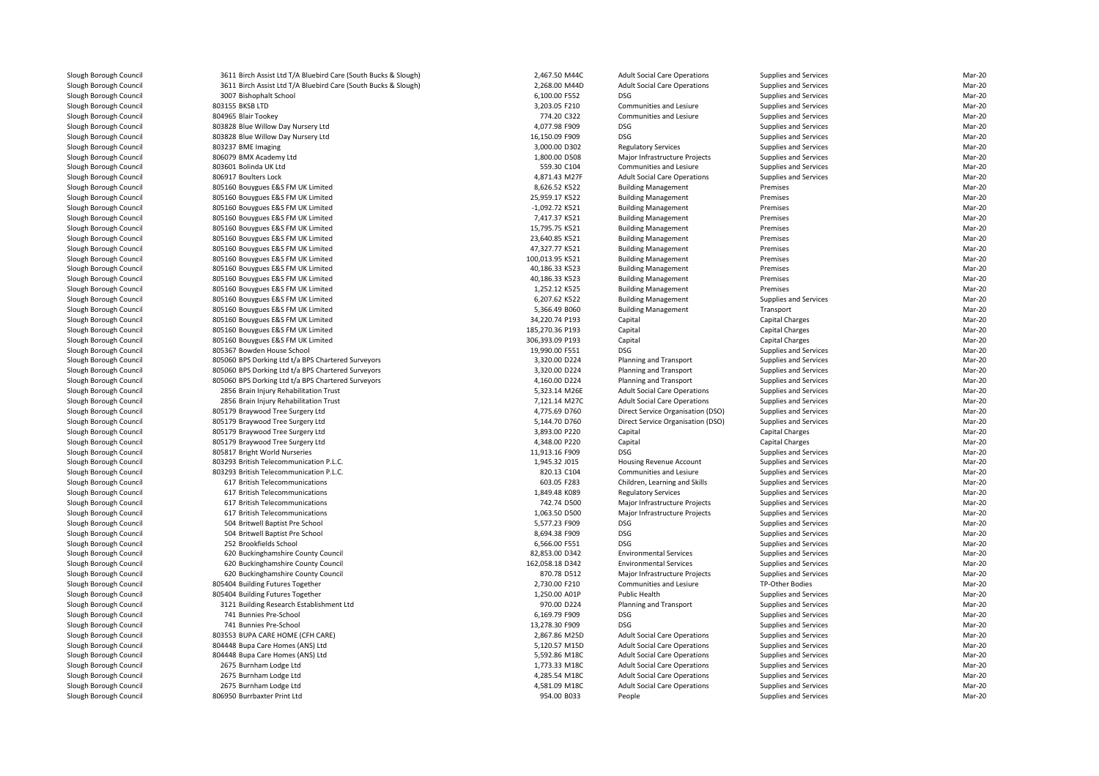| 3611 Birch Assist Ltd T/A Bluebird Care (South Bucks & Slough) | 2,467.50 M44C   | <b>Adult Social Care Operations</b>                      | Supplies and Services                          | Mar-20 |
|----------------------------------------------------------------|-----------------|----------------------------------------------------------|------------------------------------------------|--------|
| 3611 Birch Assist Ltd T/A Bluebird Care (South Bucks & Slough) | 2,268.00 M44D   | <b>Adult Social Care Operations</b>                      | Supplies and Services                          | Mar-20 |
| 3007 Bishophalt School                                         | 6,100.00 F552   | <b>DSG</b>                                               | Supplies and Services                          | Mar-20 |
| 803155 BKSB LTD                                                | 3,203.05 F210   | Communities and Lesiure                                  | <b>Supplies and Services</b>                   | Mar-20 |
| 804965 Blair Tookey                                            | 774.20 C322     | Communities and Lesiure                                  | Supplies and Services                          | Mar-20 |
| 803828 Blue Willow Day Nursery Ltd                             | 4,077.98 F909   | <b>DSG</b>                                               | Supplies and Services                          | Mar-20 |
| 803828 Blue Willow Day Nursery Ltd                             | 16,150.09 F909  | <b>DSG</b>                                               | Supplies and Services                          | Mar-20 |
| 803237 BME Imaging                                             | 3,000.00 D302   | <b>Regulatory Services</b>                               | Supplies and Services                          | Mar-20 |
| 806079 BMX Academy Ltd                                         | 1,800.00 D508   | Major Infrastructure Projects                            | Supplies and Services                          | Mar-20 |
| 803601 Bolinda UK Ltd                                          | 559.30 C104     | Communities and Lesiure                                  | Supplies and Services                          | Mar-20 |
| 806917 Boulters Lock                                           | 4,871.43 M27F   | <b>Adult Social Care Operations</b>                      | Supplies and Services                          | Mar-20 |
| 805160 Bouygues E&S FM UK Limited                              | 8,626.52 K522   | <b>Building Management</b>                               | Premises                                       | Mar-20 |
| 805160 Bouygues E&S FM UK Limited                              | 25,959.17 K522  |                                                          | Premises                                       | Mar-20 |
|                                                                | -1,092.72 K521  | <b>Building Management</b><br><b>Building Management</b> | Premises                                       | Mar-20 |
| 805160 Bouygues E&S FM UK Limited                              |                 |                                                          |                                                | Mar-20 |
| 805160 Bouygues E&S FM UK Limited                              | 7,417.37 K521   | <b>Building Management</b>                               | Premises                                       |        |
| 805160 Bouygues E&S FM UK Limited                              | 15,795.75 K521  | <b>Building Management</b>                               | Premises                                       | Mar-20 |
| 805160 Bouygues E&S FM UK Limited                              | 23,640.85 K521  | <b>Building Management</b>                               | Premises                                       | Mar-20 |
| 805160 Bouygues E&S FM UK Limited                              | 47,327.77 K521  | <b>Building Management</b>                               | Premises                                       | Mar-20 |
| 805160 Bouygues E&S FM UK Limited                              | 100,013.95 K521 | <b>Building Management</b>                               | Premises                                       | Mar-20 |
| 805160 Bouygues E&S FM UK Limited                              | 40,186.33 K523  | <b>Building Management</b>                               | Premises                                       | Mar-20 |
| 805160 Bouygues E&S FM UK Limited                              | 40,186.33 K523  | <b>Building Management</b>                               | Premises                                       | Mar-20 |
| 805160 Bouygues E&S FM UK Limited                              | 1,252.12 K525   | <b>Building Management</b>                               | Premises                                       | Mar-20 |
| 805160 Bouygues E&S FM UK Limited                              | 6,207.62 K522   | <b>Building Management</b>                               | Supplies and Services                          | Mar-20 |
| 805160 Bouygues E&S FM UK Limited                              | 5,366.49 B060   | <b>Building Management</b>                               | Transport                                      | Mar-20 |
| 805160 Bouygues E&S FM UK Limited                              | 34,220.74 P193  | Capital                                                  | Capital Charges                                | Mar-20 |
| 805160 Bouygues E&S FM UK Limited                              | 185,270.36 P193 | Capital                                                  | Capital Charges                                | Mar-20 |
| 805160 Bouygues E&S FM UK Limited                              | 306,393.09 P193 | Capital                                                  | Capital Charges                                | Mar-20 |
| 805367 Bowden House School                                     | 19,990.00 F551  | <b>DSG</b>                                               | Supplies and Services                          | Mar-20 |
| 805060 BPS Dorking Ltd t/a BPS Chartered Surveyors             | 3,320.00 D224   | Planning and Transport                                   | Supplies and Services                          | Mar-20 |
| 805060 BPS Dorking Ltd t/a BPS Chartered Surveyors             | 3,320.00 D224   | Planning and Transport                                   | Supplies and Services                          | Mar-20 |
| 805060 BPS Dorking Ltd t/a BPS Chartered Surveyors             | 4,160.00 D224   | <b>Planning and Transport</b>                            | Supplies and Services                          | Mar-20 |
| 2856 Brain Injury Rehabilitation Trust                         | 5,323.14 M26E   | <b>Adult Social Care Operations</b>                      | Supplies and Services                          | Mar-20 |
| 2856 Brain Injury Rehabilitation Trust                         | 7,121.14 M27C   | <b>Adult Social Care Operations</b>                      | Supplies and Services                          | Mar-20 |
| 805179 Braywood Tree Surgery Ltd                               | 4,775.69 D760   | Direct Service Organisation (DSO)                        | Supplies and Services                          | Mar-20 |
| 805179 Braywood Tree Surgery Ltd                               | 5,144.70 D760   | Direct Service Organisation (DSO)                        | Supplies and Services                          | Mar-20 |
| 805179 Braywood Tree Surgery Ltd                               | 3,893.00 P220   | Capital                                                  | Capital Charges                                | Mar-20 |
| 805179 Braywood Tree Surgery Ltd                               | 4,348.00 P220   | Capital                                                  | Capital Charges                                | Mar-20 |
| 805817 Bright World Nurseries                                  | 11,913.16 F909  | DSG                                                      | Supplies and Services                          | Mar-20 |
| 803293 British Telecommunication P.L.C.                        | 1,945.32 J015   | Housing Revenue Account                                  | Supplies and Services                          | Mar-20 |
| 803293 British Telecommunication P.L.C.                        | 820.13 C104     | Communities and Lesiure                                  | Supplies and Services                          | Mar-20 |
| 617 British Telecommunications                                 | 603.05 F283     | Children, Learning and Skills                            | Supplies and Services                          | Mar-20 |
| 617 British Telecommunications                                 | 1,849.48 K089   | <b>Regulatory Services</b>                               | Supplies and Services                          | Mar-20 |
| 617 British Telecommunications                                 | 742.74 D500     | Major Infrastructure Projects                            | Supplies and Services                          | Mar-20 |
| 617 British Telecommunications                                 | 1,063.50 D500   | Major Infrastructure Projects                            | Supplies and Services                          | Mar-20 |
| 504 Britwell Baptist Pre School                                | 5,577.23 F909   | <b>DSG</b>                                               | Supplies and Services                          | Mar-20 |
| 504 Britwell Baptist Pre School                                | 8,694.38 F909   | <b>DSG</b>                                               | Supplies and Services                          | Mar-20 |
| 252 Brookfields School                                         | 6.566.00 F551   | <b>DSG</b>                                               | Supplies and Services                          | Mar-20 |
| 620 Buckinghamshire County Council                             | 82,853.00 D342  | <b>Environmental Services</b>                            | Supplies and Services                          | Mar-20 |
| 620 Buckinghamshire County Council                             | 162,058.18 D342 | <b>Environmental Services</b>                            | Supplies and Services                          | Mar-20 |
| 620 Buckinghamshire County Council                             | 870.78 D512     | Major Infrastructure Projects                            | Supplies and Services                          | Mar-20 |
| 805404 Building Futures Together                               | 2,730.00 F210   | Communities and Lesiure                                  | TP-Other Bodies                                | Mar-20 |
| 805404 Building Futures Together                               | 1,250.00 A01P   | Public Health                                            | Supplies and Services                          | Mar-20 |
| 3121 Building Research Establishment Ltd                       | 970.00 D224     | Planning and Transport                                   | Supplies and Services                          | Mar-20 |
| 741 Bunnies Pre-School                                         | 6,169.79 F909   | <b>DSG</b>                                               |                                                | Mar-20 |
| 741 Bunnies Pre-School                                         | 13,278.30 F909  | <b>DSG</b>                                               | Supplies and Services<br>Supplies and Services | Mar-20 |
| 803553 BUPA CARE HOME (CFH CARE)                               | 2,867.86 M25D   | <b>Adult Social Care Operations</b>                      | Supplies and Services                          | Mar-20 |
|                                                                |                 |                                                          |                                                |        |
| 804448 Bupa Care Homes (ANS) Ltd                               | 5,120.57 M15D   | <b>Adult Social Care Operations</b>                      | Supplies and Services                          | Mar-20 |
| 804448 Bupa Care Homes (ANS) Ltd                               | 5,592.86 M18C   | <b>Adult Social Care Operations</b>                      | Supplies and Services                          | Mar-20 |
| 2675 Burnham Lodge Ltd                                         | 1,773.33 M18C   | <b>Adult Social Care Operations</b>                      | Supplies and Services                          | Mar-20 |
| 2675 Burnham Lodge Ltd                                         | 4,285.54 M18C   | <b>Adult Social Care Operations</b>                      | Supplies and Services                          | Mar-20 |
| 2675 Burnham Lodge Ltd                                         | 4,581.09 M18C   | <b>Adult Social Care Operations</b>                      | Supplies and Services                          | Mar-20 |
| 806950 Burrbaxter Print Ltd                                    | 954.00 B033     | People                                                   | Supplies and Services                          | Mar-20 |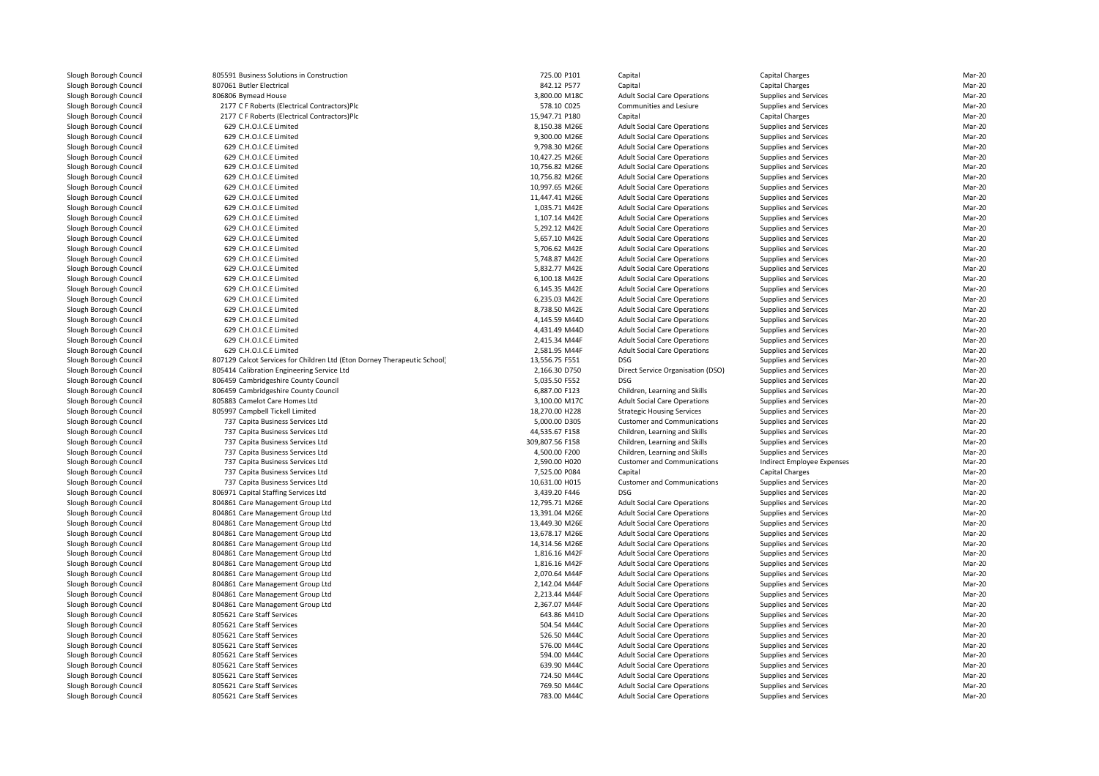| 805591 Business Solutions in Construction                                | 725.00 P101     | Capital                             | Capital Charges            | Mar-20 |
|--------------------------------------------------------------------------|-----------------|-------------------------------------|----------------------------|--------|
| 807061 Butler Electrical                                                 | 842.12 P577     | Capital                             | Capital Charges            | Mar-20 |
| 806806 Bymead House                                                      | 3,800.00 M18C   | <b>Adult Social Care Operations</b> | Supplies and Services      | Mar-20 |
| 2177 C F Roberts (Electrical Contractors)Plc                             | 578.10 C025     | Communities and Lesiure             | Supplies and Services      | Mar-20 |
| 2177 C F Roberts (Electrical Contractors)Plc                             | 15,947.71 P180  | Capital                             | Capital Charges            | Mar-20 |
| 629 C.H.O.I.C.E Limited                                                  | 8,150.38 M26E   | <b>Adult Social Care Operations</b> | Supplies and Services      | Mar-20 |
| 629 C.H.O.I.C.E Limited                                                  | 9,300.00 M26E   | <b>Adult Social Care Operations</b> | Supplies and Services      | Mar-20 |
| 629 C.H.O.I.C.E Limited                                                  | 9,798.30 M26E   | <b>Adult Social Care Operations</b> | Supplies and Services      | Mar-20 |
| 629 C.H.O.I.C.E Limited                                                  | 10,427.25 M26E  | <b>Adult Social Care Operations</b> | Supplies and Services      | Mar-20 |
| 629 C.H.O.I.C.E Limited                                                  | 10,756.82 M26E  | <b>Adult Social Care Operations</b> | Supplies and Services      | Mar-20 |
| 629 C.H.O.I.C.E Limited                                                  | 10,756.82 M26E  | <b>Adult Social Care Operations</b> | Supplies and Services      | Mar-20 |
| 629 C.H.O.I.C.E Limited                                                  | 10,997.65 M26E  | <b>Adult Social Care Operations</b> | Supplies and Services      | Mar-20 |
| 629 C.H.O.I.C.E Limited                                                  | 11,447.41 M26E  | <b>Adult Social Care Operations</b> | Supplies and Services      | Mar-20 |
| 629 C.H.O.I.C.E Limited                                                  | 1,035.71 M42E   | <b>Adult Social Care Operations</b> | Supplies and Services      | Mar-20 |
| 629 C.H.O.I.C.E Limited                                                  | 1,107.14 M42E   | <b>Adult Social Care Operations</b> | Supplies and Services      | Mar-20 |
| 629 C.H.O.I.C.E Limited                                                  | 5,292.12 M42E   |                                     |                            | Mar-20 |
|                                                                          |                 | <b>Adult Social Care Operations</b> | Supplies and Services      | Mar-20 |
| 629 C.H.O.I.C.E Limited                                                  | 5,657.10 M42E   | <b>Adult Social Care Operations</b> | Supplies and Services      |        |
| 629 C.H.O.I.C.E Limited                                                  | 5,706.62 M42E   | <b>Adult Social Care Operations</b> | Supplies and Services      | Mar-20 |
| 629 C.H.O.I.C.E Limited                                                  | 5,748.87 M42E   | <b>Adult Social Care Operations</b> | Supplies and Services      | Mar-20 |
| 629 C.H.O.I.C.E Limited                                                  | 5,832.77 M42E   | <b>Adult Social Care Operations</b> | Supplies and Services      | Mar-20 |
| 629 C.H.O.I.C.E Limited                                                  | 6,100.18 M42E   | <b>Adult Social Care Operations</b> | Supplies and Services      | Mar-20 |
| 629 C.H.O.I.C.E Limited                                                  | 6,145.35 M42E   | <b>Adult Social Care Operations</b> | Supplies and Services      | Mar-20 |
| 629 C.H.O.I.C.E Limited                                                  | 6,235.03 M42E   | <b>Adult Social Care Operations</b> | Supplies and Services      | Mar-20 |
| 629 C.H.O.I.C.E Limited                                                  | 8,738.50 M42E   | <b>Adult Social Care Operations</b> | Supplies and Services      | Mar-20 |
| 629 C.H.O.I.C.E Limited                                                  | 4,145.59 M44D   | <b>Adult Social Care Operations</b> | Supplies and Services      | Mar-20 |
| 629 C.H.O.I.C.E Limited                                                  | 4,431.49 M44D   | <b>Adult Social Care Operations</b> | Supplies and Services      | Mar-20 |
| 629 C.H.O.I.C.E Limited                                                  | 2,415.34 M44F   | <b>Adult Social Care Operations</b> | Supplies and Services      | Mar-20 |
| 629 C.H.O.I.C.E Limited                                                  | 2,581.95 M44F   | <b>Adult Social Care Operations</b> | Supplies and Services      | Mar-20 |
| 807129 Calcot Services for Children Ltd (Eton Dorney Therapeutic School) | 13,556.75 F551  | <b>DSG</b>                          | Supplies and Services      | Mar-20 |
| 805414 Calibration Engineering Service Ltd                               | 2,166.30 D750   | Direct Service Organisation (DSO)   | Supplies and Services      | Mar-20 |
| 806459 Cambridgeshire County Council                                     | 5,035.50 F552   | <b>DSG</b>                          | Supplies and Services      | Mar-20 |
| 806459 Cambridgeshire County Council                                     | 6,887.00 F123   | Children, Learning and Skills       | Supplies and Services      | Mar-20 |
| 805883 Camelot Care Homes Ltd                                            | 3,100.00 M17C   | <b>Adult Social Care Operations</b> | Supplies and Services      | Mar-20 |
| 805997 Campbell Tickell Limited                                          | 18,270.00 H228  | <b>Strategic Housing Services</b>   | Supplies and Services      | Mar-20 |
| 737 Capita Business Services Ltd                                         | 5,000.00 D305   | <b>Customer and Communications</b>  | Supplies and Services      | Mar-20 |
| 737 Capita Business Services Ltd                                         | 44,535.67 F158  | Children, Learning and Skills       | Supplies and Services      | Mar-20 |
| 737 Capita Business Services Ltd                                         | 309,807.56 F158 | Children, Learning and Skills       | Supplies and Services      | Mar-20 |
| 737 Capita Business Services Ltd                                         | 4,500.00 F200   | Children, Learning and Skills       | Supplies and Services      | Mar-20 |
| 737 Capita Business Services Ltd                                         | 2,590.00 H020   | <b>Customer and Communications</b>  | Indirect Employee Expenses | Mar-20 |
| 737 Capita Business Services Ltd                                         | 7,525.00 P084   | Capital                             | Capital Charges            | Mar-20 |
| 737 Capita Business Services Ltd                                         | 10,631.00 H015  | <b>Customer and Communications</b>  | Supplies and Services      | Mar-20 |
| 806971 Capital Staffing Services Ltd                                     | 3,439.20 F446   | <b>DSG</b>                          | Supplies and Services      | Mar-20 |
| 804861 Care Management Group Ltd                                         | 12,795.71 M26E  | <b>Adult Social Care Operations</b> | Supplies and Services      | Mar-20 |
| 804861 Care Management Group Ltd                                         | 13,391.04 M26E  | <b>Adult Social Care Operations</b> | Supplies and Services      | Mar-20 |
| 804861 Care Management Group Ltd                                         | 13,449.30 M26E  | <b>Adult Social Care Operations</b> | Supplies and Services      | Mar-20 |
| 804861 Care Management Group Ltd                                         | 13,678.17 M26E  | <b>Adult Social Care Operations</b> | Supplies and Services      | Mar-20 |
| 804861 Care Management Group Ltd                                         | 14,314.56 M26E  | <b>Adult Social Care Operations</b> | Supplies and Services      | Mar-20 |
| 804861 Care Management Group Ltd                                         | 1,816.16 M42F   | <b>Adult Social Care Operations</b> | Supplies and Services      | Mar-20 |
| 804861 Care Management Group Ltd                                         | 1,816.16 M42F   | <b>Adult Social Care Operations</b> | Supplies and Services      | Mar-20 |
| 804861 Care Management Group Ltd                                         | 2,070.64 M44F   | <b>Adult Social Care Operations</b> | Supplies and Services      | Mar-20 |
| 804861 Care Management Group Ltd                                         | 2,142.04 M44F   | <b>Adult Social Care Operations</b> | Supplies and Services      | Mar-20 |
| 804861 Care Management Group Ltd                                         | 2,213.44 M44F   | <b>Adult Social Care Operations</b> | Supplies and Services      | Mar-20 |
| 804861 Care Management Group Ltd                                         | 2,367.07 M44F   | <b>Adult Social Care Operations</b> | Supplies and Services      | Mar-20 |
| 805621 Care Staff Services                                               | 643.86 M41D     | <b>Adult Social Care Operations</b> | Supplies and Services      | Mar-20 |
| 805621 Care Staff Services                                               | 504.54 M44C     | <b>Adult Social Care Operations</b> | Supplies and Services      | Mar-20 |
| 805621 Care Staff Services                                               | 526.50 M44C     | <b>Adult Social Care Operations</b> | Supplies and Services      | Mar-20 |
| 805621 Care Staff Services                                               | 576.00 M44C     | <b>Adult Social Care Operations</b> | Supplies and Services      | Mar-20 |
| 805621 Care Staff Services                                               | 594.00 M44C     | <b>Adult Social Care Operations</b> | Supplies and Services      | Mar-20 |
| 805621 Care Staff Services                                               | 639.90 M44C     | <b>Adult Social Care Operations</b> | Supplies and Services      | Mar-20 |
| 805621 Care Staff Services                                               | 724.50 M44C     | <b>Adult Social Care Operations</b> | Supplies and Services      | Mar-20 |
| 805621 Care Staff Services                                               | 769.50 M44C     | <b>Adult Social Care Operations</b> | Supplies and Services      | Mar-20 |
| 805621 Care Staff Services                                               | 783.00 M44C     | <b>Adult Social Care Operations</b> | Supplies and Services      | Mar-20 |
|                                                                          |                 |                                     |                            |        |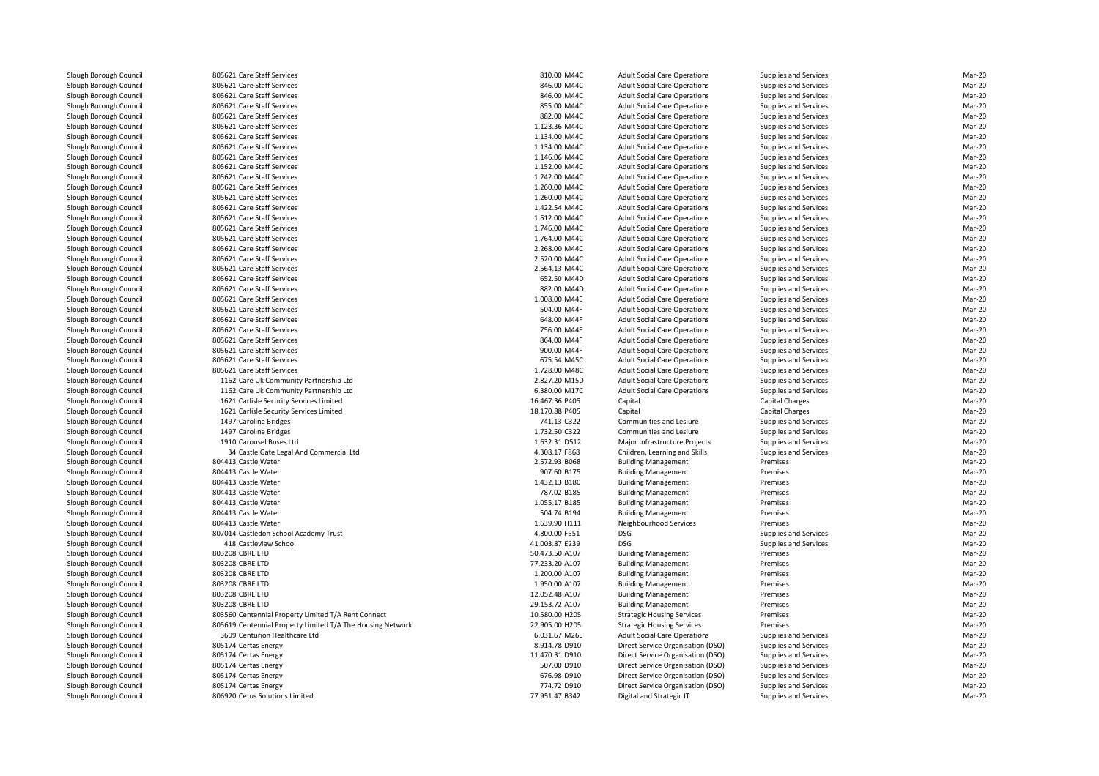| 805621 Care Staff Services                                 | 810.00 M44C    | <b>Adult Social Care Operations</b> | Supplies and Services | Mar-20 |
|------------------------------------------------------------|----------------|-------------------------------------|-----------------------|--------|
| 805621 Care Staff Services                                 | 846.00 M44C    | <b>Adult Social Care Operations</b> | Supplies and Services | Mar-20 |
| 805621 Care Staff Services                                 | 846.00 M44C    | <b>Adult Social Care Operations</b> | Supplies and Services | Mar-20 |
| 805621 Care Staff Services                                 | 855.00 M44C    | <b>Adult Social Care Operations</b> | Supplies and Services | Mar-20 |
| 805621 Care Staff Services                                 | 882.00 M44C    | <b>Adult Social Care Operations</b> | Supplies and Services | Mar-20 |
| 805621 Care Staff Services                                 | 1,123.36 M44C  | <b>Adult Social Care Operations</b> | Supplies and Services | Mar-20 |
| 805621 Care Staff Services                                 | 1,134.00 M44C  | <b>Adult Social Care Operations</b> | Supplies and Services | Mar-20 |
| 805621 Care Staff Services                                 | 1,134.00 M44C  | <b>Adult Social Care Operations</b> | Supplies and Services | Mar-20 |
| 805621 Care Staff Services                                 | 1,146.06 M44C  | <b>Adult Social Care Operations</b> | Supplies and Services | Mar-20 |
| 805621 Care Staff Services                                 | 1,152.00 M44C  | <b>Adult Social Care Operations</b> | Supplies and Services | Mar-20 |
| 805621 Care Staff Services                                 | 1,242.00 M44C  | <b>Adult Social Care Operations</b> | Supplies and Services | Mar-20 |
| 805621 Care Staff Services                                 | 1,260.00 M44C  | <b>Adult Social Care Operations</b> | Supplies and Services | Mar-20 |
| 805621 Care Staff Services                                 | 1,260.00 M44C  | <b>Adult Social Care Operations</b> | Supplies and Services | Mar-20 |
| 805621 Care Staff Services                                 | 1,422.54 M44C  | <b>Adult Social Care Operations</b> | Supplies and Services | Mar-20 |
| 805621 Care Staff Services                                 | 1,512.00 M44C  | <b>Adult Social Care Operations</b> | Supplies and Services | Mar-20 |
| 805621 Care Staff Services                                 | 1,746.00 M44C  | <b>Adult Social Care Operations</b> | Supplies and Services | Mar-20 |
| 805621 Care Staff Services                                 | 1,764.00 M44C  | <b>Adult Social Care Operations</b> | Supplies and Services | Mar-20 |
| 805621 Care Staff Services                                 | 2,268.00 M44C  | <b>Adult Social Care Operations</b> | Supplies and Services | Mar-20 |
| 805621 Care Staff Services                                 | 2,520.00 M44C  | <b>Adult Social Care Operations</b> | Supplies and Services | Mar-20 |
| 805621 Care Staff Services                                 | 2,564.13 M44C  | <b>Adult Social Care Operations</b> | Supplies and Services | Mar-20 |
| 805621 Care Staff Services                                 | 652.50 M44D    | <b>Adult Social Care Operations</b> | Supplies and Services | Mar-20 |
| 805621 Care Staff Services                                 | 882.00 M44D    | <b>Adult Social Care Operations</b> | Supplies and Services | Mar-20 |
| 805621 Care Staff Services                                 | 1,008.00 M44E  | <b>Adult Social Care Operations</b> | Supplies and Services | Mar-20 |
| 805621 Care Staff Services                                 | 504.00 M44F    | <b>Adult Social Care Operations</b> | Supplies and Services | Mar-20 |
| 805621 Care Staff Services                                 | 648.00 M44F    | <b>Adult Social Care Operations</b> | Supplies and Services | Mar-20 |
| 805621 Care Staff Services                                 | 756.00 M44F    | <b>Adult Social Care Operations</b> | Supplies and Services | Mar-20 |
| 805621 Care Staff Services                                 | 864.00 M44F    | <b>Adult Social Care Operations</b> | Supplies and Services | Mar-20 |
| 805621 Care Staff Services                                 | 900.00 M44F    | <b>Adult Social Care Operations</b> | Supplies and Services | Mar-20 |
| 805621 Care Staff Services                                 | 675.54 M45C    | <b>Adult Social Care Operations</b> | Supplies and Services | Mar-20 |
| 805621 Care Staff Services                                 | 1,728.00 M48C  | <b>Adult Social Care Operations</b> | Supplies and Services | Mar-20 |
| 1162 Care Uk Community Partnership Ltd                     | 2,827.20 M15D  | <b>Adult Social Care Operations</b> | Supplies and Services | Mar-20 |
| 1162 Care Uk Community Partnership Ltd                     | 6,380.00 M17C  | <b>Adult Social Care Operations</b> | Supplies and Services | Mar-20 |
| 1621 Carlisle Security Services Limited                    | 16,467.36 P405 | Capital                             | Capital Charges       | Mar-20 |
| 1621 Carlisle Security Services Limited                    | 18,170.88 P405 | Capital                             | Capital Charges       | Mar-20 |
| 1497 Caroline Bridges                                      | 741.13 C322    | Communities and Lesiure             | Supplies and Services | Mar-20 |
| 1497 Caroline Bridges                                      | 1,732.50 C322  | Communities and Lesiure             | Supplies and Services | Mar-20 |
| 1910 Carousel Buses Ltd                                    | 1,632.31 D512  | Major Infrastructure Projects       | Supplies and Services | Mar-20 |
| 34 Castle Gate Legal And Commercial Ltd                    | 4,308.17 F868  | Children, Learning and Skills       | Supplies and Services | Mar-20 |
| 804413 Castle Water                                        | 2,572.93 B068  | <b>Building Management</b>          | Premises              | Mar-20 |
| 804413 Castle Water                                        | 907.60 B175    | <b>Building Management</b>          | Premises              | Mar-20 |
| 804413 Castle Water                                        | 1,432.13 B180  | <b>Building Management</b>          | Premises              | Mar-20 |
| 804413 Castle Water                                        | 787.02 B185    | <b>Building Management</b>          | Premises              | Mar-20 |
| 804413 Castle Water                                        | 1,055.17 B185  | <b>Building Management</b>          | Premises              | Mar-20 |
| 804413 Castle Water                                        | 504.74 B194    | <b>Building Management</b>          | Premises              | Mar-20 |
| 804413 Castle Water                                        | 1,639.90 H111  | Neighbourhood Services              | Premises              | Mar-20 |
| 807014 Castledon School Academy Trust                      | 4,800.00 F551  | <b>DSG</b>                          | Supplies and Services | Mar-20 |
| 418 Castleview School                                      | 41,003.87 E239 | <b>DSG</b>                          | Supplies and Services | Mar-20 |
| 803208 CBRE LTD                                            | 50,473.50 A107 | <b>Building Management</b>          | Premises              | Mar-20 |
| 803208 CBRE LTD                                            | 77,233.20 A107 | <b>Building Management</b>          | Premises              | Mar-20 |
| 803208 CBRE LTD                                            | 1,200.00 A107  | <b>Building Management</b>          | Premises              | Mar-20 |
| 803208 CBRE LTD                                            | 1,950.00 A107  | <b>Building Management</b>          | Premises              | Mar-20 |
| 803208 CBRE LTD                                            | 12,052.48 A107 | <b>Building Management</b>          | Premises              | Mar-20 |
| 803208 CBRE LTD                                            | 29,153.72 A107 | <b>Building Management</b>          | Premises              | Mar-20 |
| 803560 Centennial Property Limited T/A Rent Connect        | 10,580.00 H205 | <b>Strategic Housing Services</b>   | Premises              | Mar-20 |
| 805619 Centennial Property Limited T/A The Housing Network | 22,905.00 H205 | <b>Strategic Housing Services</b>   | Premises              | Mar-20 |
| 3609 Centurion Healthcare Ltd                              | 6,031.67 M26E  | <b>Adult Social Care Operations</b> | Supplies and Services | Mar-20 |
| 805174 Certas Energy                                       | 8,914.78 D910  | Direct Service Organisation (DSO)   | Supplies and Services | Mar-20 |
| 805174 Certas Energy                                       | 11,470.31 D910 | Direct Service Organisation (DSO)   | Supplies and Services | Mar-20 |
| 805174 Certas Energy                                       | 507.00 D910    | Direct Service Organisation (DSO)   | Supplies and Services | Mar-20 |
| 805174 Certas Energy                                       | 676.98 D910    | Direct Service Organisation (DSO)   | Supplies and Services | Mar-20 |
| 805174 Certas Energy                                       | 774.72 D910    | Direct Service Organisation (DSO)   | Supplies and Services | Mar-20 |
| 806920 Cetus Solutions Limited                             | 77,951.47 B342 | Digital and Strategic IT            | Supplies and Services | Mar-20 |
|                                                            |                |                                     |                       |        |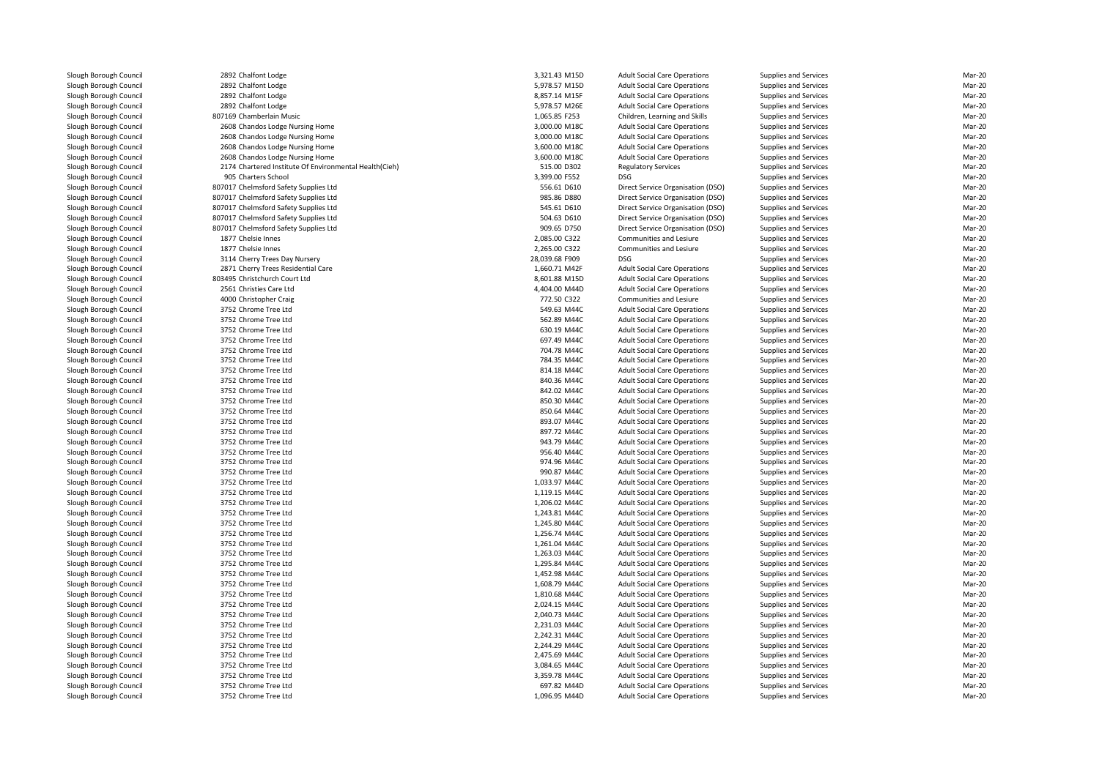| 2892 Chalfont Lodge                                    | 3,321.43 M15D                | <b>Adult Social Care Operations</b> | Supplies and Services | Mar-20 |
|--------------------------------------------------------|------------------------------|-------------------------------------|-----------------------|--------|
| 2892 Chalfont Lodge                                    | 5,978.57 M15D                | <b>Adult Social Care Operations</b> | Supplies and Services | Mar-20 |
| 2892 Chalfont Lodge                                    | 8,857.14 M15F                | <b>Adult Social Care Operations</b> | Supplies and Services | Mar-20 |
| 2892 Chalfont Lodge                                    | 5,978.57 M26E                | <b>Adult Social Care Operations</b> | Supplies and Services | Mar-20 |
| 807169 Chamberlain Music                               | 1,065.85 F253                | Children, Learning and Skills       | Supplies and Services | Mar-20 |
| 2608 Chandos Lodge Nursing Home                        | 3,000.00 M18C                | <b>Adult Social Care Operations</b> | Supplies and Services | Mar-20 |
| 2608 Chandos Lodge Nursing Home                        | 3,000.00 M18C                | <b>Adult Social Care Operations</b> | Supplies and Services | Mar-20 |
| 2608 Chandos Lodge Nursing Home                        | 3,600.00 M18C                | <b>Adult Social Care Operations</b> | Supplies and Services | Mar-20 |
|                                                        |                              |                                     |                       | Mar-20 |
| 2608 Chandos Lodge Nursing Home                        | 3,600.00 M18C<br>515.00 D302 | <b>Adult Social Care Operations</b> | Supplies and Services | Mar-20 |
| 2174 Chartered Institute Of Environmental Health(Cieh) |                              | <b>Regulatory Services</b>          | Supplies and Services |        |
| 905 Charters School                                    | 3,399.00 F552                | <b>DSG</b>                          | Supplies and Services | Mar-20 |
| 807017 Chelmsford Safety Supplies Ltd                  | 556.61 D610                  | Direct Service Organisation (DSO)   | Supplies and Services | Mar-20 |
| 807017 Chelmsford Safety Supplies Ltd                  | 985.86 D880                  | Direct Service Organisation (DSO)   | Supplies and Services | Mar-20 |
| 807017 Chelmsford Safety Supplies Ltd                  | 545.61 D610                  | Direct Service Organisation (DSO)   | Supplies and Services | Mar-20 |
| 807017 Chelmsford Safety Supplies Ltd                  | 504.63 D610                  | Direct Service Organisation (DSO)   | Supplies and Services | Mar-20 |
| 807017 Chelmsford Safety Supplies Ltd                  | 909.65 D750                  | Direct Service Organisation (DSO)   | Supplies and Services | Mar-20 |
| 1877 Chelsie Innes                                     | 2,085.00 C322                | Communities and Lesiure             | Supplies and Services | Mar-20 |
| 1877 Chelsie Innes                                     | 2,265.00 C322                | <b>Communities and Lesiure</b>      | Supplies and Services | Mar-20 |
| 3114 Cherry Trees Day Nursery                          | 28,039.68 F909               | <b>DSG</b>                          | Supplies and Services | Mar-20 |
| 2871 Cherry Trees Residential Care                     | 1,660.71 M42F                | <b>Adult Social Care Operations</b> | Supplies and Services | Mar-20 |
| 803495 Christchurch Court Ltd                          | 8,601.88 M15D                | <b>Adult Social Care Operations</b> | Supplies and Services | Mar-20 |
| 2561 Christies Care Ltd                                | 4,404.00 M44D                | <b>Adult Social Care Operations</b> | Supplies and Services | Mar-20 |
| 4000 Christopher Craig                                 | 772.50 C322                  | Communities and Lesiure             | Supplies and Services | Mar-20 |
| 3752 Chrome Tree Ltd                                   | 549.63 M44C                  | <b>Adult Social Care Operations</b> | Supplies and Services | Mar-20 |
| 3752 Chrome Tree Ltd                                   | 562.89 M44C                  | <b>Adult Social Care Operations</b> | Supplies and Services | Mar-20 |
| 3752 Chrome Tree Ltd                                   | 630.19 M44C                  | <b>Adult Social Care Operations</b> | Supplies and Services | Mar-20 |
| 3752 Chrome Tree Ltd                                   | 697.49 M44C                  | <b>Adult Social Care Operations</b> | Supplies and Services | Mar-20 |
| 3752 Chrome Tree Ltd                                   | 704.78 M44C                  | <b>Adult Social Care Operations</b> | Supplies and Services | Mar-20 |
| 3752 Chrome Tree Ltd                                   | 784.35 M44C                  | <b>Adult Social Care Operations</b> | Supplies and Services | Mar-20 |
| 3752 Chrome Tree Ltd                                   | 814.18 M44C                  | <b>Adult Social Care Operations</b> | Supplies and Services | Mar-20 |
| 3752 Chrome Tree Ltd                                   | 840.36 M44C                  | <b>Adult Social Care Operations</b> | Supplies and Services | Mar-20 |
| 3752 Chrome Tree Ltd                                   | 842.02 M44C                  | <b>Adult Social Care Operations</b> | Supplies and Services | Mar-20 |
| 3752 Chrome Tree Ltd                                   | 850.30 M44C                  | <b>Adult Social Care Operations</b> | Supplies and Services | Mar-20 |
| 3752 Chrome Tree Ltd                                   | 850.64 M44C                  | <b>Adult Social Care Operations</b> | Supplies and Services | Mar-20 |
| 3752 Chrome Tree Ltd                                   | 893.07 M44C                  | <b>Adult Social Care Operations</b> | Supplies and Services | Mar-20 |
| 3752 Chrome Tree Ltd                                   | 897.72 M44C                  | <b>Adult Social Care Operations</b> | Supplies and Services | Mar-20 |
| 3752 Chrome Tree Ltd                                   | 943.79 M44C                  | <b>Adult Social Care Operations</b> | Supplies and Services | Mar-20 |
| 3752 Chrome Tree Ltd                                   | 956.40 M44C                  | <b>Adult Social Care Operations</b> | Supplies and Services | Mar-20 |
| 3752 Chrome Tree Ltd                                   | 974.96 M44C                  | <b>Adult Social Care Operations</b> | Supplies and Services | Mar-20 |
| 3752 Chrome Tree Ltd                                   | 990.87 M44C                  | <b>Adult Social Care Operations</b> | Supplies and Services | Mar-20 |
| 3752 Chrome Tree Ltd                                   | 1,033.97 M44C                | <b>Adult Social Care Operations</b> | Supplies and Services | Mar-20 |
| 3752 Chrome Tree Ltd                                   | 1,119.15 M44C                | <b>Adult Social Care Operations</b> | Supplies and Services | Mar-20 |
| 3752 Chrome Tree Ltd                                   | 1,206.02 M44C                | <b>Adult Social Care Operations</b> | Supplies and Services | Mar-20 |
| 3752 Chrome Tree Ltd                                   | 1,243.81 M44C                | <b>Adult Social Care Operations</b> | Supplies and Services | Mar-20 |
| 3752 Chrome Tree Ltd                                   | 1,245.80 M44C                | <b>Adult Social Care Operations</b> | Supplies and Services | Mar-20 |
| 3752 Chrome Tree Ltd                                   | 1,256.74 M44C                | <b>Adult Social Care Operations</b> | Supplies and Services | Mar-20 |
| 3752 Chrome Tree Ltd                                   | 1,261.04 M44C                | <b>Adult Social Care Operations</b> | Supplies and Services | Mar-20 |
| 3752 Chrome Tree Ltd                                   | 1,263.03 M44C                | <b>Adult Social Care Operations</b> | Supplies and Services | Mar-20 |
| 3752 Chrome Tree Ltd                                   | 1,295.84 M44C                | <b>Adult Social Care Operations</b> | Supplies and Services | Mar-20 |
| 3752 Chrome Tree Ltd                                   | 1,452.98 M44C                | <b>Adult Social Care Operations</b> | Supplies and Services | Mar-20 |
| 3752 Chrome Tree Ltd                                   | 1,608.79 M44C                | <b>Adult Social Care Operations</b> | Supplies and Services | Mar-20 |
| 3752 Chrome Tree Ltd                                   | 1,810.68 M44C                | <b>Adult Social Care Operations</b> | Supplies and Services | Mar-20 |
| 3752 Chrome Tree Ltd                                   | 2,024.15 M44C                | <b>Adult Social Care Operations</b> | Supplies and Services | Mar-20 |
| 3752 Chrome Tree Ltd                                   | 2,040.73 M44C                | <b>Adult Social Care Operations</b> | Supplies and Services | Mar-20 |
| 3752 Chrome Tree Ltd                                   | 2,231.03 M44C                | <b>Adult Social Care Operations</b> | Supplies and Services | Mar-20 |
|                                                        | 2,242.31 M44C                |                                     |                       | Mar-20 |
| 3752 Chrome Tree Ltd                                   |                              | <b>Adult Social Care Operations</b> | Supplies and Services | Mar-20 |
| 3752 Chrome Tree Ltd                                   | 2,244.29 M44C                | <b>Adult Social Care Operations</b> | Supplies and Services |        |
| 3752 Chrome Tree Ltd                                   | 2,475.69 M44C                | <b>Adult Social Care Operations</b> | Supplies and Services | Mar-20 |
| 3752 Chrome Tree Ltd                                   | 3,084.65 M44C                | <b>Adult Social Care Operations</b> | Supplies and Services | Mar-20 |
| 3752 Chrome Tree Ltd                                   | 3,359.78 M44C                | <b>Adult Social Care Operations</b> | Supplies and Services | Mar-20 |
| 3752 Chrome Tree Ltd                                   | 697.82 M44D                  | <b>Adult Social Care Operations</b> | Supplies and Services | Mar-20 |
| 3752 Chrome Tree Ltd                                   | 1,096.95 M44D                | <b>Adult Social Care Operations</b> | Supplies and Services | Mar-20 |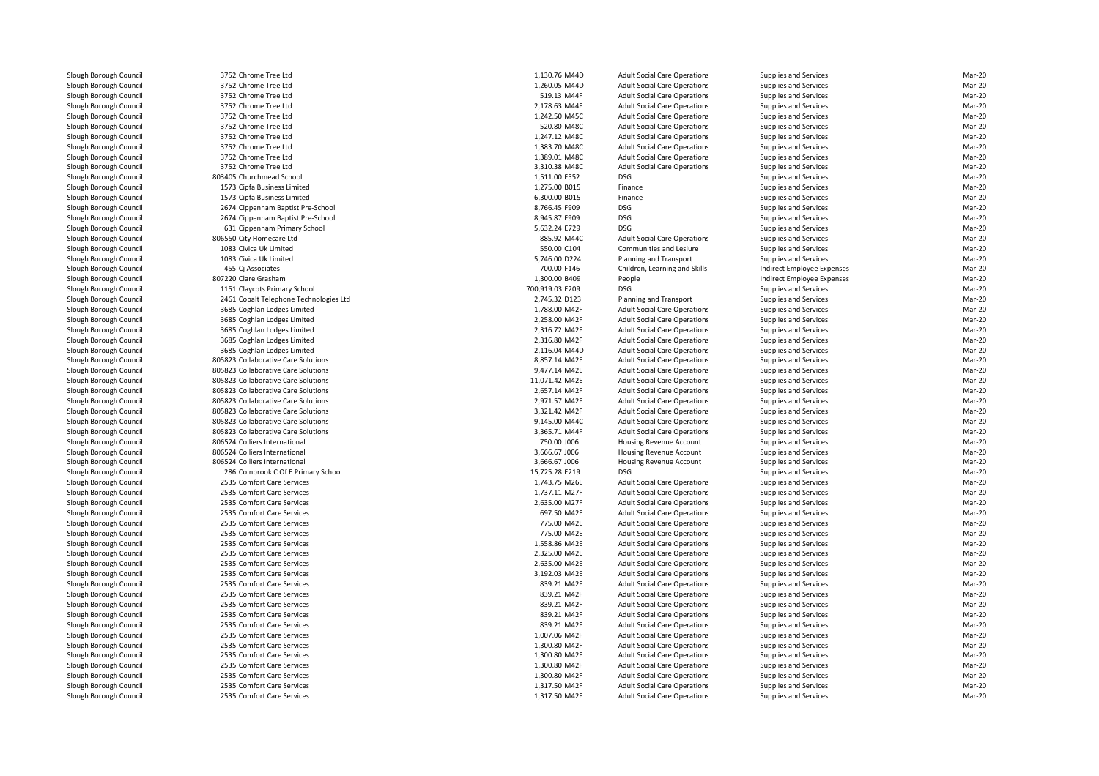3752 Chrome Tree Ltd 1,130.76 M44D 3752 Chrome Tree Ltd 1,260.05 M44D 3752 Chrome Tree Ltd 3752 Chrome Tree Ltd 3752 Chrome Tree Ltd 1,242.50 M45C 3752 Chrome Tree Ltdd 520.80 M48C 3752 Chrome Tree Ltdd 1,247.12 M48C 3752 Chrome Tree Ltdd 1,383.70 M48C 3752 Chrome Tree Ltd 1,389.01 M48C 3752 Chrome Tree Ltd 3,310.38 M48C803405 Churchmead School S Churchmead School 2, 2008 and 2008 and 2008 and 2008 and 2008 and 2008 and 2008 and 2008 and 2008 and 2008 and 2008 and 2008 and 2008 and 2008 and 2008 and 2008 and 2008 and 2008 and 2008 and 2008 and 2008 and 2008 and 2 1573 Cipfa Business Limited 1573 Cipfa Business Limited 2674 Cippenham Baptist Pre-School 8,766.45 F909 DSG 2674 Cippenham Baptist Pre-School 8,945.87 F909 DSG 631 Cippenham Primary School 5,632.24 E729 DSG 806550 City Homecare Ltd 1083 Civica Uk Limited 1083 Civica Uk Limited455 Cj Associates 807220 Clare Grasham 1151 Claycots Primary School 700,919.03 E209 DSG 2461 Cobalt Telephone Technologies Ltd 3685 Coghlan Lodges Limited 3685 Coghlan Lodges Limited 3685 Coghlan Lodges Limited 3685 Coghlan Lodges Limited 3685 Coghlan Lodges Limited805823 Collaborative Care Solutions 805823 Collaborative Care Solutions 805823 Collaborative Care Solutions 805823 Collaborative Care Solutions 805823 Collaborative Care Solutions 805823 Collaborative Care Solutions 805823 Collaborative Care Solutions 9,145.00 M44C805823 Collaborative Care Solutions 806524 Colliers International 806524 Colliers International 806524 Colliers International 286 Colnbrook C Of E Primary School 15,725.28 E219 DSG2535 Comfort Care Services 2535 Comfort Care Services 2535 Comfort Care Services 2535 Comfort Care Services 2535 Comfort Care Services 2535 Comfort Care Services 2535 Comfort Care Services 2535 Comfort Care Services 2535 Comfort Care Services 2535 Comfort Care Services 2535 Comfort Care Services 2535 Comfort Care Services 2535 Comfort Care Services 2535 Comfort Care Services 2535 Comfort Care Services 2535 Comfort Care Services 2535 Comfort Care Services 2535 Comfort Care Services 2535 Comfort Care Services 2535 Comfort Care Services 2535 Comfort Care Services 2535 Comfort Care Services

| 2 Chrome Tree Ltd                   | 1,130.76 M44D                  | <b>Adult Social Care Operations</b> | <b>Supplies and Services</b> | Mar-20 |
|-------------------------------------|--------------------------------|-------------------------------------|------------------------------|--------|
| 2 Chrome Tree Ltd                   | 1,260.05 M44D                  | <b>Adult Social Care Operations</b> | <b>Supplies and Services</b> | Mar-20 |
| 2 Chrome Tree Ltd                   | 519.13 M44F                    | <b>Adult Social Care Operations</b> | <b>Supplies and Services</b> | Mar-20 |
| 2 Chrome Tree Ltd                   | 2,178.63 M44F                  | <b>Adult Social Care Operations</b> | <b>Supplies and Services</b> | Mar-20 |
| 2 Chrome Tree Ltd                   | 1,242.50 M45C                  | <b>Adult Social Care Operations</b> | <b>Supplies and Services</b> | Mar-20 |
| 2 Chrome Tree Ltd                   | 520.80 M48C                    | <b>Adult Social Care Operations</b> | <b>Supplies and Services</b> | Mar-20 |
|                                     |                                |                                     |                              |        |
| 2 Chrome Tree Ltd                   | 1,247.12 M48C                  | <b>Adult Social Care Operations</b> | Supplies and Services        | Mar-20 |
| 2 Chrome Tree Ltd                   | 1,383.70 M48C                  | <b>Adult Social Care Operations</b> | <b>Supplies and Services</b> | Mar-20 |
| 2 Chrome Tree Ltd                   | 1,389.01 M48C                  | <b>Adult Social Care Operations</b> | <b>Supplies and Services</b> | Mar-20 |
| 2 Chrome Tree Ltd                   | 3,310.38 M48C                  | <b>Adult Social Care Operations</b> | Supplies and Services        | Mar-20 |
| 5 Churchmead School                 | 1,511.00 F552                  | <b>DSG</b>                          | <b>Supplies and Services</b> | Mar-20 |
| 3 Cipfa Business Limited            | 1,275.00 B015                  | Finance                             | <b>Supplies and Services</b> | Mar-20 |
| 3 Cipfa Business Limited            | 6,300.00 B015                  | Finance                             | <b>Supplies and Services</b> | Mar-20 |
| 4 Cippenham Baptist Pre-School      | 8,766.45 F909                  | <b>DSG</b>                          | Supplies and Services        | Mar-20 |
| 4 Cippenham Baptist Pre-School      | 8,945.87 F909                  | <b>DSG</b>                          | <b>Supplies and Services</b> | Mar-20 |
| 1 Cippenham Primary School          | 5,632.24 E729                  | <b>DSG</b>                          | Supplies and Services        | Mar-20 |
| 0 City Homecare Ltd                 | 885.92 M44C                    | <b>Adult Social Care Operations</b> | <b>Supplies and Services</b> | Mar-20 |
| 3 Civica Uk Limited                 | 550.00 C104                    | Communities and Lesiure             | <b>Supplies and Services</b> | Mar-20 |
| 3 Civica Uk Limited                 | 5,746.00 D224                  | Planning and Transport              | <b>Supplies and Services</b> | Mar-20 |
| 5 Cj Associates                     | 700.00 F146                    | Children, Learning and Skills       | Indirect Employee Expenses   | Mar-20 |
| 0 Clare Grasham                     | 1,300.00 B409                  | People                              | Indirect Employee Expenses   | Mar-20 |
| 1 Claycots Primary School           | 700,919.03 E209                | <b>DSG</b>                          | <b>Supplies and Services</b> | Mar-20 |
| 1 Cobalt Telephone Technologies Ltd | 2,745.32 D123                  | Planning and Transport              | <b>Supplies and Services</b> | Mar-20 |
| 5 Coghlan Lodges Limited            |                                | <b>Adult Social Care Operations</b> |                              | Mar-20 |
|                                     | 1,788.00 M42F<br>2,258.00 M42F |                                     | <b>Supplies and Services</b> |        |
| 5 Coghlan Lodges Limited            |                                | <b>Adult Social Care Operations</b> | <b>Supplies and Services</b> | Mar-20 |
| 5 Coghlan Lodges Limited            | 2,316.72 M42F                  | <b>Adult Social Care Operations</b> | Supplies and Services        | Mar-20 |
| 5 Coghlan Lodges Limited            | 2,316.80 M42F                  | <b>Adult Social Care Operations</b> | <b>Supplies and Services</b> | Mar-20 |
| 5 Coghlan Lodges Limited            | 2,116.04 M44D                  | <b>Adult Social Care Operations</b> | <b>Supplies and Services</b> | Mar-20 |
| 3 Collaborative Care Solutions      | 8,857.14 M42E                  | <b>Adult Social Care Operations</b> | <b>Supplies and Services</b> | Mar-20 |
| 3 Collaborative Care Solutions      | 9,477.14 M42E                  | <b>Adult Social Care Operations</b> | Supplies and Services        | Mar-20 |
| 3 Collaborative Care Solutions      | 11,071.42 M42E                 | <b>Adult Social Care Operations</b> | <b>Supplies and Services</b> | Mar-20 |
| 3 Collaborative Care Solutions      | 2,657.14 M42F                  | <b>Adult Social Care Operations</b> | <b>Supplies and Services</b> | Mar-20 |
| 3 Collaborative Care Solutions      | 2,971.57 M42F                  | <b>Adult Social Care Operations</b> | <b>Supplies and Services</b> | Mar-20 |
| 3 Collaborative Care Solutions      | 3,321.42 M42F                  | <b>Adult Social Care Operations</b> | <b>Supplies and Services</b> | Mar-20 |
| 3 Collaborative Care Solutions      | 9,145.00 M44C                  | <b>Adult Social Care Operations</b> | Supplies and Services        | Mar-20 |
| 3 Collaborative Care Solutions      | 3,365.71 M44F                  | <b>Adult Social Care Operations</b> | Supplies and Services        | Mar-20 |
| 4 Colliers International            | 750.00 J006                    | Housing Revenue Account             | <b>Supplies and Services</b> | Mar-20 |
| 4 Colliers International            | 3,666.67 J006                  | <b>Housing Revenue Account</b>      | <b>Supplies and Services</b> | Mar-20 |
| 4 Colliers International            | 3,666.67 J006                  | Housing Revenue Account             | <b>Supplies and Services</b> | Mar-20 |
| 6 Colnbrook C Of E Primary School   | 15,725.28 E219                 | <b>DSG</b>                          | Supplies and Services        | Mar-20 |
| 5 Comfort Care Services             | 1,743.75 M26E                  | <b>Adult Social Care Operations</b> | <b>Supplies and Services</b> | Mar-20 |
| 5 Comfort Care Services             | 1,737.11 M27F                  | <b>Adult Social Care Operations</b> | <b>Supplies and Services</b> | Mar-20 |
| 5 Comfort Care Services             | 2,635.00 M27F                  | <b>Adult Social Care Operations</b> | <b>Supplies and Services</b> | Mar-20 |
| 5 Comfort Care Services             | 697.50 M42E                    | <b>Adult Social Care Operations</b> | <b>Supplies and Services</b> | Mar-20 |
| 5 Comfort Care Services             | 775.00 M42E                    | <b>Adult Social Care Operations</b> | <b>Supplies and Services</b> | Mar-20 |
| 5 Comfort Care Services             | 775.00 M42E                    | <b>Adult Social Care Operations</b> | <b>Supplies and Services</b> | Mar-20 |
| 5 Comfort Care Services             | 1,558.86 M42E                  | <b>Adult Social Care Operations</b> | <b>Supplies and Services</b> | Mar-20 |
| 5 Comfort Care Services             | 2,325.00 M42E                  | <b>Adult Social Care Operations</b> | Supplies and Services        | Mar-20 |
| 5 Comfort Care Services             | 2,635.00 M42E                  | <b>Adult Social Care Operations</b> |                              | Mar-20 |
| 5 Comfort Care Services             | 3,192.03 M42E                  |                                     | Supplies and Services        | Mar-20 |
|                                     |                                | <b>Adult Social Care Operations</b> | Supplies and Services        |        |
| 5 Comfort Care Services             | 839.21 M42F                    | <b>Adult Social Care Operations</b> | <b>Supplies and Services</b> | Mar-20 |
| 5 Comfort Care Services             | 839.21 M42F                    | <b>Adult Social Care Operations</b> | <b>Supplies and Services</b> | Mar-20 |
| 5 Comfort Care Services             | 839.21 M42F                    | <b>Adult Social Care Operations</b> | Supplies and Services        | Mar-20 |
| 5 Comfort Care Services             | 839.21 M42F                    | <b>Adult Social Care Operations</b> | Supplies and Services        | Mar-20 |
| 5 Comfort Care Services             | 839.21 M42F                    | <b>Adult Social Care Operations</b> | Supplies and Services        | Mar-20 |
| 5 Comfort Care Services             | 1,007.06 M42F                  | <b>Adult Social Care Operations</b> | <b>Supplies and Services</b> | Mar-20 |
| 5 Comfort Care Services             | 1,300.80 M42F                  | <b>Adult Social Care Operations</b> | <b>Supplies and Services</b> | Mar-20 |
| 5 Comfort Care Services             | 1,300.80 M42F                  | <b>Adult Social Care Operations</b> | <b>Supplies and Services</b> | Mar-20 |
| 5 Comfort Care Services             | 1,300.80 M42F                  | <b>Adult Social Care Operations</b> | Supplies and Services        | Mar-20 |
| 5 Comfort Care Services             | 1,300.80 M42F                  | <b>Adult Social Care Operations</b> | Supplies and Services        | Mar-20 |
| 5 Comfort Care Services             | 1.317.50 M42F                  | <b>Adult Social Care Operations</b> | <b>Supplies and Services</b> | Mar-20 |
| 5 Comfort Care Services             | 1,317.50 M42F                  | <b>Adult Social Care Operations</b> | <b>Supplies and Services</b> | Mar-20 |
|                                     |                                |                                     |                              |        |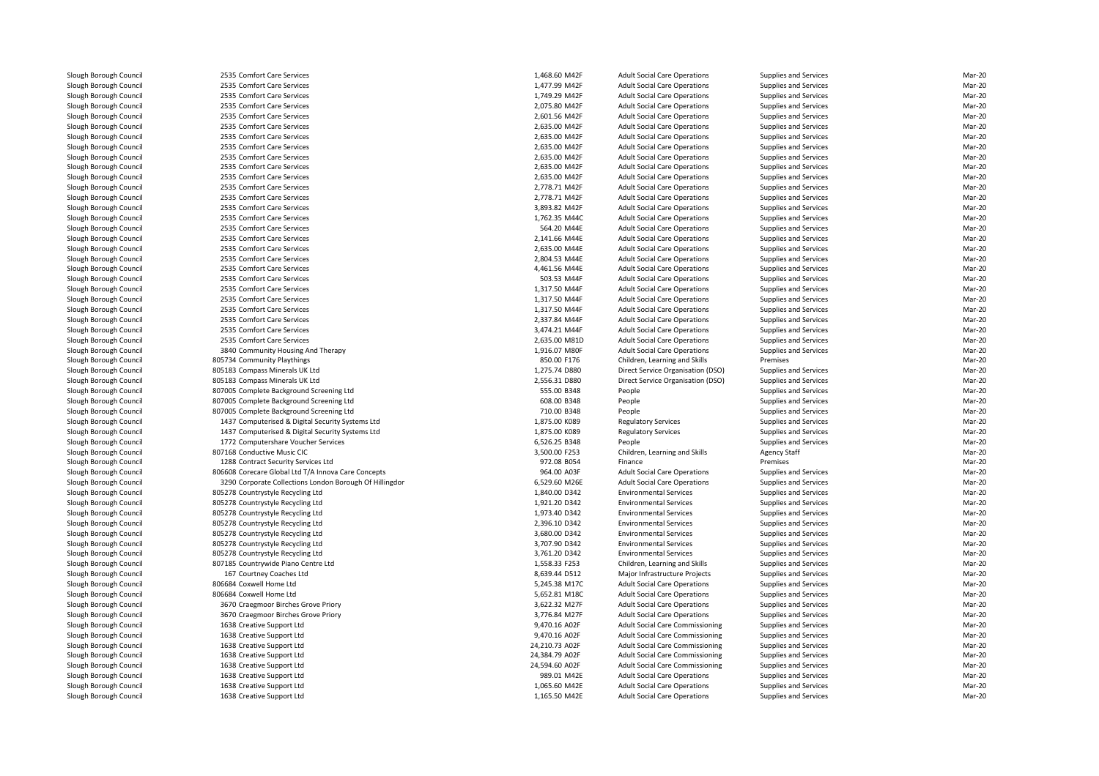| 2535 Comfort Care Services                                                                           | 1,468.60 M42F                | <b>Adult Social Care Operations</b>                      | Supplies and Services                          | Mar-20           |
|------------------------------------------------------------------------------------------------------|------------------------------|----------------------------------------------------------|------------------------------------------------|------------------|
| 2535 Comfort Care Services                                                                           | 1,477.99 M42F                | <b>Adult Social Care Operations</b>                      | Supplies and Services                          | Mar-20           |
| 2535 Comfort Care Services                                                                           | 1,749.29 M42F                | <b>Adult Social Care Operations</b>                      | Supplies and Services                          | Mar-20           |
| 2535 Comfort Care Services                                                                           | 2,075.80 M42F                | <b>Adult Social Care Operations</b>                      | Supplies and Services                          | Mar-20           |
| 2535 Comfort Care Services                                                                           | 2,601.56 M42F                | <b>Adult Social Care Operations</b>                      | Supplies and Services                          | Mar-20           |
| 2535 Comfort Care Services                                                                           | 2,635.00 M42F                | <b>Adult Social Care Operations</b>                      | Supplies and Services                          | Mar-20           |
| 2535 Comfort Care Services                                                                           | 2,635.00 M42F                | <b>Adult Social Care Operations</b>                      | Supplies and Services                          | Mar-20           |
| 2535 Comfort Care Services                                                                           | 2,635.00 M42F                | <b>Adult Social Care Operations</b>                      | Supplies and Services                          | Mar-20           |
| 2535 Comfort Care Services                                                                           | 2,635.00 M42F                | <b>Adult Social Care Operations</b>                      | Supplies and Services                          | Mar-20           |
| 2535 Comfort Care Services                                                                           | 2.635.00 M42F                | <b>Adult Social Care Operations</b>                      | Supplies and Services                          | Mar-20           |
| 2535 Comfort Care Services                                                                           | 2,635.00 M42F                | <b>Adult Social Care Operations</b>                      | Supplies and Services                          | Mar-20           |
| 2535 Comfort Care Services                                                                           | 2,778.71 M42F                | <b>Adult Social Care Operations</b>                      | Supplies and Services                          | Mar-20           |
| 2535 Comfort Care Services                                                                           | 2,778.71 M42F                | <b>Adult Social Care Operations</b>                      | Supplies and Services                          | Mar-20           |
| 2535 Comfort Care Services                                                                           | 3,893.82 M42F                | <b>Adult Social Care Operations</b>                      | Supplies and Services                          | Mar-20           |
| 2535 Comfort Care Services                                                                           | 1,762.35 M44C                | <b>Adult Social Care Operations</b>                      | Supplies and Services                          | Mar-20           |
| 2535 Comfort Care Services                                                                           | 564.20 M44E                  | <b>Adult Social Care Operations</b>                      | Supplies and Services                          | Mar-20           |
| 2535 Comfort Care Services                                                                           | 2,141.66 M44E                | <b>Adult Social Care Operations</b>                      | Supplies and Services                          | Mar-20           |
| 2535 Comfort Care Services                                                                           | 2,635.00 M44E                | <b>Adult Social Care Operations</b>                      | Supplies and Services                          | Mar-20           |
| 2535 Comfort Care Services                                                                           | 2,804.53 M44E                | <b>Adult Social Care Operations</b>                      | Supplies and Services                          | Mar-20           |
| 2535 Comfort Care Services                                                                           | 4,461.56 M44E                | <b>Adult Social Care Operations</b>                      | Supplies and Services                          | Mar-20           |
| 2535 Comfort Care Services                                                                           | 503.53 M44F                  | <b>Adult Social Care Operations</b>                      | Supplies and Services                          | Mar-20           |
| 2535 Comfort Care Services                                                                           | 1,317.50 M44F                | <b>Adult Social Care Operations</b>                      | Supplies and Services                          | Mar-20           |
| 2535 Comfort Care Services                                                                           | 1,317.50 M44F                | <b>Adult Social Care Operations</b>                      | Supplies and Services                          | Mar-20           |
| 2535 Comfort Care Services                                                                           | 1,317.50 M44F                | <b>Adult Social Care Operations</b>                      | Supplies and Services                          | Mar-20           |
| 2535 Comfort Care Services                                                                           | 2,337.84 M44F                | <b>Adult Social Care Operations</b>                      | Supplies and Services                          | Mar-20           |
| 2535 Comfort Care Services                                                                           | 3,474.21 M44F                | <b>Adult Social Care Operations</b>                      | Supplies and Services                          | Mar-20           |
| 2535 Comfort Care Services                                                                           | 2,635.00 M81D                | <b>Adult Social Care Operations</b>                      | Supplies and Services                          | Mar-20           |
| 3840 Community Housing And Therapy                                                                   | 1,916.07 M80F                | <b>Adult Social Care Operations</b>                      | Supplies and Services                          | Mar-20           |
| 805734 Community Playthings                                                                          | 850.00 F176                  | Children, Learning and Skills                            | Premises                                       | Mar-20           |
| 805183 Compass Minerals UK Ltd                                                                       | 1,275.74 D880                | Direct Service Organisation (DSO)                        | Supplies and Services                          | Mar-20           |
| 805183 Compass Minerals UK Ltd                                                                       | 2,556.31 D880                | Direct Service Organisation (DSO)                        | Supplies and Services                          | Mar-20           |
| 807005 Complete Background Screening Ltd                                                             | 555.00 B348                  | People                                                   | Supplies and Services                          | Mar-20           |
| 807005 Complete Background Screening Ltd                                                             | 608.00 B348                  | People                                                   | Supplies and Services                          | Mar-20           |
| 807005 Complete Background Screening Ltd                                                             | 710.00 B348<br>1,875.00 K089 | People                                                   | Supplies and Services                          | Mar-20<br>Mar-20 |
| 1437 Computerised & Digital Security Systems Ltd<br>1437 Computerised & Digital Security Systems Ltd | 1,875.00 K089                | <b>Regulatory Services</b><br><b>Regulatory Services</b> | Supplies and Services<br>Supplies and Services | Mar-20           |
| 1772 Computershare Voucher Services                                                                  | 6,526.25 B348                | People                                                   | <b>Supplies and Services</b>                   | Mar-20           |
| 807168 Conductive Music CIC                                                                          | 3,500.00 F253                | Children, Learning and Skills                            | Agency Staff                                   | Mar-20           |
| 1288 Contract Security Services Ltd                                                                  | 972.08 B054                  | Finance                                                  | Premises                                       | Mar-20           |
| 806608 Corecare Global Ltd T/A Innova Care Concepts                                                  | 964.00 A03F                  | <b>Adult Social Care Operations</b>                      | Supplies and Services                          | Mar-20           |
| 3290 Corporate Collections London Borough Of Hillingdor                                              | 6,529.60 M26E                | <b>Adult Social Care Operations</b>                      | Supplies and Services                          | Mar-20           |
| 805278 Countrystyle Recycling Ltd                                                                    | 1,840.00 D342                | <b>Environmental Services</b>                            | Supplies and Services                          | Mar-20           |
| 805278 Countrystyle Recycling Ltd                                                                    | 1,921.20 D342                | <b>Environmental Services</b>                            | Supplies and Services                          | Mar-20           |
| 805278 Countrystyle Recycling Ltd                                                                    | 1,973.40 D342                | <b>Environmental Services</b>                            | Supplies and Services                          | Mar-20           |
| 805278 Countrystyle Recycling Ltd                                                                    | 2,396.10 D342                | <b>Environmental Services</b>                            | Supplies and Services                          | Mar-20           |
| 805278 Countrystyle Recycling Ltd                                                                    | 3,680.00 D342                | <b>Environmental Services</b>                            | Supplies and Services                          | Mar-20           |
| 805278 Countrystyle Recycling Ltd                                                                    | 3,707.90 D342                | <b>Environmental Services</b>                            | Supplies and Services                          | Mar-20           |
| 805278 Countrystyle Recycling Ltd                                                                    | 3,761.20 D342                | <b>Environmental Services</b>                            | Supplies and Services                          | Mar-20           |
| 807185 Countrywide Piano Centre Ltd                                                                  | 1,558.33 F253                | Children, Learning and Skills                            | Supplies and Services                          | Mar-20           |
| 167 Courtney Coaches Ltd                                                                             | 8,639.44 D512                | Major Infrastructure Projects                            | Supplies and Services                          | Mar-20           |
| 806684 Coxwell Home Ltd                                                                              | 5,245.38 M17C                | <b>Adult Social Care Operations</b>                      | Supplies and Services                          | Mar-20           |
| 806684 Coxwell Home Ltd                                                                              | 5,652.81 M18C                | <b>Adult Social Care Operations</b>                      | Supplies and Services                          | Mar-20           |
| 3670 Craegmoor Birches Grove Priory                                                                  | 3,622.32 M27F                | <b>Adult Social Care Operations</b>                      | Supplies and Services                          | Mar-20           |
| 3670 Craegmoor Birches Grove Priory                                                                  | 3,776.84 M27F                | <b>Adult Social Care Operations</b>                      | Supplies and Services                          | Mar-20           |
| 1638 Creative Support Ltd                                                                            | 9,470.16 A02F                | Adult Social Care Commissioning                          | Supplies and Services                          | Mar-20           |
| 1638 Creative Support Ltd                                                                            | 9,470.16 A02F                | Adult Social Care Commissioning                          | Supplies and Services                          | Mar-20           |
| 1638 Creative Support Ltd                                                                            | 24,210.73 A02F               | Adult Social Care Commissioning                          | Supplies and Services                          | Mar-20           |
| 1638 Creative Support Ltd                                                                            | 24,384.79 A02F               | <b>Adult Social Care Commissioning</b>                   | Supplies and Services                          | Mar-20           |
| 1638 Creative Support Ltd                                                                            | 24,594.60 A02F               | <b>Adult Social Care Commissioning</b>                   | Supplies and Services                          | Mar-20           |
| 1638 Creative Support Ltd                                                                            | 989.01 M42E                  | <b>Adult Social Care Operations</b>                      | Supplies and Services                          | Mar-20           |
| 1638 Creative Support Ltd                                                                            | 1,065.60 M42E                | <b>Adult Social Care Operations</b>                      | Supplies and Services                          | Mar-20           |
| 1638 Creative Support Ltd                                                                            | 1,165.50 M42E                | <b>Adult Social Care Operations</b>                      | Supplies and Services                          | Mar-20           |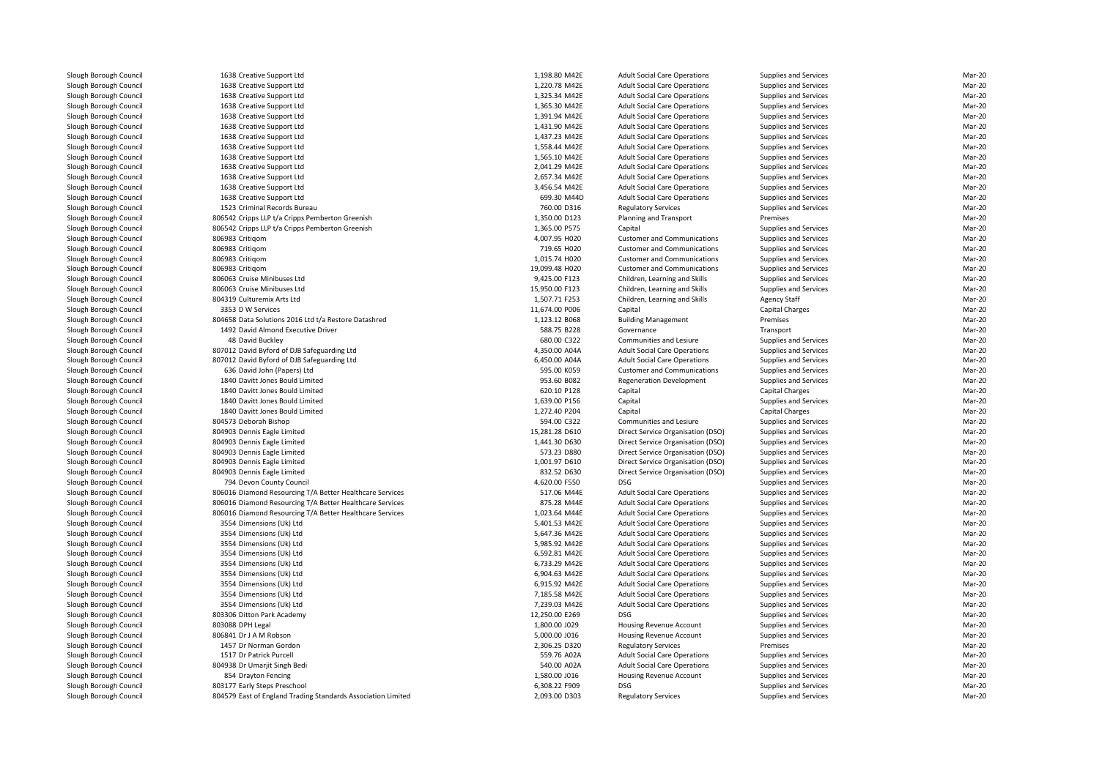| 1638 Creative Support Ltd                                    | 1,198.80 M42E  | <b>Adult Social Care Operations</b>                            | Supplies and Services        | Mar-20           |
|--------------------------------------------------------------|----------------|----------------------------------------------------------------|------------------------------|------------------|
| 1638 Creative Support Ltd                                    | 1,220.78 M42E  | <b>Adult Social Care Operations</b>                            | Supplies and Services        | Mar-20           |
| 1638 Creative Support Ltd                                    | 1,325.34 M42E  | <b>Adult Social Care Operations</b>                            | Supplies and Services        | Mar-20           |
| 1638 Creative Support Ltd                                    | 1,365.30 M42E  | <b>Adult Social Care Operations</b>                            | Supplies and Services        | Mar-20           |
| 1638 Creative Support Ltd                                    | 1,391.94 M42E  | <b>Adult Social Care Operations</b>                            | Supplies and Services        | Mar-20           |
| 1638 Creative Support Ltd                                    | 1,431.90 M42E  | <b>Adult Social Care Operations</b>                            | Supplies and Services        | Mar-20           |
| 1638 Creative Support Ltd                                    | 1,437.23 M42E  | <b>Adult Social Care Operations</b>                            | Supplies and Services        | Mar-20           |
| 1638 Creative Support Ltd                                    | 1.558.44 M42E  | <b>Adult Social Care Operations</b>                            | Supplies and Services        | Mar-20           |
| 1638 Creative Support Ltd                                    | 1,565.10 M42E  | <b>Adult Social Care Operations</b>                            | Supplies and Services        | Mar-20           |
| 1638 Creative Support Ltd                                    | 2,041.29 M42E  | <b>Adult Social Care Operations</b>                            | Supplies and Services        | Mar-20           |
| 1638 Creative Support Ltd                                    | 2,657.34 M42E  | <b>Adult Social Care Operations</b>                            | Supplies and Services        | Mar-20           |
| 1638 Creative Support Ltd                                    | 3,456.54 M42E  | <b>Adult Social Care Operations</b>                            | Supplies and Services        | Mar-20           |
| 1638 Creative Support Ltd                                    | 699.30 M44D    | <b>Adult Social Care Operations</b>                            | Supplies and Services        | Mar-20           |
| 1523 Criminal Records Bureau                                 | 760.00 D316    | <b>Regulatory Services</b>                                     | Supplies and Services        | Mar-20           |
| 806542 Cripps LLP t/a Cripps Pemberton Greenish              | 1,350.00 D123  | Planning and Transport                                         | Premises                     | Mar-20           |
| 806542 Cripps LLP t/a Cripps Pemberton Greenish              | 1,365.00 P575  | Capital                                                        | Supplies and Services        | Mar-20           |
| 806983 Critigom                                              | 4,007.95 H020  | <b>Customer and Communications</b>                             | Supplies and Services        | Mar-20           |
| 806983 Critigom                                              | 719.65 H020    | <b>Customer and Communications</b>                             | Supplies and Services        | Mar-20           |
| 806983 Critigom                                              | 1.015.74 H020  | <b>Customer and Communications</b>                             | Supplies and Services        | Mar-20           |
| 806983 Critigom                                              | 19,099.48 H020 | <b>Customer and Communications</b>                             | Supplies and Services        | Mar-20           |
| 806063 Cruise Minibuses Ltd                                  | 9,425.00 F123  |                                                                | Supplies and Services        | Mar-20           |
| 806063 Cruise Minibuses Ltd                                  | 15,950.00 F123 | Children, Learning and Skills<br>Children, Learning and Skills | Supplies and Services        | Mar-20           |
| 804319 Culturemix Arts Ltd                                   |                |                                                                |                              | Mar-20           |
| 3353 D W Services                                            | 1,507.71 F253  | Children, Learning and Skills                                  | Agency Staff                 | Mar-20           |
|                                                              | 11,674.00 P006 | Capital                                                        | <b>Capital Charges</b>       |                  |
| 804658 Data Solutions 2016 Ltd t/a Restore Datashred         | 1,123.12 B068  | <b>Building Management</b>                                     | Premises                     | Mar-20<br>Mar-20 |
| 1492 David Almond Executive Driver                           | 588.75 B228    | Governance                                                     | Transport                    |                  |
| 48 David Buckley                                             | 680.00 C322    | Communities and Lesiure                                        | Supplies and Services        | Mar-20           |
| 807012 David Byford of DJB Safeguarding Ltd                  | 4,350.00 A04A  | <b>Adult Social Care Operations</b>                            | Supplies and Services        | Mar-20           |
| 807012 David Byford of DJB Safeguarding Ltd                  | 6,450.00 A04A  | <b>Adult Social Care Operations</b>                            | Supplies and Services        | Mar-20           |
| 636 David John (Papers) Ltd                                  | 595.00 K059    | <b>Customer and Communications</b>                             | Supplies and Services        | Mar-20           |
| 1840 Davitt Jones Bould Limited                              | 953.60 B082    | <b>Regeneration Development</b>                                | Supplies and Services        | Mar-20           |
| 1840 Davitt Jones Bould Limited                              | 620.10 P128    | Capital                                                        | Capital Charges              | Mar-20           |
| 1840 Davitt Jones Bould Limited                              | 1,639.00 P156  | Capital                                                        | Supplies and Services        | Mar-20           |
| 1840 Davitt Jones Bould Limited                              | 1,272.40 P204  | Capital                                                        | Capital Charges              | Mar-20           |
| 804573 Deborah Bishop                                        | 594.00 C322    | Communities and Lesiure                                        | Supplies and Services        | Mar-20           |
| 804903 Dennis Eagle Limited                                  | 15,281.28 D610 | Direct Service Organisation (DSO)                              | Supplies and Services        | Mar-20           |
| 804903 Dennis Eagle Limited                                  | 1,441.30 D630  | Direct Service Organisation (DSO)                              | Supplies and Services        | Mar-20           |
| 804903 Dennis Eagle Limited                                  | 573.23 D880    | Direct Service Organisation (DSO)                              | Supplies and Services        | Mar-20           |
| 804903 Dennis Eagle Limited                                  | 1,001.97 D610  | Direct Service Organisation (DSO)                              | Supplies and Services        | Mar-20           |
| 804903 Dennis Eagle Limited                                  | 832.52 D630    | Direct Service Organisation (DSO)                              | Supplies and Services        | Mar-20           |
| 794 Devon County Council                                     | 4,620.00 F550  | DSG                                                            | <b>Supplies and Services</b> | Mar-20           |
| 806016 Diamond Resourcing T/A Better Healthcare Services     | 517.06 M44E    | <b>Adult Social Care Operations</b>                            | Supplies and Services        | Mar-20           |
| 806016 Diamond Resourcing T/A Better Healthcare Services     | 875.28 M44E    | <b>Adult Social Care Operations</b>                            | Supplies and Services        | Mar-20           |
| 806016 Diamond Resourcing T/A Better Healthcare Services     | 1,023.64 M44E  | <b>Adult Social Care Operations</b>                            | Supplies and Services        | Mar-20           |
| 3554 Dimensions (Uk) Ltd                                     | 5,401.53 M42E  | <b>Adult Social Care Operations</b>                            | Supplies and Services        | Mar-20           |
| 3554 Dimensions (Uk) Ltd                                     | 5,647.36 M42E  | <b>Adult Social Care Operations</b>                            | Supplies and Services        | Mar-20           |
| 3554 Dimensions (Uk) Ltd                                     | 5,985.92 M42E  | <b>Adult Social Care Operations</b>                            | Supplies and Services        | Mar-20           |
| 3554 Dimensions (Uk) Ltd                                     | 6,592.81 M42E  | <b>Adult Social Care Operations</b>                            | Supplies and Services        | Mar-20           |
| 3554 Dimensions (Uk) Ltd                                     | 6,733.29 M42E  | <b>Adult Social Care Operations</b>                            | Supplies and Services        | Mar-20           |
| 3554 Dimensions (Uk) Ltd                                     | 6,904.63 M42E  | <b>Adult Social Care Operations</b>                            | Supplies and Services        | Mar-20           |
| 3554 Dimensions (Uk) Ltd                                     | 6,915.92 M42E  | <b>Adult Social Care Operations</b>                            | Supplies and Services        | Mar-20           |
| 3554 Dimensions (Uk) Ltd                                     | 7,185.58 M42E  | <b>Adult Social Care Operations</b>                            | Supplies and Services        | Mar-20           |
| 3554 Dimensions (Uk) Ltd                                     | 7,239.03 M42E  | <b>Adult Social Care Operations</b>                            | Supplies and Services        | Mar-20           |
| 803306 Ditton Park Academy                                   | 12,250.00 E269 | <b>DSG</b>                                                     | Supplies and Services        | Mar-20           |
| 803088 DPH Legal                                             | 1,800.00 J029  | Housing Revenue Account                                        | Supplies and Services        | Mar-20           |
| 806841 Dr J A M Robson                                       | 5,000.00 J016  | Housing Revenue Account                                        | Supplies and Services        | Mar-20           |
| 1457 Dr Norman Gordon                                        | 2,306.25 D320  | <b>Regulatory Services</b>                                     | Premises                     | Mar-20           |
| 1517 Dr Patrick Purcell                                      | 559.76 A02A    | <b>Adult Social Care Operations</b>                            | Supplies and Services        | Mar-20           |
| 804938 Dr Umarjit Singh Bedi                                 | 540.00 A02A    | <b>Adult Social Care Operations</b>                            | Supplies and Services        | Mar-20           |
| 854 Drayton Fencing                                          | 1,580.00 J016  | Housing Revenue Account                                        | Supplies and Services        | Mar-20           |
| 803177 Early Steps Preschool                                 | 6,308.22 F909  | <b>DSG</b>                                                     | Supplies and Services        | Mar-20           |
| 804579 East of England Trading Standards Association Limited | 2,093.00 D303  | <b>Regulatory Services</b>                                     | Supplies and Services        | Mar-20           |
|                                                              |                |                                                                |                              |                  |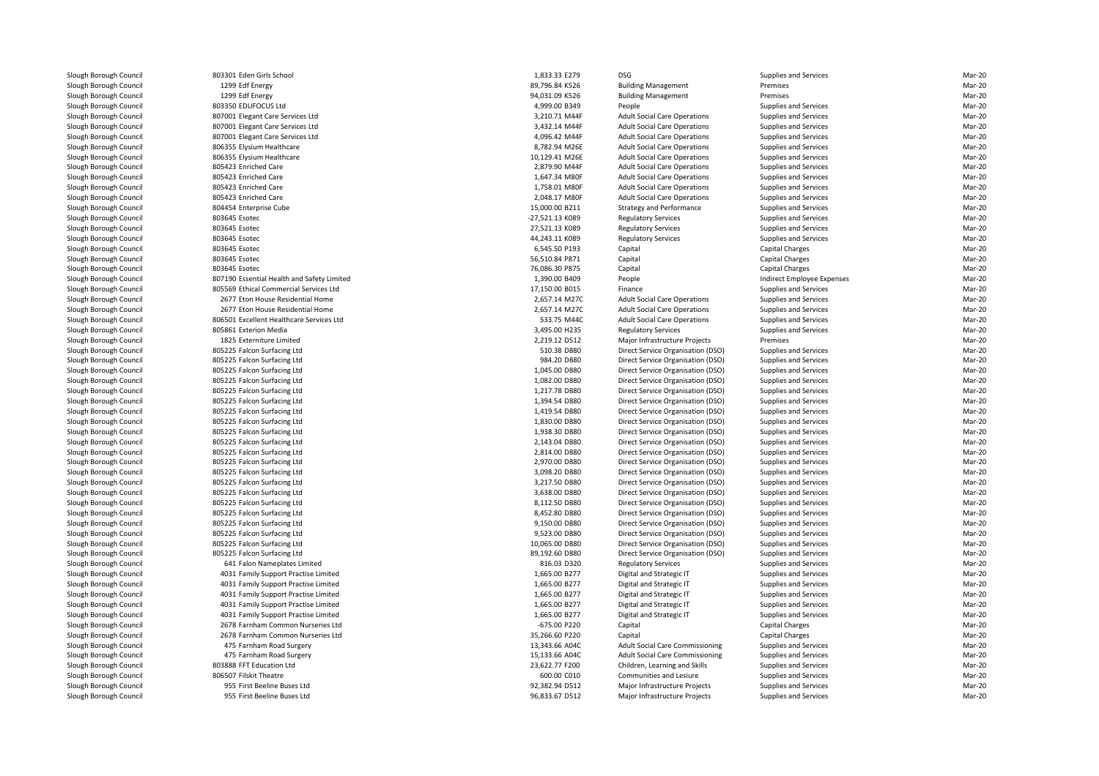803301 Eden Girls School Eden Girls School 1,833.33 E279 DSG1299 Edf Energy 1299 Fdf Fnergy 803350 EDUFOCUS Ltd 807001 Elegant Care Services Ltd 807001 Elegant Care Services Ltd 807001 Elegant Care Services Ltd806355 Elysium Healthcare 806355 Elysium Healthcare 805423 Enriched Care 805423 Enriched Care 805423 Enriched Care 805423 Enriched Care 804454 Enterprise Cube 803645 803645 803645 803645803645 Esotec 803645 807190 Essential Health and Safety Limited 805569 Ethical Commercial Services Ltd 2677 Eton House Residential Home 2,657.14 M27C 2677 Eton House Residential Home 2,657.14 M27C 806501 Excellent Healthcare Services Ltd805861 Exterion Media 1825 Externiture Limited 805225 Falcon Surfacing Ltd 805225 Falcon Surfacing Ltd 805225 Falcon Surfacing Ltd 805225 Falcon Surfacing Ltd 805225 Falcon Surfacing Ltd 805225 Falcon Surfacing Ltd 805225 Falcon Surfacing Ltd 805225 Falcon Surfacing Ltd 805225 Falcon Surfacing Ltd 805225 Falcon Surfacing Ltd 805225 Falcon Surfacing Ltd 805225 Falcon Surfacing Ltd 805225 Falcon Surfacing Ltd 805225 Falcon Surfacing Ltd 805225 Falcon Surfacing Ltd 805225 Falcon Surfacing Ltd 805225 Falcon Surfacing Ltd 805225 Falcon Surfacing Ltd 805225 Falcon Surfacing Ltd 805225 Falcon Surfacing Ltd 805225 Falcon Surfacing Ltd 641 Falon Nameplates Limited 4031 Family Support Practise Limited 4031 Family Support Practise Limited 4031 Family Support Practise Limited 4031 Family Support Practise Limited 4031 Family Support Practise Limited 2678 Farnham Common Nurseries Ltd 2678 Farnham Common Nurseries Ltd 475 Farnham Road Surgery 13,343.66 A04C 475 Farnham Road Surgery 15,133.66 A04C 803888 FFT Education Ltd806507 Filskit Theatre 955 First Beeline Buses Ltd

| 1 Eden Girls School                      | 1,833.33 E279                  | <b>DSG</b>                                                                 | Supplies and Services        | Mar-20           |
|------------------------------------------|--------------------------------|----------------------------------------------------------------------------|------------------------------|------------------|
| 9 Edf Energy                             | 89,796.84 K526                 | <b>Building Management</b>                                                 | Premises                     | Mar-20           |
| 9 Edf Energy                             | 94,031.09 K526                 | <b>Building Management</b>                                                 | Premises                     | Mar-20           |
| 0 EDUFOCUS Ltd                           | 4,999.00 B349                  | People                                                                     | Supplies and Services        | Mar-20           |
| 1 Elegant Care Services Ltd              | 3,210.71 M44F                  | <b>Adult Social Care Operations</b>                                        | <b>Supplies and Services</b> | Mar-20           |
| 1 Elegant Care Services Ltd              | 3,432.14 M44F                  | <b>Adult Social Care Operations</b>                                        | <b>Supplies and Services</b> | Mar-20           |
| 1 Elegant Care Services Ltd              | 4,096.42 M44F                  | <b>Adult Social Care Operations</b>                                        | <b>Supplies and Services</b> | Mar-20           |
| 5 Elysium Healthcare                     | 8,782.94 M26E                  | <b>Adult Social Care Operations</b>                                        | <b>Supplies and Services</b> | Mar-20           |
| 5 Elysium Healthcare                     | 10,129.41 M26E                 | <b>Adult Social Care Operations</b>                                        | <b>Supplies and Services</b> | Mar-20           |
| 3 Enriched Care                          | 2,879.90 M44F                  | <b>Adult Social Care Operations</b>                                        | <b>Supplies and Services</b> | Mar-20           |
| 3 Enriched Care                          | 1,647.34 M80F                  | <b>Adult Social Care Operations</b>                                        | Supplies and Services        | Mar-20           |
| 3 Enriched Care                          | 1,758.01 M80F                  | <b>Adult Social Care Operations</b>                                        | Supplies and Services        | Mar-20           |
| 3 Enriched Care                          | 2,048.17 M80F                  | <b>Adult Social Care Operations</b>                                        | <b>Supplies and Services</b> | Mar-20           |
| 4 Enterprise Cube                        | 15,000.00 B211                 | <b>Strategy and Performance</b>                                            | <b>Supplies and Services</b> | Mar-20           |
| 5 Esotec                                 | -27,521.13 K089                | <b>Regulatory Services</b>                                                 | <b>Supplies and Services</b> | Mar-20           |
| 5 Esotec                                 | 27,521.13 K089                 | <b>Regulatory Services</b>                                                 | Supplies and Services        | Mar-20           |
| 5 Esotec                                 | 44,243.11 K089                 | <b>Regulatory Services</b>                                                 | Supplies and Services        | Mar-20           |
| 5 Esotec                                 | 6,545.50 P193                  | Capital                                                                    | Capital Charges              | Mar-20           |
| 5 Esotec                                 | 56,510.84 P871                 | Capital                                                                    | Capital Charges              | Mar-20           |
| 5 Esotec                                 | 76,086.30 P875                 | Capital                                                                    | Capital Charges              | Mar-20           |
| 0 Essential Health and Safety Limited    | 1,390.00 B409                  | People                                                                     | Indirect Employee Expenses   | Mar-20           |
| 9 Ethical Commercial Services Ltd        | 17,150.00 B015                 | Finance                                                                    | Supplies and Services        | Mar-20           |
| 7 Eton House Residential Home            |                                |                                                                            |                              | Mar-20           |
| 7 Eton House Residential Home            | 2,657.14 M27C<br>2,657.14 M27C | <b>Adult Social Care Operations</b><br><b>Adult Social Care Operations</b> | <b>Supplies and Services</b> | Mar-20           |
|                                          | 533.75 M44C                    |                                                                            | <b>Supplies and Services</b> |                  |
| 1 Excellent Healthcare Services Ltd      |                                | <b>Adult Social Care Operations</b>                                        | Supplies and Services        | Mar-20           |
| 1 Exterion Media                         | 3,495.00 H235                  | <b>Regulatory Services</b>                                                 | <b>Supplies and Services</b> | Mar-20           |
| 5 Externiture Limited                    | 2,219.12 D512                  | Major Infrastructure Projects                                              | Premises                     | Mar-20           |
| 5 Falcon Surfacing Ltd                   | 510.38 D880                    | Direct Service Organisation (DSO)                                          | <b>Supplies and Services</b> | Mar-20           |
| 5 Falcon Surfacing Ltd                   | 984.20 D880                    | Direct Service Organisation (DSO)                                          | <b>Supplies and Services</b> | Mar-20           |
| 5 Falcon Surfacing Ltd                   | 1,045.00 D880                  | Direct Service Organisation (DSO)                                          | <b>Supplies and Services</b> | Mar-20           |
| 5 Falcon Surfacing Ltd                   | 1,082.00 D880                  | Direct Service Organisation (DSO)                                          | Supplies and Services        | Mar-20           |
| 5 Falcon Surfacing Ltd                   | 1,217.78 D880                  | Direct Service Organisation (DSO)                                          | <b>Supplies and Services</b> | Mar-20           |
| 5 Falcon Surfacing Ltd                   | 1,394.54 D880                  | Direct Service Organisation (DSO)                                          | <b>Supplies and Services</b> | Mar-20           |
| 5 Falcon Surfacing Ltd                   | 1,419.54 D880                  | Direct Service Organisation (DSO)                                          | <b>Supplies and Services</b> | Mar-20           |
| 5 Falcon Surfacing Ltd                   | 1,830.00 D880                  | Direct Service Organisation (DSO)                                          | Supplies and Services        | Mar-20           |
| 5 Falcon Surfacing Ltd                   | 1,938.30 D880                  | Direct Service Organisation (DSO)                                          | <b>Supplies and Services</b> | Mar-20           |
| 5 Falcon Surfacing Ltd                   | 2,143.04 D880                  | Direct Service Organisation (DSO)                                          | Supplies and Services        | Mar-20           |
| 5 Falcon Surfacing Ltd                   | 2,814.00 D880                  | Direct Service Organisation (DSO)                                          | <b>Supplies and Services</b> | Mar-20           |
| 5 Falcon Surfacing Ltd                   | 2,970.00 D880                  | Direct Service Organisation (DSO)                                          | <b>Supplies and Services</b> | Mar-20           |
| 5 Falcon Surfacing Ltd                   | 3,098.20 D880                  | Direct Service Organisation (DSO)                                          | Supplies and Services        | Mar-20           |
| 5 Falcon Surfacing Ltd                   | 3,217.50 D880                  | Direct Service Organisation (DSO)                                          | Supplies and Services        | Mar-20           |
| 5 Falcon Surfacing Ltd                   | 3,638.00 D880                  | Direct Service Organisation (DSO)                                          | <b>Supplies and Services</b> | Mar-20           |
| 5 Falcon Surfacing Ltd                   | 8,112.50 D880                  | Direct Service Organisation (DSO)                                          | <b>Supplies and Services</b> | Mar-20           |
| 5 Falcon Surfacing Ltd                   | 8,452.80 D880                  | Direct Service Organisation (DSO)                                          | <b>Supplies and Services</b> | Mar-20           |
| 5 Falcon Surfacing Ltd                   | 9,150.00 D880                  | Direct Service Organisation (DSO)                                          | Supplies and Services        | Mar-20           |
| 5 Falcon Surfacing Ltd                   | 9,523.00 D880                  | Direct Service Organisation (DSO)                                          | Supplies and Services        | Mar-20           |
| 5 Falcon Surfacing Ltd                   | 10,065.00 D880                 | Direct Service Organisation (DSO)                                          | <b>Supplies and Services</b> | Mar-20           |
| 5 Falcon Surfacing Ltd                   | 89,192.60 D880                 | Direct Service Organisation (DSO)                                          | <b>Supplies and Services</b> | Mar-20           |
| 1 Falon Nameplates Limited               | 816.03 D320                    | <b>Regulatory Services</b>                                                 | Supplies and Services        | Mar-20           |
| 1 Family Support Practise Limited        | 1,665.00 B277                  | Digital and Strategic IT                                                   | Supplies and Services        | Mar-20           |
| 1 Family Support Practise Limited        | 1,665.00 B277                  | Digital and Strategic IT                                                   | Supplies and Services        | Mar-20           |
| 1 Family Support Practise Limited        | 1,665.00 B277                  | Digital and Strategic IT                                                   | <b>Supplies and Services</b> | Mar-20           |
| 1 Family Support Practise Limited        | 1,665.00 B277                  | Digital and Strategic IT                                                   | <b>Supplies and Services</b> | Mar-20           |
| 1 Family Support Practise Limited        | 1,665.00 B277                  | Digital and Strategic IT                                                   | Supplies and Services        | Mar-20           |
| 8 Farnham Common Nurseries Ltd           | -675.00 P220                   | Capital                                                                    | Capital Charges              | Mar-20           |
| 8 Farnham Common Nurseries Ltd           | 35,266.60 P220                 | Capital                                                                    | Capital Charges              | Mar-20           |
| 5 Farnham Road Surgery                   | 13,343.66 A04C                 | Adult Social Care Commissioning                                            | <b>Supplies and Services</b> | Mar-20           |
| 5 Farnham Road Surgery                   | 15,133.66 A04C                 |                                                                            | <b>Supplies and Services</b> | Mar-20           |
|                                          |                                | Adult Social Care Commissioning                                            |                              |                  |
| 8 FFT Education Ltd<br>7 Filskit Theatre | 23,622.77 F200<br>600.00 C010  | Children, Learning and Skills<br>Communities and Lesiure                   | <b>Supplies and Services</b> | Mar-20<br>Mar-20 |
|                                          |                                |                                                                            | <b>Supplies and Services</b> |                  |
| 5 First Beeline Buses Ltd                | 92,382.94 D512                 | Major Infrastructure Projects                                              | <b>Supplies and Services</b> | Mar-20           |
| 5 First Beeline Buses Ltd                | 96,833.67 D512                 | Major Infrastructure Projects                                              | <b>Supplies and Services</b> | Mar-20           |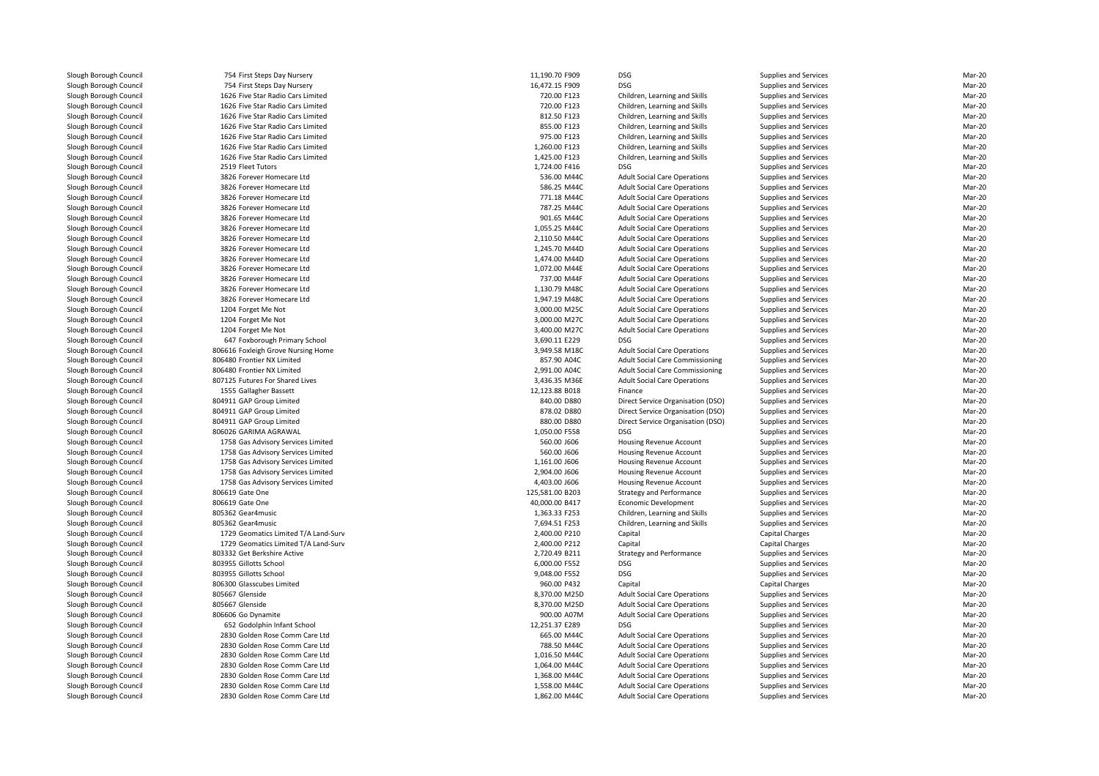754 First Steps Day Nursery 11,190.70 F909 DSG 754 First Steps Day Nursery 16,472.15 F909 DSG 1626 Five Star Radio Cars Limited 1626 Five Star Radio Cars Limited 1626 Five Star Radio Cars Limited 1626 Five Star Radio Cars Limited 1626 Five Star Radio Cars Limited 1626 Five Star Radio Cars Limited 1626 Five Star Radio Cars Limited2519 Fleet Tutors Fleet Tutors 1,724.00 F416 DSG 3826 Forever Homecare Ltd 3826 Forever Homecare Ltd 3826 Forever Homecare Ltd 3826 Forever Homecare Ltd 3826 Forever Homecare Ltd 3826 Forever Homecare Ltd 3826 Forever Homecare Ltd 3826 Forever Homecare Ltd 3826 Forever Homecare Ltd 3826 Forever Homecare Ltd 3826 Forever Homecare Ltd 3826 Forever Homecare Ltd 3826 Forever Homecare Ltd1204 Forget Me Not 3,000.00 M25C 3,000.00 M25C 3,000.00 M25C 3,000.00 M25C 3,000.00 M25C 3,000.00 M25C 3,000 M25C 3,000 M25C 3,000 M25C 3,000 M25C 3,000 M25C 3,000 M25C 3,000 M25C 3,000 M25C 3,000 M25C 3,000 M25C 3,000 M25 1204 Forget Me Not 3,000.00 M27C 3,000.00 M27C 3,000.00 M27C 3,000.00 M27C 1204 Forget Me Not 3,400.00 M27C 647 Foxborough Primary School 3,690.11 E229 DSG806616 Foxleigh Grove Nursing Home 3,949.58 M18C 806480 Frontier NX Limited 806480 Frontier NX Limited807125 Futures For Shared Lives 1555 Gallagher Bassett 804911 GAP Group Limited 804911 GAP Group Limited 804911 GAP Group Limited 806026 GARIMA AGRAWAL 1,050.00 F558 DSG 1758 Gas Advisory Services Limited 1758 Gas Advisory Services Limited 1758 Gas Advisory Services Limited 1758 Gas Advisory Services Limited 1758 Gas Advisory Services Limited806619 Gate One 806619 Gate One 805362 Gear4music 805362 Gear4music 1729 Geomatics Limited T/A Land-Surv 1729 Geomatics Limited T/A Land-Surv 803332 Get Berkshire Active 803955 Gillotts School Gillotts School 6,000.00 F552 DSG803955 Gillotts School Gillotts School 9,048.00 F552 DSG 806300 Glasscubes Limited805667 Glenside Glenside 8,370.00 M25D805667 Glenside Glenside 8,370.00 M25Dl 1990.00 A07M 806606 Go Dynamite 900.00 A07M 900.00 A07M 900.00 A07M 900.00 A07M 652 Godolphin Infant School 12,251.37 E289 DSG 2830 Golden Rose Comm Care Ltd 2830 Golden Rose Comm Care Ltd 2830 Golden Rose Comm Care Ltd 2830 Golden Rose Comm Care Ltd 2830 Golden Rose Comm Care Ltd 2830 Golden Rose Comm Care Ltd2830 Golden Rose Comm Care Ltd

| 4 First Steps Day Nursery                                                                                                | 11,190.70 F909                 | <b>DSG</b>                                                                 | <b>Supplies and Services</b>                          | Mar-20           |
|--------------------------------------------------------------------------------------------------------------------------|--------------------------------|----------------------------------------------------------------------------|-------------------------------------------------------|------------------|
| 4 First Steps Day Nursery                                                                                                | 16,472.15 F909                 | DSG                                                                        | Supplies and Services                                 | Mar-20           |
| 6 Five Star Radio Cars Limited                                                                                           | 720.00 F123                    | Children, Learning and Skills                                              | Supplies and Services                                 | Mar-20           |
| 6 Five Star Radio Cars Limited                                                                                           | 720.00 F123                    | Children, Learning and Skills                                              | Supplies and Services                                 | Mar-20           |
| 6 Five Star Radio Cars Limited                                                                                           | 812.50 F123                    | Children, Learning and Skills                                              | <b>Supplies and Services</b>                          | Mar-20           |
| 6 Five Star Radio Cars Limited                                                                                           | 855.00 F123                    | Children, Learning and Skills                                              | Supplies and Services                                 | Mar-20           |
| 6 Five Star Radio Cars Limited                                                                                           | 975.00 F123                    | Children, Learning and Skills                                              | Supplies and Services                                 | Mar-20           |
| 6 Five Star Radio Cars Limited                                                                                           | 1,260.00 F123                  | Children, Learning and Skills                                              | Supplies and Services                                 | Mar-20           |
| 6 Five Star Radio Cars Limited                                                                                           | 1,425.00 F123                  | Children, Learning and Skills                                              | Supplies and Services                                 | Mar-20           |
| 9 Fleet Tutors                                                                                                           | 1,724.00 F416                  | <b>DSG</b>                                                                 | <b>Supplies and Services</b>                          | Mar-20           |
| 6 Forever Homecare Ltd                                                                                                   | 536.00 M44C                    | <b>Adult Social Care Operations</b>                                        | <b>Supplies and Services</b>                          | Mar-20           |
| 6 Forever Homecare Ltd                                                                                                   | 586.25 M44C                    | <b>Adult Social Care Operations</b>                                        | <b>Supplies and Services</b>                          | Mar-20           |
| 6 Forever Homecare Ltd                                                                                                   | 771.18 M44C                    | <b>Adult Social Care Operations</b>                                        | Supplies and Services                                 | Mar-20           |
| 6 Forever Homecare Ltd                                                                                                   | 787.25 M44C                    | <b>Adult Social Care Operations</b>                                        | Supplies and Services                                 | Mar-20           |
| 6 Forever Homecare Ltd                                                                                                   | 901.65 M44C                    | <b>Adult Social Care Operations</b>                                        | Supplies and Services                                 | Mar-20           |
| 6 Forever Homecare Ltd                                                                                                   | 1,055.25 M44C                  | <b>Adult Social Care Operations</b>                                        | <b>Supplies and Services</b>                          | Mar-20           |
| 6 Forever Homecare Ltd                                                                                                   | 2,110.50 M44C                  | <b>Adult Social Care Operations</b>                                        | Supplies and Services                                 | Mar-20           |
| 6 Forever Homecare Ltd                                                                                                   | 1,245.70 M44D                  | <b>Adult Social Care Operations</b>                                        | Supplies and Services                                 | Mar-20           |
| 6 Forever Homecare Ltd                                                                                                   | 1,474.00 M44D                  | <b>Adult Social Care Operations</b>                                        | Supplies and Services                                 | Mar-20           |
| 6 Forever Homecare Ltd                                                                                                   | 1,072.00 M44E                  | <b>Adult Social Care Operations</b>                                        | Supplies and Services                                 | Mar-20           |
| 6 Forever Homecare Ltd                                                                                                   | 737.00 M44F                    | <b>Adult Social Care Operations</b>                                        | Supplies and Services                                 | Mar-20           |
| 6 Forever Homecare Ltd                                                                                                   | 1,130.79 M48C                  | <b>Adult Social Care Operations</b>                                        | <b>Supplies and Services</b>                          | Mar-20           |
| 6 Forever Homecare Ltd                                                                                                   | 1,947.19 M48C                  | <b>Adult Social Care Operations</b>                                        | <b>Supplies and Services</b>                          | Mar-20           |
| 4 Forget Me Not                                                                                                          | 3,000.00 M25C                  | <b>Adult Social Care Operations</b>                                        | Supplies and Services                                 | Mar-20           |
| 4 Forget Me Not                                                                                                          | 3,000.00 M27C                  | <b>Adult Social Care Operations</b>                                        | Supplies and Services                                 | Mar-20           |
|                                                                                                                          | 3,400.00 M27C                  |                                                                            |                                                       | Mar-20           |
| 4 Forget Me Not<br>7 Foxborough Primary School                                                                           | 3,690.11 E229                  | <b>Adult Social Care Operations</b><br><b>DSG</b>                          | Supplies and Services<br><b>Supplies and Services</b> | Mar-20           |
|                                                                                                                          | 3,949.58 M18C                  |                                                                            |                                                       | Mar-20           |
| 6 Foxleigh Grove Nursing Home                                                                                            |                                | <b>Adult Social Care Operations</b>                                        | Supplies and Services                                 |                  |
| 0 Frontier NX Limited                                                                                                    | 857.90 A04C                    | <b>Adult Social Care Commissioning</b>                                     | Supplies and Services                                 | Mar-20           |
| 0 Frontier NX Limited                                                                                                    | 2,991.00 A04C                  | Adult Social Care Commissioning                                            | Supplies and Services                                 | Mar-20           |
| 5 Futures For Shared Lives                                                                                               | 3,436.35 M36E                  | <b>Adult Social Care Operations</b>                                        | <b>Supplies and Services</b>                          | Mar-20           |
| 5 Gallagher Bassett                                                                                                      | 12,123.88 B018                 | Finance                                                                    | <b>Supplies and Services</b>                          | Mar-20           |
| 1 GAP Group Limited                                                                                                      | 840.00 D880                    | Direct Service Organisation (DSO)                                          | Supplies and Services                                 | Mar-20           |
| 1 GAP Group Limited                                                                                                      | 878.02 D880                    | Direct Service Organisation (DSO)                                          | Supplies and Services                                 | Mar-20           |
| 1 GAP Group Limited                                                                                                      | 880.00 D880                    | Direct Service Organisation (DSO)                                          | Supplies and Services                                 | Mar-20           |
| 6 GARIMA AGRAWAL                                                                                                         | 1,050.00 F558                  | <b>DSG</b>                                                                 | Supplies and Services                                 | Mar-20           |
| 8 Gas Advisory Services Limited                                                                                          | 560.00 J606                    | Housing Revenue Account                                                    | Supplies and Services                                 | Mar-20           |
| 8 Gas Advisory Services Limited                                                                                          | 560.00 J606                    | Housing Revenue Account                                                    | Supplies and Services                                 | Mar-20           |
|                                                                                                                          |                                |                                                                            |                                                       |                  |
| 8 Gas Advisory Services Limited                                                                                          | 1,161.00 J606                  | Housing Revenue Account                                                    | Supplies and Services                                 | Mar-20           |
| 8 Gas Advisory Services Limited                                                                                          | 2,904.00 J606                  | Housing Revenue Account                                                    | Supplies and Services                                 | Mar-20           |
| 8 Gas Advisory Services Limited                                                                                          | 4,403.00 J606                  | <b>Housing Revenue Account</b>                                             | Supplies and Services                                 | Mar-20           |
| 9 Gate One                                                                                                               | 125,581.00 B203                | <b>Strategy and Performance</b>                                            | Supplies and Services                                 | Mar-20           |
| 9 Gate One                                                                                                               | 40,000.00 B417                 | <b>Economic Development</b>                                                | Supplies and Services                                 | Mar-20           |
| 2 Gear4music                                                                                                             | 1,363.33 F253                  | Children, Learning and Skills                                              | Supplies and Services                                 | Mar-20           |
| 2 Gear4music                                                                                                             | 7,694.51 F253                  | Children, Learning and Skills                                              | Supplies and Services                                 | Mar-20           |
| 9 Geomatics Limited T/A Land-Surv                                                                                        | 2,400.00 P210                  | Capital                                                                    | <b>Capital Charges</b>                                | Mar-20           |
| 9 Geomatics Limited T/A Land-Surv                                                                                        | 2,400.00 P212                  | Capital                                                                    | Capital Charges                                       | Mar-20           |
| 2 Get Berkshire Active                                                                                                   | 2,720.49 B211                  |                                                                            |                                                       | Mar-20           |
| 5 Gillotts School                                                                                                        | 6,000.00 F552                  | <b>Strategy and Performance</b><br><b>DSG</b>                              | Supplies and Services<br>Supplies and Services        | Mar-20           |
| 5 Gillotts School                                                                                                        | 9,048.00 F552                  | <b>DSG</b>                                                                 | Supplies and Services                                 | Mar-20           |
|                                                                                                                          | 960.00 P432                    | Capital                                                                    |                                                       | Mar-20           |
| 0 Glasscubes Limited                                                                                                     |                                |                                                                            | Capital Charges                                       |                  |
| 7 Glenside                                                                                                               | 8,370.00 M25D                  | <b>Adult Social Care Operations</b>                                        | Supplies and Services                                 | Mar-20           |
| 7 Glenside                                                                                                               | 8,370.00 M25D                  | <b>Adult Social Care Operations</b>                                        | Supplies and Services                                 | Mar-20           |
| 6 Go Dynamite                                                                                                            | 900.00 A07M                    | <b>Adult Social Care Operations</b>                                        | Supplies and Services                                 | Mar-20           |
| 2 Godolphin Infant School                                                                                                | 12,251.37 E289                 | <b>DSG</b>                                                                 | Supplies and Services                                 | Mar-20           |
|                                                                                                                          | 665.00 M44C                    | <b>Adult Social Care Operations</b>                                        | Supplies and Services                                 | Mar-20           |
|                                                                                                                          | 788.50 M44C                    | <b>Adult Social Care Operations</b>                                        | Supplies and Services                                 | Mar-20           |
|                                                                                                                          | 1,016.50 M44C                  | <b>Adult Social Care Operations</b>                                        | Supplies and Services                                 | Mar-20           |
| 0 Golden Rose Comm Care Ltd<br>0 Golden Rose Comm Care Ltd<br>0 Golden Rose Comm Care Ltd<br>0 Golden Rose Comm Care Ltd | 1,064.00 M44C                  | <b>Adult Social Care Operations</b>                                        | Supplies and Services                                 | Mar-20           |
| 0 Golden Rose Comm Care Ltd                                                                                              | 1,368.00 M44C                  | <b>Adult Social Care Operations</b>                                        | Supplies and Services                                 | Mar-20           |
| 0 Golden Rose Comm Care Ltd<br>0 Golden Rose Comm Care Ltd                                                               | 1,558.00 M44C<br>1,862.00 M44C | <b>Adult Social Care Operations</b><br><b>Adult Social Care Operations</b> | Supplies and Services<br>Supplies and Services        | Mar-20<br>Mar-20 |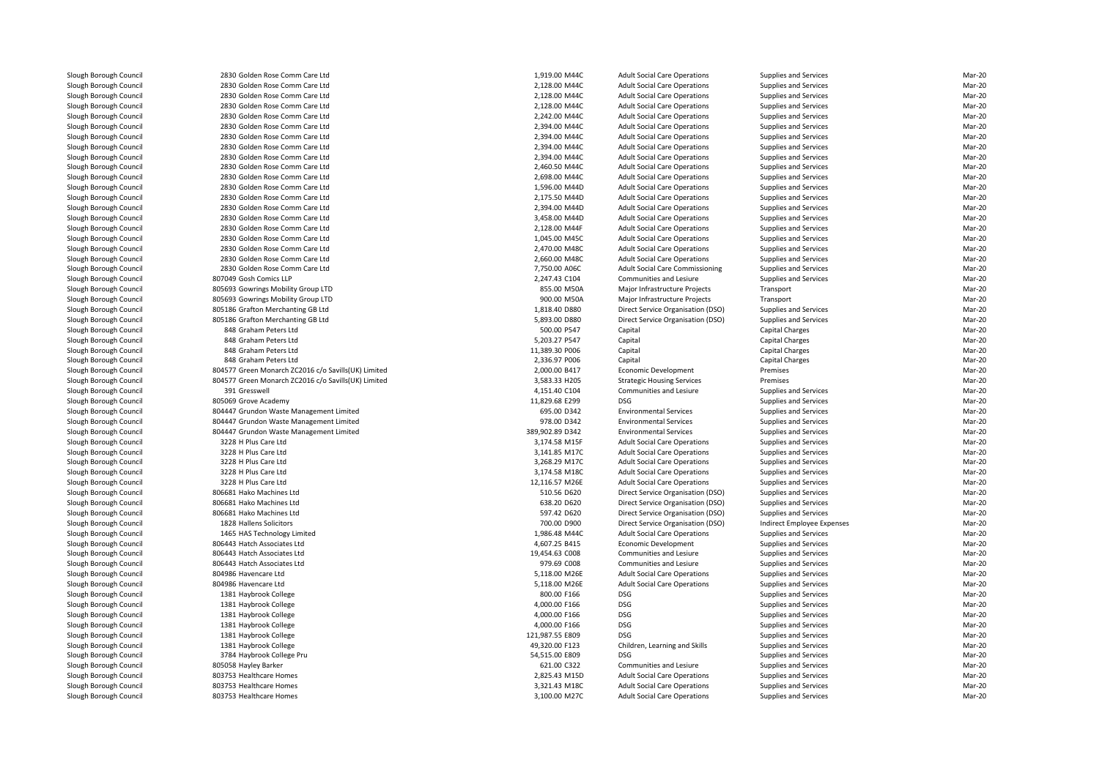| 2830 Golden Rose Comm Care Ltd                                   | 1,919.00 M44C                  | <b>Adult Social Care Operations</b>                                        | Supplies and Services                          | Mar-20 |
|------------------------------------------------------------------|--------------------------------|----------------------------------------------------------------------------|------------------------------------------------|--------|
| 2830 Golden Rose Comm Care Ltd                                   | 2,128.00 M44C                  | <b>Adult Social Care Operations</b>                                        | Supplies and Services                          | Mar-20 |
| 2830 Golden Rose Comm Care Ltd                                   | 2,128.00 M44C                  | <b>Adult Social Care Operations</b>                                        | Supplies and Services                          | Mar-20 |
| 2830 Golden Rose Comm Care Ltd                                   | 2,128.00 M44C                  | <b>Adult Social Care Operations</b>                                        | Supplies and Services                          | Mar-20 |
| 2830 Golden Rose Comm Care Ltd                                   | 2,242.00 M44C                  | <b>Adult Social Care Operations</b>                                        | Supplies and Services                          | Mar-20 |
| 2830 Golden Rose Comm Care Ltd                                   | 2,394.00 M44C                  | <b>Adult Social Care Operations</b>                                        | Supplies and Services                          | Mar-20 |
| 2830 Golden Rose Comm Care Ltd                                   | 2,394.00 M44C                  | <b>Adult Social Care Operations</b>                                        | Supplies and Services                          | Mar-20 |
| 2830 Golden Rose Comm Care Ltd                                   | 2,394.00 M44C                  | <b>Adult Social Care Operations</b>                                        | Supplies and Services                          | Mar-20 |
| 2830 Golden Rose Comm Care Ltd                                   | 2,394.00 M44C                  | <b>Adult Social Care Operations</b>                                        | Supplies and Services                          | Mar-20 |
| 2830 Golden Rose Comm Care Ltd                                   | 2,460.50 M44C                  | <b>Adult Social Care Operations</b>                                        | Supplies and Services                          | Mar-20 |
|                                                                  |                                |                                                                            |                                                | Mar-20 |
| 2830 Golden Rose Comm Care Ltd<br>2830 Golden Rose Comm Care Ltd | 2,698.00 M44C<br>1,596.00 M44D | <b>Adult Social Care Operations</b><br><b>Adult Social Care Operations</b> | Supplies and Services<br>Supplies and Services | Mar-20 |
|                                                                  |                                |                                                                            |                                                |        |
| 2830 Golden Rose Comm Care Ltd                                   | 2,175.50 M44D                  | <b>Adult Social Care Operations</b>                                        | Supplies and Services                          | Mar-20 |
| 2830 Golden Rose Comm Care Ltd                                   | 2,394.00 M44D                  | <b>Adult Social Care Operations</b>                                        | Supplies and Services                          | Mar-20 |
| 2830 Golden Rose Comm Care Ltd                                   | 3,458.00 M44D                  | <b>Adult Social Care Operations</b>                                        | Supplies and Services                          | Mar-20 |
| 2830 Golden Rose Comm Care Ltd                                   | 2,128.00 M44F                  | <b>Adult Social Care Operations</b>                                        | Supplies and Services                          | Mar-20 |
| 2830 Golden Rose Comm Care Ltd                                   | 1,045.00 M45C                  | <b>Adult Social Care Operations</b>                                        | Supplies and Services                          | Mar-20 |
| 2830 Golden Rose Comm Care Ltd                                   | 2,470.00 M48C                  | <b>Adult Social Care Operations</b>                                        | Supplies and Services                          | Mar-20 |
| 2830 Golden Rose Comm Care Ltd                                   | 2,660.00 M48C                  | <b>Adult Social Care Operations</b>                                        | Supplies and Services                          | Mar-20 |
| 2830 Golden Rose Comm Care Ltd                                   | 7,750.00 A06C                  | Adult Social Care Commissioning                                            | Supplies and Services                          | Mar-20 |
| 807049 Gosh Comics LLP                                           | 2,247.43 C104                  | Communities and Lesiure                                                    | Supplies and Services                          | Mar-20 |
| 805693 Gowrings Mobility Group LTD                               | 855.00 M50A                    | Major Infrastructure Projects                                              | Transport                                      | Mar-20 |
| 805693 Gowrings Mobility Group LTD                               | 900.00 M50A                    | Major Infrastructure Projects                                              | Transport                                      | Mar-20 |
| 805186 Grafton Merchanting GB Ltd                                | 1,818.40 D880                  | Direct Service Organisation (DSO)                                          | Supplies and Services                          | Mar-20 |
| 805186 Grafton Merchanting GB Ltd                                | 5,893.00 D880                  | Direct Service Organisation (DSO)                                          | Supplies and Services                          | Mar-20 |
| 848 Graham Peters Ltd                                            | 500.00 P547                    | Capital                                                                    | Capital Charges                                | Mar-20 |
| 848 Graham Peters Ltd                                            | 5,203.27 P547                  | Capital                                                                    | Capital Charges                                | Mar-20 |
| 848 Graham Peters Ltd                                            | 11,389.30 P006                 | Capital                                                                    | Capital Charges                                | Mar-20 |
| 848 Graham Peters Ltd                                            | 2,336.97 P006                  | Capital                                                                    | Capital Charges                                | Mar-20 |
| 804577 Green Monarch ZC2016 c/o Savills(UK) Limited              | 2,000.00 B417                  | <b>Economic Development</b>                                                | Premises                                       | Mar-20 |
| 804577 Green Monarch ZC2016 c/o Savills(UK) Limited              | 3,583.33 H205                  | <b>Strategic Housing Services</b>                                          | Premises                                       | Mar-20 |
| 391 Gresswell                                                    | 4,151.40 C104                  | Communities and Lesiure                                                    | Supplies and Services                          | Mar-20 |
| 805069 Grove Academy                                             | 11,829.68 E299                 | <b>DSG</b>                                                                 | Supplies and Services                          | Mar-20 |
| 804447 Grundon Waste Management Limited                          | 695.00 D342                    | <b>Environmental Services</b>                                              | Supplies and Services                          | Mar-20 |
| 804447 Grundon Waste Management Limited                          | 978.00 D342                    | <b>Environmental Services</b>                                              | Supplies and Services                          | Mar-20 |
| 804447 Grundon Waste Management Limited                          | 389,902.89 D342                | <b>Environmental Services</b>                                              | Supplies and Services                          | Mar-20 |
| 3228 H Plus Care Ltd                                             | 3,174.58 M15F                  | <b>Adult Social Care Operations</b>                                        | Supplies and Services                          | Mar-20 |
| 3228 H Plus Care Ltd                                             | 3,141.85 M17C                  | <b>Adult Social Care Operations</b>                                        | Supplies and Services                          | Mar-20 |
| 3228 H Plus Care Ltd                                             | 3,268.29 M17C                  | <b>Adult Social Care Operations</b>                                        | Supplies and Services                          | Mar-20 |
| 3228 H Plus Care Ltd                                             | 3,174.58 M18C                  | <b>Adult Social Care Operations</b>                                        | Supplies and Services                          | Mar-20 |
| 3228 H Plus Care Ltd                                             | 12,116.57 M26E                 | <b>Adult Social Care Operations</b>                                        | Supplies and Services                          | Mar-20 |
| 806681 Hako Machines Ltd                                         | 510.56 D620                    | Direct Service Organisation (DSO)                                          | Supplies and Services                          | Mar-20 |
| 806681 Hako Machines Ltd                                         | 638.20 D620                    | Direct Service Organisation (DSO)                                          | Supplies and Services                          | Mar-20 |
| 806681 Hako Machines Ltd                                         | 597.42 D620                    | Direct Service Organisation (DSO)                                          | Supplies and Services                          | Mar-20 |
| 1828 Hallens Solicitors                                          | 700.00 D900                    | Direct Service Organisation (DSO)                                          | Indirect Employee Expenses                     | Mar-20 |
| 1465 HAS Technology Limited                                      | 1,986.48 M44C                  | <b>Adult Social Care Operations</b>                                        | Supplies and Services                          | Mar-20 |
| 806443 Hatch Associates Ltd                                      | 4,607.25 B415                  | <b>Economic Development</b>                                                | Supplies and Services                          | Mar-20 |
| 806443 Hatch Associates Ltd                                      | 19,454.63 C008                 | Communities and Lesiure                                                    | Supplies and Services                          | Mar-20 |
| 806443 Hatch Associates Ltd                                      | 979.69 C008                    | <b>Communities and Lesiure</b>                                             | Supplies and Services                          | Mar-20 |
| 804986 Havencare Ltd                                             | 5,118.00 M26E                  | <b>Adult Social Care Operations</b>                                        | Supplies and Services                          | Mar-20 |
| 804986 Havencare Ltd                                             | 5,118.00 M26E                  | <b>Adult Social Care Operations</b>                                        | Supplies and Services                          | Mar-20 |
| 1381 Haybrook College                                            | 800.00 F166                    | <b>DSG</b>                                                                 | Supplies and Services                          | Mar-20 |
| 1381 Haybrook College                                            | 4,000.00 F166                  | <b>DSG</b>                                                                 | Supplies and Services                          | Mar-20 |
| 1381 Haybrook College                                            | 4,000.00 F166                  | <b>DSG</b>                                                                 | Supplies and Services                          | Mar-20 |
| 1381 Haybrook College                                            | 4,000.00 F166                  | <b>DSG</b>                                                                 | Supplies and Services                          | Mar-20 |
| 1381 Haybrook College                                            | 121,987.55 E809                | <b>DSG</b>                                                                 | Supplies and Services                          | Mar-20 |
| 1381 Haybrook College                                            | 49,320.00 F123                 | Children, Learning and Skills                                              | Supplies and Services                          | Mar-20 |
| 3784 Haybrook College Pru                                        | 54,515.00 E809                 | <b>DSG</b>                                                                 | Supplies and Services                          | Mar-20 |
| 805058 Hayley Barker                                             | 621.00 C322                    | Communities and Lesiure                                                    | Supplies and Services                          | Mar-20 |
| 803753 Healthcare Homes                                          | 2,825.43 M15D                  | <b>Adult Social Care Operations</b>                                        | Supplies and Services                          | Mar-20 |
| 803753 Healthcare Homes                                          | 3,321.43 M18C                  | <b>Adult Social Care Operations</b>                                        | Supplies and Services                          | Mar-20 |
| 803753 Healthcare Homes                                          | 3,100.00 M27C                  | <b>Adult Social Care Operations</b>                                        | Supplies and Services                          | Mar-20 |
|                                                                  |                                |                                                                            |                                                |        |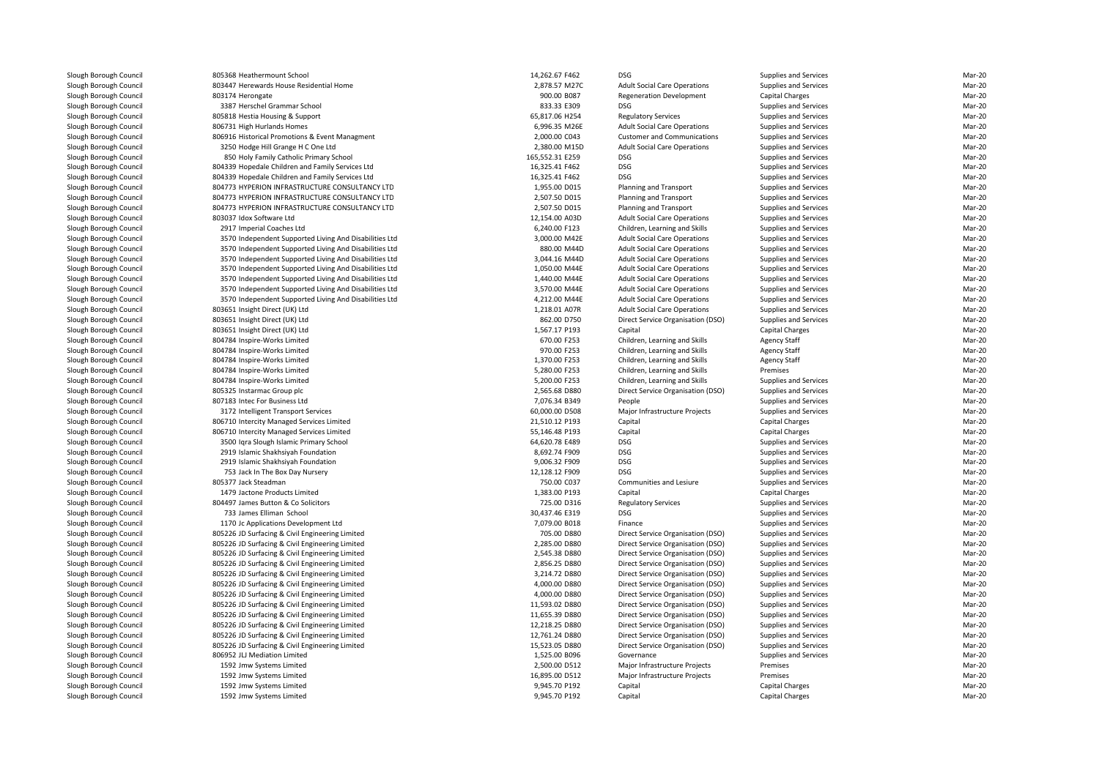| 805368 Heathermount School                                                       | 14,262.67 F462                   | <b>DSG</b>                                  | Supplies and Services                          | Mar-20           |
|----------------------------------------------------------------------------------|----------------------------------|---------------------------------------------|------------------------------------------------|------------------|
| 803447 Herewards House Residential Home                                          | 2,878.57 M27C                    | <b>Adult Social Care Operations</b>         | Supplies and Services                          | Mar-20           |
| 803174 Herongate                                                                 | 900.00 B087                      | <b>Regeneration Development</b>             | Capital Charges                                | Mar-20           |
| 3387 Herschel Grammar School                                                     | 833.33 E309                      | <b>DSG</b>                                  | Supplies and Services                          | Mar-20           |
| 805818 Hestia Housing & Support                                                  | 65,817.06 H254                   | <b>Regulatory Services</b>                  | <b>Supplies and Services</b>                   | Mar-20           |
| 806731 High Hurlands Homes                                                       | 6,996.35 M26E                    | <b>Adult Social Care Operations</b>         | Supplies and Services                          | Mar-20           |
| 806916 Historical Promotions & Event Managment                                   | 2,000.00 C043                    | <b>Customer and Communications</b>          | Supplies and Services                          | Mar-20           |
| 3250 Hodge Hill Grange H C One Ltd                                               | 2,380.00 M15D                    | <b>Adult Social Care Operations</b>         | Supplies and Services                          | Mar-20           |
| 850 Holy Family Catholic Primary School                                          | 165,552.31 E259                  | <b>DSG</b>                                  | Supplies and Services                          | Mar-20           |
| 804339 Hopedale Children and Family Services Ltd                                 | 16,325.41 F462                   | <b>DSG</b>                                  | Supplies and Services                          | Mar-20           |
| 804339 Hopedale Children and Family Services Ltd                                 | 16,325.41 F462                   | <b>DSG</b>                                  | Supplies and Services                          | Mar-20           |
| 804773 HYPERION INFRASTRUCTURE CONSULTANCY LTD                                   | 1,955.00 D015                    | Planning and Transport                      | Supplies and Services                          | Mar-20           |
| 804773 HYPERION INFRASTRUCTURE CONSULTANCY LTD                                   | 2,507.50 D015                    | Planning and Transport                      | Supplies and Services                          | Mar-20           |
| 804773 HYPERION INFRASTRUCTURE CONSULTANCY LTD                                   | 2,507.50 D015                    | Planning and Transport                      | Supplies and Services                          | Mar-20           |
| 803037 Idox Software Ltd                                                         | 12,154.00 A03D                   | <b>Adult Social Care Operations</b>         | Supplies and Services                          | Mar-20           |
| 2917 Imperial Coaches Ltd                                                        | 6,240.00 F123                    | Children, Learning and Skills               | Supplies and Services                          | Mar-20           |
| 3570 Independent Supported Living And Disabilities Ltd                           | 3,000.00 M42E                    | <b>Adult Social Care Operations</b>         | Supplies and Services                          | Mar-20           |
| 3570 Independent Supported Living And Disabilities Ltd                           | 880.00 M44D                      | <b>Adult Social Care Operations</b>         | Supplies and Services                          | Mar-20           |
| 3570 Independent Supported Living And Disabilities Ltd                           | 3,044.16 M44D                    | <b>Adult Social Care Operations</b>         | Supplies and Services                          | Mar-20           |
| 3570 Independent Supported Living And Disabilities Ltd                           | 1,050.00 M44E                    | <b>Adult Social Care Operations</b>         | Supplies and Services                          | Mar-20           |
| 3570 Independent Supported Living And Disabilities Ltd                           | 1,440.00 M44E                    | <b>Adult Social Care Operations</b>         | Supplies and Services                          | Mar-20           |
| 3570 Independent Supported Living And Disabilities Ltd                           | 3,570.00 M44E                    | <b>Adult Social Care Operations</b>         | Supplies and Services                          | Mar-20           |
| 3570 Independent Supported Living And Disabilities Ltd                           | 4,212.00 M44E                    | <b>Adult Social Care Operations</b>         | Supplies and Services                          | Mar-20           |
| 803651 Insight Direct (UK) Ltd                                                   | 1,218.01 A07R                    | <b>Adult Social Care Operations</b>         | Supplies and Services                          | Mar-20           |
| 803651 Insight Direct (UK) Ltd                                                   | 862.00 D750                      | Direct Service Organisation (DSO)           | Supplies and Services                          | Mar-20           |
| 803651 Insight Direct (UK) Ltd                                                   | 1,567.17 P193                    | Capital                                     | Capital Charges                                | Mar-20           |
| 804784 Inspire-Works Limited                                                     | 670.00 F253                      | Children, Learning and Skills               | <b>Agency Staff</b>                            | Mar-20           |
| 804784 Inspire-Works Limited                                                     | 970.00 F253                      | Children, Learning and Skills               | <b>Agency Staff</b>                            | Mar-20           |
| 804784 Inspire-Works Limited                                                     | 1,370.00 F253                    | Children, Learning and Skills               | <b>Agency Staff</b>                            | Mar-20           |
| 804784 Inspire-Works Limited                                                     | 5,280.00 F253                    | Children, Learning and Skills               | Premises                                       | Mar-20<br>Mar-20 |
| 804784 Inspire-Works Limited                                                     | 5,200.00 F253                    | Children, Learning and Skills               | Supplies and Services                          |                  |
| 805325 Instarmac Group plc<br>807183 Intec For Business Ltd                      | 2,565.68 D880<br>7,076.34 B349   | Direct Service Organisation (DSO)<br>People | Supplies and Services<br>Supplies and Services | Mar-20<br>Mar-20 |
|                                                                                  |                                  |                                             |                                                | Mar-20           |
| 3172 Intelligent Transport Services<br>806710 Intercity Managed Services Limited | 60,000.00 D508<br>21,510.12 P193 | Major Infrastructure Projects<br>Capital    | Supplies and Services<br>Capital Charges       | Mar-20           |
| 806710 Intercity Managed Services Limited                                        | 55,146.48 P193                   | Capital                                     | Capital Charges                                | Mar-20           |
| 3500 Iqra Slough Islamic Primary School                                          | 64,620.78 E489                   | <b>DSG</b>                                  | Supplies and Services                          | Mar-20           |
| 2919 Islamic Shakhsiyah Foundation                                               | 8,692.74 F909                    | <b>DSG</b>                                  | Supplies and Services                          | Mar-20           |
| 2919 Islamic Shakhsiyah Foundation                                               | 9,006.32 F909                    | <b>DSG</b>                                  | Supplies and Services                          | Mar-20           |
| 753 Jack In The Box Day Nursery                                                  | 12,128.12 F909                   | <b>DSG</b>                                  | Supplies and Services                          | Mar-20           |
| 805377 Jack Steadman                                                             | 750.00 C037                      | Communities and Lesiure                     | Supplies and Services                          | Mar-20           |
| 1479 Jactone Products Limited                                                    | 1,383.00 P193                    | Capital                                     | Capital Charges                                | Mar-20           |
| 804497 James Button & Co Solicitors                                              | 725.00 D316                      | <b>Regulatory Services</b>                  | Supplies and Services                          | Mar-20           |
| 733 James Elliman School                                                         | 30,437.46 E319                   | <b>DSG</b>                                  | Supplies and Services                          | Mar-20           |
| 1170 Jc Applications Development Ltd                                             | 7,079.00 B018                    | Finance                                     | Supplies and Services                          | Mar-20           |
| 805226 JD Surfacing & Civil Engineering Limited                                  | 705.00 D880                      | Direct Service Organisation (DSO)           | Supplies and Services                          | Mar-20           |
| 805226 JD Surfacing & Civil Engineering Limited                                  | 2,285.00 D880                    | Direct Service Organisation (DSO)           | Supplies and Services                          | Mar-20           |
| 805226 JD Surfacing & Civil Engineering Limited                                  | 2,545.38 D880                    | Direct Service Organisation (DSO)           | Supplies and Services                          | Mar-20           |
| 805226 JD Surfacing & Civil Engineering Limited                                  | 2,856.25 D880                    | Direct Service Organisation (DSO)           | Supplies and Services                          | Mar-20           |
| 805226 JD Surfacing & Civil Engineering Limited                                  | 3,214.72 D880                    | Direct Service Organisation (DSO)           | Supplies and Services                          | Mar-20           |
| 805226 JD Surfacing & Civil Engineering Limited                                  | 4,000.00 D880                    | Direct Service Organisation (DSO)           | Supplies and Services                          | Mar-20           |
| 805226 JD Surfacing & Civil Engineering Limited                                  | 4,000.00 D880                    | Direct Service Organisation (DSO)           | Supplies and Services                          | Mar-20           |
| 805226 JD Surfacing & Civil Engineering Limited                                  | 11,593.02 D880                   | Direct Service Organisation (DSO)           | Supplies and Services                          | Mar-20           |
| 805226 JD Surfacing & Civil Engineering Limited                                  | 11,655.39 D880                   | Direct Service Organisation (DSO)           | Supplies and Services                          | Mar-20           |
| 805226 JD Surfacing & Civil Engineering Limited                                  | 12,218.25 D880                   | Direct Service Organisation (DSO)           | Supplies and Services                          | Mar-20           |
| 805226 JD Surfacing & Civil Engineering Limited                                  | 12,761.24 D880                   | Direct Service Organisation (DSO)           | Supplies and Services                          | Mar-20           |
| 805226 JD Surfacing & Civil Engineering Limited                                  | 15,523.05 D880                   | Direct Service Organisation (DSO)           | Supplies and Services                          | Mar-20           |
| 806952 JLJ Mediation Limited                                                     | 1,525.00 B096                    | Governance                                  | Supplies and Services                          | Mar-20           |
| 1592 Jmw Systems Limited                                                         | 2,500.00 D512                    | Major Infrastructure Projects               | Premises                                       | Mar-20           |
| 1592 Jmw Systems Limited                                                         | 16,895.00 D512                   | Major Infrastructure Projects               | Premises                                       | Mar-20           |
| 1592 Jmw Systems Limited                                                         | 9,945.70 P192                    | Capital                                     | Capital Charges                                | Mar-20           |
| 1592 Jmw Systems Limited                                                         | 9,945.70 P192                    | Capital                                     | Capital Charges                                | Mar-20           |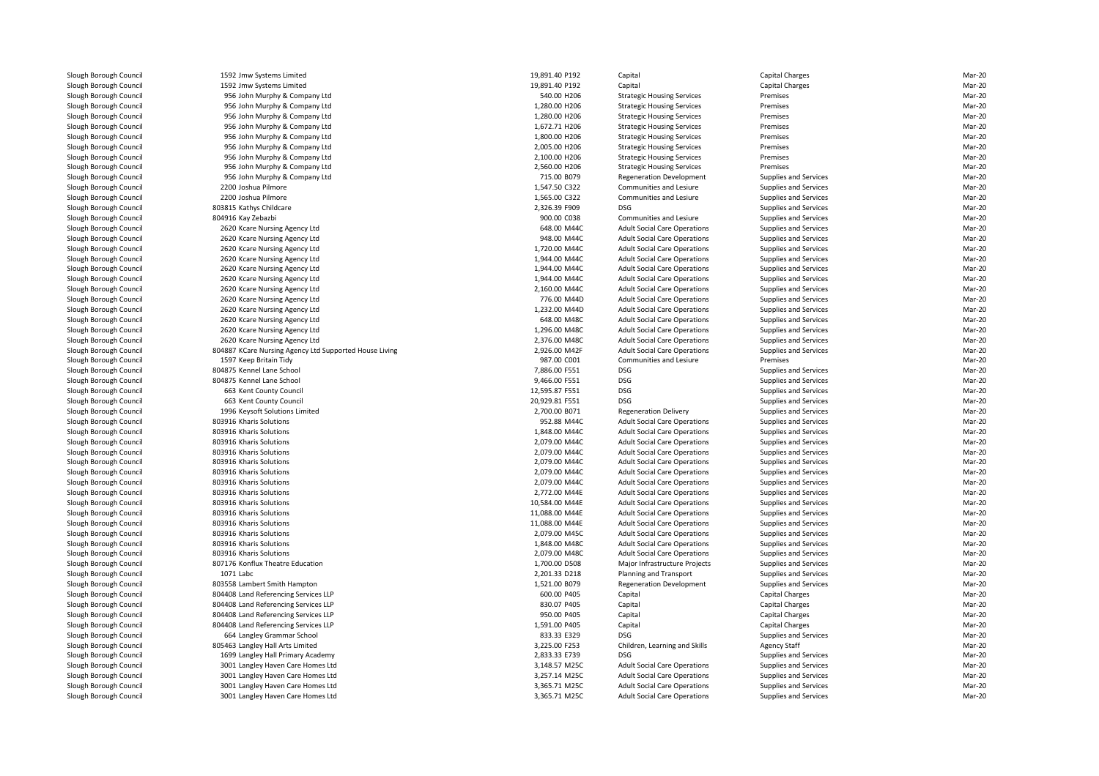| 1592 Jmw Systems Limited                               | 19,891.40 P192                   | Capital                                                                    | Capital Charges                                | Mar-20           |
|--------------------------------------------------------|----------------------------------|----------------------------------------------------------------------------|------------------------------------------------|------------------|
| 1592 Jmw Systems Limited                               | 19,891.40 P192                   | Capital                                                                    | <b>Capital Charges</b>                         | Mar-20           |
| 956 John Murphy & Company Ltd                          | 540.00 H206                      | <b>Strategic Housing Services</b>                                          | Premises                                       | Mar-20           |
| 956 John Murphy & Company Ltd                          | 1,280.00 H206                    | <b>Strategic Housing Services</b>                                          | Premises                                       | Mar-20           |
| 956 John Murphy & Company Ltd                          | 1,280.00 H206                    | <b>Strategic Housing Services</b>                                          | Premises                                       | Mar-20           |
| 956 John Murphy & Company Ltd                          | 1,672.71 H206                    | <b>Strategic Housing Services</b>                                          | Premises                                       | Mar-20           |
| 956 John Murphy & Company Ltd                          | 1,800.00 H206                    | <b>Strategic Housing Services</b>                                          | Premises                                       | Mar-20           |
| 956 John Murphy & Company Ltd                          | 2,005.00 H206                    | <b>Strategic Housing Services</b>                                          | Premises                                       | Mar-20           |
| 956 John Murphy & Company Ltd                          | 2,100.00 H206                    | <b>Strategic Housing Services</b>                                          | Premises                                       | Mar-20           |
| 956 John Murphy & Company Ltd                          | 2.560.00 H206                    | <b>Strategic Housing Services</b>                                          | Premises                                       | Mar-20           |
| 956 John Murphy & Company Ltd                          | 715.00 B079                      | <b>Regeneration Development</b>                                            | Supplies and Services                          | Mar-20           |
| 2200 Joshua Pilmore                                    | 1,547.50 C322                    | Communities and Lesiure                                                    | Supplies and Services                          | Mar-20           |
| 2200 Joshua Pilmore                                    | 1,565.00 C322                    | Communities and Lesiure                                                    | Supplies and Services                          | Mar-20           |
| 803815 Kathys Childcare                                | 2,326.39 F909                    | <b>DSG</b>                                                                 | Supplies and Services                          | Mar-20           |
| 804916 Kay Zebazbi                                     | 900.00 C038                      | Communities and Lesiure                                                    | Supplies and Services                          | Mar-20           |
| 2620 Kcare Nursing Agency Ltd                          | 648.00 M44C                      | <b>Adult Social Care Operations</b>                                        | Supplies and Services                          | Mar-20           |
| 2620 Kcare Nursing Agency Ltd                          | 948.00 M44C                      | <b>Adult Social Care Operations</b>                                        | Supplies and Services                          | Mar-20           |
| 2620 Kcare Nursing Agency Ltd                          | 1,720.00 M44C                    | <b>Adult Social Care Operations</b>                                        | Supplies and Services                          | Mar-20           |
| 2620 Kcare Nursing Agency Ltd                          | 1,944.00 M44C                    | <b>Adult Social Care Operations</b>                                        | Supplies and Services                          | Mar-20           |
| 2620 Kcare Nursing Agency Ltd                          | 1,944.00 M44C                    | <b>Adult Social Care Operations</b>                                        | Supplies and Services                          | Mar-20           |
| 2620 Kcare Nursing Agency Ltd                          | 1,944.00 M44C                    | <b>Adult Social Care Operations</b>                                        | Supplies and Services                          | Mar-20           |
| 2620 Kcare Nursing Agency Ltd                          | 2,160.00 M44C                    | <b>Adult Social Care Operations</b>                                        | Supplies and Services                          | Mar-20           |
| 2620 Kcare Nursing Agency Ltd                          | 776.00 M44D                      | <b>Adult Social Care Operations</b>                                        | Supplies and Services                          | Mar-20           |
| 2620 Kcare Nursing Agency Ltd                          | 1,232.00 M44D                    | <b>Adult Social Care Operations</b>                                        | Supplies and Services                          | Mar-20           |
| 2620 Kcare Nursing Agency Ltd                          | 648.00 M48C                      | <b>Adult Social Care Operations</b>                                        | Supplies and Services                          | Mar-20           |
| 2620 Kcare Nursing Agency Ltd                          | 1,296.00 M48C                    | <b>Adult Social Care Operations</b>                                        | Supplies and Services                          | Mar-20           |
| 2620 Kcare Nursing Agency Ltd                          | 2,376.00 M48C                    | <b>Adult Social Care Operations</b>                                        | Supplies and Services                          | Mar-20           |
| 804887 KCare Nursing Agency Ltd Supported House Living | 2,926.00 M42F                    | <b>Adult Social Care Operations</b>                                        | Supplies and Services                          | Mar-20           |
| 1597 Keep Britain Tidy                                 | 987.00 C001                      | Communities and Lesiure                                                    | Premises                                       | Mar-20           |
| 804875 Kennel Lane School                              | 7,886.00 F551                    | DSG                                                                        | Supplies and Services                          | Mar-20           |
| 804875 Kennel Lane School                              | 9,466.00 F551                    | <b>DSG</b>                                                                 | Supplies and Services                          | Mar-20           |
| 663 Kent County Council                                | 12,595.87 F551                   | <b>DSG</b>                                                                 | Supplies and Services                          | Mar-20           |
| 663 Kent County Council                                | 20,929.81 F551                   | <b>DSG</b>                                                                 | Supplies and Services                          | Mar-20           |
| 1996 Keysoft Solutions Limited                         | 2,700.00 B071                    | <b>Regeneration Delivery</b>                                               | Supplies and Services                          | Mar-20           |
| 803916 Kharis Solutions                                | 952.88 M44C                      | <b>Adult Social Care Operations</b>                                        | Supplies and Services                          | Mar-20           |
| 803916 Kharis Solutions                                | 1,848.00 M44C                    | <b>Adult Social Care Operations</b>                                        | Supplies and Services                          | Mar-20           |
| 803916 Kharis Solutions                                | 2,079.00 M44C                    | <b>Adult Social Care Operations</b>                                        | <b>Supplies and Services</b>                   | Mar-20           |
| 803916 Kharis Solutions                                | 2,079.00 M44C                    | <b>Adult Social Care Operations</b>                                        | Supplies and Services                          | Mar-20           |
| 803916 Kharis Solutions                                | 2,079.00 M44C                    | <b>Adult Social Care Operations</b>                                        | Supplies and Services                          | Mar-20           |
| 803916 Kharis Solutions                                | 2,079.00 M44C                    | <b>Adult Social Care Operations</b>                                        | Supplies and Services                          | Mar-20           |
| 803916 Kharis Solutions                                | 2,079.00 M44C                    | <b>Adult Social Care Operations</b>                                        | Supplies and Services                          | Mar-20           |
| 803916 Kharis Solutions                                | 2,772.00 M44E                    | <b>Adult Social Care Operations</b>                                        | Supplies and Services                          | Mar-20<br>Mar-20 |
| 803916 Kharis Solutions                                | 10,584.00 M44E                   | <b>Adult Social Care Operations</b>                                        | Supplies and Services                          | Mar-20           |
| 803916 Kharis Solutions<br>803916 Kharis Solutions     | 11,088.00 M44E<br>11,088.00 M44E | <b>Adult Social Care Operations</b><br><b>Adult Social Care Operations</b> | Supplies and Services<br>Supplies and Services | Mar-20           |
| 803916 Kharis Solutions                                | 2,079.00 M45C                    | <b>Adult Social Care Operations</b>                                        | Supplies and Services                          | Mar-20           |
| 803916 Kharis Solutions                                | 1,848.00 M48C                    | <b>Adult Social Care Operations</b>                                        | Supplies and Services                          | Mar-20           |
| 803916 Kharis Solutions                                | 2,079.00 M48C                    | <b>Adult Social Care Operations</b>                                        | Supplies and Services                          | Mar-20           |
| 807176 Konflux Theatre Education                       | 1,700.00 D508                    | Major Infrastructure Projects                                              | Supplies and Services                          | Mar-20           |
| 1071 Labc                                              | 2,201.33 D218                    | Planning and Transport                                                     | Supplies and Services                          | Mar-20           |
| 803558 Lambert Smith Hampton                           | 1,521.00 B079                    | <b>Regeneration Development</b>                                            | Supplies and Services                          | Mar-20           |
| 804408 Land Referencing Services LLP                   | 600.00 P405                      | Capital                                                                    | Capital Charges                                | Mar-20           |
| 804408 Land Referencing Services LLP                   | 830.07 P405                      | Capital                                                                    | Capital Charges                                | Mar-20           |
| 804408 Land Referencing Services LLP                   | 950.00 P405                      | Capital                                                                    | Capital Charges                                | Mar-20           |
| 804408 Land Referencing Services LLP                   | 1,591.00 P405                    | Capital                                                                    | Capital Charges                                | Mar-20           |
| 664 Langley Grammar School                             | 833.33 E329                      | <b>DSG</b>                                                                 | Supplies and Services                          | Mar-20           |
| 805463 Langley Hall Arts Limited                       | 3,225.00 F253                    | Children, Learning and Skills                                              | <b>Agency Staff</b>                            | Mar-20           |
| 1699 Langley Hall Primary Academy                      | 2,833.33 E739                    | <b>DSG</b>                                                                 | Supplies and Services                          | Mar-20           |
| 3001 Langley Haven Care Homes Ltd                      | 3,148.57 M25C                    | <b>Adult Social Care Operations</b>                                        | Supplies and Services                          | Mar-20           |
| 3001 Langley Haven Care Homes Ltd                      | 3,257.14 M25C                    | <b>Adult Social Care Operations</b>                                        | Supplies and Services                          | Mar-20           |
| 3001 Langley Haven Care Homes Ltd                      | 3,365.71 M25C                    | <b>Adult Social Care Operations</b>                                        | Supplies and Services                          | Mar-20           |
| 3001 Langley Haven Care Homes Ltd                      | 3,365.71 M25C                    | <b>Adult Social Care Operations</b>                                        | Supplies and Services                          | Mar-20           |
|                                                        |                                  |                                                                            |                                                |                  |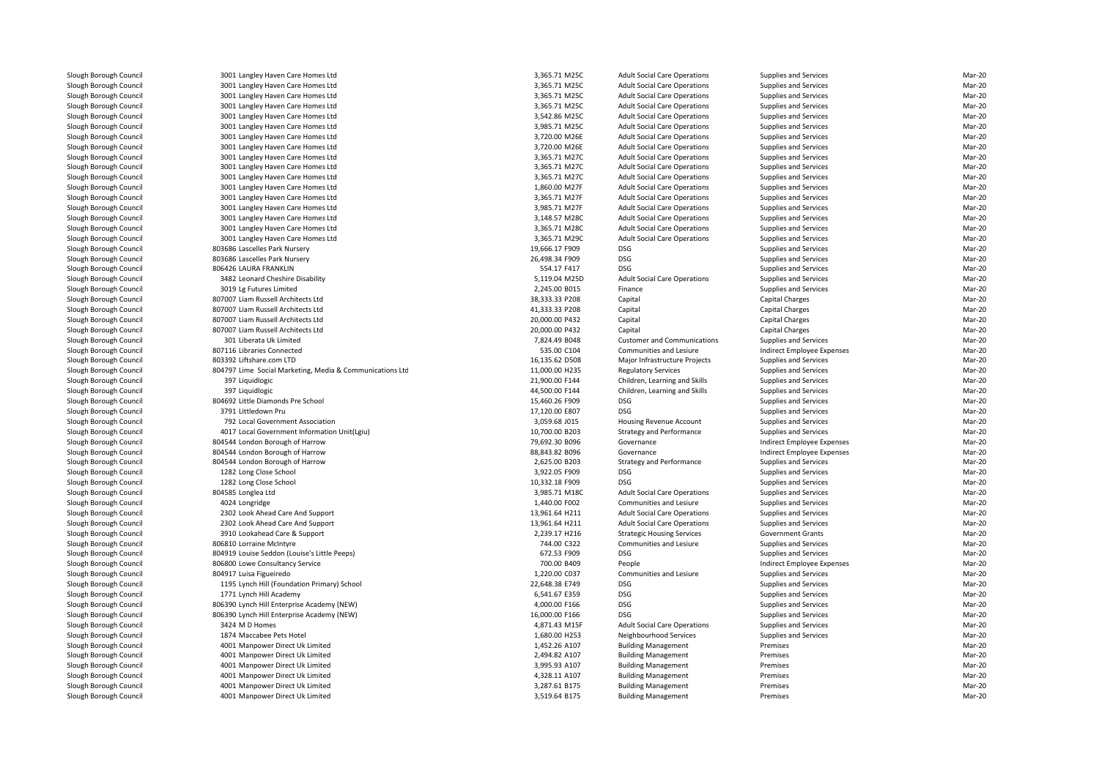| 3001 Langley Haven Care Homes Ltd                        | 3,365.71 M25C  | <b>Adult Social Care Operations</b> | Supplies and Services      | Mar-20 |
|----------------------------------------------------------|----------------|-------------------------------------|----------------------------|--------|
| 3001 Langley Haven Care Homes Ltd                        | 3,365.71 M25C  | <b>Adult Social Care Operations</b> | Supplies and Services      | Mar-20 |
| 3001 Langley Haven Care Homes Ltd                        | 3,365.71 M25C  | <b>Adult Social Care Operations</b> | Supplies and Services      | Mar-20 |
| 3001 Langley Haven Care Homes Ltd                        | 3,365.71 M25C  | <b>Adult Social Care Operations</b> | Supplies and Services      | Mar-20 |
| 3001 Langley Haven Care Homes Ltd                        | 3,542.86 M25C  | <b>Adult Social Care Operations</b> | Supplies and Services      | Mar-20 |
| 3001 Langley Haven Care Homes Ltd                        | 3,985.71 M25C  | <b>Adult Social Care Operations</b> | Supplies and Services      | Mar-20 |
| 3001 Langley Haven Care Homes Ltd                        | 3,720.00 M26E  | <b>Adult Social Care Operations</b> | Supplies and Services      | Mar-20 |
| 3001 Langley Haven Care Homes Ltd                        | 3,720.00 M26E  | <b>Adult Social Care Operations</b> | Supplies and Services      | Mar-20 |
| 3001 Langley Haven Care Homes Ltd                        | 3,365.71 M27C  | <b>Adult Social Care Operations</b> | Supplies and Services      | Mar-20 |
|                                                          |                |                                     |                            | Mar-20 |
| 3001 Langley Haven Care Homes Ltd                        | 3,365.71 M27C  | <b>Adult Social Care Operations</b> | Supplies and Services      |        |
| 3001 Langley Haven Care Homes Ltd                        | 3,365.71 M27C  | <b>Adult Social Care Operations</b> | Supplies and Services      | Mar-20 |
| 3001 Langley Haven Care Homes Ltd                        | 1,860.00 M27F  | <b>Adult Social Care Operations</b> | Supplies and Services      | Mar-20 |
| 3001 Langley Haven Care Homes Ltd                        | 3,365.71 M27F  | <b>Adult Social Care Operations</b> | Supplies and Services      | Mar-20 |
| 3001 Langley Haven Care Homes Ltd                        | 3,985.71 M27F  | <b>Adult Social Care Operations</b> | Supplies and Services      | Mar-20 |
| 3001 Langley Haven Care Homes Ltd                        | 3,148.57 M28C  | <b>Adult Social Care Operations</b> | Supplies and Services      | Mar-20 |
| 3001 Langley Haven Care Homes Ltd                        | 3,365.71 M28C  | <b>Adult Social Care Operations</b> | Supplies and Services      | Mar-20 |
| 3001 Langley Haven Care Homes Ltd                        | 3,365.71 M29C  | <b>Adult Social Care Operations</b> | Supplies and Services      | Mar-20 |
| 803686 Lascelles Park Nursery                            | 19,666.17 F909 | <b>DSG</b>                          | Supplies and Services      | Mar-20 |
| 803686 Lascelles Park Nurserv                            | 26.498.34 F909 | <b>DSG</b>                          | Supplies and Services      | Mar-20 |
| 806426 LAURA FRANKLIN                                    | 554.17 F417    | <b>DSG</b>                          | Supplies and Services      | Mar-20 |
| 3482 Leonard Cheshire Disability                         | 5,119.04 M25D  | <b>Adult Social Care Operations</b> | Supplies and Services      | Mar-20 |
| 3019 Lg Futures Limited                                  | 2,245.00 B015  | Finance                             | Supplies and Services      | Mar-20 |
| 807007 Liam Russell Architects Ltd                       | 38,333.33 P208 | Capital                             | <b>Capital Charges</b>     | Mar-20 |
| 807007 Liam Russell Architects Ltd                       | 41,333.33 P208 | Capital                             | <b>Capital Charges</b>     | Mar-20 |
| 807007 Liam Russell Architects Ltd                       | 20,000.00 P432 | Capital                             | <b>Capital Charges</b>     | Mar-20 |
| 807007 Liam Russell Architects Ltd                       | 20,000.00 P432 | Capital                             | Capital Charges            | Mar-20 |
| 301 Liberata Uk Limited                                  | 7,824.49 B048  | <b>Customer and Communications</b>  | Supplies and Services      | Mar-20 |
| 807116 Libraries Connected                               | 535.00 C104    | Communities and Lesiure             | Indirect Employee Expenses | Mar-20 |
| 803392 Liftshare.com LTD                                 | 16,135.62 D508 | Major Infrastructure Projects       | Supplies and Services      | Mar-20 |
| 804797 Lime Social Marketing, Media & Communications Ltd | 11,000.00 H235 | <b>Regulatory Services</b>          | Supplies and Services      | Mar-20 |
| 397 Liquidlogic                                          | 21,900.00 F144 | Children, Learning and Skills       | Supplies and Services      | Mar-20 |
| 397 Liquidlogic                                          | 44,500.00 F144 | Children, Learning and Skills       | Supplies and Services      | Mar-20 |
| 804692 Little Diamonds Pre School                        | 15,460.26 F909 | <b>DSG</b>                          | Supplies and Services      | Mar-20 |
| 3791 Littledown Pru                                      | 17,120.00 E807 | DSG                                 | Supplies and Services      | Mar-20 |
| 792 Local Government Association                         | 3,059.68 J015  | Housing Revenue Account             | Supplies and Services      | Mar-20 |
| 4017 Local Government Information Unit(Lgiu)             | 10,700.00 B203 | <b>Strategy and Performance</b>     | Supplies and Services      | Mar-20 |
| 804544 London Borough of Harrow                          | 79,692.30 B096 | Governance                          | Indirect Employee Expenses | Mar-20 |
| 804544 London Borough of Harrow                          | 88,843.82 B096 | Governance                          | Indirect Employee Expenses | Mar-20 |
| 804544 London Borough of Harrow                          | 2,625.00 B203  | <b>Strategy and Performance</b>     | Supplies and Services      | Mar-20 |
| 1282 Long Close School                                   | 3,922.05 F909  | <b>DSG</b>                          | Supplies and Services      | Mar-20 |
| 1282 Long Close School                                   | 10,332.18 F909 | <b>DSG</b>                          | Supplies and Services      | Mar-20 |
| 804585 Longlea Ltd                                       | 3,985.71 M18C  | <b>Adult Social Care Operations</b> | Supplies and Services      | Mar-20 |
| 4024 Longridge                                           | 1,440.00 F002  | Communities and Lesiure             | Supplies and Services      | Mar-20 |
| 2302 Look Ahead Care And Support                         | 13,961.64 H211 | <b>Adult Social Care Operations</b> | Supplies and Services      | Mar-20 |
| 2302 Look Ahead Care And Support                         | 13,961.64 H211 | <b>Adult Social Care Operations</b> | Supplies and Services      | Mar-20 |
| 3910 Lookahead Care & Support                            | 2,239.17 H216  | <b>Strategic Housing Services</b>   | <b>Government Grants</b>   | Mar-20 |
| 806810 Lorraine McIntyre                                 | 744.00 C322    | Communities and Lesiure             | Supplies and Services      | Mar-20 |
| 804919 Louise Seddon (Louise's Little Peeps)             | 672.53 F909    | <b>DSG</b>                          | Supplies and Services      | Mar-20 |
| 806800 Lowe Consultancy Service                          | 700.00 B409    | People                              | Indirect Employee Expenses | Mar-20 |
| 804917 Luisa Figueiredo                                  | 1,220.00 C037  | Communities and Lesiure             | Supplies and Services      | Mar-20 |
| 1195 Lynch Hill (Foundation Primary) School              | 22,648.38 E749 | <b>DSG</b>                          | Supplies and Services      | Mar-20 |
| 1771 Lynch Hill Academy                                  | 6,541.67 E359  | <b>DSG</b>                          | Supplies and Services      | Mar-20 |
| 806390 Lynch Hill Enterprise Academy (NEW)               | 4,000.00 F166  | <b>DSG</b>                          | Supplies and Services      | Mar-20 |
| 806390 Lynch Hill Enterprise Academy (NEW)               | 16,000.00 F166 | <b>DSG</b>                          | Supplies and Services      | Mar-20 |
| 3424 M D Homes                                           | 4,871.43 M15F  | <b>Adult Social Care Operations</b> | Supplies and Services      | Mar-20 |
| 1874 Maccabee Pets Hotel                                 | 1,680.00 H253  | Neighbourhood Services              | Supplies and Services      | Mar-20 |
| 4001 Manpower Direct Uk Limited                          | 1,452.26 A107  | <b>Building Management</b>          | Premises                   | Mar-20 |
| 4001 Manpower Direct Uk Limited                          | 2,494.82 A107  | <b>Building Management</b>          | Premises                   | Mar-20 |
| 4001 Manpower Direct Uk Limited                          | 3,995.93 A107  | <b>Building Management</b>          | Premises                   | Mar-20 |
| 4001 Manpower Direct Uk Limited                          | 4,328.11 A107  | <b>Building Management</b>          | Premises                   | Mar-20 |
| 4001 Manpower Direct Uk Limited                          | 3,287.61 B175  | <b>Building Management</b>          | Premises                   | Mar-20 |
| 4001 Manpower Direct Uk Limited                          | 3,519.64 B175  | <b>Building Management</b>          | Premises                   | Mar-20 |
|                                                          |                |                                     |                            |        |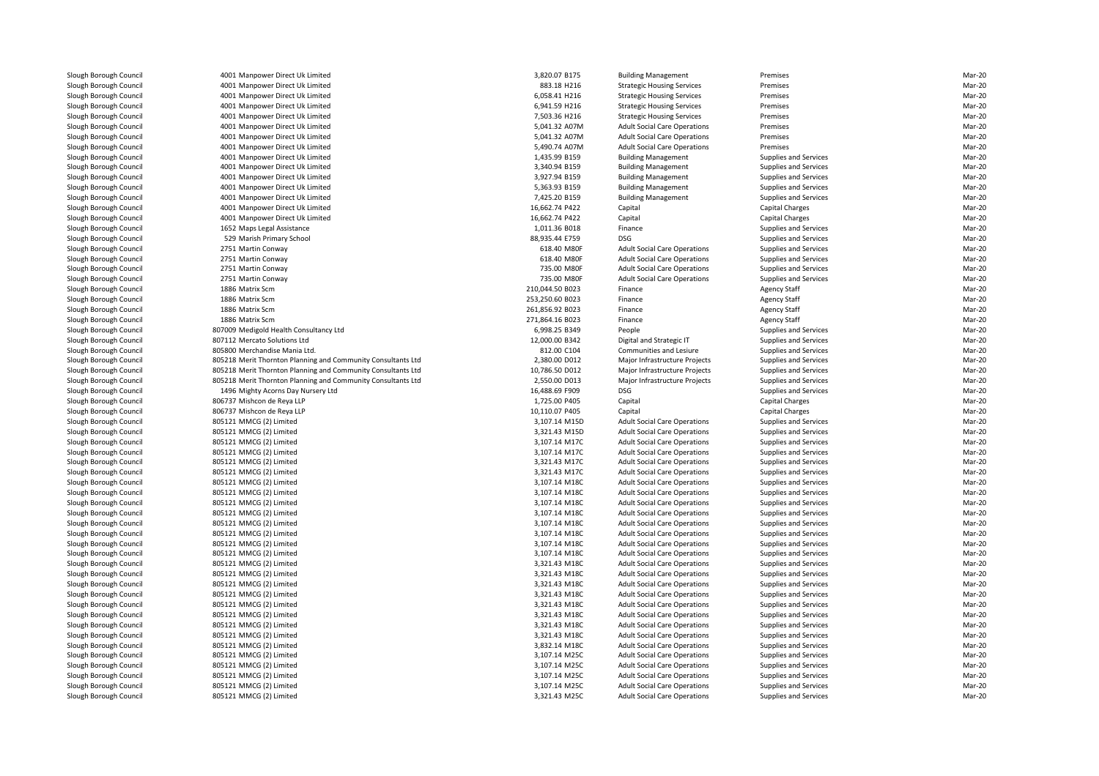4001 Manpower Direct Uk Limited 4001 Manpower Direct Uk Limited 4001 Manpower Direct Uk Limited 4001 Manpower Direct Uk Limited 4001 Manpower Direct Uk Limited 4001 Manpower Direct Uk Limited 4001 Manpower Direct Uk Limited 4001 Manpower Direct Uk Limited 4001 Manpower Direct Uk Limited 4001 Manpower Direct Uk Limited 4001 Manpower Direct Uk Limited 4001 Manpower Direct Uk Limited 4001 Manpower Direct Uk Limited 4001 Manpower Direct Uk Limited 4001 Manpower Direct Uk Limited1652 Mans Legal Assistance 529 Marish Primary School 88,935.44 E759 DSG2751 Martin Conway 2751 Martin Conway 2751 Martin Conway 2751 Martin Conway 1886 Matrix Scm 1886 Matrix Scm 1886 Matrix Scm 1886 Matrix Scm 807009 Medigold Health Consultancy Ltd 807112 Mercato Solutions Ltd805800 Merchandise Mania Ltd. 805218 Merit Thornton Planning and Community Consultants Ltd 805218 Merit Thornton Planning and Community Consultants Ltd 805218 Merit Thornton Planning and Community Consultants Ltd 1496 Mighty Acorns Day Nursery Ltd 806737 Mishcon de Reya LLP 806737 Mishcon de Reya LLP 805121 MMCG (2) Limited 3,107.14 M15D 805121 MMCG (2) Limited 3,321.43 M15D 805121 MMCG (2) Limited 3,107.14 M17C 805121 MMCG (2) Limited 3,107.14 M17C 805121 MMCG (2) Limited 3,321.43 M17C 805121 MMCG (2) Limitedd  $3,321.43 \text{ M}$  805121 MMCG (2) Limited 3,107.14 M18C 805121 MMCG (2) Limited 3,107.14 M18C 805121 MMCG (2) Limited 3,107.14 M18C 805121 MMCG (2) Limited 3,107.14 M18C 805121 MMCG (2) Limited 3,107.14 M18C 805121 MMCG (2) Limited 3,107.14 M18C 805121 MMCG (2) Limited 3,107.14 M18C 805121 MMCG (2) Limited 3,107.14 M18C 805121 MMCG (2) Limited 3,321.43 M18C 805121 MMCG (2) Limited 3,321.43 M18C 805121 MMCG (2) Limited 3,321.43 M18C 805121 MMCG (2) Limited 3,321.43 M18C 805121 MMCG (2) Limited 3,321.43 M18C 805121 MMCG (2) Limited 3,321.43 M18C 805121 MMCG (2) Limited 3,321.43 M18C 805121 MMCG (2) Limited 3,321.43 M18C 805121 MMCG (2) Limited 3,832.14 M18C 805121 MMCG (2) Limited 3,107.14 M25C 805121 MMCG (2) Limited 3,107.14 M25C 805121 MMCG (2) Limited 3,107.14 M25C 805121 MMCG (2) Limited 3,107.14 M25C805121 MMCG (2) Limited

| 1 Manpower Direct Uk Limited                            | 3,820.07 B175                  | <b>Building Management</b>                                                 | Premises                                       | Mar-20           |
|---------------------------------------------------------|--------------------------------|----------------------------------------------------------------------------|------------------------------------------------|------------------|
| 1 Manpower Direct Uk Limited                            | 883.18 H216                    | <b>Strategic Housing Services</b>                                          | Premises                                       | Mar-20           |
| 1 Manpower Direct Uk Limited                            | 6,058.41 H216                  | <b>Strategic Housing Services</b>                                          | Premises                                       | Mar-20           |
| 1 Manpower Direct Uk Limited                            | 6,941.59 H216                  | <b>Strategic Housing Services</b>                                          | Premises                                       | Mar-20           |
| 1 Manpower Direct Uk Limited                            | 7,503.36 H216                  | <b>Strategic Housing Services</b>                                          | Premises                                       | Mar-20           |
| 1 Manpower Direct Uk Limited                            | 5,041.32 A07M                  | <b>Adult Social Care Operations</b>                                        | Premises                                       | Mar-20           |
| 1 Manpower Direct Uk Limited                            | 5,041.32 A07M                  | <b>Adult Social Care Operations</b>                                        | Premises                                       | Mar-20           |
| 1 Manpower Direct Uk Limited                            | 5,490.74 A07M                  | <b>Adult Social Care Operations</b>                                        | Premises                                       | Mar-20           |
| 1 Manpower Direct Uk Limited                            | 1,435.99 B159                  | <b>Building Management</b>                                                 | <b>Supplies and Services</b>                   | Mar-20           |
| 1 Manpower Direct Uk Limited                            | 3.340.94 B159                  | <b>Building Management</b>                                                 | Supplies and Services                          | Mar-20           |
| 1 Manpower Direct Uk Limited                            | 3,927.94 B159                  | <b>Building Management</b>                                                 | <b>Supplies and Services</b>                   | Mar-20           |
| 1 Manpower Direct Uk Limited                            | 5,363.93 B159                  | <b>Building Management</b>                                                 | Supplies and Services                          | Mar-20           |
| 1 Manpower Direct Uk Limited                            | 7,425.20 B159                  | <b>Building Management</b>                                                 | Supplies and Services                          | Mar-20           |
| 1 Manpower Direct Uk Limited                            | 16,662.74 P422                 | Capital                                                                    | Capital Charges                                | Mar-20           |
| 1 Manpower Direct Uk Limited                            | 16,662.74 P422                 | Capital                                                                    | <b>Capital Charges</b>                         | Mar-20           |
| 2 Maps Legal Assistance                                 | 1,011.36 B018                  | Finance                                                                    | <b>Supplies and Services</b>                   | Mar-20           |
| 9 Marish Primary School                                 | 88,935.44 E759                 | <b>DSG</b>                                                                 | Supplies and Services                          | Mar-20           |
| 1 Martin Conway                                         | 618.40 M80F                    | <b>Adult Social Care Operations</b>                                        | <b>Supplies and Services</b>                   | Mar-20           |
| 1 Martin Conway                                         | 618.40 M80F                    | <b>Adult Social Care Operations</b>                                        | Supplies and Services                          | Mar-20           |
| 1 Martin Conway                                         | 735.00 M80F                    | <b>Adult Social Care Operations</b>                                        | Supplies and Services                          | Mar-20           |
| 1 Martin Conway                                         | 735.00 M80F                    | <b>Adult Social Care Operations</b>                                        | Supplies and Services                          | Mar-20           |
| 6 Matrix Scm                                            | 210,044.50 B023                | Finance                                                                    | <b>Agency Staff</b>                            | Mar-20           |
| 6 Matrix Scm                                            | 253,250.60 B023                | Finance                                                                    | <b>Agency Staff</b>                            | Mar-20           |
| 6 Matrix Scm                                            | 261,856.92 B023                | Finance                                                                    | <b>Agency Staff</b>                            | Mar-20           |
| 6 Matrix Scm                                            | 271,864.16 B023                | Finance                                                                    | <b>Agency Staff</b>                            | Mar-20           |
| 9 Medigold Health Consultancy Ltd                       | 6,998.25 B349                  | People                                                                     | Supplies and Services                          | Mar-20           |
| 2 Mercato Solutions Ltd                                 | 12,000.00 B342                 | Digital and Strategic IT                                                   | <b>Supplies and Services</b>                   | Mar-20           |
| 0 Merchandise Mania Ltd.                                | 812.00 C104                    | Communities and Lesiure                                                    | Supplies and Services                          | Mar-20           |
| 8 Merit Thornton Planning and Community Consultants Ltd | 2.380.00 D012                  | Major Infrastructure Projects                                              | <b>Supplies and Services</b>                   | Mar-20           |
| 8 Merit Thornton Planning and Community Consultants Ltd | 10,786.50 D012                 | Major Infrastructure Projects                                              | Supplies and Services                          | Mar-20           |
| 8 Merit Thornton Planning and Community Consultants Ltd | 2,550.00 D013                  | Major Infrastructure Projects                                              | Supplies and Services                          | Mar-20           |
| 6 Mighty Acorns Day Nursery Ltd                         | 16,488.69 F909                 | <b>DSG</b>                                                                 | Supplies and Services                          | Mar-20           |
| 7 Mishcon de Reya LLP                                   | 1,725.00 P405                  | Capital                                                                    | <b>Capital Charges</b>                         | Mar-20           |
| 7 Mishcon de Reya LLP                                   | 10,110.07 P405                 | Capital                                                                    | <b>Capital Charges</b>                         | Mar-20           |
| 1 MMCG (2) Limited                                      | 3,107.14 M15D                  | <b>Adult Social Care Operations</b>                                        | Supplies and Services                          | Mar-20           |
| 1 MMCG (2) Limited                                      | 3,321.43 M15D                  | <b>Adult Social Care Operations</b>                                        | <b>Supplies and Services</b>                   | Mar-20           |
| 1 MMCG (2) Limited                                      | 3,107.14 M17C                  | <b>Adult Social Care Operations</b>                                        | Supplies and Services                          | Mar-20           |
| 1 MMCG (2) Limited                                      | 3,107.14 M17C                  | <b>Adult Social Care Operations</b>                                        | Supplies and Services                          | Mar-20           |
| 1 MMCG (2) Limited                                      | 3,321.43 M17C                  | <b>Adult Social Care Operations</b>                                        | Supplies and Services                          | Mar-20           |
| 1 MMCG (2) Limited                                      | 3,321.43 M17C                  | <b>Adult Social Care Operations</b>                                        | <b>Supplies and Services</b>                   | Mar-20           |
| 1 MMCG (2) Limited                                      | 3,107.14 M18C                  | <b>Adult Social Care Operations</b>                                        | Supplies and Services                          | Mar-20           |
| 1 MMCG (2) Limited                                      | 3,107.14 M18C                  | <b>Adult Social Care Operations</b>                                        | Supplies and Services                          | Mar-20           |
| 1 MMCG (2) Limited                                      | 3,107.14 M18C                  | <b>Adult Social Care Operations</b>                                        | Supplies and Services                          | Mar-20<br>Mar-20 |
| 1 MMCG (2) Limited<br>1 MMCG (2) Limited                | 3,107.14 M18C<br>3,107.14 M18C | <b>Adult Social Care Operations</b><br><b>Adult Social Care Operations</b> | Supplies and Services<br>Supplies and Services | Mar-20           |
| 1 MMCG (2) Limited                                      | 3,107.14 M18C                  | <b>Adult Social Care Operations</b>                                        | Supplies and Services                          | Mar-20           |
| 1 MMCG (2) Limited                                      | 3,107.14 M18C                  | <b>Adult Social Care Operations</b>                                        | <b>Supplies and Services</b>                   | Mar-20           |
| 1 MMCG (2) Limited                                      | 3,107.14 M18C                  | <b>Adult Social Care Operations</b>                                        | Supplies and Services                          | Mar-20           |
| 1 MMCG (2) Limited                                      | 3,321.43 M18C                  | <b>Adult Social Care Operations</b>                                        | <b>Supplies and Services</b>                   | Mar-20           |
| 1 MMCG (2) Limited                                      | 3,321.43 M18C                  | <b>Adult Social Care Operations</b>                                        | Supplies and Services                          | Mar-20           |
| 1 MMCG (2) Limited                                      | 3,321.43 M18C                  | <b>Adult Social Care Operations</b>                                        | Supplies and Services                          | Mar-20           |
| 1 MMCG (2) Limited                                      | 3,321.43 M18C                  | <b>Adult Social Care Operations</b>                                        | Supplies and Services                          | Mar-20           |
| 1 MMCG (2) Limited                                      | 3,321.43 M18C                  | <b>Adult Social Care Operations</b>                                        | <b>Supplies and Services</b>                   | Mar-20           |
| 1 MMCG (2) Limited                                      | 3.321.43 M18C                  | <b>Adult Social Care Operations</b>                                        | Supplies and Services                          | Mar-20           |
| 1 MMCG (2) Limited                                      | 3,321.43 M18C                  | <b>Adult Social Care Operations</b>                                        | Supplies and Services                          | Mar-20           |
| 1 MMCG (2) Limited                                      | 3,321.43 M18C                  | <b>Adult Social Care Operations</b>                                        | Supplies and Services                          | Mar-20           |
| 1 MMCG (2) Limited                                      | 3,832.14 M18C                  | <b>Adult Social Care Operations</b>                                        | Supplies and Services                          | Mar-20           |
| 1 MMCG (2) Limited                                      | 3,107.14 M25C                  | <b>Adult Social Care Operations</b>                                        | <b>Supplies and Services</b>                   | Mar-20           |
| 1 MMCG (2) Limited                                      | 3,107.14 M25C                  | <b>Adult Social Care Operations</b>                                        | <b>Supplies and Services</b>                   | Mar-20           |
| 1 MMCG (2) Limited                                      | 3,107.14 M25C                  | <b>Adult Social Care Operations</b>                                        | Supplies and Services                          | Mar-20           |
| 1 MMCG (2) Limited                                      | 3,107.14 M25C                  | <b>Adult Social Care Operations</b>                                        | Supplies and Services                          | Mar-20           |
| 1 MMCG (2) Limited                                      | 3,321.43 M25C                  | <b>Adult Social Care Operations</b>                                        | <b>Supplies and Services</b>                   | Mar-20           |
|                                                         |                                |                                                                            |                                                |                  |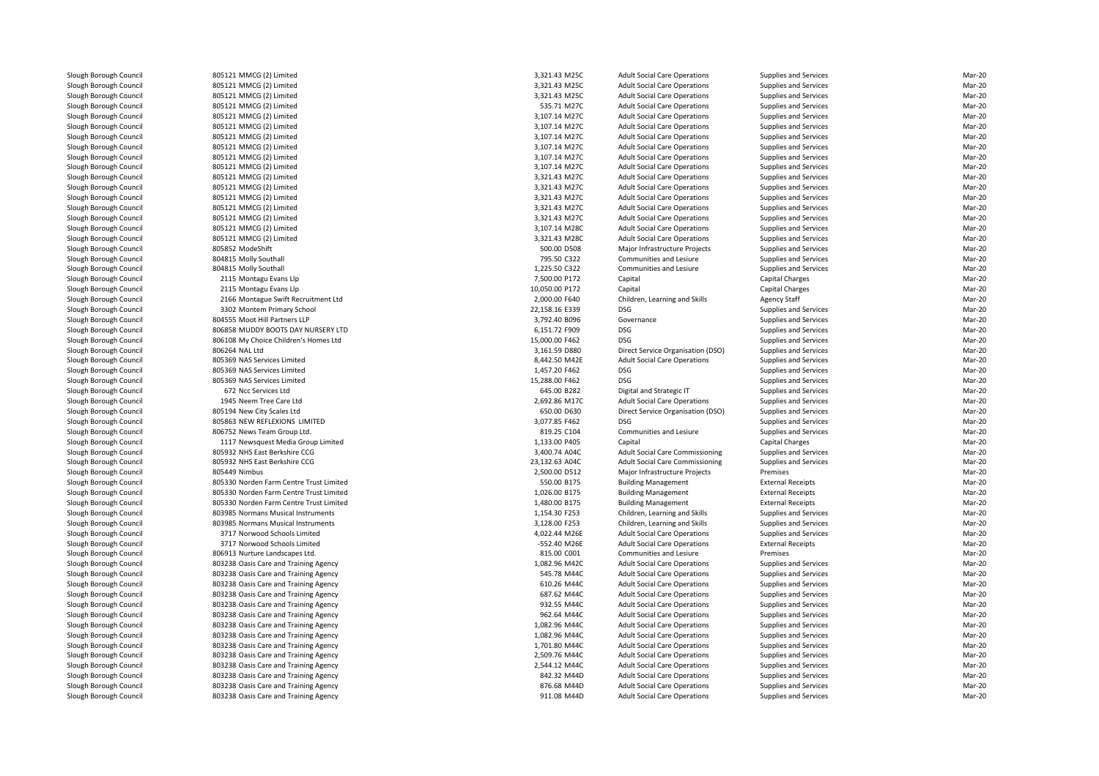| 805121 MMCG (2) Limited                            | 3,321.43 M25C                  | <b>Adult Social Care Operations</b>                                        | Supplies and Services                          | Mar-20 |
|----------------------------------------------------|--------------------------------|----------------------------------------------------------------------------|------------------------------------------------|--------|
| 805121 MMCG (2) Limited                            | 3,321.43 M25C                  | <b>Adult Social Care Operations</b>                                        | Supplies and Services                          | Mar-20 |
| 805121 MMCG (2) Limited                            | 3,321.43 M25C                  | <b>Adult Social Care Operations</b>                                        | Supplies and Services                          | Mar-20 |
| 805121 MMCG (2) Limited                            | 535.71 M27C                    | <b>Adult Social Care Operations</b>                                        | Supplies and Services                          | Mar-20 |
| 805121 MMCG (2) Limited                            | 3,107.14 M27C                  | <b>Adult Social Care Operations</b>                                        | Supplies and Services                          | Mar-20 |
| 805121 MMCG (2) Limited                            | 3,107.14 M27C                  | <b>Adult Social Care Operations</b>                                        | Supplies and Services                          | Mar-20 |
| 805121 MMCG (2) Limited                            | 3,107.14 M27C                  | <b>Adult Social Care Operations</b>                                        | Supplies and Services                          | Mar-20 |
| 805121 MMCG (2) Limited                            | 3,107.14 M27C                  | <b>Adult Social Care Operations</b>                                        | Supplies and Services                          | Mar-20 |
| 805121 MMCG (2) Limited                            | 3,107.14 M27C                  | <b>Adult Social Care Operations</b>                                        | Supplies and Services                          | Mar-20 |
| 805121 MMCG (2) Limited                            | 3,107.14 M27C                  | <b>Adult Social Care Operations</b>                                        | Supplies and Services                          | Mar-20 |
| 805121 MMCG (2) Limited                            | 3,321.43 M27C                  | <b>Adult Social Care Operations</b>                                        | Supplies and Services                          | Mar-20 |
| 805121 MMCG (2) Limited                            | 3,321.43 M27C                  | <b>Adult Social Care Operations</b>                                        | Supplies and Services                          | Mar-20 |
|                                                    |                                |                                                                            |                                                | Mar-20 |
| 805121 MMCG (2) Limited<br>805121 MMCG (2) Limited | 3,321.43 M27C<br>3,321.43 M27C | <b>Adult Social Care Operations</b><br><b>Adult Social Care Operations</b> | Supplies and Services<br>Supplies and Services | Mar-20 |
|                                                    |                                |                                                                            |                                                |        |
| 805121 MMCG (2) Limited                            | 3,321.43 M27C                  | <b>Adult Social Care Operations</b>                                        | Supplies and Services                          | Mar-20 |
| 805121 MMCG (2) Limited                            | 3,107.14 M28C                  | <b>Adult Social Care Operations</b>                                        | Supplies and Services                          | Mar-20 |
| 805121 MMCG (2) Limited                            | 3,321.43 M28C                  | <b>Adult Social Care Operations</b>                                        | Supplies and Services                          | Mar-20 |
| 805852 ModeShift                                   | 500.00 D508                    | Major Infrastructure Projects                                              | Supplies and Services                          | Mar-20 |
| 804815 Molly Southall                              | 795.50 C322                    | Communities and Lesiure                                                    | Supplies and Services                          | Mar-20 |
| 804815 Molly Southall                              | 1,225.50 C322                  | Communities and Lesiure                                                    | Supplies and Services                          | Mar-20 |
| 2115 Montagu Evans Llp                             | 7,500.00 P172                  | Capital                                                                    | <b>Capital Charges</b>                         | Mar-20 |
| 2115 Montagu Evans Llp                             | 10,050.00 P172                 | Capital                                                                    | Capital Charges                                | Mar-20 |
| 2166 Montague Swift Recruitment Ltd                | 2,000.00 F640                  | Children, Learning and Skills                                              | <b>Agency Staff</b>                            | Mar-20 |
| 3302 Montem Primary School                         | 22,158.16 E339                 | <b>DSG</b>                                                                 | Supplies and Services                          | Mar-20 |
| 804555 Moot Hill Partners LLP                      | 3,792.40 B096                  | Governance                                                                 | Supplies and Services                          | Mar-20 |
| 806858 MUDDY BOOTS DAY NURSERY LTD                 | 6,151.72 F909                  | <b>DSG</b>                                                                 | Supplies and Services                          | Mar-20 |
| 806108 My Choice Children's Homes Ltd              | 15,000.00 F462                 | <b>DSG</b>                                                                 | Supplies and Services                          | Mar-20 |
| 806264 NAL Ltd                                     | 3,161.59 D880                  | Direct Service Organisation (DSO)                                          | Supplies and Services                          | Mar-20 |
| 805369 NAS Services Limited                        | 8,442.50 M42E                  | <b>Adult Social Care Operations</b>                                        | Supplies and Services                          | Mar-20 |
| 805369 NAS Services Limited                        | 1,457.20 F462                  | <b>DSG</b>                                                                 | Supplies and Services                          | Mar-20 |
| 805369 NAS Services Limited                        | 15,288.00 F462                 | <b>DSG</b>                                                                 | Supplies and Services                          | Mar-20 |
| 672 Ncc Services Ltd                               | 645.00 B282                    | Digital and Strategic IT                                                   | Supplies and Services                          | Mar-20 |
| 1945 Neem Tree Care Ltd                            | 2,692.86 M17C                  | <b>Adult Social Care Operations</b>                                        | Supplies and Services                          | Mar-20 |
| 805194 New City Scales Ltd                         | 650.00 D630                    | Direct Service Organisation (DSO)                                          | Supplies and Services                          | Mar-20 |
| 805863 NEW REFLEXIONS LIMITED                      | 3,077.85 F462                  | <b>DSG</b>                                                                 | Supplies and Services                          | Mar-20 |
| 806752 News Team Group Ltd.                        | 819.25 C104                    | Communities and Lesiure                                                    | Supplies and Services                          | Mar-20 |
| 1117 Newsquest Media Group Limited                 | 1,133.00 P405                  | Capital                                                                    | <b>Capital Charges</b>                         | Mar-20 |
| 805932 NHS East Berkshire CCG                      | 3,400.74 A04C                  | <b>Adult Social Care Commissioning</b>                                     | Supplies and Services                          | Mar-20 |
| 805932 NHS East Berkshire CCG                      | 23,132.63 A04C                 | <b>Adult Social Care Commissioning</b>                                     | Supplies and Services                          | Mar-20 |
| 805449 Nimbus                                      | 2,500.00 D512                  | Major Infrastructure Projects                                              | Premises                                       | Mar-20 |
| 805330 Norden Farm Centre Trust Limited            | 550.00 B175                    | <b>Building Management</b>                                                 | <b>External Receipts</b>                       | Mar-20 |
| 805330 Norden Farm Centre Trust Limited            | 1,026.00 B175                  | <b>Building Management</b>                                                 | <b>External Receipts</b>                       | Mar-20 |
| 805330 Norden Farm Centre Trust Limited            | 1,480.00 B175                  | <b>Building Management</b>                                                 | <b>External Receipts</b>                       | Mar-20 |
| 803985 Normans Musical Instruments                 | 1,154.30 F253                  | Children, Learning and Skills                                              | Supplies and Services                          | Mar-20 |
| 803985 Normans Musical Instruments                 | 3,128.00 F253                  | Children, Learning and Skills                                              | Supplies and Services                          | Mar-20 |
| 3717 Norwood Schools Limited                       | 4,022.44 M26E                  | <b>Adult Social Care Operations</b>                                        | Supplies and Services                          | Mar-20 |
| 3717 Norwood Schools Limited                       | -552.40 M26E                   | <b>Adult Social Care Operations</b>                                        | <b>External Receipts</b>                       | Mar-20 |
| 806913 Nurture Landscapes Ltd.                     | 815.00 C001                    | Communities and Lesiure                                                    | Premises                                       | Mar-20 |
| 803238 Oasis Care and Training Agency              | 1,082.96 M42C                  | <b>Adult Social Care Operations</b>                                        | Supplies and Services                          | Mar-20 |
| 803238 Oasis Care and Training Agency              | 545.78 M44C                    | <b>Adult Social Care Operations</b>                                        | Supplies and Services                          | Mar-20 |
| 803238 Oasis Care and Training Agency              | 610.26 M44C                    | <b>Adult Social Care Operations</b>                                        | Supplies and Services                          | Mar-20 |
| 803238 Oasis Care and Training Agency              | 687.62 M44C                    | <b>Adult Social Care Operations</b>                                        | Supplies and Services                          | Mar-20 |
| 803238 Oasis Care and Training Agency              | 932.55 M44C                    | <b>Adult Social Care Operations</b>                                        | Supplies and Services                          | Mar-20 |
| 803238 Oasis Care and Training Agency              | 962.64 M44C                    | <b>Adult Social Care Operations</b>                                        | Supplies and Services                          | Mar-20 |
| 803238 Oasis Care and Training Agency              | 1,082.96 M44C                  | <b>Adult Social Care Operations</b>                                        | Supplies and Services                          | Mar-20 |
| 803238 Oasis Care and Training Agency              | 1,082.96 M44C                  | <b>Adult Social Care Operations</b>                                        | Supplies and Services                          | Mar-20 |
| 803238 Oasis Care and Training Agency              | 1,701.80 M44C                  | <b>Adult Social Care Operations</b>                                        | Supplies and Services                          | Mar-20 |
| 803238 Oasis Care and Training Agency              | 2,509.76 M44C                  | <b>Adult Social Care Operations</b>                                        | Supplies and Services                          | Mar-20 |
| 803238 Oasis Care and Training Agency              | 2.544.12 M44C                  | <b>Adult Social Care Operations</b>                                        | <b>Supplies and Services</b>                   | Mar-20 |
| 803238 Oasis Care and Training Agency              | 842.32 M44D                    | <b>Adult Social Care Operations</b>                                        | Supplies and Services                          | Mar-20 |
| 803238 Oasis Care and Training Agency              | 876.68 M44D                    | <b>Adult Social Care Operations</b>                                        | Supplies and Services                          | Mar-20 |
| 803238 Oasis Care and Training Agency              | 911.08 M44D                    | <b>Adult Social Care Operations</b>                                        | Supplies and Services                          | Mar-20 |
|                                                    |                                |                                                                            |                                                |        |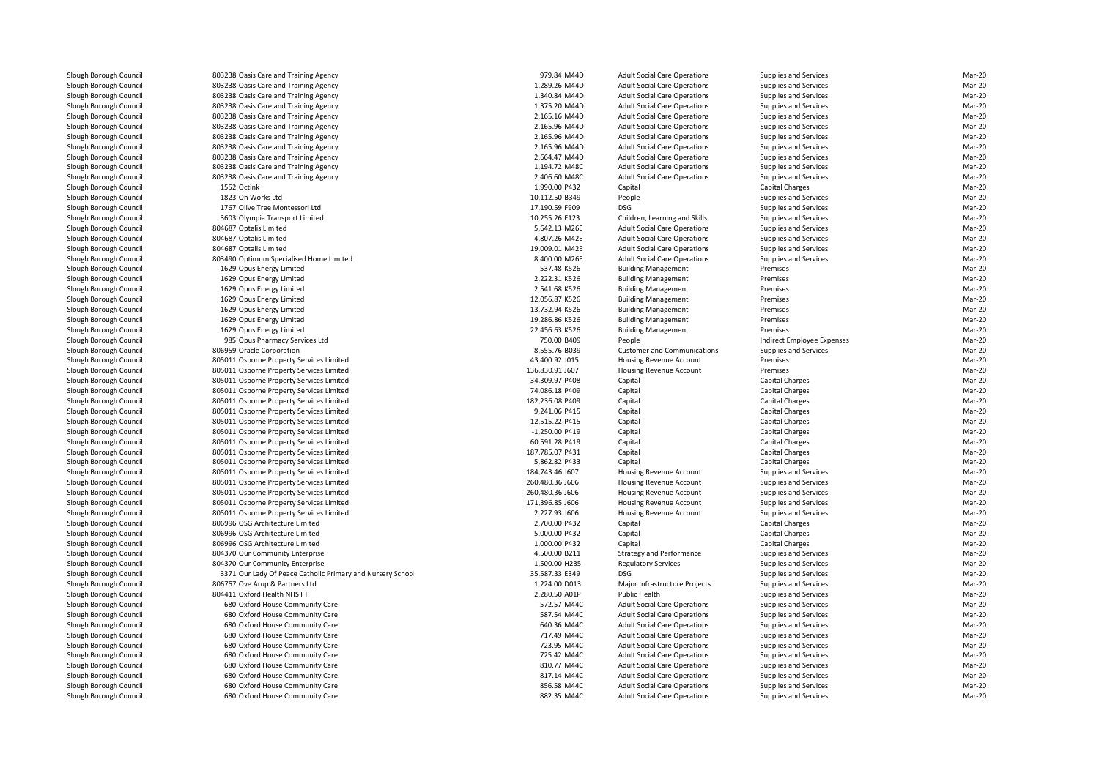| 803238 Oasis Care and Training Agency                      | 979.84 M44D     | <b>Adult Social Care Operations</b> | Supplies and Services        | Mar-20 |
|------------------------------------------------------------|-----------------|-------------------------------------|------------------------------|--------|
| 803238 Oasis Care and Training Agency                      | 1,289.26 M44D   | <b>Adult Social Care Operations</b> | Supplies and Services        | Mar-20 |
| 803238 Oasis Care and Training Agency                      | 1,340.84 M44D   | <b>Adult Social Care Operations</b> | Supplies and Services        | Mar-20 |
| 803238 Oasis Care and Training Agency                      | 1,375.20 M44D   | <b>Adult Social Care Operations</b> | Supplies and Services        | Mar-20 |
| 803238 Oasis Care and Training Agency                      | 2,165.16 M44D   | <b>Adult Social Care Operations</b> | Supplies and Services        | Mar-20 |
| 803238 Oasis Care and Training Agency                      | 2,165.96 M44D   | <b>Adult Social Care Operations</b> | Supplies and Services        | Mar-20 |
| 803238 Oasis Care and Training Agency                      | 2,165.96 M44D   | <b>Adult Social Care Operations</b> | Supplies and Services        | Mar-20 |
| 803238 Oasis Care and Training Agency                      | 2,165.96 M44D   | <b>Adult Social Care Operations</b> | Supplies and Services        | Mar-20 |
| 803238 Oasis Care and Training Agency                      | 2,664.47 M44D   | <b>Adult Social Care Operations</b> | Supplies and Services        | Mar-20 |
| 803238 Oasis Care and Training Agency                      | 1,194.72 M48C   | <b>Adult Social Care Operations</b> | Supplies and Services        | Mar-20 |
| 803238 Oasis Care and Training Agency                      | 2,406.60 M48C   | <b>Adult Social Care Operations</b> | Supplies and Services        | Mar-20 |
| 1552 Octink                                                | 1,990.00 P432   | Capital                             | Capital Charges              | Mar-20 |
| 1823 Oh Works Ltd                                          | 10,112.50 B349  | People                              | Supplies and Services        | Mar-20 |
| 1767 Olive Tree Montessori Ltd                             | 17,190.59 F909  | DSG                                 | Supplies and Services        | Mar-20 |
| 3603 Olympia Transport Limited                             | 10,255.26 F123  | Children, Learning and Skills       | Supplies and Services        | Mar-20 |
| 804687 Optalis Limited                                     | 5,642.13 M26E   | <b>Adult Social Care Operations</b> | Supplies and Services        | Mar-20 |
| 804687 Optalis Limited                                     | 4,807.26 M42E   | <b>Adult Social Care Operations</b> | Supplies and Services        | Mar-20 |
|                                                            |                 |                                     |                              | Mar-20 |
| 804687 Optalis Limited                                     | 19,009.01 M42E  | <b>Adult Social Care Operations</b> | Supplies and Services        | Mar-20 |
| 803490 Optimum Specialised Home Limited                    | 8,400.00 M26E   | <b>Adult Social Care Operations</b> | <b>Supplies and Services</b> | Mar-20 |
| 1629 Opus Energy Limited                                   | 537.48 K526     | <b>Building Management</b>          | Premises                     |        |
| 1629 Opus Energy Limited                                   | 2,222.31 K526   | <b>Building Management</b>          | Premises                     | Mar-20 |
| 1629 Opus Energy Limited                                   | 2,541.68 K526   | <b>Building Management</b>          | Premises                     | Mar-20 |
| 1629 Opus Energy Limited                                   | 12,056.87 K526  | <b>Building Management</b>          | Premises                     | Mar-20 |
| 1629 Opus Energy Limited                                   | 13,732.94 K526  | <b>Building Management</b>          | Premises                     | Mar-20 |
| 1629 Opus Energy Limited                                   | 19,286.86 K526  | <b>Building Management</b>          | Premises                     | Mar-20 |
| 1629 Opus Energy Limited                                   | 22,456.63 K526  | <b>Building Management</b>          | Premises                     | Mar-20 |
| 985 Opus Pharmacy Services Ltd                             | 750.00 B409     | People                              | Indirect Employee Expenses   | Mar-20 |
| 806959 Oracle Corporation                                  | 8,555.76 B039   | <b>Customer and Communications</b>  | Supplies and Services        | Mar-20 |
| 805011 Osborne Property Services Limited                   | 43,400.92 J015  | Housing Revenue Account             | Premises                     | Mar-20 |
| 805011 Osborne Property Services Limited                   | 136,830.91 J607 | Housing Revenue Account             | Premises                     | Mar-20 |
| 805011 Osborne Property Services Limited                   | 34,309.97 P408  | Capital                             | Capital Charges              | Mar-20 |
| 805011 Osborne Property Services Limited                   | 74,086.18 P409  | Capital                             | <b>Capital Charges</b>       | Mar-20 |
| 805011 Osborne Property Services Limited                   | 182,236.08 P409 | Capital                             | <b>Capital Charges</b>       | Mar-20 |
| 805011 Osborne Property Services Limited                   | 9,241.06 P415   | Capital                             | <b>Capital Charges</b>       | Mar-20 |
| 805011 Osborne Property Services Limited                   | 12,515.22 P415  | Capital                             | Capital Charges              | Mar-20 |
| 805011 Osborne Property Services Limited                   | -1,250.00 P419  | Capital                             | Capital Charges              | Mar-20 |
| 805011 Osborne Property Services Limited                   | 60,591.28 P419  | Capital                             | Capital Charges              | Mar-20 |
| 805011 Osborne Property Services Limited                   | 187,785.07 P431 | Capital                             | Capital Charges              | Mar-20 |
| 805011 Osborne Property Services Limited                   | 5,862.82 P433   | Capital                             | Capital Charges              | Mar-20 |
| 805011 Osborne Property Services Limited                   | 184,743.46 J607 | Housing Revenue Account             | Supplies and Services        | Mar-20 |
| 805011 Osborne Property Services Limited                   | 260,480.36 J606 | Housing Revenue Account             | Supplies and Services        | Mar-20 |
| 805011 Osborne Property Services Limited                   | 260,480.36 J606 | Housing Revenue Account             | Supplies and Services        | Mar-20 |
| 805011 Osborne Property Services Limited                   | 171,396.85 J606 | Housing Revenue Account             | Supplies and Services        | Mar-20 |
| 805011 Osborne Property Services Limited                   | 2,227.93 J606   | Housing Revenue Account             | Supplies and Services        | Mar-20 |
| 806996 OSG Architecture Limited                            | 2,700.00 P432   | Capital                             | Capital Charges              | Mar-20 |
| 806996 OSG Architecture Limited                            | 5,000.00 P432   | Capital                             | Capital Charges              | Mar-20 |
| 806996 OSG Architecture Limited                            | 1.000.00 P432   | Capital                             | Capital Charges              | Mar-20 |
| 804370 Our Community Enterprise                            | 4,500.00 B211   | <b>Strategy and Performance</b>     | Supplies and Services        | Mar-20 |
| 804370 Our Community Enterprise                            | 1,500.00 H235   | <b>Regulatory Services</b>          | Supplies and Services        | Mar-20 |
| 3371 Our Lady Of Peace Catholic Primary and Nursery School | 35,587.33 E349  | <b>DSG</b>                          | Supplies and Services        | Mar-20 |
| 806757 Ove Arup & Partners Ltd                             | 1,224.00 D013   | Major Infrastructure Projects       | Supplies and Services        | Mar-20 |
| 804411 Oxford Health NHS FT                                | 2,280.50 A01P   | Public Health                       | Supplies and Services        | Mar-20 |
| 680 Oxford House Community Care                            | 572.57 M44C     | <b>Adult Social Care Operations</b> | Supplies and Services        | Mar-20 |
| 680 Oxford House Community Care                            | 587.54 M44C     | <b>Adult Social Care Operations</b> | Supplies and Services        | Mar-20 |
| 680 Oxford House Community Care                            | 640.36 M44C     | <b>Adult Social Care Operations</b> | Supplies and Services        | Mar-20 |
| 680 Oxford House Community Care                            | 717.49 M44C     | <b>Adult Social Care Operations</b> | Supplies and Services        | Mar-20 |
| 680 Oxford House Community Care                            | 723.95 M44C     | <b>Adult Social Care Operations</b> | Supplies and Services        | Mar-20 |
| 680 Oxford House Community Care                            | 725.42 M44C     | <b>Adult Social Care Operations</b> | Supplies and Services        | Mar-20 |
| 680 Oxford House Community Care                            | 810.77 M44C     | <b>Adult Social Care Operations</b> | Supplies and Services        | Mar-20 |
| 680 Oxford House Community Care                            | 817.14 M44C     | <b>Adult Social Care Operations</b> | Supplies and Services        | Mar-20 |
| 680 Oxford House Community Care                            | 856.58 M44C     | <b>Adult Social Care Operations</b> | Supplies and Services        | Mar-20 |
| 680 Oxford House Community Care                            | 882.35 M44C     | <b>Adult Social Care Operations</b> | Supplies and Services        | Mar-20 |
|                                                            |                 |                                     |                              |        |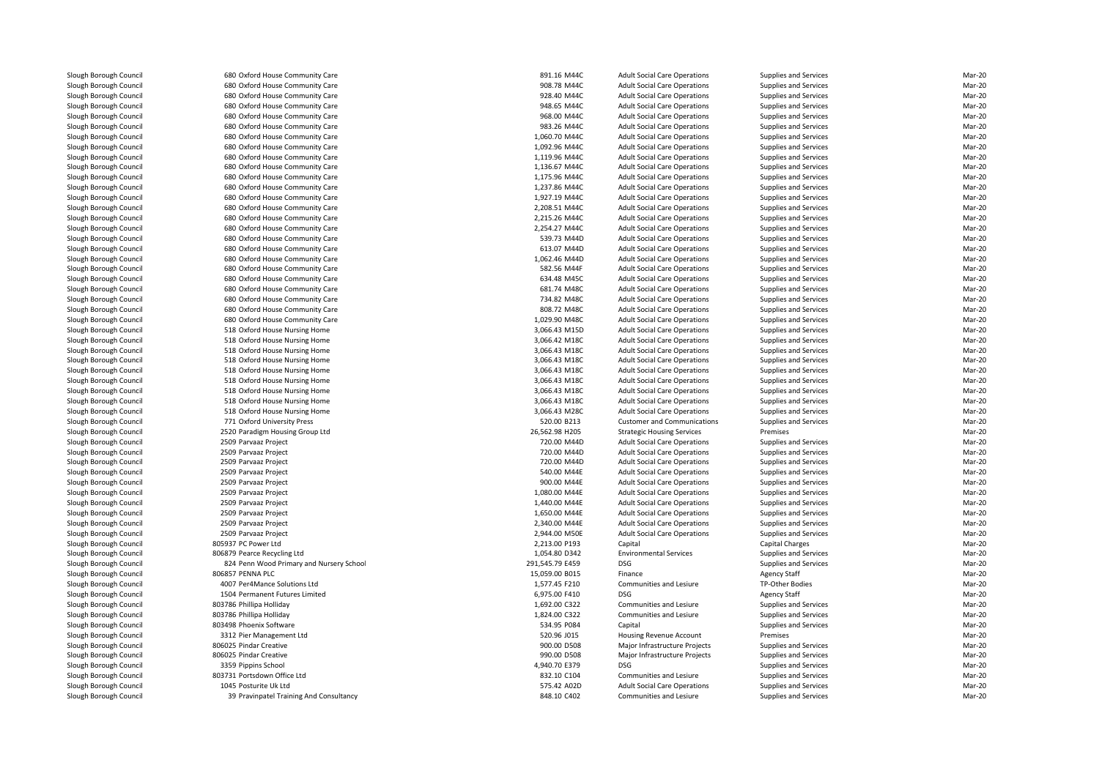**680 Oxford House Community Care** 891.16 M44C **891.16 M44C 680** Oxford House Community Care **120 Community Care 120 Community Care 120 Community Care 120 Community Care 120 Community Care 120 Community Care 120 Community Care 120 Community Care 120 Community Care 120 Community Ca 680** Oxford House Community Care **928.40 M44C** 928.40 M44C **680 Oxford House Community Care 120 Community Care 120 Community Care 120 Community Care 120 Community Care 120 Community Care 120 Community Care 120 Community Care 120 Community Care 120 Community Care 120 Community Ca 1** 680 Oxford House Community Care **968.00 M44C** 968.00 M44C **680 Oxford House Community Care 120 Community Care 120 Community Care 120 Community Care 120 Community Care 120 Community Care 120 Community Care 120 Community Care 120 Community Care 120 Community Care 120 Community Ca 680** Oxford House Community Care 1,060.70 M44C 1,060.70 M44C **680** Oxford House Community Care 1,092.96 M44C 1,092.96 M44C **680** Oxford House Community Care 1,119.96 M44C 1,119.96 M44C **680 Oxford House Community Care** 1,136.67 M44C **1,136.67 M44C 680 Oxford House Community Care** 1,175.96 M44C **1,175.96 M44C 680** Oxford House Community Care 1,237.86 M44C 1,237.86 M44C **680 Oxford House Community Care** 1,927.19 M44C **1,927.19 M44C** 680 Oxford House Community Care 680 Oxford House Community Care 2,215.26 M44C 680 Oxford House Community Care 2,254.27 M44C**680 Oxford House Community Care** 6 **120 CM 2006** 1 239.73 M44D 539.73 M44D 539.73 M44D **680** Oxford House Community Care **613.07 M44D** 633.07 M44D **1** 680 Oxford House Community Care 1,062.46 M44D **1,062.46 M44D** 680 Oxford House Community Care **680 Oxford House Community Care** 634.48 M45C **634.48 M45C 680** Oxford House Community Care **681.74** M48C **680** Oxford House Community Care **120 Community Care 120 Community Care 120 Community Care 120 Community Care 120 Community Care 120 Community Care 120 Community Care 120 Community Care 120 Community Care 120 Community Ca 680 Oxford House Community Care** 808.72 M48C **808.72 M48C**  680 Oxford House Community Care 1,029.90 M48C 518 Oxford House Nursing Home 3,066.43 M15D 518 Oxford House Nursing Home 3,066.42 M18C 518 Oxford House Nursing Home 3,066.43 M18C 518 Oxford House Nursing Home 3,066.43 M18C 518 Oxford House Nursing Home 3,066.43 M18C 518 Oxford House Nursing Home 3,066.43 M18C 518 Oxford House Nursing Home 3,066.43 M18C 518 Oxford House Nursing Home 3,066.43 M18C 518 Oxford House Nursing Home 3,066.43 M28C771 Oxford University Press 2520 Paradigm Housing Group Ltd 2509 Parvaaz Project 720.00 M44D 2509 Parvaaz Project 720.00 M44D 2509 Parvaaz Project 720.00 M44D2509 Parvaaz Project 2509 Parvaaz Project 2509 Parvaaz Project 2509 Parvaaz Project 2509 Parvaaz Project 2509 Parvaaz Project 2509 Parvaaz Project 805937 PC Power Ltd 806879 Pearce Recycling Ltd 824 Penn Wood Primary and Nursery School 291,545.79 E459 DSG 806857 PENNA PLC 4007 Per4Mance Solutions Ltd 1504 Permanent Futures Limited803786 Phillipa Holliday 803786 Phillipa Holliday 803498 Phoenix Software 3312 Pier Management Ltd806025 Pindar Creative 806025 Pindar Creative 3359 Pippins School Pippins School 4,940.70 E379 DSG 803731 Portsdown Office Ltd 1045 Posturite Uk Ltd575.42 A02D

| 0 Oxford House Community Care          | 891.16 M44C                | <b>Adult Social Care Operations</b> | Supplies and Services        | Mar-20 |
|----------------------------------------|----------------------------|-------------------------------------|------------------------------|--------|
| 0 Oxford House Community Care          | 908.78 M44C                | <b>Adult Social Care Operations</b> | Supplies and Services        | Mar-20 |
| 0 Oxford House Community Care          | 928.40 M44C                | <b>Adult Social Care Operations</b> | <b>Supplies and Services</b> | Mar-20 |
| 0 Oxford House Community Care          | 948.65 M44C                | <b>Adult Social Care Operations</b> | Supplies and Services        | Mar-20 |
| 0 Oxford House Community Care          | 968.00 M44C                | <b>Adult Social Care Operations</b> | Supplies and Services        | Mar-20 |
| 0 Oxford House Community Care          | 983.26 M44C                | <b>Adult Social Care Operations</b> | Supplies and Services        | Mar-20 |
| 0 Oxford House Community Care          | 1,060.70 M44C              | <b>Adult Social Care Operations</b> | Supplies and Services        | Mar-20 |
| 0 Oxford House Community Care          | 1.092.96 M44C              | <b>Adult Social Care Operations</b> | <b>Supplies and Services</b> | Mar-20 |
| 0 Oxford House Community Care          | 1,119.96 M44C              | <b>Adult Social Care Operations</b> | <b>Supplies and Services</b> | Mar-20 |
| 0 Oxford House Community Care          | 1,136.67 M44C              | <b>Adult Social Care Operations</b> | Supplies and Services        | Mar-20 |
| 0 Oxford House Community Care          | 1,175.96 M44C              | <b>Adult Social Care Operations</b> | Supplies and Services        | Mar-20 |
| 0 Oxford House Community Care          | 1,237.86 M44C              | <b>Adult Social Care Operations</b> | Supplies and Services        | Mar-20 |
| 0 Oxford House Community Care          | 1,927.19 M44C              | <b>Adult Social Care Operations</b> | <b>Supplies and Services</b> | Mar-20 |
|                                        |                            |                                     |                              |        |
| 0 Oxford House Community Care          | 2,208.51 M44C              | <b>Adult Social Care Operations</b> | <b>Supplies and Services</b> | Mar-20 |
| 0 Oxford House Community Care          | 2,215.26 M44C              | <b>Adult Social Care Operations</b> | Supplies and Services        | Mar-20 |
| 0 Oxford House Community Care          | 2,254.27 M44C              | <b>Adult Social Care Operations</b> | Supplies and Services        | Mar-20 |
| 0 Oxford House Community Care          | 539.73 M44D                | <b>Adult Social Care Operations</b> | Supplies and Services        | Mar-20 |
| 0 Oxford House Community Care          | 613.07 M44D                | <b>Adult Social Care Operations</b> | <b>Supplies and Services</b> | Mar-20 |
| 0 Oxford House Community Care          | 1,062.46 M44D              | <b>Adult Social Care Operations</b> | Supplies and Services        | Mar-20 |
| 0 Oxford House Community Care          | 582.56 M44F                | <b>Adult Social Care Operations</b> | Supplies and Services        | Mar-20 |
| 0 Oxford House Community Care          | 634.48 M45C                | <b>Adult Social Care Operations</b> | Supplies and Services        | Mar-20 |
| 0 Oxford House Community Care          | 681.74 M48C                | <b>Adult Social Care Operations</b> | Supplies and Services        | Mar-20 |
| 0 Oxford House Community Care          | 734.82 M48C                | <b>Adult Social Care Operations</b> | <b>Supplies and Services</b> | Mar-20 |
| 0 Oxford House Community Care          | 808.72 M48C                | <b>Adult Social Care Operations</b> | Supplies and Services        | Mar-20 |
| 0 Oxford House Community Care          | 1,029.90 M48C              | <b>Adult Social Care Operations</b> | Supplies and Services        | Mar-20 |
| 8 Oxford House Nursing Home            | 3,066.43 M15D              | <b>Adult Social Care Operations</b> | Supplies and Services        | Mar-20 |
| 8 Oxford House Nursing Home            | 3,066.42 M18C              | <b>Adult Social Care Operations</b> | Supplies and Services        | Mar-20 |
| 8 Oxford House Nursing Home            | 3,066.43 M18C              | <b>Adult Social Care Operations</b> | <b>Supplies and Services</b> | Mar-20 |
| 8 Oxford House Nursing Home            | 3,066.43 M18C              | <b>Adult Social Care Operations</b> | Supplies and Services        | Mar-20 |
| 8 Oxford House Nursing Home            | 3,066.43 M18C              | <b>Adult Social Care Operations</b> | Supplies and Services        | Mar-20 |
| 8 Oxford House Nursing Home            | 3,066.43 M18C              | <b>Adult Social Care Operations</b> | Supplies and Services        | Mar-20 |
| 8 Oxford House Nursing Home            | 3,066.43 M18C              | <b>Adult Social Care Operations</b> | Supplies and Services        | Mar-20 |
| 8 Oxford House Nursing Home            | 3,066.43 M18C              | <b>Adult Social Care Operations</b> | <b>Supplies and Services</b> | Mar-20 |
| 8 Oxford House Nursing Home            | 3,066.43 M28C              | <b>Adult Social Care Operations</b> | Supplies and Services        | Mar-20 |
| 1 Oxford University Press              | 520.00 B213                |                                     | Supplies and Services        | Mar-20 |
| 0 Paradigm Housing Group Ltd           | 26,562.98 H205             | <b>Customer and Communications</b>  | Premises                     | Mar-20 |
|                                        |                            | <b>Strategic Housing Services</b>   |                              |        |
| 9 Parvaaz Project                      | 720.00 M44D                | <b>Adult Social Care Operations</b> | Supplies and Services        | Mar-20 |
| 9 Parvaaz Project                      | 720.00 M44D                | <b>Adult Social Care Operations</b> | Supplies and Services        | Mar-20 |
| 9 Parvaaz Project                      | 720.00 M44D                | <b>Adult Social Care Operations</b> | Supplies and Services        | Mar-20 |
| 9 Parvaaz Project                      | 540.00 M44E                | <b>Adult Social Care Operations</b> | Supplies and Services        | Mar-20 |
| 9 Parvaaz Project                      | 900.00 M44E                | <b>Adult Social Care Operations</b> | Supplies and Services        | Mar-20 |
| 9 Parvaaz Project                      | 1,080.00 M44E              | <b>Adult Social Care Operations</b> | Supplies and Services        | Mar-20 |
| 9 Parvaaz Project                      | 1,440.00 M44E              | <b>Adult Social Care Operations</b> | <b>Supplies and Services</b> | Mar-20 |
| 9 Parvaaz Project                      | 1,650.00 M44E              | <b>Adult Social Care Operations</b> | Supplies and Services        | Mar-20 |
| 9 Parvaaz Project                      | 2,340.00 M44E              | <b>Adult Social Care Operations</b> | Supplies and Services        | Mar-20 |
| 9 Parvaaz Project                      | 2,944.00 M50E              | <b>Adult Social Care Operations</b> | Supplies and Services        | Mar-20 |
| 7 PC Power Ltd                         | 2,213.00 P193              | Capital                             | Capital Charges              | Mar-20 |
| 9 Pearce Recycling Ltd                 | 1,054.80 D342              | <b>Environmental Services</b>       | <b>Supplies and Services</b> | Mar-20 |
| 4 Penn Wood Primary and Nursery School | 291,545.79 E459            | <b>DSG</b>                          | Supplies and Services        | Mar-20 |
| 7 PENNA PLC                            | 15,059.00 B015             | Finance                             | <b>Agency Staff</b>          | Mar-20 |
| 7 Per4Mance Solutions Ltd              | 1,577.45 F210              | Communities and Lesiure             | TP-Other Bodies              | Mar-20 |
| 4 Permanent Futures Limited            | 6,975.00 F410              | <b>DSG</b>                          | <b>Agency Staff</b>          | Mar-20 |
| 6 Phillipa Holliday                    | 1,692.00 C322              | Communities and Lesiure             | <b>Supplies and Services</b> | Mar-20 |
| 6 Phillipa Holliday                    | 1,824.00 C322              | Communities and Lesiure             | Supplies and Services        | Mar-20 |
| 8 Phoenix Software                     | 534.95 P084                | Capital                             | Supplies and Services        | Mar-20 |
| 2 Pier Management Ltd                  | 520.96 J015                | Housing Revenue Account             | Premises                     | Mar-20 |
| 5 Pindar Creative                      | 900.00 D508                | Major Infrastructure Projects       | Supplies and Services        | Mar-20 |
| 5 Pindar Creative                      | 990.00 D508                | Major Infrastructure Projects       | Supplies and Services        | Mar-20 |
| 9 Pippins School                       | 4,940.70 E379              | <b>DSG</b>                          | Supplies and Services        | Mar-20 |
|                                        |                            |                                     |                              |        |
| 1 Portsdown Office Ltd                 | 832.10 C104<br>575.42 A02D | Communities and Lesiure             | Supplies and Services        | Mar-20 |
| 5 Posturite Uk Ltd                     |                            | <b>Adult Social Care Operations</b> | Supplies and Services        | Mar-20 |
| 9 Pravinpatel Training And Consultancy | 848.10 C402                | Communities and Lesiure             | Supplies and Services        | Mar-20 |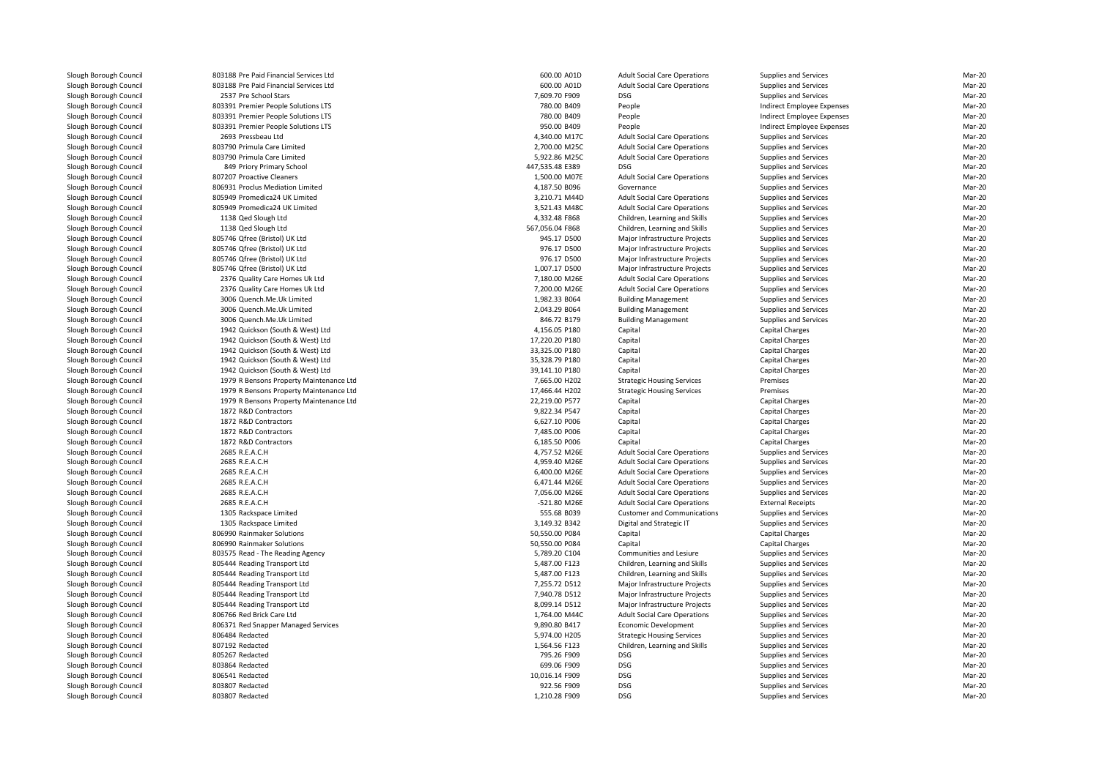803188 Pre Paid Financial Services Ltd 803188 Pre Paid Financial Services Ltd2537 Pre School Stars Pre School Stars **Pressure School Stars Associates** 2,609.70 F909 DSG 803391 Premier People Solutions LTS 803391 Premier People Solutions LTS 803391 Premier People Solutions LTS 2693 Pressbeau Ltdd 4,340.00 M17C 803790 Primula Care Limited 803790 Primula Care Limited 849 Priory Primary School 447,535.48 E389 DSG807207 Proactive Cleaners 806931 Proclus Mediation Limited 805949 Promedica24 UK Limited 805949 Promedica24 UK Limited 1138 Qed Slough Ltd 1138 Qed Slough Ltd 805746 Qfree (Bristol) UK Ltd 805746 Qfree (Bristol) UK Ltd 805746 Qfree (Bristol) UK Ltd 805746 Qfree (Bristol) UK Ltd 2376 Quality Care Homes Uk Ltd 2376 Quality Care Homes Uk Ltd 3006 Quench.Me.Uk Limited 3006 Quench.Me.Uk Limited 3006 Quench.Me.Uk Limited 1942 Quickson (South & West) Ltd 1942 Quickson (South & West) Ltd 1942 Quickson (South & West) Ltd 1942 Quickson (South & West) Ltd 1942 Quickson (South & West) Ltd 1979 R Bensons Property Maintenance Ltd 1979 R Bensons Property Maintenance Ltd 1979 R Bensons Property Maintenance Ltd1872 R&D Contractors 1872 R&D Contractors 1872 R&D Contractors 1872 R&D Contractors 2685 R.E.A.C.H 2685 R.E.A.C.H 2685 R.E.A.C.H 2685 R.E.A.C.H 2685 R.E.A.C.H 2685 R.E.A.C.H 1305 Rackspace Limited 1305 Rackspace Limited806990 Rainmaker Solutions 806990 Rainmaker Solutions 803575 Read - The Reading Agency 805444 Reading Transport Ltd 805444 Reading Transport Ltd 805444 Reading Transport Ltd 805444 Reading Transport Ltd 805444 Reading Transport Ltd 806766 Red Brick Care Ltd806371 Red Snapper Managed Services 806484 Redacted 807192 Redacted 805267 Redacted 803864 Redacted 806541 Redacted803807 Redacted

|                              |                                                                                                                                                                                                                                                                                                                                                                                                                                                |                                                                                                                                                                                                                                                                                                                                                                                                                                                                                                                                                                                                                                                                      | Mar-20                                                                                                                                                                                                                                                                                                                                                                                                                                                                                                                                                                                                                                                                                                                                                                    |
|------------------------------|------------------------------------------------------------------------------------------------------------------------------------------------------------------------------------------------------------------------------------------------------------------------------------------------------------------------------------------------------------------------------------------------------------------------------------------------|----------------------------------------------------------------------------------------------------------------------------------------------------------------------------------------------------------------------------------------------------------------------------------------------------------------------------------------------------------------------------------------------------------------------------------------------------------------------------------------------------------------------------------------------------------------------------------------------------------------------------------------------------------------------|---------------------------------------------------------------------------------------------------------------------------------------------------------------------------------------------------------------------------------------------------------------------------------------------------------------------------------------------------------------------------------------------------------------------------------------------------------------------------------------------------------------------------------------------------------------------------------------------------------------------------------------------------------------------------------------------------------------------------------------------------------------------------|
| 600.00 A01D                  | <b>Adult Social Care Operations</b>                                                                                                                                                                                                                                                                                                                                                                                                            | <b>Supplies and Services</b>                                                                                                                                                                                                                                                                                                                                                                                                                                                                                                                                                                                                                                         |                                                                                                                                                                                                                                                                                                                                                                                                                                                                                                                                                                                                                                                                                                                                                                           |
|                              |                                                                                                                                                                                                                                                                                                                                                                                                                                                |                                                                                                                                                                                                                                                                                                                                                                                                                                                                                                                                                                                                                                                                      | Mar-20                                                                                                                                                                                                                                                                                                                                                                                                                                                                                                                                                                                                                                                                                                                                                                    |
|                              |                                                                                                                                                                                                                                                                                                                                                                                                                                                |                                                                                                                                                                                                                                                                                                                                                                                                                                                                                                                                                                                                                                                                      | Mar-20                                                                                                                                                                                                                                                                                                                                                                                                                                                                                                                                                                                                                                                                                                                                                                    |
|                              |                                                                                                                                                                                                                                                                                                                                                                                                                                                |                                                                                                                                                                                                                                                                                                                                                                                                                                                                                                                                                                                                                                                                      | Mar-20                                                                                                                                                                                                                                                                                                                                                                                                                                                                                                                                                                                                                                                                                                                                                                    |
|                              |                                                                                                                                                                                                                                                                                                                                                                                                                                                |                                                                                                                                                                                                                                                                                                                                                                                                                                                                                                                                                                                                                                                                      | Mar-20                                                                                                                                                                                                                                                                                                                                                                                                                                                                                                                                                                                                                                                                                                                                                                    |
|                              |                                                                                                                                                                                                                                                                                                                                                                                                                                                |                                                                                                                                                                                                                                                                                                                                                                                                                                                                                                                                                                                                                                                                      | Mar-20                                                                                                                                                                                                                                                                                                                                                                                                                                                                                                                                                                                                                                                                                                                                                                    |
| 4,340.00 M17C                | <b>Adult Social Care Operations</b>                                                                                                                                                                                                                                                                                                                                                                                                            | Supplies and Services                                                                                                                                                                                                                                                                                                                                                                                                                                                                                                                                                                                                                                                | Mar-20                                                                                                                                                                                                                                                                                                                                                                                                                                                                                                                                                                                                                                                                                                                                                                    |
| 2,700.00 M25C                | <b>Adult Social Care Operations</b>                                                                                                                                                                                                                                                                                                                                                                                                            | <b>Supplies and Services</b>                                                                                                                                                                                                                                                                                                                                                                                                                                                                                                                                                                                                                                         | Mar-20                                                                                                                                                                                                                                                                                                                                                                                                                                                                                                                                                                                                                                                                                                                                                                    |
| 5,922.86 M25C                | <b>Adult Social Care Operations</b>                                                                                                                                                                                                                                                                                                                                                                                                            |                                                                                                                                                                                                                                                                                                                                                                                                                                                                                                                                                                                                                                                                      | Mar-20                                                                                                                                                                                                                                                                                                                                                                                                                                                                                                                                                                                                                                                                                                                                                                    |
| 447,535.48 E389              | <b>DSG</b>                                                                                                                                                                                                                                                                                                                                                                                                                                     |                                                                                                                                                                                                                                                                                                                                                                                                                                                                                                                                                                                                                                                                      | Mar-20                                                                                                                                                                                                                                                                                                                                                                                                                                                                                                                                                                                                                                                                                                                                                                    |
|                              |                                                                                                                                                                                                                                                                                                                                                                                                                                                |                                                                                                                                                                                                                                                                                                                                                                                                                                                                                                                                                                                                                                                                      | Mar-20                                                                                                                                                                                                                                                                                                                                                                                                                                                                                                                                                                                                                                                                                                                                                                    |
|                              |                                                                                                                                                                                                                                                                                                                                                                                                                                                |                                                                                                                                                                                                                                                                                                                                                                                                                                                                                                                                                                                                                                                                      | Mar-20                                                                                                                                                                                                                                                                                                                                                                                                                                                                                                                                                                                                                                                                                                                                                                    |
|                              |                                                                                                                                                                                                                                                                                                                                                                                                                                                |                                                                                                                                                                                                                                                                                                                                                                                                                                                                                                                                                                                                                                                                      | Mar-20                                                                                                                                                                                                                                                                                                                                                                                                                                                                                                                                                                                                                                                                                                                                                                    |
|                              |                                                                                                                                                                                                                                                                                                                                                                                                                                                |                                                                                                                                                                                                                                                                                                                                                                                                                                                                                                                                                                                                                                                                      | Mar-20                                                                                                                                                                                                                                                                                                                                                                                                                                                                                                                                                                                                                                                                                                                                                                    |
|                              |                                                                                                                                                                                                                                                                                                                                                                                                                                                |                                                                                                                                                                                                                                                                                                                                                                                                                                                                                                                                                                                                                                                                      | Mar-20                                                                                                                                                                                                                                                                                                                                                                                                                                                                                                                                                                                                                                                                                                                                                                    |
|                              |                                                                                                                                                                                                                                                                                                                                                                                                                                                |                                                                                                                                                                                                                                                                                                                                                                                                                                                                                                                                                                                                                                                                      |                                                                                                                                                                                                                                                                                                                                                                                                                                                                                                                                                                                                                                                                                                                                                                           |
|                              |                                                                                                                                                                                                                                                                                                                                                                                                                                                |                                                                                                                                                                                                                                                                                                                                                                                                                                                                                                                                                                                                                                                                      | Mar-20                                                                                                                                                                                                                                                                                                                                                                                                                                                                                                                                                                                                                                                                                                                                                                    |
|                              |                                                                                                                                                                                                                                                                                                                                                                                                                                                |                                                                                                                                                                                                                                                                                                                                                                                                                                                                                                                                                                                                                                                                      | Mar-20                                                                                                                                                                                                                                                                                                                                                                                                                                                                                                                                                                                                                                                                                                                                                                    |
|                              |                                                                                                                                                                                                                                                                                                                                                                                                                                                |                                                                                                                                                                                                                                                                                                                                                                                                                                                                                                                                                                                                                                                                      | Mar-20                                                                                                                                                                                                                                                                                                                                                                                                                                                                                                                                                                                                                                                                                                                                                                    |
|                              |                                                                                                                                                                                                                                                                                                                                                                                                                                                |                                                                                                                                                                                                                                                                                                                                                                                                                                                                                                                                                                                                                                                                      | Mar-20                                                                                                                                                                                                                                                                                                                                                                                                                                                                                                                                                                                                                                                                                                                                                                    |
| 1,007.17 D500                | Major Infrastructure Projects                                                                                                                                                                                                                                                                                                                                                                                                                  | Supplies and Services                                                                                                                                                                                                                                                                                                                                                                                                                                                                                                                                                                                                                                                | Mar-20                                                                                                                                                                                                                                                                                                                                                                                                                                                                                                                                                                                                                                                                                                                                                                    |
| 7,180.00 M26E                | <b>Adult Social Care Operations</b>                                                                                                                                                                                                                                                                                                                                                                                                            | Supplies and Services                                                                                                                                                                                                                                                                                                                                                                                                                                                                                                                                                                                                                                                | Mar-20                                                                                                                                                                                                                                                                                                                                                                                                                                                                                                                                                                                                                                                                                                                                                                    |
| 7,200.00 M26E                | <b>Adult Social Care Operations</b>                                                                                                                                                                                                                                                                                                                                                                                                            | Supplies and Services                                                                                                                                                                                                                                                                                                                                                                                                                                                                                                                                                                                                                                                | Mar-20                                                                                                                                                                                                                                                                                                                                                                                                                                                                                                                                                                                                                                                                                                                                                                    |
|                              |                                                                                                                                                                                                                                                                                                                                                                                                                                                |                                                                                                                                                                                                                                                                                                                                                                                                                                                                                                                                                                                                                                                                      | Mar-20                                                                                                                                                                                                                                                                                                                                                                                                                                                                                                                                                                                                                                                                                                                                                                    |
|                              |                                                                                                                                                                                                                                                                                                                                                                                                                                                |                                                                                                                                                                                                                                                                                                                                                                                                                                                                                                                                                                                                                                                                      | Mar-20                                                                                                                                                                                                                                                                                                                                                                                                                                                                                                                                                                                                                                                                                                                                                                    |
|                              |                                                                                                                                                                                                                                                                                                                                                                                                                                                |                                                                                                                                                                                                                                                                                                                                                                                                                                                                                                                                                                                                                                                                      | Mar-20                                                                                                                                                                                                                                                                                                                                                                                                                                                                                                                                                                                                                                                                                                                                                                    |
|                              |                                                                                                                                                                                                                                                                                                                                                                                                                                                |                                                                                                                                                                                                                                                                                                                                                                                                                                                                                                                                                                                                                                                                      | Mar-20                                                                                                                                                                                                                                                                                                                                                                                                                                                                                                                                                                                                                                                                                                                                                                    |
|                              |                                                                                                                                                                                                                                                                                                                                                                                                                                                |                                                                                                                                                                                                                                                                                                                                                                                                                                                                                                                                                                                                                                                                      | Mar-20                                                                                                                                                                                                                                                                                                                                                                                                                                                                                                                                                                                                                                                                                                                                                                    |
|                              |                                                                                                                                                                                                                                                                                                                                                                                                                                                |                                                                                                                                                                                                                                                                                                                                                                                                                                                                                                                                                                                                                                                                      | Mar-20                                                                                                                                                                                                                                                                                                                                                                                                                                                                                                                                                                                                                                                                                                                                                                    |
|                              |                                                                                                                                                                                                                                                                                                                                                                                                                                                |                                                                                                                                                                                                                                                                                                                                                                                                                                                                                                                                                                                                                                                                      |                                                                                                                                                                                                                                                                                                                                                                                                                                                                                                                                                                                                                                                                                                                                                                           |
|                              |                                                                                                                                                                                                                                                                                                                                                                                                                                                |                                                                                                                                                                                                                                                                                                                                                                                                                                                                                                                                                                                                                                                                      | Mar-20                                                                                                                                                                                                                                                                                                                                                                                                                                                                                                                                                                                                                                                                                                                                                                    |
|                              |                                                                                                                                                                                                                                                                                                                                                                                                                                                |                                                                                                                                                                                                                                                                                                                                                                                                                                                                                                                                                                                                                                                                      | Mar-20                                                                                                                                                                                                                                                                                                                                                                                                                                                                                                                                                                                                                                                                                                                                                                    |
|                              |                                                                                                                                                                                                                                                                                                                                                                                                                                                |                                                                                                                                                                                                                                                                                                                                                                                                                                                                                                                                                                                                                                                                      | Mar-20                                                                                                                                                                                                                                                                                                                                                                                                                                                                                                                                                                                                                                                                                                                                                                    |
|                              |                                                                                                                                                                                                                                                                                                                                                                                                                                                |                                                                                                                                                                                                                                                                                                                                                                                                                                                                                                                                                                                                                                                                      | Mar-20                                                                                                                                                                                                                                                                                                                                                                                                                                                                                                                                                                                                                                                                                                                                                                    |
|                              |                                                                                                                                                                                                                                                                                                                                                                                                                                                |                                                                                                                                                                                                                                                                                                                                                                                                                                                                                                                                                                                                                                                                      | Mar-20                                                                                                                                                                                                                                                                                                                                                                                                                                                                                                                                                                                                                                                                                                                                                                    |
| 9,822.34 P547                | Capital                                                                                                                                                                                                                                                                                                                                                                                                                                        | <b>Capital Charges</b>                                                                                                                                                                                                                                                                                                                                                                                                                                                                                                                                                                                                                                               | Mar-20                                                                                                                                                                                                                                                                                                                                                                                                                                                                                                                                                                                                                                                                                                                                                                    |
| 6,627.10 P006                | Capital                                                                                                                                                                                                                                                                                                                                                                                                                                        | Capital Charges                                                                                                                                                                                                                                                                                                                                                                                                                                                                                                                                                                                                                                                      | Mar-20                                                                                                                                                                                                                                                                                                                                                                                                                                                                                                                                                                                                                                                                                                                                                                    |
| 7,485.00 P006                | Capital                                                                                                                                                                                                                                                                                                                                                                                                                                        | <b>Capital Charges</b>                                                                                                                                                                                                                                                                                                                                                                                                                                                                                                                                                                                                                                               | Mar-20                                                                                                                                                                                                                                                                                                                                                                                                                                                                                                                                                                                                                                                                                                                                                                    |
| 6,185.50 P006                | Capital                                                                                                                                                                                                                                                                                                                                                                                                                                        |                                                                                                                                                                                                                                                                                                                                                                                                                                                                                                                                                                                                                                                                      | Mar-20                                                                                                                                                                                                                                                                                                                                                                                                                                                                                                                                                                                                                                                                                                                                                                    |
|                              |                                                                                                                                                                                                                                                                                                                                                                                                                                                |                                                                                                                                                                                                                                                                                                                                                                                                                                                                                                                                                                                                                                                                      | Mar-20                                                                                                                                                                                                                                                                                                                                                                                                                                                                                                                                                                                                                                                                                                                                                                    |
|                              |                                                                                                                                                                                                                                                                                                                                                                                                                                                |                                                                                                                                                                                                                                                                                                                                                                                                                                                                                                                                                                                                                                                                      |                                                                                                                                                                                                                                                                                                                                                                                                                                                                                                                                                                                                                                                                                                                                                                           |
|                              |                                                                                                                                                                                                                                                                                                                                                                                                                                                |                                                                                                                                                                                                                                                                                                                                                                                                                                                                                                                                                                                                                                                                      |                                                                                                                                                                                                                                                                                                                                                                                                                                                                                                                                                                                                                                                                                                                                                                           |
| 4,959.40 M26E                | <b>Adult Social Care Operations</b>                                                                                                                                                                                                                                                                                                                                                                                                            | Supplies and Services                                                                                                                                                                                                                                                                                                                                                                                                                                                                                                                                                                                                                                                | Mar-20                                                                                                                                                                                                                                                                                                                                                                                                                                                                                                                                                                                                                                                                                                                                                                    |
| 6,400.00 M26E                | <b>Adult Social Care Operations</b>                                                                                                                                                                                                                                                                                                                                                                                                            | Supplies and Services                                                                                                                                                                                                                                                                                                                                                                                                                                                                                                                                                                                                                                                | Mar-20                                                                                                                                                                                                                                                                                                                                                                                                                                                                                                                                                                                                                                                                                                                                                                    |
| 6,471.44 M26E                | <b>Adult Social Care Operations</b>                                                                                                                                                                                                                                                                                                                                                                                                            | Supplies and Services                                                                                                                                                                                                                                                                                                                                                                                                                                                                                                                                                                                                                                                | Mar-20                                                                                                                                                                                                                                                                                                                                                                                                                                                                                                                                                                                                                                                                                                                                                                    |
| 7,056.00 M26E                | <b>Adult Social Care Operations</b>                                                                                                                                                                                                                                                                                                                                                                                                            | Supplies and Services                                                                                                                                                                                                                                                                                                                                                                                                                                                                                                                                                                                                                                                | Mar-20                                                                                                                                                                                                                                                                                                                                                                                                                                                                                                                                                                                                                                                                                                                                                                    |
| -521.80 M26E                 | <b>Adult Social Care Operations</b>                                                                                                                                                                                                                                                                                                                                                                                                            | <b>External Receipts</b>                                                                                                                                                                                                                                                                                                                                                                                                                                                                                                                                                                                                                                             | Mar-20                                                                                                                                                                                                                                                                                                                                                                                                                                                                                                                                                                                                                                                                                                                                                                    |
| 555.68 B039                  | <b>Customer and Communications</b>                                                                                                                                                                                                                                                                                                                                                                                                             | Supplies and Services                                                                                                                                                                                                                                                                                                                                                                                                                                                                                                                                                                                                                                                | Mar-20                                                                                                                                                                                                                                                                                                                                                                                                                                                                                                                                                                                                                                                                                                                                                                    |
| 3,149.32 B342                | Digital and Strategic IT                                                                                                                                                                                                                                                                                                                                                                                                                       | Supplies and Services                                                                                                                                                                                                                                                                                                                                                                                                                                                                                                                                                                                                                                                | Mar-20                                                                                                                                                                                                                                                                                                                                                                                                                                                                                                                                                                                                                                                                                                                                                                    |
| 50,550.00 P084               | Capital                                                                                                                                                                                                                                                                                                                                                                                                                                        | <b>Capital Charges</b>                                                                                                                                                                                                                                                                                                                                                                                                                                                                                                                                                                                                                                               | Mar-20                                                                                                                                                                                                                                                                                                                                                                                                                                                                                                                                                                                                                                                                                                                                                                    |
| 50,550.00 P084               | Capital                                                                                                                                                                                                                                                                                                                                                                                                                                        | <b>Capital Charges</b>                                                                                                                                                                                                                                                                                                                                                                                                                                                                                                                                                                                                                                               | Mar-20                                                                                                                                                                                                                                                                                                                                                                                                                                                                                                                                                                                                                                                                                                                                                                    |
| 5,789.20 C104                | Communities and Lesiure                                                                                                                                                                                                                                                                                                                                                                                                                        | Supplies and Services                                                                                                                                                                                                                                                                                                                                                                                                                                                                                                                                                                                                                                                | Mar-20                                                                                                                                                                                                                                                                                                                                                                                                                                                                                                                                                                                                                                                                                                                                                                    |
| 5,487.00 F123                | Children, Learning and Skills                                                                                                                                                                                                                                                                                                                                                                                                                  | Supplies and Services                                                                                                                                                                                                                                                                                                                                                                                                                                                                                                                                                                                                                                                | Mar-20                                                                                                                                                                                                                                                                                                                                                                                                                                                                                                                                                                                                                                                                                                                                                                    |
| 5,487.00 F123                | Children, Learning and Skills                                                                                                                                                                                                                                                                                                                                                                                                                  | Supplies and Services                                                                                                                                                                                                                                                                                                                                                                                                                                                                                                                                                                                                                                                | Mar-20                                                                                                                                                                                                                                                                                                                                                                                                                                                                                                                                                                                                                                                                                                                                                                    |
| 7,255.72 D512                | Major Infrastructure Projects                                                                                                                                                                                                                                                                                                                                                                                                                  | Supplies and Services                                                                                                                                                                                                                                                                                                                                                                                                                                                                                                                                                                                                                                                | Mar-20                                                                                                                                                                                                                                                                                                                                                                                                                                                                                                                                                                                                                                                                                                                                                                    |
| 7,940.78 D512                |                                                                                                                                                                                                                                                                                                                                                                                                                                                |                                                                                                                                                                                                                                                                                                                                                                                                                                                                                                                                                                                                                                                                      | Mar-20                                                                                                                                                                                                                                                                                                                                                                                                                                                                                                                                                                                                                                                                                                                                                                    |
|                              | Major Infrastructure Projects                                                                                                                                                                                                                                                                                                                                                                                                                  | Supplies and Services                                                                                                                                                                                                                                                                                                                                                                                                                                                                                                                                                                                                                                                | Mar-20                                                                                                                                                                                                                                                                                                                                                                                                                                                                                                                                                                                                                                                                                                                                                                    |
| 8,099.14 D512                | Major Infrastructure Projects                                                                                                                                                                                                                                                                                                                                                                                                                  | <b>Supplies and Services</b>                                                                                                                                                                                                                                                                                                                                                                                                                                                                                                                                                                                                                                         |                                                                                                                                                                                                                                                                                                                                                                                                                                                                                                                                                                                                                                                                                                                                                                           |
| 1,764.00 M44C                | <b>Adult Social Care Operations</b>                                                                                                                                                                                                                                                                                                                                                                                                            | <b>Supplies and Services</b>                                                                                                                                                                                                                                                                                                                                                                                                                                                                                                                                                                                                                                         | Mar-20                                                                                                                                                                                                                                                                                                                                                                                                                                                                                                                                                                                                                                                                                                                                                                    |
| 9,890.80 B417                | <b>Economic Development</b>                                                                                                                                                                                                                                                                                                                                                                                                                    | Supplies and Services                                                                                                                                                                                                                                                                                                                                                                                                                                                                                                                                                                                                                                                | Mar-20                                                                                                                                                                                                                                                                                                                                                                                                                                                                                                                                                                                                                                                                                                                                                                    |
| 5,974.00 H205                | <b>Strategic Housing Services</b>                                                                                                                                                                                                                                                                                                                                                                                                              | <b>Supplies and Services</b>                                                                                                                                                                                                                                                                                                                                                                                                                                                                                                                                                                                                                                         | Mar-20                                                                                                                                                                                                                                                                                                                                                                                                                                                                                                                                                                                                                                                                                                                                                                    |
| 1,564.56 F123                | Children, Learning and Skills                                                                                                                                                                                                                                                                                                                                                                                                                  | <b>Supplies and Services</b>                                                                                                                                                                                                                                                                                                                                                                                                                                                                                                                                                                                                                                         | Mar-20                                                                                                                                                                                                                                                                                                                                                                                                                                                                                                                                                                                                                                                                                                                                                                    |
| 795.26 F909                  | <b>DSG</b>                                                                                                                                                                                                                                                                                                                                                                                                                                     | Supplies and Services                                                                                                                                                                                                                                                                                                                                                                                                                                                                                                                                                                                                                                                | Mar-20                                                                                                                                                                                                                                                                                                                                                                                                                                                                                                                                                                                                                                                                                                                                                                    |
| 699.06 F909                  | <b>DSG</b>                                                                                                                                                                                                                                                                                                                                                                                                                                     | <b>Supplies and Services</b>                                                                                                                                                                                                                                                                                                                                                                                                                                                                                                                                                                                                                                         | Mar-20                                                                                                                                                                                                                                                                                                                                                                                                                                                                                                                                                                                                                                                                                                                                                                    |
| 10,016.14 F909               | DSG                                                                                                                                                                                                                                                                                                                                                                                                                                            | Supplies and Services                                                                                                                                                                                                                                                                                                                                                                                                                                                                                                                                                                                                                                                | Mar-20                                                                                                                                                                                                                                                                                                                                                                                                                                                                                                                                                                                                                                                                                                                                                                    |
| 922.56 F909<br>1,210.28 F909 | <b>DSG</b><br><b>DSG</b>                                                                                                                                                                                                                                                                                                                                                                                                                       | <b>Supplies and Services</b><br><b>Supplies and Services</b>                                                                                                                                                                                                                                                                                                                                                                                                                                                                                                                                                                                                         | Mar-20<br>Mar-20                                                                                                                                                                                                                                                                                                                                                                                                                                                                                                                                                                                                                                                                                                                                                          |
|                              | 600.00 A01D<br>7,609.70 F909<br>780.00 B409<br>780.00 B409<br>950.00 B409<br>1,500.00 M07E<br>4,187.50 B096<br>3,210.71 M44D<br>3,521.43 M48C<br>4,332.48 F868<br>567,056.04 F868<br>945.17 D500<br>976.17 D500<br>976.17 D500<br>1,982.33 B064<br>2,043.29 B064<br>846.72 B179<br>4,156.05 P180<br>17,220.20 P180<br>33,325.00 P180<br>35,328.79 P180<br>39,141.10 P180<br>7,665.00 H202<br>17,466.44 H202<br>22,219.00 P577<br>4,757.52 M26E | <b>Adult Social Care Operations</b><br><b>DSG</b><br>People<br>People<br>People<br><b>Adult Social Care Operations</b><br>Governance<br><b>Adult Social Care Operations</b><br><b>Adult Social Care Operations</b><br>Children, Learning and Skills<br>Children, Learning and Skills<br>Major Infrastructure Projects<br>Major Infrastructure Projects<br>Major Infrastructure Projects<br><b>Building Management</b><br><b>Building Management</b><br><b>Building Management</b><br>Capital<br>Capital<br>Capital<br>Capital<br>Capital<br><b>Strategic Housing Services</b><br><b>Strategic Housing Services</b><br>Capital<br><b>Adult Social Care Operations</b> | <b>Supplies and Services</b><br><b>Supplies and Services</b><br>Indirect Employee Expenses<br>Indirect Employee Expenses<br>Indirect Employee Expenses<br>Supplies and Services<br>Supplies and Services<br>Supplies and Services<br>Supplies and Services<br><b>Supplies and Services</b><br>Supplies and Services<br>Supplies and Services<br>Supplies and Services<br>Supplies and Services<br>Supplies and Services<br><b>Supplies and Services</b><br>Supplies and Services<br><b>Supplies and Services</b><br>Supplies and Services<br><b>Capital Charges</b><br><b>Capital Charges</b><br><b>Capital Charges</b><br><b>Capital Charges</b><br><b>Capital Charges</b><br>Premises<br>Premises<br><b>Capital Charges</b><br>Capital Charges<br>Supplies and Services |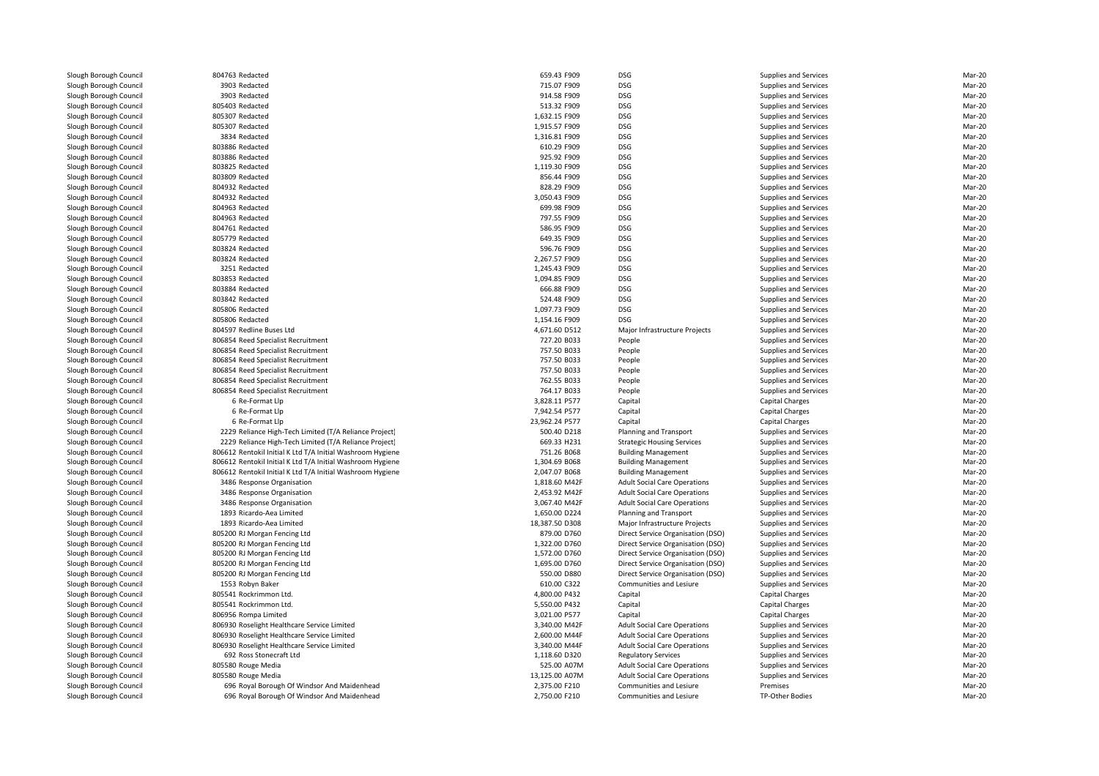| 804763 Redacted                                            | 659.43 F909                    | <b>DSG</b>                                                                 | Supplies and Services                          | Mar-20           |
|------------------------------------------------------------|--------------------------------|----------------------------------------------------------------------------|------------------------------------------------|------------------|
| 3903 Redacted                                              | 715.07 F909                    | <b>DSG</b>                                                                 | Supplies and Services                          | Mar-20           |
| 3903 Redacted                                              | 914.58 F909                    | <b>DSG</b>                                                                 | Supplies and Services                          | Mar-20           |
| 805403 Redacted                                            | 513.32 F909                    | <b>DSG</b>                                                                 | Supplies and Services                          | Mar-20           |
| 805307 Redacted                                            | 1,632.15 F909                  | <b>DSG</b>                                                                 | Supplies and Services                          | Mar-20           |
| 805307 Redacted                                            | 1,915.57 F909                  | <b>DSG</b>                                                                 | Supplies and Services                          | Mar-20           |
| 3834 Redacted                                              | 1,316.81 F909                  | <b>DSG</b>                                                                 | Supplies and Services                          | Mar-20           |
| 803886 Redacted                                            | 610.29 F909                    | <b>DSG</b>                                                                 | Supplies and Services                          | Mar-20           |
| 803886 Redacted                                            | 925.92 F909                    | <b>DSG</b>                                                                 | Supplies and Services                          | Mar-20           |
| 803825 Redacted                                            | 1,119.30 F909                  | <b>DSG</b>                                                                 | Supplies and Services                          | Mar-20           |
| 803809 Redacted                                            | 856.44 F909                    | <b>DSG</b>                                                                 |                                                | Mar-20           |
| 804932 Redacted                                            | 828.29 F909                    | <b>DSG</b>                                                                 | Supplies and Services<br>Supplies and Services | Mar-20           |
|                                                            |                                | <b>DSG</b>                                                                 |                                                |                  |
| 804932 Redacted<br>804963 Redacted                         | 3,050.43 F909                  | <b>DSG</b>                                                                 | Supplies and Services                          | Mar-20<br>Mar-20 |
|                                                            | 699.98 F909                    |                                                                            | Supplies and Services                          |                  |
| 804963 Redacted                                            | 797.55 F909                    | <b>DSG</b>                                                                 | Supplies and Services                          | Mar-20           |
| 804761 Redacted                                            | 586.95 F909                    | <b>DSG</b>                                                                 | Supplies and Services                          | Mar-20           |
| 805779 Redacted                                            | 649.35 F909                    | <b>DSG</b>                                                                 | Supplies and Services                          | Mar-20           |
| 803824 Redacted                                            | 596.76 F909                    | DSG                                                                        | Supplies and Services                          | Mar-20           |
| 803824 Redacted                                            | 2,267.57 F909                  | <b>DSG</b>                                                                 | Supplies and Services                          | Mar-20           |
| 3251 Redacted                                              | 1,245.43 F909                  | <b>DSG</b>                                                                 | Supplies and Services                          | Mar-20           |
| 803853 Redacted                                            | 1,094.85 F909                  | <b>DSG</b>                                                                 | Supplies and Services                          | Mar-20           |
| 803884 Redacted                                            | 666.88 F909                    | <b>DSG</b>                                                                 | Supplies and Services                          | Mar-20           |
| 803842 Redacted                                            | 524.48 F909                    | <b>DSG</b>                                                                 | Supplies and Services                          | Mar-20           |
| 805806 Redacted                                            | 1,097.73 F909                  | DSG                                                                        | Supplies and Services                          | Mar-20           |
| 805806 Redacted                                            | 1,154.16 F909                  | DSG                                                                        | Supplies and Services                          | Mar-20           |
| 804597 Redline Buses Ltd                                   | 4,671.60 D512                  | Major Infrastructure Projects                                              | Supplies and Services                          | Mar-20           |
| 806854 Reed Specialist Recruitment                         | 727.20 B033                    | People                                                                     | Supplies and Services                          | Mar-20           |
| 806854 Reed Specialist Recruitment                         | 757.50 B033                    | People                                                                     | Supplies and Services                          | Mar-20           |
| 806854 Reed Specialist Recruitment                         | 757.50 B033                    | People                                                                     | Supplies and Services                          | Mar-20           |
| 806854 Reed Specialist Recruitment                         | 757.50 B033                    | People                                                                     | Supplies and Services                          | Mar-20           |
| 806854 Reed Specialist Recruitment                         | 762.55 B033                    | People                                                                     | Supplies and Services                          | Mar-20           |
| 806854 Reed Specialist Recruitment                         | 764.17 B033                    | People                                                                     | Supplies and Services                          | Mar-20           |
| 6 Re-Format Llp                                            | 3,828.11 P577                  | Capital                                                                    | <b>Capital Charges</b>                         | Mar-20           |
| 6 Re-Format Llp                                            | 7,942.54 P577                  | Capital                                                                    | <b>Capital Charges</b>                         | Mar-20           |
| 6 Re-Format Llp                                            | 23,962.24 P577                 | Capital                                                                    | Capital Charges                                | Mar-20           |
| 2229 Reliance High-Tech Limited (T/A Reliance Project)     | 500.40 D218                    | Planning and Transport                                                     | Supplies and Services                          | Mar-20           |
| 2229 Reliance High-Tech Limited (T/A Reliance Project)     | 669.33 H231                    | <b>Strategic Housing Services</b>                                          | Supplies and Services                          | Mar-20           |
| 806612 Rentokil Initial K Ltd T/A Initial Washroom Hygiene | 751.26 B068                    | <b>Building Management</b>                                                 | Supplies and Services                          | Mar-20           |
| 806612 Rentokil Initial K Ltd T/A Initial Washroom Hygiene | 1,304.69 B068                  | <b>Building Management</b>                                                 | Supplies and Services                          | Mar-20           |
| 806612 Rentokil Initial K Ltd T/A Initial Washroom Hygiene | 2,047.07 B068                  | <b>Building Management</b>                                                 | Supplies and Services                          | Mar-20           |
| 3486 Response Organisation                                 | 1,818.60 M42F                  | <b>Adult Social Care Operations</b>                                        | Supplies and Services                          | Mar-20           |
| 3486 Response Organisation                                 | 2,453.92 M42F                  | <b>Adult Social Care Operations</b>                                        | Supplies and Services                          | Mar-20           |
| 3486 Response Organisation                                 | 3,067.40 M42F                  | <b>Adult Social Care Operations</b>                                        | Supplies and Services                          | Mar-20           |
| 1893 Ricardo-Aea Limited                                   | 1,650.00 D224                  | Planning and Transport                                                     | Supplies and Services                          | Mar-20           |
| 1893 Ricardo-Aea Limited                                   | 18,387.50 D308                 | Major Infrastructure Projects                                              | Supplies and Services                          | Mar-20           |
| 805200 RJ Morgan Fencing Ltd                               | 879.00 D760                    | Direct Service Organisation (DSO)                                          | Supplies and Services                          | Mar-20           |
| 805200 RJ Morgan Fencing Ltd                               | 1,322.00 D760                  | Direct Service Organisation (DSO)                                          | Supplies and Services                          | Mar-20           |
| 805200 RJ Morgan Fencing Ltd                               | 1,572.00 D760                  | Direct Service Organisation (DSO)                                          | Supplies and Services                          | Mar-20           |
| 805200 RJ Morgan Fencing Ltd                               | 1,695.00 D760                  | Direct Service Organisation (DSO)                                          | Supplies and Services                          | Mar-20           |
| 805200 RJ Morgan Fencing Ltd                               | 550.00 D880                    | Direct Service Organisation (DSO)                                          | Supplies and Services                          | Mar-20           |
| 1553 Robyn Baker                                           | 610.00 C322                    | Communities and Lesiure                                                    | Supplies and Services                          | Mar-20           |
| 805541 Rockrimmon Ltd                                      | 4,800.00 P432                  | Capital                                                                    | <b>Capital Charges</b>                         | Mar-20           |
| 805541 Rockrimmon Ltd.                                     | 5,550.00 P432                  | Capital                                                                    | <b>Capital Charges</b>                         | Mar-20           |
| 806956 Rompa Limited                                       | 3,021.00 P577                  | Capital                                                                    | <b>Capital Charges</b>                         | Mar-20           |
| 806930 Roselight Healthcare Service Limited                | 3,340.00 M42F                  | <b>Adult Social Care Operations</b>                                        | Supplies and Services                          | Mar-20           |
| 806930 Roselight Healthcare Service Limited                |                                |                                                                            |                                                | Mar-20           |
|                                                            | 2,600.00 M44F<br>3,340.00 M44F | <b>Adult Social Care Operations</b><br><b>Adult Social Care Operations</b> | Supplies and Services<br>Supplies and Services | Mar-20           |
| 806930 Roselight Healthcare Service Limited                |                                |                                                                            |                                                | Mar-20           |
| 692 Ross Stonecraft Ltd                                    | 1,118.60 D320<br>525.00 A07M   | <b>Regulatory Services</b>                                                 | Supplies and Services                          |                  |
| 805580 Rouge Media                                         |                                | <b>Adult Social Care Operations</b>                                        | Supplies and Services                          | Mar-20           |
| 805580 Rouge Media                                         | 13,125.00 A07M                 | <b>Adult Social Care Operations</b>                                        | Supplies and Services                          | Mar-20           |
| 696 Royal Borough Of Windsor And Maidenhead                | 2,375.00 F210                  | <b>Communities and Lesiure</b>                                             | Premises                                       | Mar-20           |
| 696 Royal Borough Of Windsor And Maidenhead                | 2,750.00 F210                  | Communities and Lesiure                                                    | TP-Other Bodies                                | Mar-20           |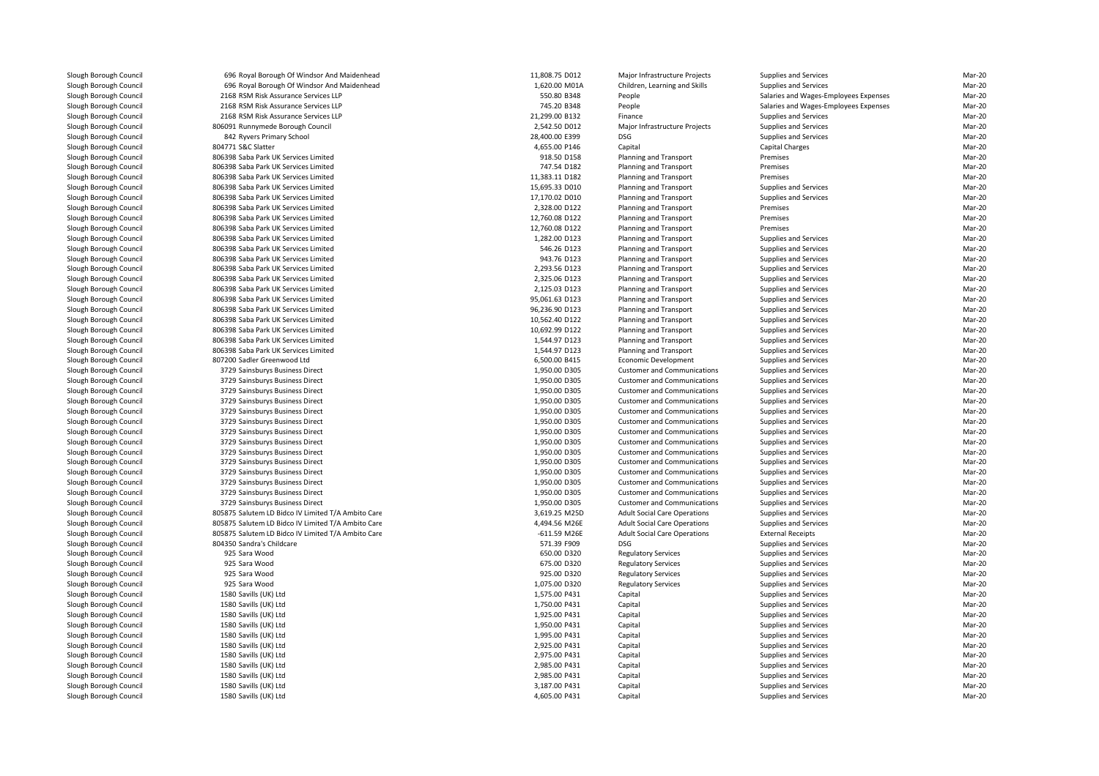| 696 Royal Borough Of Windsor And Maidenhead        | 11,808.75 D012 | Major Infrastructure Projects       | Supplies and Services                 | Mar-20 |
|----------------------------------------------------|----------------|-------------------------------------|---------------------------------------|--------|
| 696 Royal Borough Of Windsor And Maidenhead        | 1,620.00 M01A  | Children, Learning and Skills       | Supplies and Services                 | Mar-20 |
| 2168 RSM Risk Assurance Services LLP               | 550.80 B348    | People                              | Salaries and Wages-Employees Expenses | Mar-20 |
| 2168 RSM Risk Assurance Services LLP               | 745.20 B348    | People                              | Salaries and Wages-Employees Expenses | Mar-20 |
| 2168 RSM Risk Assurance Services LLP               | 21,299.00 B132 | Finance                             | Supplies and Services                 | Mar-20 |
| 806091 Runnymede Borough Council                   | 2,542.50 D012  | Major Infrastructure Projects       | Supplies and Services                 | Mar-20 |
| 842 Ryvers Primary School                          | 28,400.00 E399 | <b>DSG</b>                          | Supplies and Services                 | Mar-20 |
| 804771 S&C Slatter                                 | 4,655.00 P146  | Capital                             | <b>Capital Charges</b>                | Mar-20 |
| 806398 Saba Park UK Services Limited               | 918.50 D158    | Planning and Transport              | Premises                              | Mar-20 |
| 806398 Saba Park UK Services Limited               | 747.54 D182    | Planning and Transport              | Premises                              | Mar-20 |
| 806398 Saba Park UK Services Limited               | 11,383.11 D182 | Planning and Transport              | Premises                              | Mar-20 |
| 806398 Saba Park UK Services Limited               | 15,695.33 D010 | Planning and Transport              | Supplies and Services                 | Mar-20 |
| 806398 Saba Park UK Services Limited               | 17,170.02 D010 | <b>Planning and Transport</b>       | Supplies and Services                 | Mar-20 |
| 806398 Saba Park UK Services Limited               | 2,328.00 D122  | Planning and Transport              | Premises                              | Mar-20 |
| 806398 Saba Park UK Services Limited               | 12,760.08 D122 | Planning and Transport              | Premises                              | Mar-20 |
| 806398 Saba Park UK Services Limited               | 12,760.08 D122 | Planning and Transport              | Premises                              | Mar-20 |
| 806398 Saba Park UK Services Limited               | 1,282.00 D123  | Planning and Transport              | Supplies and Services                 | Mar-20 |
| 806398 Saba Park UK Services Limited               | 546.26 D123    | Planning and Transport              | Supplies and Services                 | Mar-20 |
| 806398 Saba Park UK Services Limited               | 943.76 D123    | Planning and Transport              | Supplies and Services                 | Mar-20 |
| 806398 Saba Park UK Services Limited               | 2,293.56 D123  | Planning and Transport              | Supplies and Services                 | Mar-20 |
| 806398 Saba Park UK Services Limited               | 2,325.06 D123  | Planning and Transport              | Supplies and Services                 | Mar-20 |
| 806398 Saba Park UK Services Limited               | 2,125.03 D123  | Planning and Transport              | Supplies and Services                 | Mar-20 |
| 806398 Saba Park UK Services Limited               | 95,061.63 D123 | Planning and Transport              | Supplies and Services                 | Mar-20 |
| 806398 Saba Park UK Services Limited               | 96,236.90 D123 | Planning and Transport              | Supplies and Services                 | Mar-20 |
| 806398 Saba Park UK Services Limited               | 10,562.40 D122 | Planning and Transport              | Supplies and Services                 | Mar-20 |
| 806398 Saba Park UK Services Limited               | 10,692.99 D122 | Planning and Transport              | Supplies and Services                 | Mar-20 |
| 806398 Saba Park UK Services Limited               | 1,544.97 D123  | Planning and Transport              | Supplies and Services                 | Mar-20 |
| 806398 Saba Park UK Services Limited               | 1,544.97 D123  | Planning and Transport              | Supplies and Services                 | Mar-20 |
| 807200 Sadler Greenwood Ltd                        | 6,500.00 B415  | <b>Economic Development</b>         | Supplies and Services                 | Mar-20 |
| 3729 Sainsburys Business Direct                    | 1,950.00 D305  | <b>Customer and Communications</b>  | Supplies and Services                 | Mar-20 |
| 3729 Sainsburys Business Direct                    | 1,950.00 D305  | <b>Customer and Communications</b>  | Supplies and Services                 | Mar-20 |
| 3729 Sainsburys Business Direct                    | 1,950.00 D305  | <b>Customer and Communications</b>  | Supplies and Services                 | Mar-20 |
| 3729 Sainsburys Business Direct                    | 1,950.00 D305  | <b>Customer and Communications</b>  | Supplies and Services                 | Mar-20 |
| 3729 Sainsburys Business Direct                    | 1,950.00 D305  | <b>Customer and Communications</b>  | Supplies and Services                 | Mar-20 |
| 3729 Sainsburys Business Direct                    | 1,950.00 D305  | <b>Customer and Communications</b>  | Supplies and Services                 | Mar-20 |
| 3729 Sainsburys Business Direct                    | 1,950.00 D305  | <b>Customer and Communications</b>  | Supplies and Services                 | Mar-20 |
| 3729 Sainsburys Business Direct                    | 1,950.00 D305  | <b>Customer and Communications</b>  | Supplies and Services                 | Mar-20 |
| 3729 Sainsburys Business Direct                    | 1,950.00 D305  | <b>Customer and Communications</b>  | Supplies and Services                 | Mar-20 |
| 3729 Sainsburys Business Direct                    | 1,950.00 D305  | <b>Customer and Communications</b>  | Supplies and Services                 | Mar-20 |
| 3729 Sainsburys Business Direct                    | 1,950.00 D305  | <b>Customer and Communications</b>  | Supplies and Services                 | Mar-20 |
| 3729 Sainsburys Business Direct                    | 1,950.00 D305  | <b>Customer and Communications</b>  | Supplies and Services                 | Mar-20 |
| 3729 Sainsburys Business Direct                    | 1,950.00 D305  | <b>Customer and Communications</b>  | Supplies and Services                 | Mar-20 |
| 3729 Sainsburys Business Direct                    | 1,950.00 D305  | <b>Customer and Communications</b>  | Supplies and Services                 | Mar-20 |
| 805875 Salutem LD Bidco IV Limited T/A Ambito Care | 3,619.25 M25D  | <b>Adult Social Care Operations</b> | Supplies and Services                 | Mar-20 |
| 805875 Salutem LD Bidco IV Limited T/A Ambito Care | 4,494.56 M26E  | <b>Adult Social Care Operations</b> | Supplies and Services                 | Mar-20 |
| 805875 Salutem LD Bidco IV Limited T/A Ambito Care | $-611.59$ M26E | <b>Adult Social Care Operations</b> | <b>External Receipts</b>              | Mar-20 |
| 804350 Sandra's Childcare                          | 571.39 F909    | <b>DSG</b>                          | Supplies and Services                 | Mar-20 |
| 925 Sara Wood                                      | 650.00 D320    | <b>Regulatory Services</b>          | Supplies and Services                 | Mar-20 |
| 925 Sara Wood                                      | 675.00 D320    | <b>Regulatory Services</b>          | Supplies and Services                 | Mar-20 |
| 925 Sara Wood                                      | 925.00 D320    | <b>Regulatory Services</b>          | Supplies and Services                 | Mar-20 |
| 925 Sara Wood                                      | 1,075.00 D320  | <b>Regulatory Services</b>          | Supplies and Services                 | Mar-20 |
| 1580 Savills (UK) Ltd                              | 1,575.00 P431  | Capital                             | Supplies and Services                 | Mar-20 |
| 1580 Savills (UK) Ltd                              | 1,750.00 P431  | Capital                             | Supplies and Services                 | Mar-20 |
| 1580 Savills (UK) Ltd                              | 1,925.00 P431  | Capital                             | Supplies and Services                 | Mar-20 |
| 1580 Savills (UK) Ltd                              | 1,950.00 P431  | Capital                             | Supplies and Services                 | Mar-20 |
| 1580 Savills (UK) Ltd                              | 1,995.00 P431  | Capital                             | Supplies and Services                 | Mar-20 |
| 1580 Savills (UK) Ltd                              | 2,925.00 P431  | Capital                             | Supplies and Services                 | Mar-20 |
| 1580 Savills (UK) Ltd                              | 2,975.00 P431  | Capital                             | Supplies and Services                 | Mar-20 |
| 1580 Savills (UK) Ltd                              | 2,985.00 P431  | Capital                             | Supplies and Services                 | Mar-20 |
| 1580 Savills (UK) Ltd                              | 2,985.00 P431  | Capital                             | Supplies and Services                 | Mar-20 |
| 1580 Savills (UK) Ltd                              | 3,187.00 P431  | Capital                             | Supplies and Services                 | Mar-20 |
| 1580 Savills (UK) Ltd                              | 4,605.00 P431  | Capital                             | Supplies and Services                 | Mar-20 |
|                                                    |                |                                     |                                       |        |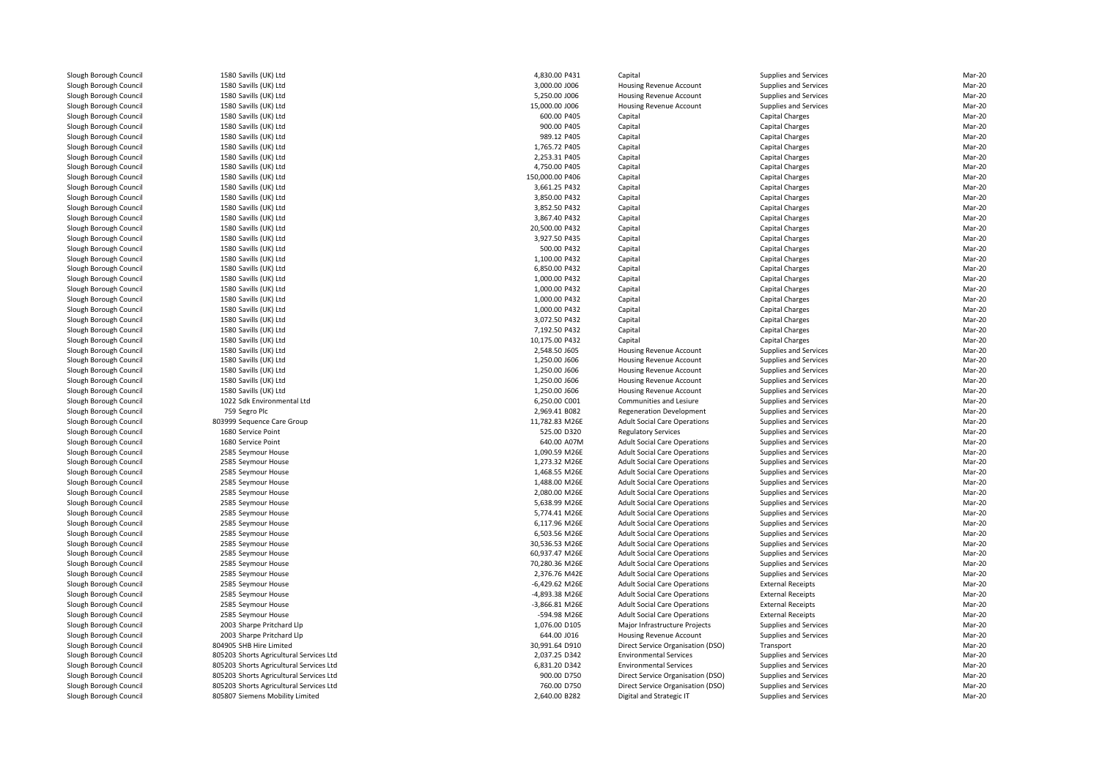1580 Savills (UK) Ltd 1580 Savills (UK) Ltd 1580 Savills (UK) Ltd 1580 Savills (UK) Ltd 1580 Savills (UK) Ltd 1580 Savills (UK) Ltd 1580 Savills (UK) Ltd 1580 Savills (UK) Ltd 1580 Savills (UK) Ltd 1580 Savills (UK) Ltd 1580 Savills (UK) Ltd 1580 Savills (UK) Ltd 1580 Savills (UK) Ltd 1580 Savills (UK) Ltd 1580 Savills (UK) Ltd 1580 Savills (UK) Ltd 1580 Savills (UK) Ltd 1580 Savills (UK) Ltd 1580 Savills (UK) Ltd 1580 Savills (UK) Ltd 1580 Savills (UK) Ltd 1580 Savills (UK) Ltd 1580 Savills (UK) Ltd 1580 Savills (UK) Ltd 1580 Savills (UK) Ltd 1580 Savills (UK) Ltd 1580 Savills (UK) Ltd 1580 Savills (UK) Ltd 1580 Savills (UK) Ltd 1580 Savills (UK) Ltd 1580 Savills (UK) Ltd 1580 Savills (UK) Ltd 1022 Sdk Environmental Ltd759 Segro Plc 803999 Sequence Care Group1680 Service Point 1680 Service Point 0 Service Point **640.00 A07M** 2585 Seymour House 2585 Seymour House 2585 Seymour House 2585 Seymour House 2585 Seymour House 2585 Seymour House 2585 Sevmour House 2585 Seymour House 2585 Seymour House 2585 Sevmour House 2585 Seymour House 2585 Sevmour House 2585 Seymour House 2585 Seymour House 2585 Seymour House 2585 Seymour House 2585 Seymour House 2003 Sharpe Pritchard Llp 2003 Sharpe Pritchard Llp 804905 SHB Hire Limited 805203 Shorts Agricultural Services Ltd 805203 Shorts Agricultural Services Ltd 805203 Shorts Agricultural Services Ltd805203 Shorts Agricultural Services Ltd

| 4,830.00 P431   | Capital                                                                                                                                                                                                                                                                                                           | Supplies and Services                                                                                                                                                                                                                                                                                                                                                                                                                                                                                                                                                                                                          | Mar-20                                                                                                                                                                                                                                                                                                                                                                                                                                        |
|-----------------|-------------------------------------------------------------------------------------------------------------------------------------------------------------------------------------------------------------------------------------------------------------------------------------------------------------------|--------------------------------------------------------------------------------------------------------------------------------------------------------------------------------------------------------------------------------------------------------------------------------------------------------------------------------------------------------------------------------------------------------------------------------------------------------------------------------------------------------------------------------------------------------------------------------------------------------------------------------|-----------------------------------------------------------------------------------------------------------------------------------------------------------------------------------------------------------------------------------------------------------------------------------------------------------------------------------------------------------------------------------------------------------------------------------------------|
| 3,000.00 J006   | Housing Revenue Account                                                                                                                                                                                                                                                                                           | <b>Supplies and Services</b>                                                                                                                                                                                                                                                                                                                                                                                                                                                                                                                                                                                                   | Mar-20                                                                                                                                                                                                                                                                                                                                                                                                                                        |
| 5,250.00 J006   | Housing Revenue Account                                                                                                                                                                                                                                                                                           | <b>Supplies and Services</b>                                                                                                                                                                                                                                                                                                                                                                                                                                                                                                                                                                                                   | Mar-20                                                                                                                                                                                                                                                                                                                                                                                                                                        |
| 15,000.00 J006  | Housing Revenue Account                                                                                                                                                                                                                                                                                           | Supplies and Services                                                                                                                                                                                                                                                                                                                                                                                                                                                                                                                                                                                                          | Mar-20                                                                                                                                                                                                                                                                                                                                                                                                                                        |
| 600.00 P405     | Capital                                                                                                                                                                                                                                                                                                           | <b>Capital Charges</b>                                                                                                                                                                                                                                                                                                                                                                                                                                                                                                                                                                                                         | Mar-20                                                                                                                                                                                                                                                                                                                                                                                                                                        |
| 900.00 P405     | Capital                                                                                                                                                                                                                                                                                                           | <b>Capital Charges</b>                                                                                                                                                                                                                                                                                                                                                                                                                                                                                                                                                                                                         | Mar-20                                                                                                                                                                                                                                                                                                                                                                                                                                        |
| 989.12 P405     | Capital                                                                                                                                                                                                                                                                                                           | Capital Charges                                                                                                                                                                                                                                                                                                                                                                                                                                                                                                                                                                                                                | Mar-20                                                                                                                                                                                                                                                                                                                                                                                                                                        |
| 1,765.72 P405   | Capital                                                                                                                                                                                                                                                                                                           | Capital Charges                                                                                                                                                                                                                                                                                                                                                                                                                                                                                                                                                                                                                | Mar-20                                                                                                                                                                                                                                                                                                                                                                                                                                        |
| 2,253.31 P405   | Capital                                                                                                                                                                                                                                                                                                           | <b>Capital Charges</b>                                                                                                                                                                                                                                                                                                                                                                                                                                                                                                                                                                                                         | Mar-20                                                                                                                                                                                                                                                                                                                                                                                                                                        |
| 4,750.00 P405   | Capital                                                                                                                                                                                                                                                                                                           | <b>Capital Charges</b>                                                                                                                                                                                                                                                                                                                                                                                                                                                                                                                                                                                                         | Mar-20                                                                                                                                                                                                                                                                                                                                                                                                                                        |
| 150,000.00 P406 | Capital                                                                                                                                                                                                                                                                                                           | <b>Capital Charges</b>                                                                                                                                                                                                                                                                                                                                                                                                                                                                                                                                                                                                         | Mar-20                                                                                                                                                                                                                                                                                                                                                                                                                                        |
| 3,661.25 P432   | Capital                                                                                                                                                                                                                                                                                                           | <b>Capital Charges</b>                                                                                                                                                                                                                                                                                                                                                                                                                                                                                                                                                                                                         | Mar-20                                                                                                                                                                                                                                                                                                                                                                                                                                        |
| 3,850.00 P432   | Capital                                                                                                                                                                                                                                                                                                           | <b>Capital Charges</b>                                                                                                                                                                                                                                                                                                                                                                                                                                                                                                                                                                                                         | Mar-20                                                                                                                                                                                                                                                                                                                                                                                                                                        |
| 3,852.50 P432   | Capital                                                                                                                                                                                                                                                                                                           | <b>Capital Charges</b>                                                                                                                                                                                                                                                                                                                                                                                                                                                                                                                                                                                                         | Mar-20                                                                                                                                                                                                                                                                                                                                                                                                                                        |
| 3,867.40 P432   | Capital                                                                                                                                                                                                                                                                                                           | <b>Capital Charges</b>                                                                                                                                                                                                                                                                                                                                                                                                                                                                                                                                                                                                         | Mar-20                                                                                                                                                                                                                                                                                                                                                                                                                                        |
| 20,500.00 P432  | Capital                                                                                                                                                                                                                                                                                                           | <b>Capital Charges</b>                                                                                                                                                                                                                                                                                                                                                                                                                                                                                                                                                                                                         | Mar-20                                                                                                                                                                                                                                                                                                                                                                                                                                        |
| 3,927.50 P435   | Capital                                                                                                                                                                                                                                                                                                           | <b>Capital Charges</b>                                                                                                                                                                                                                                                                                                                                                                                                                                                                                                                                                                                                         | Mar-20                                                                                                                                                                                                                                                                                                                                                                                                                                        |
| 500.00 P432     | Capital                                                                                                                                                                                                                                                                                                           | <b>Capital Charges</b>                                                                                                                                                                                                                                                                                                                                                                                                                                                                                                                                                                                                         | Mar-20                                                                                                                                                                                                                                                                                                                                                                                                                                        |
| 1,100.00 P432   | Capital                                                                                                                                                                                                                                                                                                           | <b>Capital Charges</b>                                                                                                                                                                                                                                                                                                                                                                                                                                                                                                                                                                                                         | Mar-20                                                                                                                                                                                                                                                                                                                                                                                                                                        |
| 6,850.00 P432   | Capital                                                                                                                                                                                                                                                                                                           | Capital Charges                                                                                                                                                                                                                                                                                                                                                                                                                                                                                                                                                                                                                | Mar-20                                                                                                                                                                                                                                                                                                                                                                                                                                        |
| 1,000.00 P432   | Capital                                                                                                                                                                                                                                                                                                           | <b>Capital Charges</b>                                                                                                                                                                                                                                                                                                                                                                                                                                                                                                                                                                                                         | Mar-20                                                                                                                                                                                                                                                                                                                                                                                                                                        |
| 1,000.00 P432   | Capital                                                                                                                                                                                                                                                                                                           | <b>Capital Charges</b>                                                                                                                                                                                                                                                                                                                                                                                                                                                                                                                                                                                                         | Mar-20                                                                                                                                                                                                                                                                                                                                                                                                                                        |
| 1,000.00 P432   | Capital                                                                                                                                                                                                                                                                                                           | <b>Capital Charges</b>                                                                                                                                                                                                                                                                                                                                                                                                                                                                                                                                                                                                         | Mar-20                                                                                                                                                                                                                                                                                                                                                                                                                                        |
| 1,000.00 P432   | Capital                                                                                                                                                                                                                                                                                                           | Capital Charges                                                                                                                                                                                                                                                                                                                                                                                                                                                                                                                                                                                                                | Mar-20                                                                                                                                                                                                                                                                                                                                                                                                                                        |
| 3,072.50 P432   | Capital                                                                                                                                                                                                                                                                                                           | <b>Capital Charges</b>                                                                                                                                                                                                                                                                                                                                                                                                                                                                                                                                                                                                         | Mar-20                                                                                                                                                                                                                                                                                                                                                                                                                                        |
| 7,192.50 P432   | Capital                                                                                                                                                                                                                                                                                                           | Capital Charges                                                                                                                                                                                                                                                                                                                                                                                                                                                                                                                                                                                                                | Mar-20                                                                                                                                                                                                                                                                                                                                                                                                                                        |
| 10,175.00 P432  | Capital                                                                                                                                                                                                                                                                                                           | Capital Charges                                                                                                                                                                                                                                                                                                                                                                                                                                                                                                                                                                                                                | Mar-20                                                                                                                                                                                                                                                                                                                                                                                                                                        |
| 2,548.50 J605   | Housing Revenue Account                                                                                                                                                                                                                                                                                           | <b>Supplies and Services</b>                                                                                                                                                                                                                                                                                                                                                                                                                                                                                                                                                                                                   | Mar-20                                                                                                                                                                                                                                                                                                                                                                                                                                        |
| 1,250.00 J606   | Housing Revenue Account                                                                                                                                                                                                                                                                                           | Supplies and Services                                                                                                                                                                                                                                                                                                                                                                                                                                                                                                                                                                                                          | Mar-20                                                                                                                                                                                                                                                                                                                                                                                                                                        |
| 1,250.00 J606   | Housing Revenue Account                                                                                                                                                                                                                                                                                           | Supplies and Services                                                                                                                                                                                                                                                                                                                                                                                                                                                                                                                                                                                                          | Mar-20                                                                                                                                                                                                                                                                                                                                                                                                                                        |
| 1,250.00 J606   | Housing Revenue Account                                                                                                                                                                                                                                                                                           | <b>Supplies and Services</b>                                                                                                                                                                                                                                                                                                                                                                                                                                                                                                                                                                                                   | Mar-20                                                                                                                                                                                                                                                                                                                                                                                                                                        |
| 1,250.00 J606   | Housing Revenue Account                                                                                                                                                                                                                                                                                           | Supplies and Services                                                                                                                                                                                                                                                                                                                                                                                                                                                                                                                                                                                                          | Mar-20                                                                                                                                                                                                                                                                                                                                                                                                                                        |
| 6,250.00 C001   | Communities and Lesiure                                                                                                                                                                                                                                                                                           | <b>Supplies and Services</b>                                                                                                                                                                                                                                                                                                                                                                                                                                                                                                                                                                                                   | Mar-20                                                                                                                                                                                                                                                                                                                                                                                                                                        |
| 2,969.41 B082   | <b>Regeneration Development</b>                                                                                                                                                                                                                                                                                   | <b>Supplies and Services</b>                                                                                                                                                                                                                                                                                                                                                                                                                                                                                                                                                                                                   | Mar-20                                                                                                                                                                                                                                                                                                                                                                                                                                        |
| 11,782.83 M26E  | <b>Adult Social Care Operations</b>                                                                                                                                                                                                                                                                               | <b>Supplies and Services</b>                                                                                                                                                                                                                                                                                                                                                                                                                                                                                                                                                                                                   | Mar-20                                                                                                                                                                                                                                                                                                                                                                                                                                        |
| 525.00 D320     | <b>Regulatory Services</b>                                                                                                                                                                                                                                                                                        | Supplies and Services                                                                                                                                                                                                                                                                                                                                                                                                                                                                                                                                                                                                          | Mar-20                                                                                                                                                                                                                                                                                                                                                                                                                                        |
| 640.00 A07M     | <b>Adult Social Care Operations</b>                                                                                                                                                                                                                                                                               | Supplies and Services                                                                                                                                                                                                                                                                                                                                                                                                                                                                                                                                                                                                          | Mar-20                                                                                                                                                                                                                                                                                                                                                                                                                                        |
| 1,090.59 M26E   | <b>Adult Social Care Operations</b>                                                                                                                                                                                                                                                                               | Supplies and Services                                                                                                                                                                                                                                                                                                                                                                                                                                                                                                                                                                                                          | Mar-20                                                                                                                                                                                                                                                                                                                                                                                                                                        |
| 1,273.32 M26E   | <b>Adult Social Care Operations</b>                                                                                                                                                                                                                                                                               | <b>Supplies and Services</b>                                                                                                                                                                                                                                                                                                                                                                                                                                                                                                                                                                                                   | Mar-20                                                                                                                                                                                                                                                                                                                                                                                                                                        |
|                 |                                                                                                                                                                                                                                                                                                                   |                                                                                                                                                                                                                                                                                                                                                                                                                                                                                                                                                                                                                                | Mar-20                                                                                                                                                                                                                                                                                                                                                                                                                                        |
|                 |                                                                                                                                                                                                                                                                                                                   |                                                                                                                                                                                                                                                                                                                                                                                                                                                                                                                                                                                                                                | Mar-20                                                                                                                                                                                                                                                                                                                                                                                                                                        |
|                 |                                                                                                                                                                                                                                                                                                                   |                                                                                                                                                                                                                                                                                                                                                                                                                                                                                                                                                                                                                                | Mar-20                                                                                                                                                                                                                                                                                                                                                                                                                                        |
| 5,638.99 M26E   | <b>Adult Social Care Operations</b>                                                                                                                                                                                                                                                                               | Supplies and Services                                                                                                                                                                                                                                                                                                                                                                                                                                                                                                                                                                                                          | Mar-20                                                                                                                                                                                                                                                                                                                                                                                                                                        |
|                 |                                                                                                                                                                                                                                                                                                                   |                                                                                                                                                                                                                                                                                                                                                                                                                                                                                                                                                                                                                                | Mar-20                                                                                                                                                                                                                                                                                                                                                                                                                                        |
|                 |                                                                                                                                                                                                                                                                                                                   |                                                                                                                                                                                                                                                                                                                                                                                                                                                                                                                                                                                                                                | Mar-20                                                                                                                                                                                                                                                                                                                                                                                                                                        |
|                 |                                                                                                                                                                                                                                                                                                                   |                                                                                                                                                                                                                                                                                                                                                                                                                                                                                                                                                                                                                                | Mar-20                                                                                                                                                                                                                                                                                                                                                                                                                                        |
|                 |                                                                                                                                                                                                                                                                                                                   |                                                                                                                                                                                                                                                                                                                                                                                                                                                                                                                                                                                                                                | Mar-20                                                                                                                                                                                                                                                                                                                                                                                                                                        |
|                 |                                                                                                                                                                                                                                                                                                                   |                                                                                                                                                                                                                                                                                                                                                                                                                                                                                                                                                                                                                                | Mar-20                                                                                                                                                                                                                                                                                                                                                                                                                                        |
|                 |                                                                                                                                                                                                                                                                                                                   |                                                                                                                                                                                                                                                                                                                                                                                                                                                                                                                                                                                                                                | Mar-20                                                                                                                                                                                                                                                                                                                                                                                                                                        |
|                 |                                                                                                                                                                                                                                                                                                                   |                                                                                                                                                                                                                                                                                                                                                                                                                                                                                                                                                                                                                                | Mar-20                                                                                                                                                                                                                                                                                                                                                                                                                                        |
|                 |                                                                                                                                                                                                                                                                                                                   |                                                                                                                                                                                                                                                                                                                                                                                                                                                                                                                                                                                                                                | Mar-20                                                                                                                                                                                                                                                                                                                                                                                                                                        |
|                 |                                                                                                                                                                                                                                                                                                                   |                                                                                                                                                                                                                                                                                                                                                                                                                                                                                                                                                                                                                                | Mar-20                                                                                                                                                                                                                                                                                                                                                                                                                                        |
|                 |                                                                                                                                                                                                                                                                                                                   |                                                                                                                                                                                                                                                                                                                                                                                                                                                                                                                                                                                                                                | Mar-20                                                                                                                                                                                                                                                                                                                                                                                                                                        |
|                 |                                                                                                                                                                                                                                                                                                                   | <b>External Receipts</b>                                                                                                                                                                                                                                                                                                                                                                                                                                                                                                                                                                                                       | Mar-20                                                                                                                                                                                                                                                                                                                                                                                                                                        |
|                 | Major Infrastructure Projects                                                                                                                                                                                                                                                                                     | Supplies and Services                                                                                                                                                                                                                                                                                                                                                                                                                                                                                                                                                                                                          | Mar-20                                                                                                                                                                                                                                                                                                                                                                                                                                        |
|                 |                                                                                                                                                                                                                                                                                                                   |                                                                                                                                                                                                                                                                                                                                                                                                                                                                                                                                                                                                                                | Mar-20                                                                                                                                                                                                                                                                                                                                                                                                                                        |
| 30,991.64 D910  | Direct Service Organisation (DSO)                                                                                                                                                                                                                                                                                 | Transport                                                                                                                                                                                                                                                                                                                                                                                                                                                                                                                                                                                                                      | Mar-20                                                                                                                                                                                                                                                                                                                                                                                                                                        |
|                 | <b>Environmental Services</b>                                                                                                                                                                                                                                                                                     | <b>Supplies and Services</b>                                                                                                                                                                                                                                                                                                                                                                                                                                                                                                                                                                                                   | Mar-20                                                                                                                                                                                                                                                                                                                                                                                                                                        |
| 6,831.20 D342   | <b>Environmental Services</b>                                                                                                                                                                                                                                                                                     | <b>Supplies and Services</b>                                                                                                                                                                                                                                                                                                                                                                                                                                                                                                                                                                                                   | Mar-20                                                                                                                                                                                                                                                                                                                                                                                                                                        |
|                 |                                                                                                                                                                                                                                                                                                                   |                                                                                                                                                                                                                                                                                                                                                                                                                                                                                                                                                                                                                                | Mar-20                                                                                                                                                                                                                                                                                                                                                                                                                                        |
| 760.00 D750     | Direct Service Organisation (DSO)                                                                                                                                                                                                                                                                                 | Supplies and Services                                                                                                                                                                                                                                                                                                                                                                                                                                                                                                                                                                                                          | Mar-20                                                                                                                                                                                                                                                                                                                                                                                                                                        |
| 2,640.00 B282   | Digital and Strategic IT                                                                                                                                                                                                                                                                                          | <b>Supplies and Services</b>                                                                                                                                                                                                                                                                                                                                                                                                                                                                                                                                                                                                   | Mar-20                                                                                                                                                                                                                                                                                                                                                                                                                                        |
|                 | 1,468.55 M26E<br>1,488.00 M26E<br>2,080.00 M26E<br>5,774.41 M26E<br>6,117.96 M26E<br>6,503.56 M26E<br>30,536.53 M26E<br>60,937.47 M26E<br>70,280.36 M26E<br>2,376.76 M42E<br>$-6,429.62$ M26E<br>-4,893.38 M26E<br>-3,866.81 M26E<br>-594.98 M26E<br>1,076.00 D105<br>644.00 J016<br>2,037.25 D342<br>900.00 D750 | <b>Adult Social Care Operations</b><br><b>Adult Social Care Operations</b><br><b>Adult Social Care Operations</b><br><b>Adult Social Care Operations</b><br><b>Adult Social Care Operations</b><br><b>Adult Social Care Operations</b><br><b>Adult Social Care Operations</b><br><b>Adult Social Care Operations</b><br><b>Adult Social Care Operations</b><br><b>Adult Social Care Operations</b><br><b>Adult Social Care Operations</b><br><b>Adult Social Care Operations</b><br><b>Adult Social Care Operations</b><br><b>Adult Social Care Operations</b><br>Housing Revenue Account<br>Direct Service Organisation (DSO) | <b>Supplies and Services</b><br>Supplies and Services<br><b>Supplies and Services</b><br><b>Supplies and Services</b><br>Supplies and Services<br><b>Supplies and Services</b><br>Supplies and Services<br><b>Supplies and Services</b><br><b>Supplies and Services</b><br>Supplies and Services<br><b>External Receipts</b><br><b>External Receipts</b><br><b>External Receipts</b><br><b>Supplies and Services</b><br>Supplies and Services |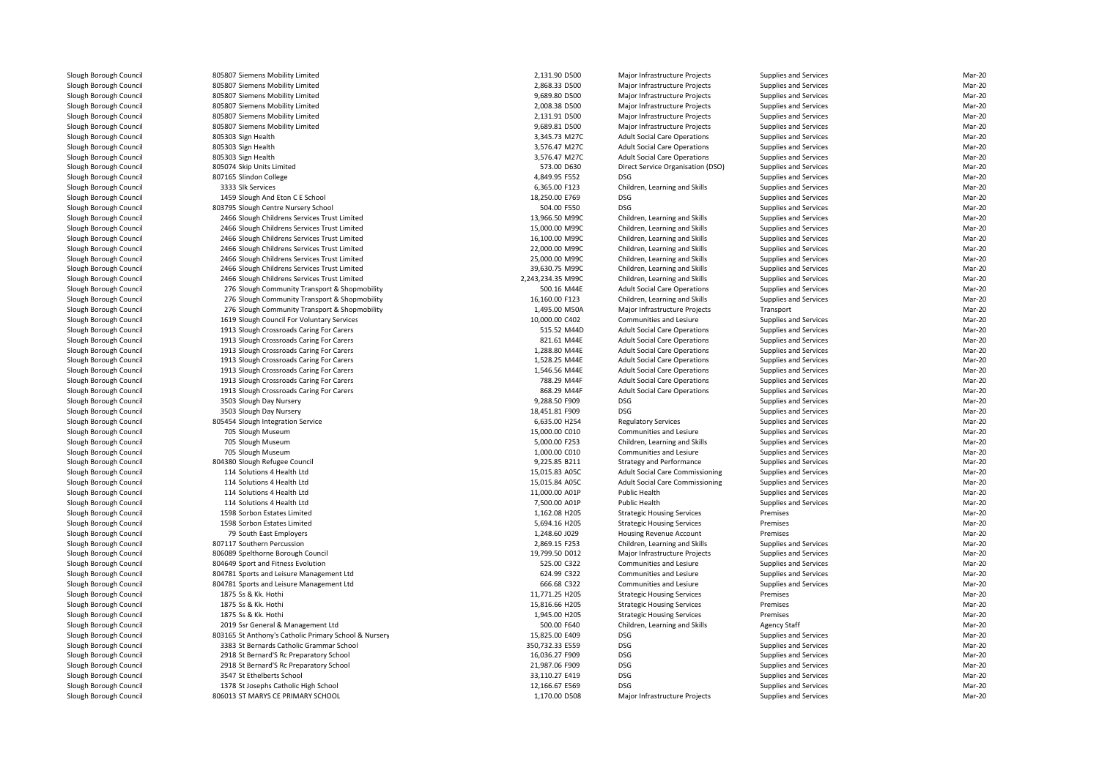|                    | 805807 Siemens Mobility Limited                       | 2,131.90 D500     | Major Infrastructure Projects          | Supplies and Services | Mar-20 |
|--------------------|-------------------------------------------------------|-------------------|----------------------------------------|-----------------------|--------|
|                    | 805807 Siemens Mobility Limited                       | 2,868.33 D500     | Major Infrastructure Projects          | Supplies and Services | Mar-20 |
|                    | 805807 Siemens Mobility Limited                       | 9,689.80 D500     | Major Infrastructure Projects          | Supplies and Services | Mar-20 |
|                    | 805807 Siemens Mobility Limited                       | 2,008.38 D500     | Major Infrastructure Projects          | Supplies and Services | Mar-20 |
|                    | 805807 Siemens Mobility Limited                       | 2,131.91 D500     | Major Infrastructure Projects          | Supplies and Services | Mar-20 |
|                    | 805807 Siemens Mobility Limited                       | 9,689.81 D500     | Major Infrastructure Projects          | Supplies and Services | Mar-20 |
| 805303 Sign Health |                                                       | 3,345.73 M27C     | <b>Adult Social Care Operations</b>    | Supplies and Services | Mar-20 |
| 805303 Sign Health |                                                       | 3,576.47 M27C     | <b>Adult Social Care Operations</b>    | Supplies and Services | Mar-20 |
| 805303 Sign Health |                                                       | 3,576.47 M27C     | <b>Adult Social Care Operations</b>    | Supplies and Services | Mar-20 |
|                    | 805074 Skip Units Limited                             | 573.00 D630       | Direct Service Organisation (DSO)      | Supplies and Services | Mar-20 |
|                    | 807165 Slindon College                                | 4,849.95 F552     | <b>DSG</b>                             | Supplies and Services | Mar-20 |
|                    | 3333 Slk Services                                     | 6,365.00 F123     | Children, Learning and Skills          | Supplies and Services | Mar-20 |
|                    | 1459 Slough And Eton C E School                       | 18,250.00 E769    | <b>DSG</b>                             | Supplies and Services | Mar-20 |
|                    | 803795 Slough Centre Nursery School                   | 504.00 F550       | <b>DSG</b>                             | Supplies and Services | Mar-20 |
|                    | 2466 Slough Childrens Services Trust Limited          | 13,966.50 M99C    | Children, Learning and Skills          | Supplies and Services | Mar-20 |
|                    | 2466 Slough Childrens Services Trust Limited          | 15,000.00 M99C    | Children, Learning and Skills          | Supplies and Services | Mar-20 |
|                    | 2466 Slough Childrens Services Trust Limited          | 16,100.00 M99C    | Children, Learning and Skills          | Supplies and Services | Mar-20 |
|                    | 2466 Slough Childrens Services Trust Limited          | 22,000.00 M99C    | Children, Learning and Skills          | Supplies and Services | Mar-20 |
|                    | 2466 Slough Childrens Services Trust Limited          | 25,000.00 M99C    | Children, Learning and Skills          | Supplies and Services | Mar-20 |
|                    | 2466 Slough Childrens Services Trust Limited          | 39,630.75 M99C    | Children, Learning and Skills          | Supplies and Services | Mar-20 |
|                    | 2466 Slough Childrens Services Trust Limited          | 2,243,234.35 M99C | Children, Learning and Skills          | Supplies and Services | Mar-20 |
|                    | 276 Slough Community Transport & Shopmobility         | 500.16 M44E       | <b>Adult Social Care Operations</b>    | Supplies and Services | Mar-20 |
|                    | 276 Slough Community Transport & Shopmobility         | 16,160.00 F123    | Children, Learning and Skills          | Supplies and Services | Mar-20 |
|                    | 276 Slough Community Transport & Shopmobility         | 1,495.00 M50A     | Major Infrastructure Projects          | Transport             | Mar-20 |
|                    | 1619 Slough Council For Voluntary Services            | 10,000.00 C402    | Communities and Lesiure                | Supplies and Services | Mar-20 |
|                    | 1913 Slough Crossroads Caring For Carers              | 515.52 M44D       | <b>Adult Social Care Operations</b>    | Supplies and Services | Mar-20 |
|                    | 1913 Slough Crossroads Caring For Carers              | 821.61 M44E       | <b>Adult Social Care Operations</b>    | Supplies and Services | Mar-20 |
|                    | 1913 Slough Crossroads Caring For Carers              | 1,288.80 M44E     | <b>Adult Social Care Operations</b>    | Supplies and Services | Mar-20 |
|                    | 1913 Slough Crossroads Caring For Carers              | 1,528.25 M44E     | <b>Adult Social Care Operations</b>    | Supplies and Services | Mar-20 |
|                    | 1913 Slough Crossroads Caring For Carers              | 1,546.56 M44E     | <b>Adult Social Care Operations</b>    | Supplies and Services | Mar-20 |
|                    | 1913 Slough Crossroads Caring For Carers              | 788.29 M44F       | <b>Adult Social Care Operations</b>    | Supplies and Services | Mar-20 |
|                    | 1913 Slough Crossroads Caring For Carers              | 868.29 M44F       | <b>Adult Social Care Operations</b>    | Supplies and Services | Mar-20 |
|                    | 3503 Slough Day Nursery                               | 9.288.50 F909     | <b>DSG</b>                             | Supplies and Services | Mar-20 |
|                    | 3503 Slough Day Nursery                               | 18,451.81 F909    | <b>DSG</b>                             | Supplies and Services | Mar-20 |
|                    | 805454 Slough Integration Service                     | 6,635.00 H254     | <b>Regulatory Services</b>             | Supplies and Services | Mar-20 |
|                    | 705 Slough Museum                                     | 15,000.00 C010    | Communities and Lesiure                | Supplies and Services | Mar-20 |
|                    | 705 Slough Museum                                     | 5,000.00 F253     | Children, Learning and Skills          | Supplies and Services | Mar-20 |
|                    | 705 Slough Museum                                     | 1,000.00 C010     | Communities and Lesiure                | Supplies and Services | Mar-20 |
|                    | 804380 Slough Refugee Council                         | 9,225.85 B211     | Strategy and Performance               | Supplies and Services | Mar-20 |
|                    | 114 Solutions 4 Health Ltd                            | 15,015.83 A05C    | Adult Social Care Commissioning        | Supplies and Services | Mar-20 |
|                    | 114 Solutions 4 Health Ltd                            | 15,015.84 A05C    | <b>Adult Social Care Commissioning</b> | Supplies and Services | Mar-20 |
|                    | 114 Solutions 4 Health Ltd                            | 11,000.00 A01P    | Public Health                          | Supplies and Services | Mar-20 |
|                    | 114 Solutions 4 Health Ltd                            | 7,500.00 A01P     | Public Health                          | Supplies and Services | Mar-20 |
|                    | 1598 Sorbon Estates Limited                           | 1,162.08 H205     | <b>Strategic Housing Services</b>      | Premises              | Mar-20 |
|                    | 1598 Sorbon Estates Limited                           | 5,694.16 H205     | <b>Strategic Housing Services</b>      | Premises              | Mar-20 |
|                    | 79 South East Employers                               | 1,248.60 J029     | Housing Revenue Account                | Premises              | Mar-20 |
|                    | 807117 Southern Percussion                            | 2,869.15 F253     | Children, Learning and Skills          | Supplies and Services | Mar-20 |
|                    | 806089 Spelthorne Borough Council                     | 19,799.50 D012    | Major Infrastructure Projects          | Supplies and Services | Mar-20 |
|                    | 804649 Sport and Fitness Evolution                    | 525.00 C322       | Communities and Lesiure                | Supplies and Services | Mar-20 |
|                    | 804781 Sports and Leisure Management Ltd              | 624.99 C322       | Communities and Lesiure                | Supplies and Services | Mar-20 |
|                    | 804781 Sports and Leisure Management Ltd              | 666.68 C322       | Communities and Lesiure                | Supplies and Services | Mar-20 |
|                    | 1875 Ss & Kk. Hothi                                   | 11,771.25 H205    | <b>Strategic Housing Services</b>      | Premises              | Mar-20 |
|                    | 1875 Ss & Kk. Hothi                                   | 15,816.66 H205    | <b>Strategic Housing Services</b>      | Premises              | Mar-20 |
|                    | 1875 Ss & Kk. Hothi                                   | 1,945.00 H205     | <b>Strategic Housing Services</b>      | Premises              | Mar-20 |
|                    | 2019 Ssr General & Management Ltd                     | 500.00 F640       | Children, Learning and Skills          | <b>Agency Staff</b>   | Mar-20 |
|                    | 803165 St Anthony's Catholic Primary School & Nursery | 15,825.00 E409    | <b>DSG</b>                             | Supplies and Services | Mar-20 |
|                    | 3383 St Bernards Catholic Grammar School              | 350,732.33 E559   | <b>DSG</b>                             | Supplies and Services | Mar-20 |
|                    | 2918 St Bernard'S Rc Preparatory School               | 16,036.27 F909    | <b>DSG</b>                             | Supplies and Services | Mar-20 |
|                    | 2918 St Bernard'S Rc Preparatory School               | 21,987.06 F909    | <b>DSG</b>                             | Supplies and Services | Mar-20 |
|                    | 3547 St Ethelberts School                             | 33,110.27 E419    | <b>DSG</b>                             | Supplies and Services | Mar-20 |
|                    | 1378 St Josephs Catholic High School                  | 12,166.67 E569    | <b>DSG</b>                             | Supplies and Services | Mar-20 |
|                    | 806013 ST MARYS CE PRIMARY SCHOOL                     | 1,170.00 D508     | Major Infrastructure Projects          | Supplies and Services | Mar-20 |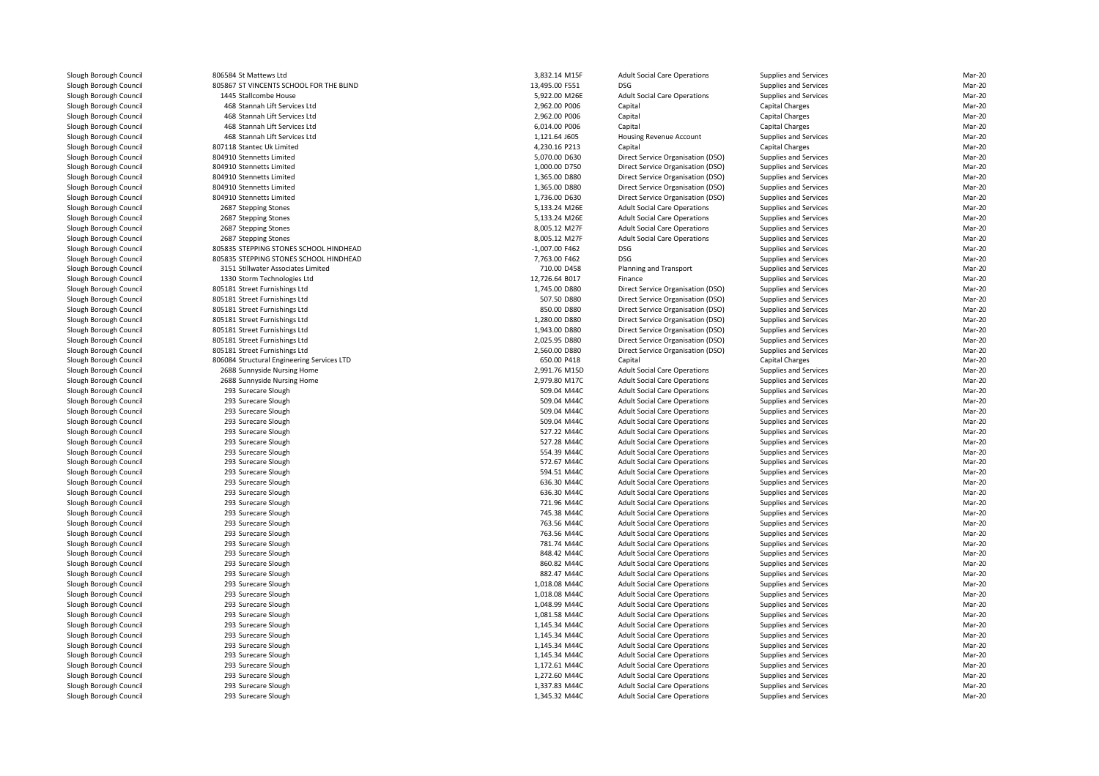806584 St Mattews Ltd 805867 ST VINCENTS SCHOOL FOR THE BLIND1445 Stallcombe House 468 Stannah Lift Services Ltd 468 Stannah Lift Services Ltd 468 Stannah Lift Services Ltd 468 Stannah Lift Services Ltd 807118 Stantec Uk Limited 804910 Stennetts Limited 804910 Stennetts Limited 804910 Stennetts Limited 804910 Stennetts Limited 804910 Stennetts Limited2687 Stepping Stones 2687 Stepping Stones 2687 Stepping Stones 2687 Stepping Stones 805835 STEPPING STONES SCHOOL HINDHEAD 805835 STEPPING STONES SCHOOL HINDHEAD 3151 Stillwater Associates Limited 1330 Storm Technologies Ltd 805181 Street Furnishings Ltd 805181 Street Furnishings Ltd 805181 Street Furnishings Ltd 805181 Street Furnishings Ltd 805181 Street Furnishings Ltd 805181 Street Furnishings Ltd 805181 Street Furnishings Ltd 806084 Structural Engineering Services LTD 2688 Sunnyside Nursing Home 2,991.76 M15D 2688 Sunnyside Nursing Home 2,979.80 M17C 293 Surecare Sloughh 509.04 M44C 293 Surecare Sloughh 509.04 M44C 293 Surecare Sloughh 509.04 M44C 293 Surecare Sloughh 509.04 M44C 293 Surecare Sloughh 527.22 M44C 293 Surecare Sloughh 527.28 M44C 293 Surecare Sloughh 554.39 M44C 293 Surecare Sloughh 572.67 M44C 293 Surecare Sloughh 594.51 M44C 293 Surecare Sloughh 636.30 M44C 293 Surecare Sloughh 636.30 M44C 293 Surecare Sloughh 221.96 M44C 293 Surecare Sloughh 745.38 M44C 293 Surecare Sloughh 1999 - 1999 - 1999 - 1999 - 1999 - 1999 - 1999 - 1999 - 1999 - 1999 - 1999 - 1999 - 1999 - 1999 - 1999 - 199 293 Surecare Sloughh 763.56 M44C 293 Surecare Sloughh 781.74 M44C 293 Surecare Sloughh 848.42 M44C 293 Surecare Sloughh 860.82 M44C 293 Surecare Sloughh 882.47 M44C 293 Surecare Sloughh 1,018.08 M44C 293 Surecare Sloughh 1,018.08 M44C 293 Surecare Sloughh 1,048.99 M44C 293 Surecare Sloughh 1,081.58 M44C 293 Surecare Slough $1,145.34 \text{ M}440$  293 Surecare Slough $1,145.34 \text{ M}440$  293 Surecare Sloughh 1,145.34 M44C 293 Surecare Sloughh 1,145.34 M44C 293 Surecare Sloughh 1,172.61 M44C 293 Surecare Sloughh 1,272.60 M44C 293 Surecare Sloughh 1,337.83 M44C 293 Surecare Slough

| 4 St Mattews Ltd                      | 3,832.14 M15F    | <b>Adult Social Care Operations</b> | Supplies and Services        | Mar-20 |
|---------------------------------------|------------------|-------------------------------------|------------------------------|--------|
| 7 ST VINCENTS SCHOOL FOR THE BLIND    | 13,495.00 F551   | <b>DSG</b>                          | Supplies and Services        | Mar-20 |
| 5 Stallcombe House                    | 5,922.00 M26E    | <b>Adult Social Care Operations</b> | Supplies and Services        | Mar-20 |
| 8 Stannah Lift Services Ltd           | 2,962.00 P006    | Capital                             | <b>Capital Charges</b>       | Mar-20 |
| 8 Stannah Lift Services Ltd           | 2,962.00 P006    | Capital                             | <b>Capital Charges</b>       | Mar-20 |
| 8 Stannah Lift Services Ltd           | 6,014.00 P006    | Capital                             | Capital Charges              | Mar-20 |
| 8 Stannah Lift Services Ltd           | 1,121.64 J605    | Housing Revenue Account             | Supplies and Services        | Mar-20 |
| 8 Stantec Uk Limited                  | 4,230.16 P213    | Capital                             | <b>Capital Charges</b>       | Mar-20 |
| 0 Stennetts Limited                   | 5,070.00 D630    | Direct Service Organisation (DSO)   | <b>Supplies and Services</b> | Mar-20 |
| 0 Stennetts Limited                   | 1,000.00 D750    | Direct Service Organisation (DSO)   | <b>Supplies and Services</b> | Mar-20 |
| 0 Stennetts Limited                   | 1,365.00 D880    | Direct Service Organisation (DSO)   | <b>Supplies and Services</b> | Mar-20 |
| 0 Stennetts Limited                   | 1,365.00 D880    | Direct Service Organisation (DSO)   | Supplies and Services        | Mar-20 |
| 0 Stennetts Limited                   | 1,736.00 D630    | Direct Service Organisation (DSO)   | <b>Supplies and Services</b> | Mar-20 |
| 7 Stepping Stones                     | 5,133.24 M26E    | <b>Adult Social Care Operations</b> | Supplies and Services        | Mar-20 |
| 7 Stepping Stones                     | 5,133.24 M26E    | <b>Adult Social Care Operations</b> | Supplies and Services        | Mar-20 |
| 7 Stepping Stones                     | 8,005.12 M27F    | <b>Adult Social Care Operations</b> | Supplies and Services        | Mar-20 |
| 7 Stepping Stones                     | 8,005.12 M27F    | <b>Adult Social Care Operations</b> | <b>Supplies and Services</b> | Mar-20 |
| 5 STEPPING STONES SCHOOL HINDHEAD     | $-1.007.00$ F462 | <b>DSG</b>                          | Supplies and Services        | Mar-20 |
| 5 STEPPING STONES SCHOOL HINDHEAD     | 7,763.00 F462    | <b>DSG</b>                          | <b>Supplies and Services</b> | Mar-20 |
| 1 Stillwater Associates Limited       | 710.00 D458      | Planning and Transport              | Supplies and Services        | Mar-20 |
| 0 Storm Technologies Ltd              | 12,726.64 B017   | Finance                             | Supplies and Services        | Mar-20 |
|                                       | 1,745.00 D880    |                                     |                              | Mar-20 |
| 1 Street Furnishings Ltd              |                  | Direct Service Organisation (DSO)   | <b>Supplies and Services</b> |        |
| 1 Street Furnishings Ltd              | 507.50 D880      | Direct Service Organisation (DSO)   | <b>Supplies and Services</b> | Mar-20 |
| 1 Street Furnishings Ltd              | 850.00 D880      | Direct Service Organisation (DSO)   | <b>Supplies and Services</b> | Mar-20 |
| 1 Street Furnishings Ltd              | 1,280.00 D880    | Direct Service Organisation (DSO)   | Supplies and Services        | Mar-20 |
| 1 Street Furnishings Ltd              | 1,943.00 D880    | Direct Service Organisation (DSO)   | Supplies and Services        | Mar-20 |
| 1 Street Furnishings Ltd              | 2,025.95 D880    | Direct Service Organisation (DSO)   | Supplies and Services        | Mar-20 |
| 1 Street Furnishings Ltd              | 2,560.00 D880    | Direct Service Organisation (DSO)   | <b>Supplies and Services</b> | Mar-20 |
| 4 Structural Engineering Services LTD | 650.00 P418      | Capital                             | <b>Capital Charges</b>       | Mar-20 |
| 8 Sunnyside Nursing Home              | 2,991.76 M15D    | <b>Adult Social Care Operations</b> | Supplies and Services        | Mar-20 |
| 8 Sunnyside Nursing Home              | 2,979.80 M17C    | <b>Adult Social Care Operations</b> | Supplies and Services        | Mar-20 |
| 3 Surecare Slough                     | 509.04 M44C      | <b>Adult Social Care Operations</b> | Supplies and Services        | Mar-20 |
| 3 Surecare Slough                     | 509.04 M44C      | <b>Adult Social Care Operations</b> | Supplies and Services        | Mar-20 |
| 3 Surecare Slough                     | 509.04 M44C      | <b>Adult Social Care Operations</b> | Supplies and Services        | Mar-20 |
| 3 Surecare Slough                     | 509.04 M44C      | <b>Adult Social Care Operations</b> | <b>Supplies and Services</b> | Mar-20 |
| 3 Surecare Slough                     | 527.22 M44C      | <b>Adult Social Care Operations</b> | Supplies and Services        | Mar-20 |
| 3 Surecare Slough                     | 527.28 M44C      | <b>Adult Social Care Operations</b> | <b>Supplies and Services</b> | Mar-20 |
| 3 Surecare Slough                     | 554.39 M44C      | <b>Adult Social Care Operations</b> | Supplies and Services        | Mar-20 |
| 3 Surecare Slough                     | 572.67 M44C      | <b>Adult Social Care Operations</b> | <b>Supplies and Services</b> | Mar-20 |
| 3 Surecare Slough                     | 594.51 M44C      | <b>Adult Social Care Operations</b> | Supplies and Services        | Mar-20 |
| 3 Surecare Slough                     | 636.30 M44C      | <b>Adult Social Care Operations</b> | <b>Supplies and Services</b> | Mar-20 |
| 3 Surecare Slough                     | 636.30 M44C      | <b>Adult Social Care Operations</b> | Supplies and Services        | Mar-20 |
| 3 Surecare Slough                     | 721.96 M44C      | <b>Adult Social Care Operations</b> | <b>Supplies and Services</b> | Mar-20 |
| 3 Surecare Slough                     | 745.38 M44C      | <b>Adult Social Care Operations</b> | Supplies and Services        | Mar-20 |
| 3 Surecare Slough                     | 763.56 M44C      | <b>Adult Social Care Operations</b> | Supplies and Services        | Mar-20 |
| 3 Surecare Slough                     | 763.56 M44C      | <b>Adult Social Care Operations</b> | Supplies and Services        | Mar-20 |
| 3 Surecare Slough                     | 781.74 M44C      | <b>Adult Social Care Operations</b> | <b>Supplies and Services</b> | Mar-20 |
| 3 Surecare Slough                     | 848.42 M44C      | <b>Adult Social Care Operations</b> | Supplies and Services        | Mar-20 |
| 3 Surecare Slough                     | 860.82 M44C      | <b>Adult Social Care Operations</b> | Supplies and Services        | Mar-20 |
| 3 Surecare Slough                     | 882.47 M44C      | <b>Adult Social Care Operations</b> | Supplies and Services        | Mar-20 |
| 3 Surecare Slough                     | 1,018.08 M44C    | <b>Adult Social Care Operations</b> | Supplies and Services        | Mar-20 |
| 3 Surecare Slough                     | 1,018.08 M44C    | <b>Adult Social Care Operations</b> | <b>Supplies and Services</b> | Mar-20 |
|                                       |                  |                                     |                              | Mar-20 |
| 3 Surecare Slough                     | 1,048.99 M44C    | <b>Adult Social Care Operations</b> | <b>Supplies and Services</b> |        |
| 3 Surecare Slough                     | 1,081.58 M44C    | <b>Adult Social Care Operations</b> | <b>Supplies and Services</b> | Mar-20 |
| 3 Surecare Slough                     | 1,145.34 M44C    | <b>Adult Social Care Operations</b> | Supplies and Services        | Mar-20 |
| 3 Surecare Slough                     | 1,145.34 M44C    | <b>Adult Social Care Operations</b> | Supplies and Services        | Mar-20 |
| 3 Surecare Slough                     | 1,145.34 M44C    | <b>Adult Social Care Operations</b> | Supplies and Services        | Mar-20 |
| 3 Surecare Slough                     | 1,145.34 M44C    | <b>Adult Social Care Operations</b> | <b>Supplies and Services</b> | Mar-20 |
| 3 Surecare Slough                     | 1,172.61 M44C    | <b>Adult Social Care Operations</b> | <b>Supplies and Services</b> | Mar-20 |
| 3 Surecare Slough                     | 1,272.60 M44C    | <b>Adult Social Care Operations</b> | Supplies and Services        | Mar-20 |
| 3 Surecare Slough                     | 1,337.83 M44C    | <b>Adult Social Care Operations</b> | Supplies and Services        | Mar-20 |
| 3 Surecare Slough                     | 1,345.32 M44C    | <b>Adult Social Care Operations</b> | <b>Supplies and Services</b> | Mar-20 |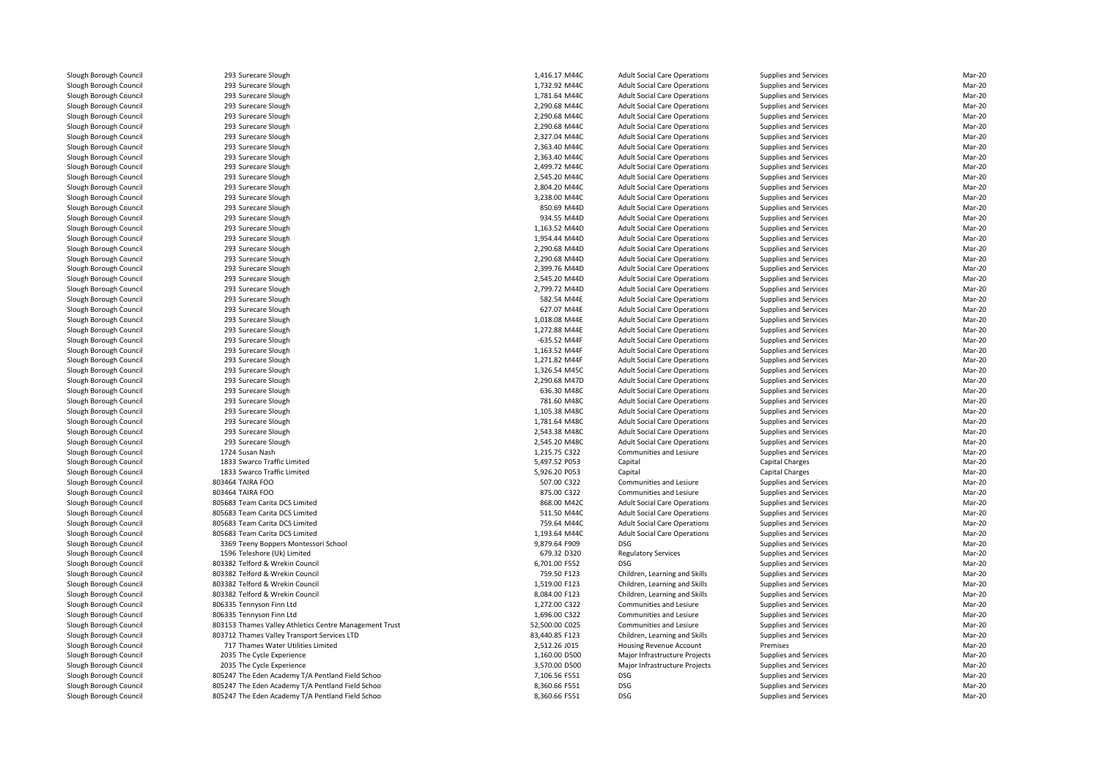| 293 Surecare Slough                                    | 1,416.17 M44C  | <b>Adult Social Care Operations</b> | Supplies and Services | Mar-20 |
|--------------------------------------------------------|----------------|-------------------------------------|-----------------------|--------|
| 293 Surecare Slough                                    | 1,732.92 M44C  | <b>Adult Social Care Operations</b> | Supplies and Services | Mar-20 |
| 293 Surecare Slough                                    | 1,781.64 M44C  | <b>Adult Social Care Operations</b> | Supplies and Services | Mar-20 |
| 293 Surecare Slough                                    | 2,290.68 M44C  | <b>Adult Social Care Operations</b> | Supplies and Services | Mar-20 |
| 293 Surecare Slough                                    | 2,290.68 M44C  | <b>Adult Social Care Operations</b> | Supplies and Services | Mar-20 |
| 293 Surecare Slough                                    | 2,290.68 M44C  | <b>Adult Social Care Operations</b> | Supplies and Services | Mar-20 |
| 293 Surecare Slough                                    | 2,327.04 M44C  | <b>Adult Social Care Operations</b> | Supplies and Services | Mar-20 |
| 293 Surecare Slough                                    | 2,363.40 M44C  | <b>Adult Social Care Operations</b> | Supplies and Services | Mar-20 |
| 293 Surecare Slough                                    | 2,363.40 M44C  | <b>Adult Social Care Operations</b> | Supplies and Services | Mar-20 |
| 293 Surecare Slough                                    | 2,499.72 M44C  | <b>Adult Social Care Operations</b> | Supplies and Services | Mar-20 |
| 293 Surecare Slough                                    | 2,545.20 M44C  | <b>Adult Social Care Operations</b> | Supplies and Services | Mar-20 |
| 293 Surecare Slough                                    | 2,804.20 M44C  | <b>Adult Social Care Operations</b> | Supplies and Services | Mar-20 |
| 293 Surecare Slough                                    | 3,238.00 M44C  | <b>Adult Social Care Operations</b> | Supplies and Services | Mar-20 |
| 293 Surecare Slough                                    | 850.69 M44D    | <b>Adult Social Care Operations</b> | Supplies and Services | Mar-20 |
| 293 Surecare Slough                                    | 934.55 M44D    | <b>Adult Social Care Operations</b> | Supplies and Services | Mar-20 |
| 293 Surecare Slough                                    | 1,163.52 M44D  | <b>Adult Social Care Operations</b> | Supplies and Services | Mar-20 |
| 293 Surecare Slough                                    | 1,954.44 M44D  | <b>Adult Social Care Operations</b> | Supplies and Services | Mar-20 |
| 293 Surecare Slough                                    | 2,290.68 M44D  | <b>Adult Social Care Operations</b> | Supplies and Services | Mar-20 |
| 293 Surecare Slough                                    | 2,290.68 M44D  | <b>Adult Social Care Operations</b> | Supplies and Services | Mar-20 |
| 293 Surecare Slough                                    | 2,399.76 M44D  | <b>Adult Social Care Operations</b> | Supplies and Services | Mar-20 |
| 293 Surecare Slough                                    | 2,545.20 M44D  | <b>Adult Social Care Operations</b> | Supplies and Services | Mar-20 |
| 293 Surecare Slough                                    | 2,799.72 M44D  | <b>Adult Social Care Operations</b> | Supplies and Services | Mar-20 |
| 293 Surecare Slough                                    | 582.54 M44E    | <b>Adult Social Care Operations</b> | Supplies and Services | Mar-20 |
| 293 Surecare Slough                                    | 627.07 M44E    | <b>Adult Social Care Operations</b> | Supplies and Services | Mar-20 |
| 293 Surecare Slough                                    | 1,018.08 M44E  | <b>Adult Social Care Operations</b> | Supplies and Services | Mar-20 |
| 293 Surecare Slough                                    | 1,272.88 M44E  | <b>Adult Social Care Operations</b> | Supplies and Services | Mar-20 |
| 293 Surecare Slough                                    | -635.52 M44F   | <b>Adult Social Care Operations</b> | Supplies and Services | Mar-20 |
| 293 Surecare Slough                                    | 1,163.52 M44F  | <b>Adult Social Care Operations</b> | Supplies and Services | Mar-20 |
| 293 Surecare Slough                                    | 1,271.82 M44F  | <b>Adult Social Care Operations</b> | Supplies and Services | Mar-20 |
| 293 Surecare Slough                                    | 1,326.54 M45C  | <b>Adult Social Care Operations</b> | Supplies and Services | Mar-20 |
| 293 Surecare Slough                                    | 2,290.68 M47D  | <b>Adult Social Care Operations</b> | Supplies and Services | Mar-20 |
| 293 Surecare Slough                                    | 636.30 M48C    | <b>Adult Social Care Operations</b> | Supplies and Services | Mar-20 |
| 293 Surecare Slough                                    | 781.60 M48C    | <b>Adult Social Care Operations</b> | Supplies and Services | Mar-20 |
| 293 Surecare Slough                                    | 1,105.38 M48C  | <b>Adult Social Care Operations</b> | Supplies and Services | Mar-20 |
| 293 Surecare Slough                                    | 1,781.64 M48C  | <b>Adult Social Care Operations</b> | Supplies and Services | Mar-20 |
| 293 Surecare Slough                                    | 2,543.38 M48C  | <b>Adult Social Care Operations</b> | Supplies and Services | Mar-20 |
| 293 Surecare Slough                                    | 2,545.20 M48C  | <b>Adult Social Care Operations</b> | Supplies and Services | Mar-20 |
| 1724 Susan Nash                                        | 1,215.75 C322  | Communities and Lesiure             | Supplies and Services | Mar-20 |
| 1833 Swarco Traffic Limited                            | 5,497.52 P053  | Capital                             | Capital Charges       | Mar-20 |
| 1833 Swarco Traffic Limited                            | 5,926.20 P053  | Capital                             | Capital Charges       | Mar-20 |
| 803464 TAIRA FOO                                       | 507.00 C322    | Communities and Lesiure             | Supplies and Services | Mar-20 |
| 803464 TAIRA FOO                                       | 875.00 C322    | Communities and Lesiure             | Supplies and Services | Mar-20 |
| 805683 Team Carita DCS Limited                         | 868.00 M42C    | <b>Adult Social Care Operations</b> | Supplies and Services | Mar-20 |
| 805683 Team Carita DCS Limited                         | 511.50 M44C    | <b>Adult Social Care Operations</b> | Supplies and Services | Mar-20 |
| 805683 Team Carita DCS Limited                         | 759.64 M44C    | <b>Adult Social Care Operations</b> | Supplies and Services | Mar-20 |
| 805683 Team Carita DCS Limited                         | 1,193.64 M44C  | <b>Adult Social Care Operations</b> | Supplies and Services | Mar-20 |
| 3369 Teeny Boppers Montessori School                   | 9,879.64 F909  | <b>DSG</b>                          | Supplies and Services | Mar-20 |
| 1596 Teleshore (Uk) Limited                            | 679.32 D320    | <b>Regulatory Services</b>          | Supplies and Services | Mar-20 |
| 803382 Telford & Wrekin Council                        | 6,701.00 F552  | <b>DSG</b>                          | Supplies and Services | Mar-20 |
| 803382 Telford & Wrekin Council                        | 759.50 F123    | Children, Learning and Skills       | Supplies and Services | Mar-20 |
| 803382 Telford & Wrekin Council                        | 1,519.00 F123  | Children, Learning and Skills       | Supplies and Services | Mar-20 |
| 803382 Telford & Wrekin Council                        | 8,084.00 F123  | Children, Learning and Skills       | Supplies and Services | Mar-20 |
| 806335 Tennyson Finn Ltd                               | 1,272.00 C322  | Communities and Lesiure             | Supplies and Services | Mar-20 |
| 806335 Tennyson Finn Ltd                               | 1,696.00 C322  | Communities and Lesiure             | Supplies and Services | Mar-20 |
| 803153 Thames Valley Athletics Centre Management Trust | 52,500.00 C025 | Communities and Lesiure             | Supplies and Services | Mar-20 |
| 803712 Thames Valley Transport Services LTD            | 83,440.85 F123 | Children, Learning and Skills       | Supplies and Services | Mar-20 |
| 717 Thames Water Utilities Limited                     | 2,512.26 J015  | Housing Revenue Account             | Premises              | Mar-20 |
| 2035 The Cycle Experience                              | 1,160.00 D500  | Major Infrastructure Projects       | Supplies and Services | Mar-20 |
| 2035 The Cycle Experience                              | 3,570.00 D500  | Major Infrastructure Projects       | Supplies and Services | Mar-20 |
| 805247 The Eden Academy T/A Pentland Field School      | 7,106.56 F551  | <b>DSG</b>                          | Supplies and Services | Mar-20 |
| 805247 The Eden Academy T/A Pentland Field School      | 8,360.66 F551  | <b>DSG</b>                          | Supplies and Services | Mar-20 |
| 805247 The Eden Academy T/A Pentland Field School      | 8,360.66 F551  | <b>DSG</b>                          | Supplies and Services | Mar-20 |
|                                                        |                |                                     |                       |        |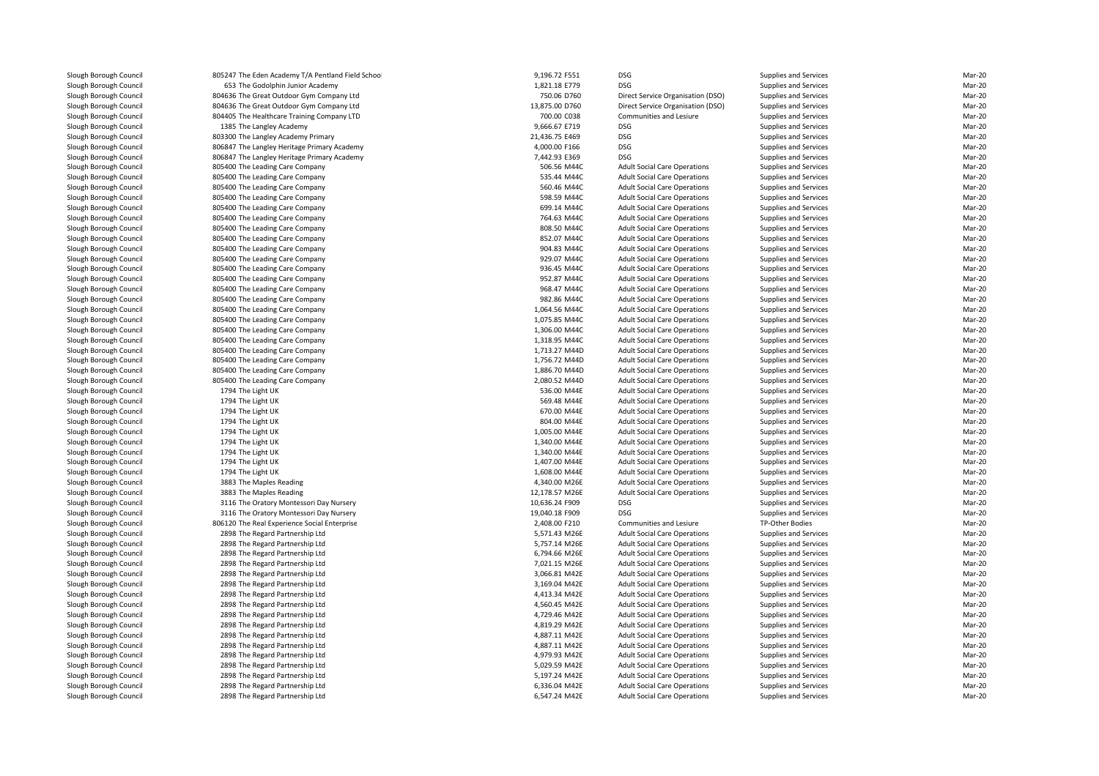| 805247 The Eden Academy T/A Pentland Field School | 9,196.72 F551  | <b>DSG</b>                          | Supplies and Services | Mar-20 |
|---------------------------------------------------|----------------|-------------------------------------|-----------------------|--------|
| 653 The Godolphin Junior Academy                  | 1,821.18 E779  | <b>DSG</b>                          | Supplies and Services | Mar-20 |
| 804636 The Great Outdoor Gym Company Ltd          | 750.06 D760    | Direct Service Organisation (DSO)   | Supplies and Services | Mar-20 |
| 804636 The Great Outdoor Gym Company Ltd          | 13,875.00 D760 | Direct Service Organisation (DSO)   | Supplies and Services | Mar-20 |
| 804405 The Healthcare Training Company LTD        | 700.00 C038    | Communities and Lesiure             | Supplies and Services | Mar-20 |
| 1385 The Langley Academy                          | 9,666.67 E719  | <b>DSG</b>                          | Supplies and Services | Mar-20 |
| 803300 The Langley Academy Primary                | 21,436.75 E469 | <b>DSG</b>                          | Supplies and Services | Mar-20 |
| 806847 The Langley Heritage Primary Academy       | 4,000.00 F166  | <b>DSG</b>                          | Supplies and Services | Mar-20 |
| 806847 The Langley Heritage Primary Academy       | 7,442.93 E369  | <b>DSG</b>                          | Supplies and Services | Mar-20 |
| 805400 The Leading Care Company                   | 506.56 M44C    | <b>Adult Social Care Operations</b> | Supplies and Services | Mar-20 |
| 805400 The Leading Care Company                   | 535.44 M44C    | <b>Adult Social Care Operations</b> | Supplies and Services | Mar-20 |
| 805400 The Leading Care Company                   | 560.46 M44C    | <b>Adult Social Care Operations</b> | Supplies and Services | Mar-20 |
| 805400 The Leading Care Company                   | 598.59 M44C    | <b>Adult Social Care Operations</b> | Supplies and Services | Mar-20 |
| 805400 The Leading Care Company                   | 699.14 M44C    | <b>Adult Social Care Operations</b> | Supplies and Services | Mar-20 |
| 805400 The Leading Care Company                   | 764.63 M44C    | <b>Adult Social Care Operations</b> | Supplies and Services | Mar-20 |
| 805400 The Leading Care Company                   | 808.50 M44C    | <b>Adult Social Care Operations</b> | Supplies and Services | Mar-20 |
| 805400 The Leading Care Company                   | 852.07 M44C    | <b>Adult Social Care Operations</b> | Supplies and Services | Mar-20 |
| 805400 The Leading Care Company                   | 904.83 M44C    | <b>Adult Social Care Operations</b> | Supplies and Services | Mar-20 |
| 805400 The Leading Care Company                   | 929.07 M44C    | <b>Adult Social Care Operations</b> | Supplies and Services | Mar-20 |
| 805400 The Leading Care Company                   | 936.45 M44C    | <b>Adult Social Care Operations</b> | Supplies and Services | Mar-20 |
| 805400 The Leading Care Company                   | 952.87 M44C    | <b>Adult Social Care Operations</b> | Supplies and Services | Mar-20 |
| 805400 The Leading Care Company                   | 968.47 M44C    | <b>Adult Social Care Operations</b> | Supplies and Services | Mar-20 |
| 805400 The Leading Care Company                   | 982.86 M44C    | <b>Adult Social Care Operations</b> | Supplies and Services | Mar-20 |
| 805400 The Leading Care Company                   | 1,064.56 M44C  | <b>Adult Social Care Operations</b> | Supplies and Services | Mar-20 |
| 805400 The Leading Care Company                   | 1,075.85 M44C  | <b>Adult Social Care Operations</b> | Supplies and Services | Mar-20 |
| 805400 The Leading Care Company                   | 1,306.00 M44C  | <b>Adult Social Care Operations</b> | Supplies and Services | Mar-20 |
| 805400 The Leading Care Company                   | 1,318.95 M44C  | <b>Adult Social Care Operations</b> | Supplies and Services | Mar-20 |
| 805400 The Leading Care Company                   | 1,713.27 M44D  | <b>Adult Social Care Operations</b> | Supplies and Services | Mar-20 |
| 805400 The Leading Care Company                   | 1,756.72 M44D  | <b>Adult Social Care Operations</b> | Supplies and Services | Mar-20 |
| 805400 The Leading Care Company                   | 1,886.70 M44D  | <b>Adult Social Care Operations</b> | Supplies and Services | Mar-20 |
| 805400 The Leading Care Company                   | 2,080.52 M44D  | <b>Adult Social Care Operations</b> | Supplies and Services | Mar-20 |
| 1794 The Light UK                                 | 536.00 M44E    | <b>Adult Social Care Operations</b> | Supplies and Services | Mar-20 |
| 1794 The Light UK                                 | 569.48 M44E    | <b>Adult Social Care Operations</b> | Supplies and Services | Mar-20 |
| 1794 The Light UK                                 | 670.00 M44E    | <b>Adult Social Care Operations</b> | Supplies and Services | Mar-20 |
| 1794 The Light UK                                 | 804.00 M44E    | <b>Adult Social Care Operations</b> | Supplies and Services | Mar-20 |
| 1794 The Light UK                                 | 1,005.00 M44E  | <b>Adult Social Care Operations</b> | Supplies and Services | Mar-20 |
| 1794 The Light UK                                 | 1,340.00 M44E  | <b>Adult Social Care Operations</b> | Supplies and Services | Mar-20 |
| 1794 The Light UK                                 | 1,340.00 M44E  | <b>Adult Social Care Operations</b> | Supplies and Services | Mar-20 |
| 1794 The Light UK                                 | 1,407.00 M44E  | <b>Adult Social Care Operations</b> | Supplies and Services | Mar-20 |
| 1794 The Light UK                                 | 1,608.00 M44E  | <b>Adult Social Care Operations</b> | Supplies and Services | Mar-20 |
| 3883 The Maples Reading                           | 4,340.00 M26E  | <b>Adult Social Care Operations</b> | Supplies and Services | Mar-20 |
| 3883 The Maples Reading                           | 12,178.57 M26E | <b>Adult Social Care Operations</b> | Supplies and Services | Mar-20 |
| 3116 The Oratory Montessori Day Nursery           | 10,636.24 F909 | <b>DSG</b>                          | Supplies and Services | Mar-20 |
| 3116 The Oratory Montessori Day Nursery           | 19,040.18 F909 | <b>DSG</b>                          | Supplies and Services | Mar-20 |
| 806120 The Real Experience Social Enterprise      | 2,408.00 F210  | Communities and Lesiure             | TP-Other Bodies       | Mar-20 |
| 2898 The Regard Partnership Ltd                   | 5,571.43 M26E  | <b>Adult Social Care Operations</b> | Supplies and Services | Mar-20 |
| 2898 The Regard Partnership Ltd                   | 5,757.14 M26E  | <b>Adult Social Care Operations</b> | Supplies and Services | Mar-20 |
| 2898 The Regard Partnership Ltd                   | 6,794.66 M26E  | <b>Adult Social Care Operations</b> | Supplies and Services | Mar-20 |
| 2898 The Regard Partnership Ltd                   | 7,021.15 M26E  | <b>Adult Social Care Operations</b> | Supplies and Services | Mar-20 |
| 2898 The Regard Partnership Ltd                   | 3,066.81 M42E  | <b>Adult Social Care Operations</b> | Supplies and Services | Mar-20 |
| 2898 The Regard Partnership Ltd                   | 3,169.04 M42E  | <b>Adult Social Care Operations</b> | Supplies and Services | Mar-20 |
| 2898 The Regard Partnership Ltd                   | 4,413.34 M42E  | <b>Adult Social Care Operations</b> | Supplies and Services | Mar-20 |
| 2898 The Regard Partnership Ltd                   | 4,560.45 M42E  | <b>Adult Social Care Operations</b> | Supplies and Services | Mar-20 |
| 2898 The Regard Partnership Ltd                   | 4,729.46 M42E  | <b>Adult Social Care Operations</b> | Supplies and Services | Mar-20 |
| 2898 The Regard Partnership Ltd                   | 4,819.29 M42E  | <b>Adult Social Care Operations</b> | Supplies and Services | Mar-20 |
| 2898 The Regard Partnership Ltd                   | 4,887.11 M42E  | <b>Adult Social Care Operations</b> | Supplies and Services | Mar-20 |
| 2898 The Regard Partnership Ltd                   | 4,887.11 M42E  | <b>Adult Social Care Operations</b> | Supplies and Services | Mar-20 |
| 2898 The Regard Partnership Ltd                   | 4,979.93 M42E  | <b>Adult Social Care Operations</b> | Supplies and Services | Mar-20 |
| 2898 The Regard Partnership Ltd                   | 5,029.59 M42E  | <b>Adult Social Care Operations</b> | Supplies and Services | Mar-20 |
| 2898 The Regard Partnership Ltd                   | 5,197.24 M42E  | <b>Adult Social Care Operations</b> | Supplies and Services | Mar-20 |
| 2898 The Regard Partnership Ltd                   | 6,336.04 M42E  | <b>Adult Social Care Operations</b> | Supplies and Services | Mar-20 |
| 2898 The Regard Partnership Ltd                   | 6,547.24 M42E  | <b>Adult Social Care Operations</b> | Supplies and Services | Mar-20 |
|                                                   |                |                                     |                       |        |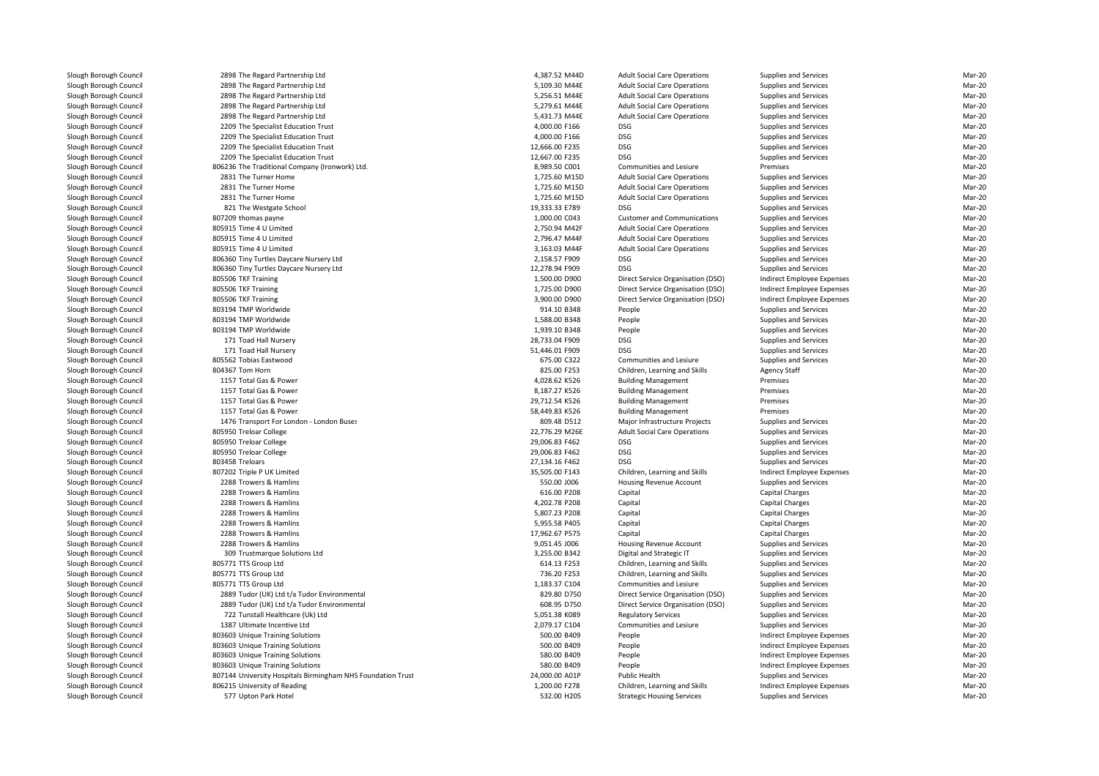| 2898 The Regard Partnership Ltd                             | 4,387.52 M44D  | <b>Adult Social Care Operations</b> | Supplies and Services      | Mar-20 |
|-------------------------------------------------------------|----------------|-------------------------------------|----------------------------|--------|
| 2898 The Regard Partnership Ltd                             | 5,109.30 M44E  | <b>Adult Social Care Operations</b> | Supplies and Services      | Mar-20 |
| 2898 The Regard Partnership Ltd                             | 5,256.51 M44E  | <b>Adult Social Care Operations</b> | Supplies and Services      | Mar-20 |
| 2898 The Regard Partnership Ltd                             | 5,279.61 M44E  | <b>Adult Social Care Operations</b> | Supplies and Services      | Mar-20 |
| 2898 The Regard Partnership Ltd                             | 5,431.73 M44E  | <b>Adult Social Care Operations</b> | Supplies and Services      | Mar-20 |
| 2209 The Specialist Education Trust                         | 4,000.00 F166  | <b>DSG</b>                          | Supplies and Services      | Mar-20 |
| 2209 The Specialist Education Trust                         | 4,000.00 F166  | <b>DSG</b>                          | Supplies and Services      | Mar-20 |
| 2209 The Specialist Education Trust                         | 12,666.00 F235 | <b>DSG</b>                          | Supplies and Services      | Mar-20 |
| 2209 The Specialist Education Trust                         | 12,667.00 F235 | <b>DSG</b>                          | Supplies and Services      | Mar-20 |
| 806236 The Traditional Company (Ironwork) Ltd.              | 8,989.50 C001  | Communities and Lesiure             | Premises                   | Mar-20 |
| 2831 The Turner Home                                        | 1,725.60 M15D  | <b>Adult Social Care Operations</b> | Supplies and Services      | Mar-20 |
| 2831 The Turner Home                                        | 1,725.60 M15D  | <b>Adult Social Care Operations</b> | Supplies and Services      | Mar-20 |
| 2831 The Turner Home                                        | 1,725.60 M15D  | <b>Adult Social Care Operations</b> | Supplies and Services      | Mar-20 |
| 821 The Westgate School                                     | 19,333.33 E789 | <b>DSG</b>                          | Supplies and Services      | Mar-20 |
| 807209 thomas payne                                         | 1,000.00 C043  | <b>Customer and Communications</b>  | Supplies and Services      | Mar-20 |
| 805915 Time 4 U Limited                                     | 2,750.94 M42F  | <b>Adult Social Care Operations</b> | Supplies and Services      | Mar-20 |
| 805915 Time 4 U Limited                                     | 2,796.47 M44F  |                                     |                            | Mar-20 |
|                                                             |                | <b>Adult Social Care Operations</b> | Supplies and Services      |        |
| 805915 Time 4 U Limited                                     | 3,163.03 M44F  | <b>Adult Social Care Operations</b> | Supplies and Services      | Mar-20 |
| 806360 Tiny Turtles Daycare Nursery Ltd                     | 2,158.57 F909  | <b>DSG</b>                          | Supplies and Services      | Mar-20 |
| 806360 Tiny Turtles Daycare Nursery Ltd                     | 12,278.94 F909 | <b>DSG</b>                          | Supplies and Services      | Mar-20 |
| 805506 TKF Training                                         | 1,500.00 D900  | Direct Service Organisation (DSO)   | Indirect Employee Expenses | Mar-20 |
| 805506 TKF Training                                         | 1,725.00 D900  | Direct Service Organisation (DSO)   | Indirect Employee Expenses | Mar-20 |
| 805506 TKF Training                                         | 3,900.00 D900  | Direct Service Organisation (DSO)   | Indirect Employee Expenses | Mar-20 |
| 803194 TMP Worldwide                                        | 914.10 B348    | People                              | Supplies and Services      | Mar-20 |
| 803194 TMP Worldwide                                        | 1,588.00 B348  | People                              | Supplies and Services      | Mar-20 |
| 803194 TMP Worldwide                                        | 1,939.10 B348  | People                              | Supplies and Services      | Mar-20 |
| 171 Toad Hall Nursery                                       | 28,733.04 F909 | <b>DSG</b>                          | Supplies and Services      | Mar-20 |
| 171 Toad Hall Nursery                                       | 51,446.01 F909 | <b>DSG</b>                          | Supplies and Services      | Mar-20 |
| 805562 Tobias Eastwood                                      | 675.00 C322    | Communities and Lesiure             | Supplies and Services      | Mar-20 |
| 804367 Tom Horn                                             | 825.00 F253    | Children, Learning and Skills       | Agency Staff               | Mar-20 |
| 1157 Total Gas & Power                                      | 4,028.62 K526  | <b>Building Management</b>          | Premises                   | Mar-20 |
| 1157 Total Gas & Power                                      | 8,187.27 K526  | <b>Building Management</b>          | Premises                   | Mar-20 |
| 1157 Total Gas & Power                                      | 29,712.54 K526 | <b>Building Management</b>          | Premises                   | Mar-20 |
| 1157 Total Gas & Power                                      | 58,449.83 K526 | <b>Building Management</b>          | Premises                   | Mar-20 |
| 1476 Transport For London - London Buses                    | 809.48 D512    | Major Infrastructure Projects       | Supplies and Services      | Mar-20 |
| 805950 Treloar College                                      | 22,776.29 M26E | <b>Adult Social Care Operations</b> | Supplies and Services      | Mar-20 |
|                                                             |                |                                     |                            |        |
| 805950 Treloar College                                      | 29,006.83 F462 | <b>DSG</b>                          | Supplies and Services      | Mar-20 |
| 805950 Treloar College                                      | 29,006.83 F462 | <b>DSG</b>                          | Supplies and Services      | Mar-20 |
| 803458 Treloars                                             | 27,134.16 F462 | <b>DSG</b>                          | Supplies and Services      | Mar-20 |
| 807202 Triple P UK Limited                                  | 35,505.00 F143 | Children, Learning and Skills       | Indirect Employee Expenses | Mar-20 |
| 2288 Trowers & Hamlins                                      | 550.00 J006    | Housing Revenue Account             | Supplies and Services      | Mar-20 |
| 2288 Trowers & Hamlins                                      | 616.00 P208    | Capital                             | Capital Charges            | Mar-20 |
| 2288 Trowers & Hamlins                                      | 4,202.78 P208  | Capital                             | <b>Capital Charges</b>     | Mar-20 |
| 2288 Trowers & Hamlins                                      | 5,807.23 P208  | Capital                             | <b>Capital Charges</b>     | Mar-20 |
| 2288 Trowers & Hamlins                                      | 5,955.58 P405  | Capital                             | Capital Charges            | Mar-20 |
| 2288 Trowers & Hamlins                                      | 17,962.67 P575 | Capital                             | Capital Charges            | Mar-20 |
| 2288 Trowers & Hamlins                                      | 9,051.45 J006  | Housing Revenue Account             | Supplies and Services      | Mar-20 |
| 309 Trustmarque Solutions Ltd                               | 3,255.00 B342  | Digital and Strategic IT            | Supplies and Services      | Mar-20 |
| 805771 TTS Group Ltd                                        | 614.13 F253    | Children, Learning and Skills       | Supplies and Services      | Mar-20 |
| 805771 TTS Group Ltd                                        | 736.20 F253    | Children, Learning and Skills       | Supplies and Services      | Mar-20 |
| 805771 TTS Group Ltd                                        | 1,183.37 C104  | Communities and Lesiure             | Supplies and Services      | Mar-20 |
| 2889 Tudor (UK) Ltd t/a Tudor Environmental                 | 829.80 D750    | Direct Service Organisation (DSO)   | Supplies and Services      | Mar-20 |
| 2889 Tudor (UK) Ltd t/a Tudor Environmental                 | 608.95 D750    | Direct Service Organisation (DSO)   | Supplies and Services      | Mar-20 |
| 722 Tunstall Healthcare (Uk) Ltd                            | 5,051.38 K089  | <b>Regulatory Services</b>          | Supplies and Services      | Mar-20 |
| 1387 Ultimate Incentive Ltd                                 | 2,079.17 C104  | Communities and Lesiure             | Supplies and Services      | Mar-20 |
| 803603 Unique Training Solutions                            | 500.00 B409    | People                              | Indirect Employee Expenses | Mar-20 |
|                                                             |                |                                     |                            |        |
| 803603 Unique Training Solutions                            | 500.00 B409    | People                              | Indirect Employee Expenses | Mar-20 |
| 803603 Unique Training Solutions                            | 580.00 B409    | People                              | Indirect Employee Expenses | Mar-20 |
| 803603 Unique Training Solutions                            | 580.00 B409    | People                              | Indirect Employee Expenses | Mar-20 |
| 807144 University Hospitals Birmingham NHS Foundation Trust | 24,000.00 A01P | Public Health                       | Supplies and Services      | Mar-20 |
| 806215 University of Reading                                | 1,200.00 F278  | Children, Learning and Skills       | Indirect Employee Expenses | Mar-20 |
| 577 Upton Park Hotel                                        | 532.00 H205    | <b>Strategic Housing Services</b>   | Supplies and Services      | Mar-20 |
|                                                             |                |                                     |                            |        |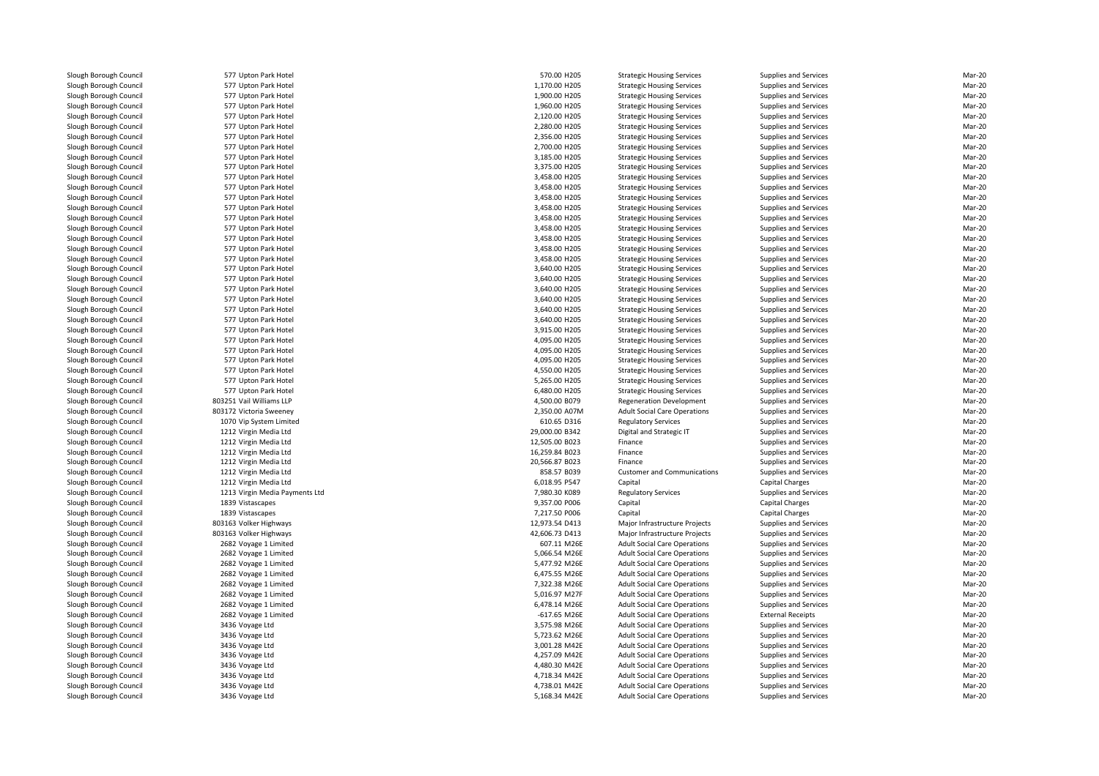577 Unton Park Hotel 577 Upton Park Hotel 577 Unton Park Hotel 577 Upton Park Hotel 577 Upton Park Hotel 577 Unton Park Hotel 577 Upton Park Hotel 577 Upton Park Hotel 577 Upton Park Hotel 577 Upton Park Hotel 577 Upton Park Hotel 577 Upton Park Hotel 577 Unton Park Hotel 577 Unton Park Hotel 577 Upton Park Hotel 577 Unton Park Hotel 577 Upton Park Hotel 577 Upton Park Hotel 577 Upton Park Hotel 577 Upton Park Hotel 577 Upton Park Hotel 577 Upton Park Hotel 577 Upton Park Hotel 577 Upton Park Hotel 577 Upton Park Hotel 577 Upton Park Hotel 577 Upton Park Hotel 577 Unton Park Hotel 577 Upton Park Hotel 577 Upton Park Hotel 577 Upton Park Hotel 577 Upton Park Hotel 803251 Vail Williams LLP 803172 Victoria Sweeney 2,350.00 A07M 1070 Vip System Limited 1212 Virgin Media Ltd 1212 Virgin Media Ltd 1212 Virgin Media Ltd 1212 Virgin Media Ltd 1212 Virgin Media Ltd 1212 Virgin Media Ltd 1213 Virgin Media Payments Ltd1839 Vistascapes 1839 Vistascapes 803163 Volker Highways 803163 Volker Highways 2682 Voyage 1 Limited 2682 Voyage 1 Limited 2682 Voyage 1 Limited 2682 Voyage 1 Limited 2682 Voyage 1 Limited 2682 Voyage 1 Limited 2682 Voyage 1 Limited 2682 Voyage 1 Limited 3436 Voyage Ltd 3436 Voyage Ltd 3436 Voyage Ltd 3436 Voyage Ltd 3436 Voyage Ltd 3436 Voyage Ltd 3436 Voyage Ltd3436 Voyage Ltd

| 7 Upton Park Hotel          | 570.00 H205    | <b>Strategic Housing Services</b>   | Supplies and Services        | Mar-20           |
|-----------------------------|----------------|-------------------------------------|------------------------------|------------------|
| 7 Upton Park Hotel          | 1,170.00 H205  | <b>Strategic Housing Services</b>   | Supplies and Services        | Mar-20           |
| 7 Upton Park Hotel          | 1,900.00 H205  | <b>Strategic Housing Services</b>   | Supplies and Services        | Mar-20           |
| 7 Upton Park Hotel          | 1,960.00 H205  | <b>Strategic Housing Services</b>   | <b>Supplies and Services</b> | Mar-20           |
| 7 Upton Park Hotel          | 2,120.00 H205  | <b>Strategic Housing Services</b>   | <b>Supplies and Services</b> | Mar-20           |
| 7 Upton Park Hotel          | 2,280.00 H205  | <b>Strategic Housing Services</b>   | <b>Supplies and Services</b> | Mar-20           |
| 7 Upton Park Hotel          | 2,356.00 H205  | <b>Strategic Housing Services</b>   | Supplies and Services        | Mar-20           |
| 7 Upton Park Hotel          | 2,700.00 H205  | <b>Strategic Housing Services</b>   | Supplies and Services        | Mar-20           |
| 7 Upton Park Hotel          | 3,185.00 H205  | <b>Strategic Housing Services</b>   | Supplies and Services        | Mar-20           |
| 7 Upton Park Hotel          | 3,375.00 H205  | <b>Strategic Housing Services</b>   | Supplies and Services        | Mar-20           |
| 7 Upton Park Hotel          | 3,458.00 H205  | <b>Strategic Housing Services</b>   | <b>Supplies and Services</b> | Mar-20           |
|                             |                |                                     |                              | Mar-20           |
| 7 Upton Park Hotel          | 3,458.00 H205  | <b>Strategic Housing Services</b>   | Supplies and Services        |                  |
| 7 Upton Park Hotel          | 3,458.00 H205  | <b>Strategic Housing Services</b>   | Supplies and Services        | Mar-20           |
| 7 Upton Park Hotel          | 3,458.00 H205  | <b>Strategic Housing Services</b>   | Supplies and Services        | Mar-20           |
| 7 Upton Park Hotel          | 3,458.00 H205  | <b>Strategic Housing Services</b>   | Supplies and Services        | Mar-20           |
| 7 Upton Park Hotel          | 3,458.00 H205  | <b>Strategic Housing Services</b>   | <b>Supplies and Services</b> | Mar-20           |
| 7 Upton Park Hotel          | 3,458.00 H205  | <b>Strategic Housing Services</b>   | Supplies and Services        | Mar-20           |
| 7 Upton Park Hotel          | 3,458.00 H205  | <b>Strategic Housing Services</b>   | Supplies and Services        | Mar-20           |
| 7 Upton Park Hotel          | 3,458.00 H205  | <b>Strategic Housing Services</b>   | <b>Supplies and Services</b> | Mar-20           |
| 7 Upton Park Hotel          | 3,640.00 H205  | <b>Strategic Housing Services</b>   | Supplies and Services        | Mar-20           |
| 7 Upton Park Hotel          | 3,640.00 H205  | <b>Strategic Housing Services</b>   | Supplies and Services        | Mar-20           |
| 7 Upton Park Hotel          | 3,640.00 H205  | <b>Strategic Housing Services</b>   | Supplies and Services        | Mar-20           |
| 7 Upton Park Hotel          | 3,640.00 H205  | <b>Strategic Housing Services</b>   | <b>Supplies and Services</b> | Mar-20           |
| 7 Upton Park Hotel          | 3,640.00 H205  | <b>Strategic Housing Services</b>   | <b>Supplies and Services</b> | Mar-20           |
| 7 Upton Park Hotel          | 3,640.00 H205  | <b>Strategic Housing Services</b>   | <b>Supplies and Services</b> | Mar-20           |
| 7 Upton Park Hotel          | 3,915.00 H205  | <b>Strategic Housing Services</b>   | Supplies and Services        | Mar-20           |
| 7 Upton Park Hotel          | 4,095.00 H205  | <b>Strategic Housing Services</b>   | Supplies and Services        | Mar-20           |
| 7 Upton Park Hotel          | 4,095.00 H205  | <b>Strategic Housing Services</b>   | Supplies and Services        | Mar-20           |
| 7 Upton Park Hotel          | 4,095.00 H205  | <b>Strategic Housing Services</b>   | <b>Supplies and Services</b> | Mar-20           |
| 7 Upton Park Hotel          | 4,550.00 H205  | <b>Strategic Housing Services</b>   | <b>Supplies and Services</b> | Mar-20           |
| 7 Upton Park Hotel          | 5,265.00 H205  |                                     |                              | Mar-20           |
|                             |                | <b>Strategic Housing Services</b>   | Supplies and Services        |                  |
| 7 Upton Park Hotel          | 6,480.00 H205  | <b>Strategic Housing Services</b>   | Supplies and Services        | Mar-20           |
| 1 Vail Williams LLP         | 4,500.00 B079  | <b>Regeneration Development</b>     | Supplies and Services        | Mar-20           |
| 2 Victoria Sweeney          | 2,350.00 A07M  | <b>Adult Social Care Operations</b> | <b>Supplies and Services</b> | Mar-20           |
| 0 Vip System Limited        | 610.65 D316    | <b>Regulatory Services</b>          | <b>Supplies and Services</b> | Mar-20           |
| 2 Virgin Media Ltd          | 29,000.00 B342 | Digital and Strategic IT            | <b>Supplies and Services</b> | Mar-20           |
| 2 Virgin Media Ltd          | 12,505.00 B023 | Finance                             | <b>Supplies and Services</b> | Mar-20           |
| 2 Virgin Media Ltd          | 16,259.84 B023 | Finance                             | Supplies and Services        | Mar-20           |
| 2 Virgin Media Ltd          | 20,566.87 B023 | Finance                             | <b>Supplies and Services</b> | Mar-20           |
| 2 Virgin Media Ltd          | 858.57 B039    | <b>Customer and Communications</b>  | Supplies and Services        | Mar-20           |
| 2 Virgin Media Ltd          | 6,018.95 P547  | Capital                             | Capital Charges              | Mar-20           |
| 3 Virgin Media Payments Ltd | 7,980.30 K089  | <b>Regulatory Services</b>          | <b>Supplies and Services</b> | Mar-20           |
| 9 Vistascapes               | 9,357.00 P006  | Capital                             | Capital Charges              | Mar-20           |
| 9 Vistascapes               | 7,217.50 P006  | Capital                             | <b>Capital Charges</b>       | Mar-20           |
| 3 Volker Highways           | 12,973.54 D413 | Major Infrastructure Projects       | Supplies and Services        | Mar-20           |
| 3 Volker Highways           | 42,606.73 D413 | Major Infrastructure Projects       | Supplies and Services        | Mar-20           |
| 2 Voyage 1 Limited          | 607.11 M26E    | <b>Adult Social Care Operations</b> | Supplies and Services        | Mar-20           |
| 2 Voyage 1 Limited          | 5,066.54 M26E  | <b>Adult Social Care Operations</b> | <b>Supplies and Services</b> | Mar-20           |
| 2 Voyage 1 Limited          | 5,477.92 M26E  | <b>Adult Social Care Operations</b> | <b>Supplies and Services</b> | Mar-20           |
| 2 Voyage 1 Limited          | 6,475.55 M26E  | <b>Adult Social Care Operations</b> | Supplies and Services        | Mar-20           |
| 2 Voyage 1 Limited          | 7,322.38 M26E  | <b>Adult Social Care Operations</b> | Supplies and Services        | Mar-20           |
| 2 Voyage 1 Limited          | 5,016.97 M27F  | <b>Adult Social Care Operations</b> | Supplies and Services        | Mar-20           |
| 2 Voyage 1 Limited          | 6,478.14 M26E  | <b>Adult Social Care Operations</b> | Supplies and Services        | Mar-20           |
|                             | $-617.65$ M26E |                                     |                              |                  |
| 2 Voyage 1 Limited          |                | <b>Adult Social Care Operations</b> | <b>External Receipts</b>     | Mar-20<br>Mar-20 |
| 6 Voyage Ltd                | 3,575.98 M26E  | <b>Adult Social Care Operations</b> | Supplies and Services        |                  |
| 6 Voyage Ltd                | 5,723.62 M26E  | <b>Adult Social Care Operations</b> | Supplies and Services        | Mar-20           |
| 6 Voyage Ltd                | 3,001.28 M42E  | <b>Adult Social Care Operations</b> | <b>Supplies and Services</b> | Mar-20           |
| 6 Voyage Ltd                | 4,257.09 M42E  | <b>Adult Social Care Operations</b> | Supplies and Services        | Mar-20           |
| 6 Voyage Ltd                | 4,480.30 M42E  | <b>Adult Social Care Operations</b> | Supplies and Services        | Mar-20           |
| 6 Voyage Ltd                | 4,718.34 M42E  | <b>Adult Social Care Operations</b> | <b>Supplies and Services</b> | Mar-20           |
| 6 Voyage Ltd                | 4,738.01 M42E  | <b>Adult Social Care Operations</b> | Supplies and Services        | Mar-20           |
| 6 Voyage Ltd                | 5,168.34 M42E  | <b>Adult Social Care Operations</b> | Supplies and Services        | Mar-20           |
|                             |                |                                     |                              |                  |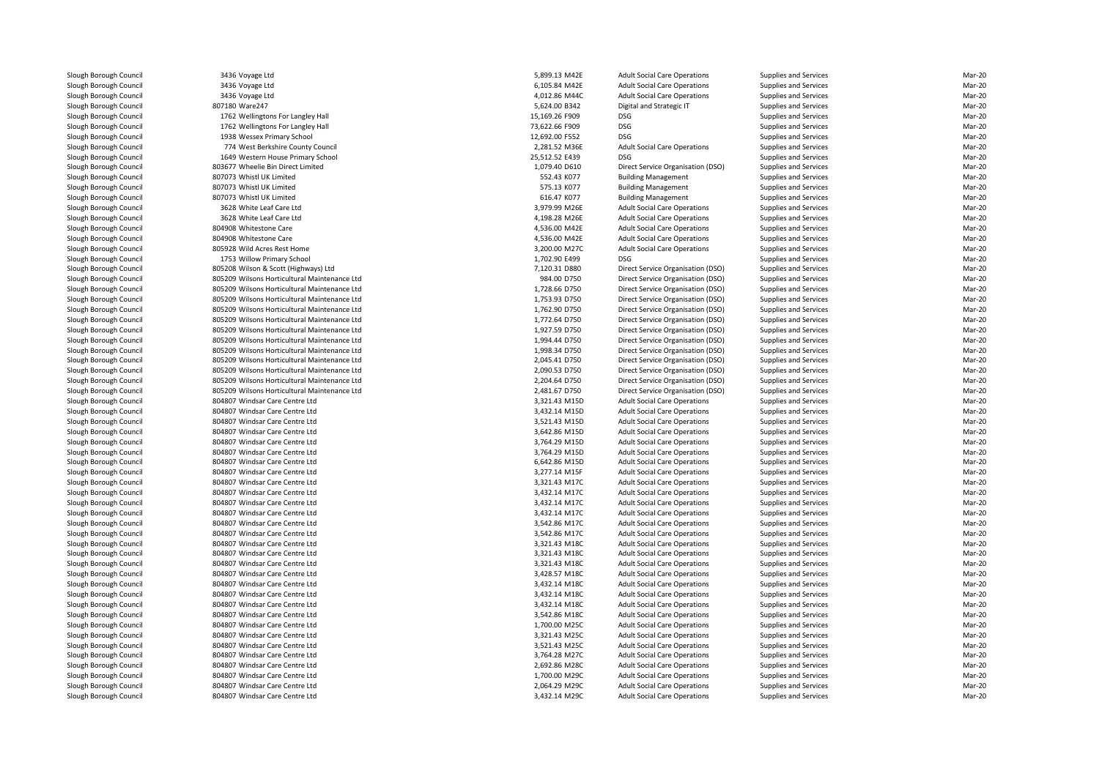3436 Voyage Ltd 3436 Voyage Ltd 3436 Voyage Ltd 4,012.86 M44C807180 Ware247 1762 Wellingtons For Langley Hall 15,169.26 F909 DSG 1762 Wellingtons For Langley Hall 73,622.66 F909 DSG 1938 Wessex Primary School 12,692.00 F552 DSG774 West Berkshire County Council 1649 Western House Primary School 25,512.52 E439 DSG 803677 Wheelie Bin Direct Limited 807073 Whistl UK Limited 807073 Whistl UK Limited 807073 Whistl UK Limited 3628 White Leaf Care Ltd 3628 White Leaf Care Ltd804908 Whitestone Care 804908 Whitestone Care 805928 Wild Acres Rest Home 3,200.00 M27C 3,200.00 M27C 1753 Willow Primary School 1,702.90 E499 DSG 805208 Wilson & Scott (Highways) Ltd 805209 Wilsons Horticultural Maintenance Ltd 805209 Wilsons Horticultural Maintenance Ltd 805209 Wilsons Horticultural Maintenance Ltd 805209 Wilsons Horticultural Maintenance Ltd 805209 Wilsons Horticultural Maintenance Ltd 805209 Wilsons Horticultural Maintenance Ltd 805209 Wilsons Horticultural Maintenance Ltd 805209 Wilsons Horticultural Maintenance Ltd 805209 Wilsons Horticultural Maintenance Ltd 805209 Wilsons Horticultural Maintenance Ltd 805209 Wilsons Horticultural Maintenance Ltd 805209 Wilsons Horticultural Maintenance Ltd 804807 Windsar Care Centre Ltd 804807 Windsar Care Centre Ltd 804807 Windsar Care Centre Ltd 804807 Windsar Care Centre Ltd 804807 Windsar Care Centre Ltd 804807 Windsar Care Centre Ltd 804807 Windsar Care Centre Ltd 804807 Windsar Care Centre Ltd 804807 Windsar Care Centre Ltd 804807 Windsar Care Centre Ltd 804807 Windsar Care Centre Ltd 804807 Windsar Care Centre Ltd 804807 Windsar Care Centre Ltd 804807 Windsar Care Centre Ltd 804807 Windsar Care Centre Ltd 804807 Windsar Care Centre Ltd 804807 Windsar Care Centre Ltd 804807 Windsar Care Centre Ltd 804807 Windsar Care Centre Ltd 804807 Windsar Care Centre Ltd 804807 Windsar Care Centre Ltd 804807 Windsar Care Centre Ltd 804807 Windsar Care Centre Ltd 804807 Windsar Care Centre Ltd 804807 Windsar Care Centre Ltd 804807 Windsar Care Centre Ltd 804807 Windsar Care Centre Ltd 804807 Windsar Care Centre Ltd804807 Windsar Care Centre Ltd

| 6 Voyage Ltd                            | 5,899.13 M42E  | <b>Adult Social Care Operations</b> | Supplies and Services        | Mar-20 |
|-----------------------------------------|----------------|-------------------------------------|------------------------------|--------|
| 6 Voyage Ltd                            | 6,105.84 M42E  | <b>Adult Social Care Operations</b> | Supplies and Services        | Mar-20 |
| 6 Voyage Ltd                            | 4,012.86 M44C  | <b>Adult Social Care Operations</b> | Supplies and Services        | Mar-20 |
| 0 Ware247                               | 5,624.00 B342  | Digital and Strategic IT            | Supplies and Services        | Mar-20 |
| 2 Wellingtons For Langley Hall          | 15,169.26 F909 | <b>DSG</b>                          | Supplies and Services        | Mar-20 |
| 2 Wellingtons For Langley Hall          | 73,622.66 F909 | <b>DSG</b>                          | Supplies and Services        | Mar-20 |
| 8 Wessex Primary School                 | 12,692.00 F552 | <b>DSG</b>                          | Supplies and Services        | Mar-20 |
| 4 West Berkshire County Council         | 2,281.52 M36E  | <b>Adult Social Care Operations</b> | Supplies and Services        | Mar-20 |
| 9 Western House Primary School          | 25,512.52 E439 | <b>DSG</b>                          | <b>Supplies and Services</b> | Mar-20 |
| 7 Wheelie Bin Direct Limited            | 1,079.40 D610  | Direct Service Organisation (DSO)   | Supplies and Services        | Mar-20 |
| 3 Whistl UK Limited                     | 552.43 K077    | <b>Building Management</b>          | <b>Supplies and Services</b> | Mar-20 |
|                                         |                |                                     |                              |        |
| 3 Whistl UK Limited                     | 575.13 K077    | <b>Building Management</b>          | Supplies and Services        | Mar-20 |
| 3 Whistl UK Limited                     | 616.47 K077    | <b>Building Management</b>          | <b>Supplies and Services</b> | Mar-20 |
| 8 White Leaf Care Ltd                   | 3,979.99 M26E  | <b>Adult Social Care Operations</b> | Supplies and Services        | Mar-20 |
| 8 White Leaf Care Ltd                   | 4,198.28 M26E  | <b>Adult Social Care Operations</b> | Supplies and Services        | Mar-20 |
| 8 Whitestone Care                       | 4,536.00 M42E  | <b>Adult Social Care Operations</b> | Supplies and Services        | Mar-20 |
| 8 Whitestone Care                       | 4,536.00 M42E  | <b>Adult Social Care Operations</b> | <b>Supplies and Services</b> | Mar-20 |
| 8 Wild Acres Rest Home                  | 3,200.00 M27C  | <b>Adult Social Care Operations</b> | Supplies and Services        | Mar-20 |
| 3 Willow Primary School                 | 1,702.90 E499  | <b>DSG</b>                          | <b>Supplies and Services</b> | Mar-20 |
| 8 Wilson & Scott (Highways) Ltd         | 7,120.31 D880  | Direct Service Organisation (DSO)   | Supplies and Services        | Mar-20 |
| 9 Wilsons Horticultural Maintenance Ltd | 984.00 D750    | Direct Service Organisation (DSO)   | Supplies and Services        | Mar-20 |
| 9 Wilsons Horticultural Maintenance Ltd | 1,728.66 D750  | Direct Service Organisation (DSO)   | Supplies and Services        | Mar-20 |
| 9 Wilsons Horticultural Maintenance Ltd | 1,753.93 D750  | Direct Service Organisation (DSO)   | Supplies and Services        | Mar-20 |
|                                         |                |                                     |                              |        |
| 9 Wilsons Horticultural Maintenance Ltd | 1,762.90 D750  | Direct Service Organisation (DSO)   | Supplies and Services        | Mar-20 |
| 9 Wilsons Horticultural Maintenance Ltd | 1,772.64 D750  | Direct Service Organisation (DSO)   | Supplies and Services        | Mar-20 |
| 9 Wilsons Horticultural Maintenance Ltd | 1,927.59 D750  | Direct Service Organisation (DSO)   | Supplies and Services        | Mar-20 |
| 9 Wilsons Horticultural Maintenance Ltd | 1,994.44 D750  | Direct Service Organisation (DSO)   | Supplies and Services        | Mar-20 |
| 9 Wilsons Horticultural Maintenance Ltd | 1,998.34 D750  | Direct Service Organisation (DSO)   | <b>Supplies and Services</b> | Mar-20 |
| 9 Wilsons Horticultural Maintenance Ltd | 2,045.41 D750  | Direct Service Organisation (DSO)   | Supplies and Services        | Mar-20 |
| 9 Wilsons Horticultural Maintenance Ltd | 2,090.53 D750  | Direct Service Organisation (DSO)   | Supplies and Services        | Mar-20 |
| 9 Wilsons Horticultural Maintenance Ltd | 2,204.64 D750  | Direct Service Organisation (DSO)   | Supplies and Services        | Mar-20 |
| 9 Wilsons Horticultural Maintenance Ltd | 2,481.67 D750  | Direct Service Organisation (DSO)   | Supplies and Services        | Mar-20 |
| 7 Windsar Care Centre Ltd               | 3,321.43 M15D  | <b>Adult Social Care Operations</b> | Supplies and Services        | Mar-20 |
| 7 Windsar Care Centre Ltd               | 3,432.14 M15D  | <b>Adult Social Care Operations</b> | <b>Supplies and Services</b> | Mar-20 |
| 7 Windsar Care Centre Ltd               | 3,521.43 M15D  | <b>Adult Social Care Operations</b> | Supplies and Services        | Mar-20 |
| 7 Windsar Care Centre Ltd               | 3,642.86 M15D  | <b>Adult Social Care Operations</b> | Supplies and Services        | Mar-20 |
| 7 Windsar Care Centre Ltd               | 3,764.29 M15D  | <b>Adult Social Care Operations</b> | Supplies and Services        | Mar-20 |
| 7 Windsar Care Centre Ltd               | 3,764.29 M15D  | <b>Adult Social Care Operations</b> | <b>Supplies and Services</b> | Mar-20 |
|                                         |                |                                     |                              |        |
| 7 Windsar Care Centre Ltd               | 6,642.86 M15D  | <b>Adult Social Care Operations</b> | <b>Supplies and Services</b> | Mar-20 |
| 7 Windsar Care Centre Ltd               | 3,277.14 M15F  | <b>Adult Social Care Operations</b> | Supplies and Services        | Mar-20 |
| 7 Windsar Care Centre Ltd               | 3,321.43 M17C  | <b>Adult Social Care Operations</b> | Supplies and Services        | Mar-20 |
| 7 Windsar Care Centre Ltd               | 3,432.14 M17C  | <b>Adult Social Care Operations</b> | Supplies and Services        | Mar-20 |
| 7 Windsar Care Centre Ltd               | 3,432.14 M17C  | <b>Adult Social Care Operations</b> | <b>Supplies and Services</b> | Mar-20 |
| 7 Windsar Care Centre Ltd               | 3,432.14 M17C  | <b>Adult Social Care Operations</b> | Supplies and Services        | Mar-20 |
| 7 Windsar Care Centre Ltd               | 3,542.86 M17C  | <b>Adult Social Care Operations</b> | Supplies and Services        | Mar-20 |
| 7 Windsar Care Centre Ltd               | 3,542.86 M17C  | <b>Adult Social Care Operations</b> | Supplies and Services        | Mar-20 |
| 7 Windsar Care Centre Ltd               | 3,321.43 M18C  | <b>Adult Social Care Operations</b> | <b>Supplies and Services</b> | Mar-20 |
| 7 Windsar Care Centre Ltd               | 3,321.43 M18C  | <b>Adult Social Care Operations</b> | Supplies and Services        | Mar-20 |
| 7 Windsar Care Centre Ltd               | 3,321.43 M18C  | <b>Adult Social Care Operations</b> | <b>Supplies and Services</b> | Mar-20 |
| 7 Windsar Care Centre Ltd               | 3,428.57 M18C  | <b>Adult Social Care Operations</b> | Supplies and Services        | Mar-20 |
| 7 Windsar Care Centre Ltd               | 3,432.14 M18C  | <b>Adult Social Care Operations</b> | Supplies and Services        | Mar-20 |
|                                         |                |                                     |                              |        |
| 7 Windsar Care Centre Ltd               | 3,432.14 M18C  | <b>Adult Social Care Operations</b> | Supplies and Services        | Mar-20 |
| 7 Windsar Care Centre Ltd               | 3,432.14 M18C  | <b>Adult Social Care Operations</b> | <b>Supplies and Services</b> | Mar-20 |
| 7 Windsar Care Centre Ltd               | 3,542.86 M18C  | <b>Adult Social Care Operations</b> | <b>Supplies and Services</b> | Mar-20 |
| 7 Windsar Care Centre Ltd               | 1,700.00 M25C  | <b>Adult Social Care Operations</b> | <b>Supplies and Services</b> | Mar-20 |
| 7 Windsar Care Centre Ltd               | 3,321.43 M25C  | <b>Adult Social Care Operations</b> | Supplies and Services        | Mar-20 |
| 7 Windsar Care Centre Ltd               | 3,521.43 M25C  | <b>Adult Social Care Operations</b> | <b>Supplies and Services</b> | Mar-20 |
| 7 Windsar Care Centre Ltd               | 3,764.28 M27C  | <b>Adult Social Care Operations</b> | Supplies and Services        | Mar-20 |
| 7 Windsar Care Centre Ltd               | 2,692.86 M28C  | <b>Adult Social Care Operations</b> | Supplies and Services        | Mar-20 |
| 7 Windsar Care Centre Ltd               | 1,700.00 M29C  | <b>Adult Social Care Operations</b> | Supplies and Services        | Mar-20 |
| 7 Windsar Care Centre Ltd               | 2,064.29 M29C  | <b>Adult Social Care Operations</b> | <b>Supplies and Services</b> | Mar-20 |
| 7 Windsar Care Centre Ltd               | 3,432.14 M29C  | <b>Adult Social Care Operations</b> | Supplies and Services        | Mar-20 |
|                                         |                |                                     |                              |        |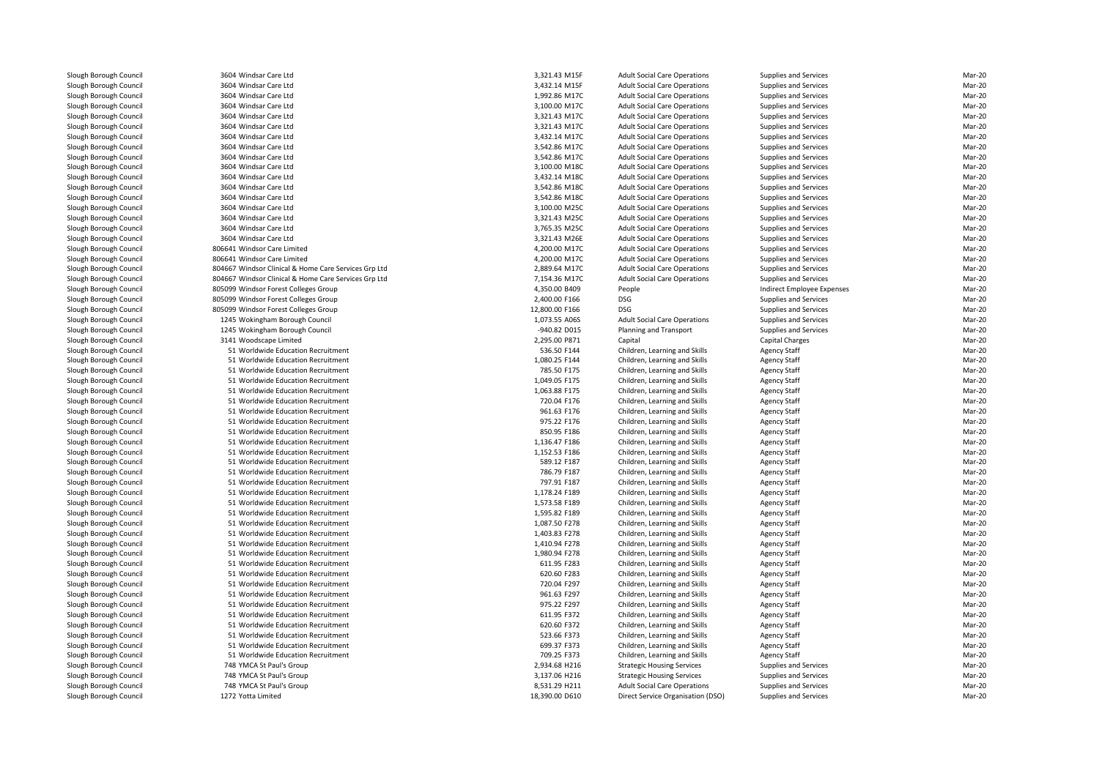| 3604 Windsar Care Ltd                                | 3,321.43 M15F  | <b>Adult Social Care Operations</b> | <b>Supplies and Services</b> | Mar-20 |
|------------------------------------------------------|----------------|-------------------------------------|------------------------------|--------|
| 3604 Windsar Care Ltd                                | 3,432.14 M15F  | <b>Adult Social Care Operations</b> | <b>Supplies and Services</b> | Mar-20 |
| 3604 Windsar Care Ltd                                | 1,992.86 M17C  | <b>Adult Social Care Operations</b> | <b>Supplies and Services</b> | Mar-20 |
| 3604 Windsar Care Ltd                                | 3,100.00 M17C  | <b>Adult Social Care Operations</b> | <b>Supplies and Services</b> | Mar-20 |
| 3604 Windsar Care Ltd                                | 3,321.43 M17C  | <b>Adult Social Care Operations</b> | <b>Supplies and Services</b> | Mar-20 |
| 3604 Windsar Care Ltd                                | 3,321.43 M17C  | <b>Adult Social Care Operations</b> | Supplies and Services        | Mar-20 |
| 3604 Windsar Care Ltd                                | 3,432.14 M17C  | <b>Adult Social Care Operations</b> | Supplies and Services        | Mar-20 |
| 3604 Windsar Care Ltd                                | 3,542.86 M17C  | <b>Adult Social Care Operations</b> | <b>Supplies and Services</b> | Mar-20 |
| 3604 Windsar Care Ltd                                | 3,542.86 M17C  | <b>Adult Social Care Operations</b> | <b>Supplies and Services</b> | Mar-20 |
| 3604 Windsar Care Ltd                                | 3,100.00 M18C  | <b>Adult Social Care Operations</b> | Supplies and Services        | Mar-20 |
| 3604 Windsar Care Ltd                                | 3,432.14 M18C  | <b>Adult Social Care Operations</b> | Supplies and Services        | Mar-20 |
| 3604 Windsar Care Ltd                                | 3,542.86 M18C  | <b>Adult Social Care Operations</b> | Supplies and Services        | Mar-20 |
| 3604 Windsar Care Ltd                                | 3,542.86 M18C  | <b>Adult Social Care Operations</b> | <b>Supplies and Services</b> | Mar-20 |
| 3604 Windsar Care Ltd                                | 3,100.00 M25C  | <b>Adult Social Care Operations</b> | <b>Supplies and Services</b> | Mar-20 |
| 3604 Windsar Care Ltd                                | 3,321.43 M25C  | <b>Adult Social Care Operations</b> | Supplies and Services        | Mar-20 |
| 3604 Windsar Care Ltd                                | 3,765.35 M25C  | <b>Adult Social Care Operations</b> | <b>Supplies and Services</b> | Mar-20 |
| 3604 Windsar Care Ltd                                | 3,321.43 M26E  | <b>Adult Social Care Operations</b> | Supplies and Services        | Mar-20 |
| 806641 Windsor Care Limited                          | 4,200.00 M17C  | <b>Adult Social Care Operations</b> | <b>Supplies and Services</b> | Mar-20 |
| 806641 Windsor Care Limited                          | 4,200.00 M17C  | <b>Adult Social Care Operations</b> | <b>Supplies and Services</b> | Mar-20 |
| 804667 Windsor Clinical & Home Care Services Grp Ltd | 2,889.64 M17C  | <b>Adult Social Care Operations</b> | Supplies and Services        | Mar-20 |
| 804667 Windsor Clinical & Home Care Services Grp Ltd | 7,154.36 M17C  | <b>Adult Social Care Operations</b> | <b>Supplies and Services</b> | Mar-20 |
| 805099 Windsor Forest Colleges Group                 | 4,350.00 B409  | People                              | Indirect Employee Expenses   | Mar-20 |
|                                                      | 2,400.00 F166  | <b>DSG</b>                          |                              | Mar-20 |
| 805099 Windsor Forest Colleges Group                 |                |                                     | Supplies and Services        |        |
| 805099 Windsor Forest Colleges Group                 | 12,800.00 F166 | <b>DSG</b>                          | Supplies and Services        | Mar-20 |
| 1245 Wokingham Borough Council                       | 1,073.55 A06S  | <b>Adult Social Care Operations</b> | <b>Supplies and Services</b> | Mar-20 |
| 1245 Wokingham Borough Council                       | -940.82 D015   | Planning and Transport              | <b>Supplies and Services</b> | Mar-20 |
| 3141 Woodscape Limited                               | 2,295.00 P871  | Capital                             | Capital Charges              | Mar-20 |
| 51 Worldwide Education Recruitment                   | 536.50 F144    | Children, Learning and Skills       | <b>Agency Staff</b>          | Mar-20 |
| 51 Worldwide Education Recruitment                   | 1,080.25 F144  | Children, Learning and Skills       | <b>Agency Staff</b>          | Mar-20 |
| 51 Worldwide Education Recruitment                   | 785.50 F175    | Children, Learning and Skills       | <b>Agency Staff</b>          | Mar-20 |
| 51 Worldwide Education Recruitment                   | 1,049.05 F175  | Children, Learning and Skills       | <b>Agency Staff</b>          | Mar-20 |
| 51 Worldwide Education Recruitment                   | 1,063.88 F175  | Children, Learning and Skills       | <b>Agency Staff</b>          | Mar-20 |
| 51 Worldwide Education Recruitment                   | 720.04 F176    | Children, Learning and Skills       | <b>Agency Staff</b>          | Mar-20 |
| 51 Worldwide Education Recruitment                   | 961.63 F176    | Children, Learning and Skills       | <b>Agency Staff</b>          | Mar-20 |
| 51 Worldwide Education Recruitment                   | 975.22 F176    | Children, Learning and Skills       | <b>Agency Staff</b>          | Mar-20 |
| 51 Worldwide Education Recruitment                   | 850.95 F186    | Children, Learning and Skills       | <b>Agency Staff</b>          | Mar-20 |
| 51 Worldwide Education Recruitment                   | 1,136.47 F186  | Children, Learning and Skills       | <b>Agency Staff</b>          | Mar-20 |
| 51 Worldwide Education Recruitment                   | 1,152.53 F186  | Children, Learning and Skills       | <b>Agency Staff</b>          | Mar-20 |
| 51 Worldwide Education Recruitment                   | 589.12 F187    | Children, Learning and Skills       | <b>Agency Staff</b>          | Mar-20 |
| 51 Worldwide Education Recruitment                   | 786.79 F187    | Children, Learning and Skills       | <b>Agency Staff</b>          | Mar-20 |
| 51 Worldwide Education Recruitment                   | 797.91 F187    | Children, Learning and Skills       | <b>Agency Staff</b>          | Mar-20 |
| 51 Worldwide Education Recruitment                   | 1,178.24 F189  | Children, Learning and Skills       | <b>Agency Staff</b>          | Mar-20 |
| 51 Worldwide Education Recruitment                   | 1,573.58 F189  | Children, Learning and Skills       | <b>Agency Staff</b>          | Mar-20 |
| 51 Worldwide Education Recruitment                   | 1,595.82 F189  | Children, Learning and Skills       | <b>Agency Staff</b>          | Mar-20 |
| 51 Worldwide Education Recruitment                   | 1,087.50 F278  | Children, Learning and Skills       | <b>Agency Staff</b>          | Mar-20 |
| 51 Worldwide Education Recruitment                   | 1,403.83 F278  | Children, Learning and Skills       | <b>Agency Staff</b>          | Mar-20 |
| 51 Worldwide Education Recruitment                   | 1,410.94 F278  | Children, Learning and Skills       | <b>Agency Staff</b>          | Mar-20 |
| 51 Worldwide Education Recruitment                   | 1,980.94 F278  | Children, Learning and Skills       | <b>Agency Staff</b>          | Mar-20 |
| 51 Worldwide Education Recruitment                   | 611.95 F283    | Children, Learning and Skills       | <b>Agency Staff</b>          | Mar-20 |
| 51 Worldwide Education Recruitment                   | 620.60 F283    | Children, Learning and Skills       | <b>Agency Staff</b>          | Mar-20 |
| 51 Worldwide Education Recruitment                   | 720.04 F297    | Children, Learning and Skills       | <b>Agency Staff</b>          | Mar-20 |
| 51 Worldwide Education Recruitment                   | 961.63 F297    | Children, Learning and Skills       | <b>Agency Staff</b>          | Mar-20 |
| 51 Worldwide Education Recruitment                   | 975.22 F297    | Children, Learning and Skills       | <b>Agency Staff</b>          | Mar-20 |
| 51 Worldwide Education Recruitment                   | 611.95 F372    | Children, Learning and Skills       | <b>Agency Staff</b>          | Mar-20 |
| 51 Worldwide Education Recruitment                   | 620.60 F372    | Children, Learning and Skills       | <b>Agency Staff</b>          | Mar-20 |
| 51 Worldwide Education Recruitment                   | 523.66 F373    | Children, Learning and Skills       | <b>Agency Staff</b>          | Mar-20 |
|                                                      |                |                                     |                              |        |
| 51 Worldwide Education Recruitment                   | 699.37 F373    | Children, Learning and Skills       | <b>Agency Staff</b>          | Mar-20 |
| 51 Worldwide Education Recruitment                   | 709.25 F373    | Children, Learning and Skills       | <b>Agency Staff</b>          | Mar-20 |
| 748 YMCA St Paul's Group                             | 2,934.68 H216  | <b>Strategic Housing Services</b>   | <b>Supplies and Services</b> | Mar-20 |
| 748 YMCA St Paul's Group                             | 3,137.06 H216  | <b>Strategic Housing Services</b>   | <b>Supplies and Services</b> | Mar-20 |
| 748 YMCA St Paul's Group                             | 8,531.29 H211  | <b>Adult Social Care Operations</b> | <b>Supplies and Services</b> | Mar-20 |
| 1272 Yotta Limited                                   | 18,390.00 D610 | Direct Service Organisation (DSO)   | <b>Supplies and Services</b> | Mar-20 |